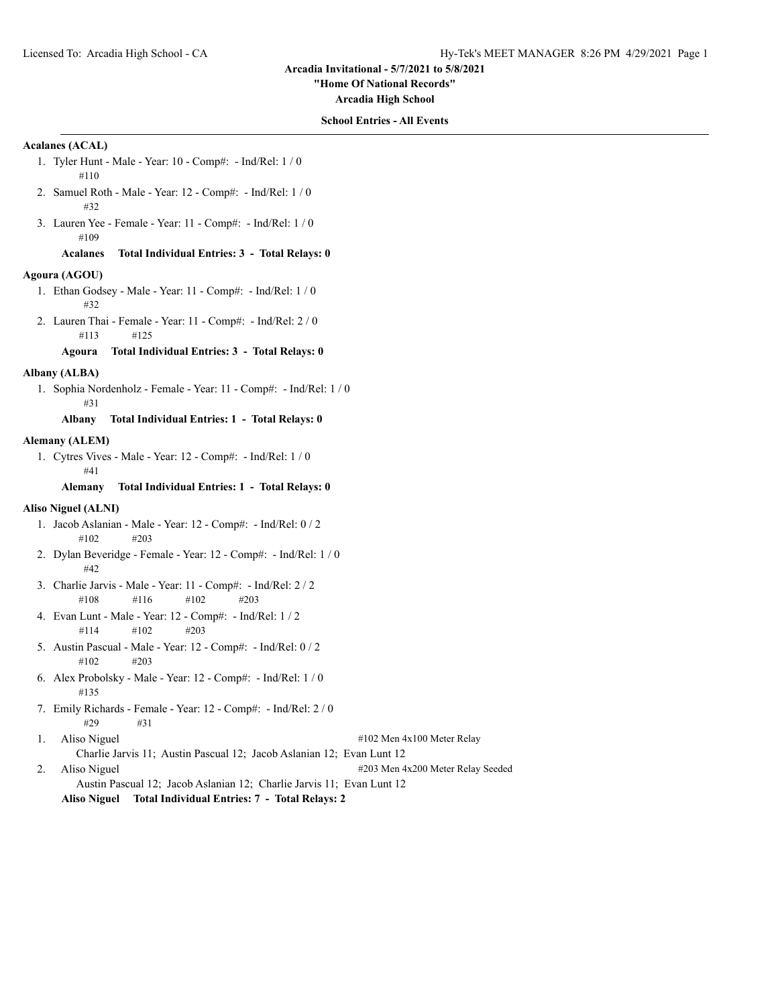**"Home Of National Records"**

**Arcadia High School**

#### **School Entries - All Events**

#### **Acalanes (ACAL)**

- 1. Tyler Hunt Male Year: 10 Comp#: Ind/Rel: 1 / 0 #110
- 2. Samuel Roth Male Year: 12 Comp#: Ind/Rel: 1 / 0 #32
- 3. Lauren Yee Female Year: 11 Comp#: Ind/Rel: 1 / 0 #109

# **Acalanes Total Individual Entries: 3 - Total Relays: 0**

#### **Agoura (AGOU)**

- 1. Ethan Godsey Male Year: 11 Comp#: Ind/Rel: 1 / 0 #32
- 2. Lauren Thai Female Year: 11 Comp#: Ind/Rel: 2 / 0 #113 #125

#### **Agoura Total Individual Entries: 3 - Total Relays: 0**

#### **Albany (ALBA)**

1. Sophia Nordenholz - Female - Year: 11 - Comp#: - Ind/Rel: 1 / 0 #31

# **Albany Total Individual Entries: 1 - Total Relays: 0**

### **Alemany (ALEM)**

1. Cytres Vives - Male - Year: 12 - Comp#: - Ind/Rel: 1 / 0 #41

#### **Alemany Total Individual Entries: 1 - Total Relays: 0**

#### **Aliso Niguel (ALNI)**

- 1. Jacob Aslanian Male Year: 12 Comp#: Ind/Rel: 0 / 2 #102 #203
- 2. Dylan Beveridge Female Year: 12 Comp#: Ind/Rel: 1 / 0 #42
- 3. Charlie Jarvis Male Year: 11 Comp#: Ind/Rel: 2 / 2 #108 #116 #102 #203
- 4. Evan Lunt Male Year: 12 Comp#: Ind/Rel: 1 / 2 #114 #102 #203
- 5. Austin Pascual Male Year: 12 Comp#: Ind/Rel: 0 / 2 #102 #203
- 6. Alex Probolsky Male Year: 12 Comp#: Ind/Rel: 1 / 0 #135
- 7. Emily Richards Female Year: 12 Comp#: Ind/Rel: 2 / 0  $\#29$   $\#31$
- 1. Aliso Niguel #102 Men 4x100 Meter Relay

- Charlie Jarvis 11; Austin Pascual 12; Jacob Aslanian 12; Evan Lunt 12
- 2. Aliso Niguel #203 Men 4x200 Meter Relay Seeded Austin Pascual 12; Jacob Aslanian 12; Charlie Jarvis 11; Evan Lunt 12

**Aliso Niguel Total Individual Entries: 7 - Total Relays: 2**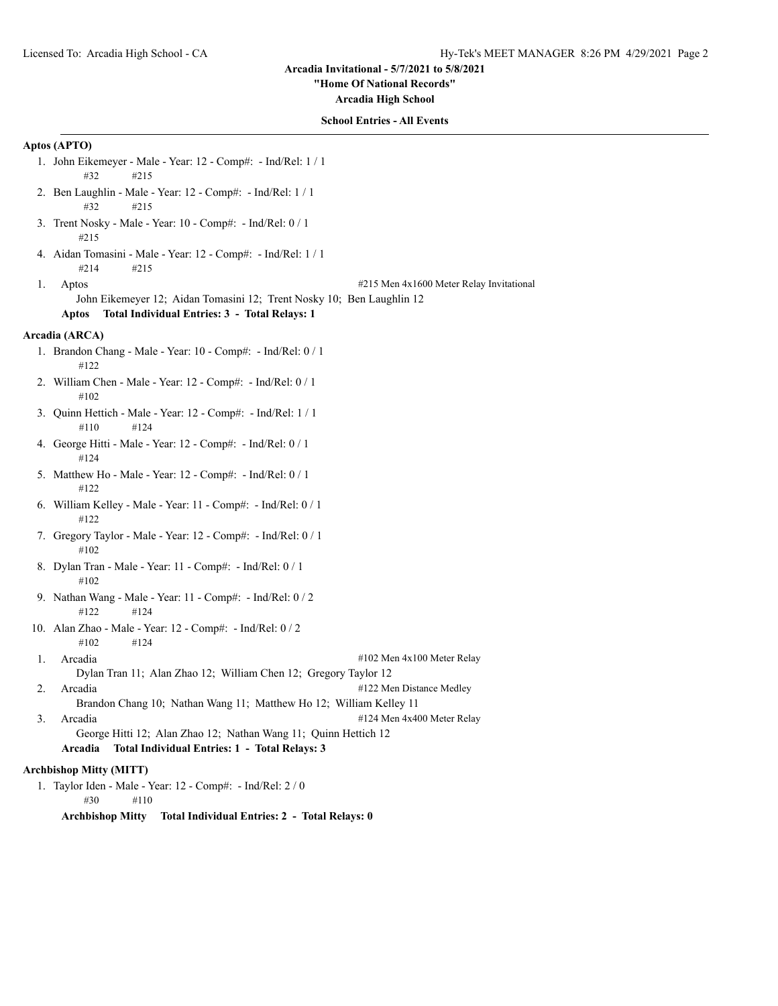#### **"Home Of National Records"**

**Arcadia High School**

## **School Entries - All Events**

# **Aptos (APTO)**

- 1. John Eikemeyer Male Year: 12 Comp#: Ind/Rel: 1 / 1 #32 #215
- 2. Ben Laughlin Male Year: 12 Comp#: Ind/Rel: 1 / 1 #32 #215
- 3. Trent Nosky Male Year: 10 Comp#: Ind/Rel: 0 / 1 #215
- 4. Aidan Tomasini Male Year: 12 Comp#: Ind/Rel: 1 / 1 #214 #215
- 

1. Aptos #215 Men 4x1600 Meter Relay Invitational

John Eikemeyer 12; Aidan Tomasini 12; Trent Nosky 10; Ben Laughlin 12

# **Aptos Total Individual Entries: 3 - Total Relays: 1**

# **Arcadia (ARCA)**

- 1. Brandon Chang Male Year: 10 Comp#: Ind/Rel: 0 / 1 #122
- 2. William Chen Male Year: 12 Comp#: Ind/Rel: 0 / 1 #102
- 3. Quinn Hettich Male Year: 12 Comp#: Ind/Rel: 1 / 1 #110 #124
- 4. George Hitti Male Year: 12 Comp#: Ind/Rel: 0 / 1 #124
- 5. Matthew Ho Male Year: 12 Comp#: Ind/Rel: 0 / 1 #122
- 6. William Kelley Male Year: 11 Comp#: Ind/Rel: 0 / 1 #122
- 7. Gregory Taylor Male Year: 12 Comp#: Ind/Rel: 0 / 1 #102
- 8. Dylan Tran Male Year: 11 Comp#: Ind/Rel: 0 / 1 #102
- 9. Nathan Wang Male Year: 11 Comp#: Ind/Rel: 0 / 2 #122 #124
- 10. Alan Zhao Male Year: 12 Comp#: Ind/Rel: 0 / 2 #102 #124
- 1. Arcadia #102 Men 4x100 Meter Relay Dylan Tran 11; Alan Zhao 12; William Chen 12; Gregory Taylor 12
- 2. Arcadia  $\#122$  Men Distance Medley
	- Brandon Chang 10; Nathan Wang 11; Matthew Ho 12; William Kelley 11
- 3. Arcadia #124 Men 4x400 Meter Relay George Hitti 12; Alan Zhao 12; Nathan Wang 11; Quinn Hettich 12
	- **Arcadia Total Individual Entries: 1 Total Relays: 3**

# **Archbishop Mitty (MITT)**

- 1. Taylor Iden Male Year: 12 Comp#: Ind/Rel: 2 / 0 #30 #110
	- **Archbishop Mitty Total Individual Entries: 2 Total Relays: 0**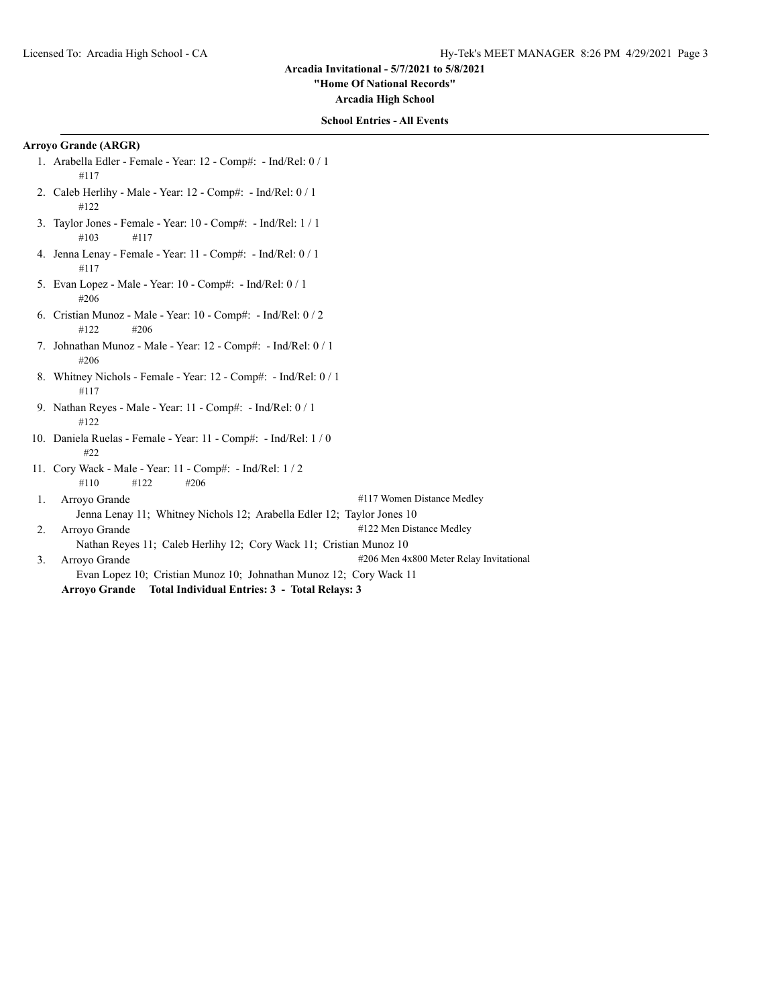**"Home Of National Records"**

**Arcadia High School**

# **School Entries - All Events**

# **Arroyo Grande (ARGR)**

- 1. Arabella Edler Female Year: 12 Comp#: Ind/Rel: 0 / 1 #117
- 2. Caleb Herlihy Male Year: 12 Comp#: Ind/Rel: 0 / 1 #122
- 3. Taylor Jones Female Year: 10 Comp#: Ind/Rel: 1 / 1 #103 #117
- 4. Jenna Lenay Female Year: 11 Comp#: Ind/Rel: 0 / 1 #117
- 5. Evan Lopez Male Year: 10 Comp#: Ind/Rel: 0 / 1 #206
- 6. Cristian Munoz Male Year: 10 Comp#: Ind/Rel: 0 / 2 #122 #206
- 7. Johnathan Munoz Male Year: 12 Comp#: Ind/Rel: 0 / 1 #206
- 8. Whitney Nichols Female Year: 12 Comp#: Ind/Rel: 0 / 1 #117
- 9. Nathan Reyes Male Year: 11 Comp#: Ind/Rel: 0 / 1 #122
- 10. Daniela Ruelas Female Year: 11 Comp#: Ind/Rel: 1 / 0 #22
- 11. Cory Wack Male Year: 11 Comp#: Ind/Rel: 1 / 2 #110 #122 #206

1. Arroyo Grande #117 Women Distance Medley

Jenna Lenay 11; Whitney Nichols 12; Arabella Edler 12; Taylor Jones 10

2. Arroyo Grande  $\#122$  Men Distance Medley

Nathan Reyes 11; Caleb Herlihy 12; Cory Wack 11; Cristian Munoz 10

3. Arroyo Grande **1206** Men 4x800 Meter Relay Invitational Evan Lopez 10; Cristian Munoz 10; Johnathan Munoz 12; Cory Wack 11 **Arroyo Grande Total Individual Entries: 3 - Total Relays: 3**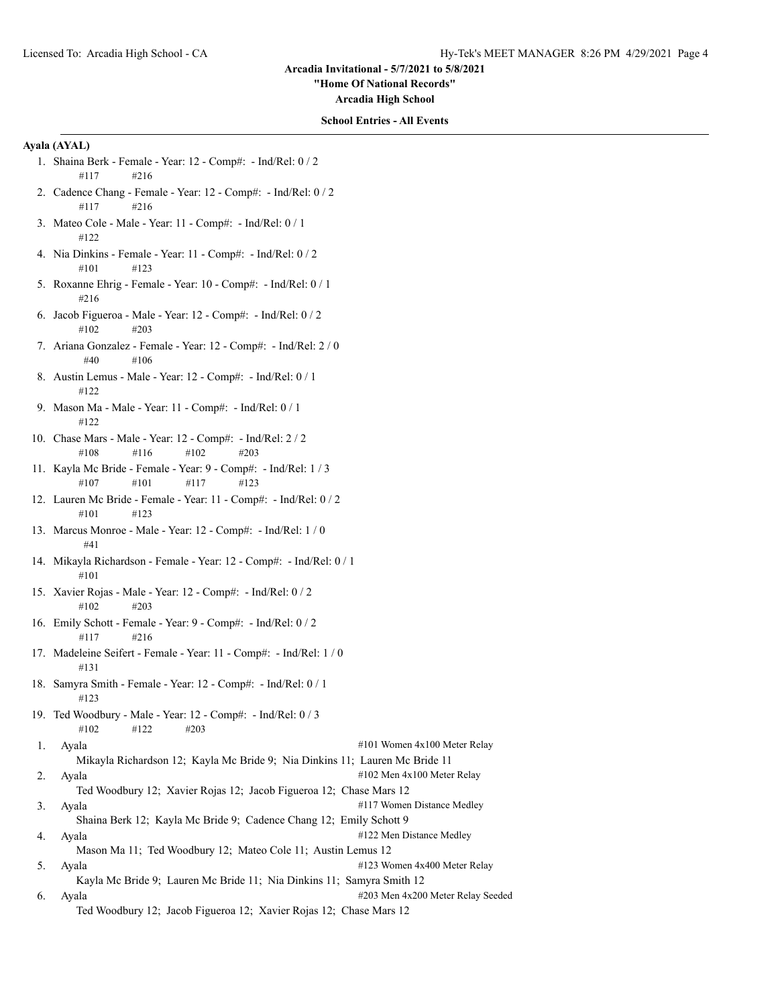**"Home Of National Records"**

**Arcadia High School**

#### **School Entries - All Events**

# **Ayala (AYAL)**

- 1. Shaina Berk Female Year: 12 Comp#: Ind/Rel: 0 / 2 #117 #216
- 2. Cadence Chang Female Year: 12 Comp#: Ind/Rel: 0 / 2 #117 #216
- 3. Mateo Cole Male Year: 11 Comp#: Ind/Rel: 0 / 1 #122
- 4. Nia Dinkins Female Year: 11 Comp#: Ind/Rel: 0 / 2 #101 #123
- 5. Roxanne Ehrig Female Year: 10 Comp#: Ind/Rel: 0 / 1 #216
- 6. Jacob Figueroa Male Year: 12 Comp#: Ind/Rel: 0 / 2 #102 #203
- 7. Ariana Gonzalez Female Year: 12 Comp#: Ind/Rel: 2 / 0 #40 #106
- 8. Austin Lemus Male Year: 12 Comp#: Ind/Rel: 0 / 1 #122
- 9. Mason Ma Male Year: 11 Comp#: Ind/Rel: 0 / 1 #122
- 10. Chase Mars Male Year: 12 Comp#: Ind/Rel: 2 / 2 #108 #116 #102 #203
- 11. Kayla Mc Bride Female Year: 9 Comp#: Ind/Rel: 1 / 3 #107 #101 #117 #123
- 12. Lauren Mc Bride Female Year: 11 Comp#: Ind/Rel: 0 / 2 #101 #123
- 13. Marcus Monroe Male Year: 12 Comp#: Ind/Rel: 1 / 0 #41
- 14. Mikayla Richardson Female Year: 12 Comp#: Ind/Rel: 0 / 1 #101
- 15. Xavier Rojas Male Year: 12 Comp#: Ind/Rel: 0 / 2 #102 #203
- 16. Emily Schott Female Year: 9 Comp#: Ind/Rel: 0 / 2 #117 #216
- 17. Madeleine Seifert Female Year: 11 Comp#: Ind/Rel: 1 / 0 #131
- 18. Samyra Smith Female Year: 12 Comp#: Ind/Rel: 0 / 1 #123
- 19. Ted Woodbury Male Year: 12 Comp#: Ind/Rel: 0 / 3 #102 #122 #203
- 1. Ayala  $\#101$  Women 4x100 Meter Relay
	- Mikayla Richardson 12; Kayla Mc Bride 9; Nia Dinkins 11; Lauren Mc Bride 11
- 2. Ayala  $\#102$  Men  $4x100$  Meter Relay
- Ted Woodbury 12; Xavier Rojas 12; Jacob Figueroa 12; Chase Mars 12
- 3. Ayala #117 Women Distance Medley Shaina Berk 12; Kayla Mc Bride 9; Cadence Chang 12; Emily Schott 9 4. Ayala #122 Men Distance Medley
- Mason Ma 11; Ted Woodbury 12; Mateo Cole 11; Austin Lemus 12
- 5. Ayala  $\#123$  Women 4x400 Meter Relay Kayla Mc Bride 9; Lauren Mc Bride 11; Nia Dinkins 11; Samyra Smith 12
- 6. Ayala #203 Men 4x200 Meter Relay Seeded Ted Woodbury 12; Jacob Figueroa 12; Xavier Rojas 12; Chase Mars 12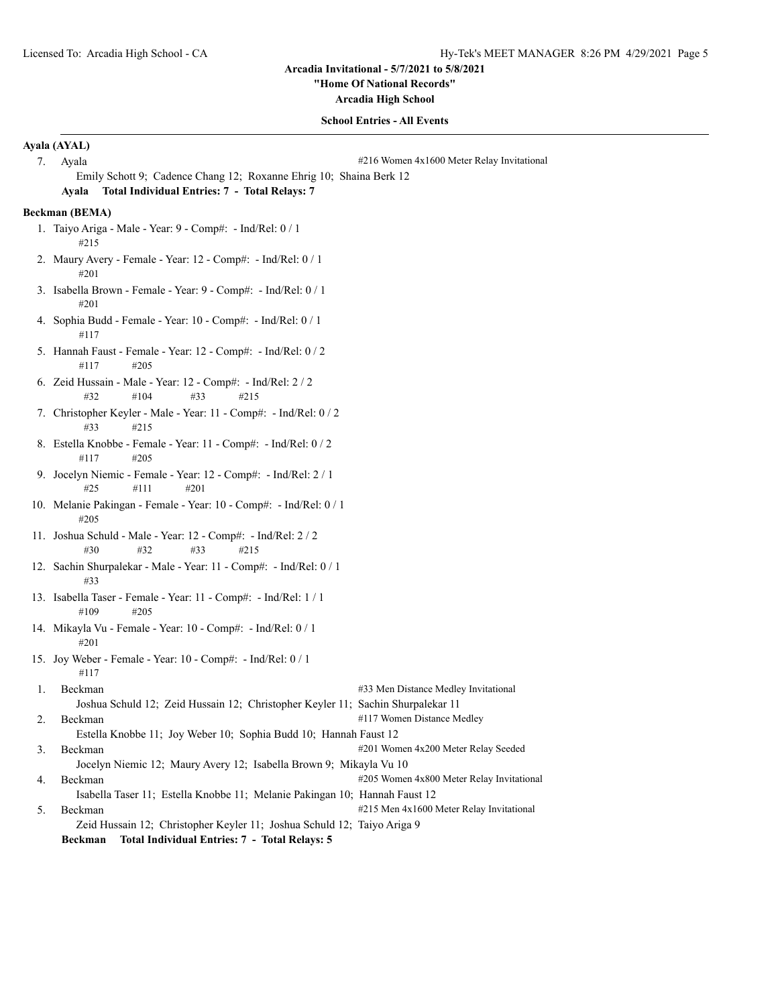**"Home Of National Records"**

**Arcadia High School**

# **School Entries - All Events**

|    | Ayala (AYAL)                                                                                                                                                                               |  |  |
|----|--------------------------------------------------------------------------------------------------------------------------------------------------------------------------------------------|--|--|
| 7. | Ayala<br>#216 Women 4x1600 Meter Relay Invitational                                                                                                                                        |  |  |
|    | Emily Schott 9; Cadence Chang 12; Roxanne Ehrig 10; Shaina Berk 12                                                                                                                         |  |  |
|    | Ayala Total Individual Entries: 7 - Total Relays: 7                                                                                                                                        |  |  |
|    | Beckman (BEMA)                                                                                                                                                                             |  |  |
|    | 1. Taiyo Ariga - Male - Year: $9$ - Comp#: - Ind/Rel: $0/1$<br>#215                                                                                                                        |  |  |
|    | 2. Maury Avery - Female - Year: 12 - Comp#: - Ind/Rel: 0 / 1<br>#201                                                                                                                       |  |  |
|    | 3. Isabella Brown - Female - Year: 9 - Comp#: - Ind/Rel: 0 / 1<br>#201                                                                                                                     |  |  |
|    | 4. Sophia Budd - Female - Year: 10 - Comp#: - Ind/Rel: 0 / 1<br>#117                                                                                                                       |  |  |
|    | 5. Hannah Faust - Female - Year: 12 - Comp#: - Ind/Rel: 0 / 2<br>#117<br>#205                                                                                                              |  |  |
|    | 6. Zeid Hussain - Male - Year: 12 - Comp#: - Ind/Rel: 2 / 2<br>#32<br>#104<br>#33<br>#215                                                                                                  |  |  |
|    | 7. Christopher Keyler - Male - Year: 11 - Comp#: - Ind/Rel: 0 / 2<br>#33<br>#215                                                                                                           |  |  |
|    | 8. Estella Knobbe - Female - Year: 11 - Comp#: - Ind/Rel: 0 / 2<br>#117<br>#205                                                                                                            |  |  |
|    | 9. Jocelyn Niemic - Female - Year: 12 - Comp#: - Ind/Rel: 2 / 1<br>#25<br>#111<br>#201                                                                                                     |  |  |
|    | 10. Melanie Pakingan - Female - Year: 10 - Comp#: - Ind/Rel: 0 / 1<br>#205                                                                                                                 |  |  |
|    | 11. Joshua Schuld - Male - Year: 12 - Comp#: - Ind/Rel: 2 / 2<br>#32<br>#30<br>#33<br>#215                                                                                                 |  |  |
|    | 12. Sachin Shurpalekar - Male - Year: 11 - Comp#: - Ind/Rel: 0 / 1<br>#33                                                                                                                  |  |  |
|    | 13. Isabella Taser - Female - Year: 11 - Comp#: - Ind/Rel: 1 / 1<br>#109<br>#205                                                                                                           |  |  |
|    | 14. Mikayla Vu - Female - Year: 10 - Comp#: - Ind/Rel: 0 / 1<br>#201                                                                                                                       |  |  |
|    | 15. Joy Weber - Female - Year: 10 - Comp#: - Ind/Rel: 0 / 1<br>#117                                                                                                                        |  |  |
| 1. | #33 Men Distance Medley Invitational<br>Beckman<br>Joshua Schuld 12; Zeid Hussain 12; Christopher Keyler 11; Sachin Shurpalekar 11                                                         |  |  |
| 2. | #117 Women Distance Medley<br>Beckman<br>Estella Knobbe 11; Joy Weber 10; Sophia Budd 10; Hannah Faust 12                                                                                  |  |  |
| 3. | #201 Women 4x200 Meter Relay Seeded<br>Beckman<br>Jocelyn Niemic 12; Maury Avery 12; Isabella Brown 9; Mikayla Vu 10                                                                       |  |  |
| 4. | #205 Women 4x800 Meter Relay Invitational<br>Beckman<br>Isabella Taser 11; Estella Knobbe 11; Melanie Pakingan 10; Hannah Faust 12                                                         |  |  |
| 5. | #215 Men 4x1600 Meter Relay Invitational<br>Beckman<br>Zeid Hussain 12; Christopher Keyler 11; Joshua Schuld 12; Taiyo Ariga 9<br>Total Individual Entries: 7 - Total Relays: 5<br>Beckman |  |  |
|    |                                                                                                                                                                                            |  |  |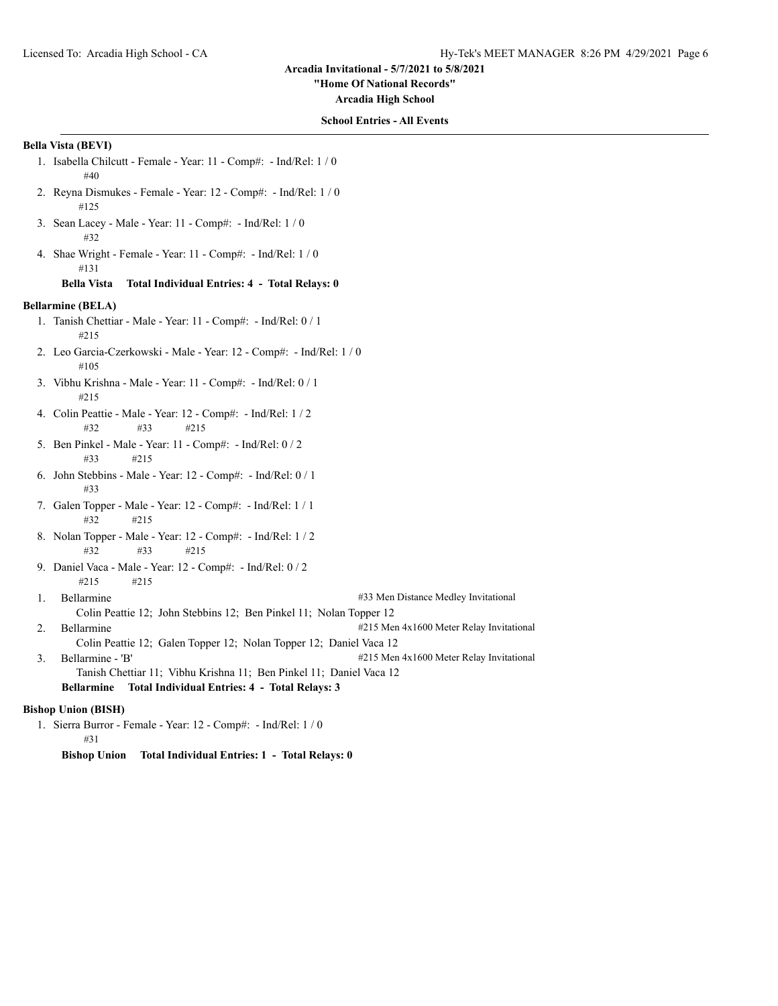#### **"Home Of National Records"**

**Arcadia High School**

# **School Entries - All Events**

# **Bella Vista (BEVI)**

- 1. Isabella Chilcutt Female Year: 11 Comp#: Ind/Rel: 1 / 0 #40
- 2. Reyna Dismukes Female Year: 12 Comp#: Ind/Rel: 1 / 0 #125
- 3. Sean Lacey Male Year: 11 Comp#: Ind/Rel: 1 / 0 #32
- 4. Shae Wright Female Year: 11 Comp#: Ind/Rel: 1 / 0 #131

#### **Bella Vista Total Individual Entries: 4 - Total Relays: 0**

# **Bellarmine (BELA)**

- 1. Tanish Chettiar Male Year: 11 Comp#: Ind/Rel: 0 / 1 #215
- 2. Leo Garcia-Czerkowski Male Year: 12 Comp#: Ind/Rel: 1 / 0 #105
- 3. Vibhu Krishna Male Year: 11 Comp#: Ind/Rel: 0 / 1 #215
- 4. Colin Peattie Male Year: 12 Comp#: Ind/Rel: 1 / 2 #32 #33 #215
- 5. Ben Pinkel Male Year: 11 Comp#: Ind/Rel: 0 / 2 #33 #215
- 6. John Stebbins Male Year: 12 Comp#: Ind/Rel: 0 / 1 #33
- 7. Galen Topper Male Year: 12 Comp#: Ind/Rel: 1 / 1 #32 #215
- 8. Nolan Topper Male Year: 12 Comp#: Ind/Rel: 1 / 2 #32 #33 #215
- 9. Daniel Vaca Male Year: 12 Comp#: Ind/Rel: 0 / 2 #215 #215
- 1. Bellarmine #33 Men Distance Medley Invitational Colin Peattie 12; John Stebbins 12; Ben Pinkel 11; Nolan Topper 12 2. Bellarmine  $\#215$  Men  $4x1600$  Meter Relay Invitational Colin Peattie 12; Galen Topper 12; Nolan Topper 12; Daniel Vaca 12
- 3. Bellarmine 'B' #215 Men 4x1600 Meter Relay Invitational Tanish Chettiar 11; Vibhu Krishna 11; Ben Pinkel 11; Daniel Vaca 12

# **Bellarmine Total Individual Entries: 4 - Total Relays: 3**

# **Bishop Union (BISH)**

- 1. Sierra Burror Female Year: 12 Comp#: Ind/Rel: 1 / 0 #31
	- **Bishop Union Total Individual Entries: 1 Total Relays: 0**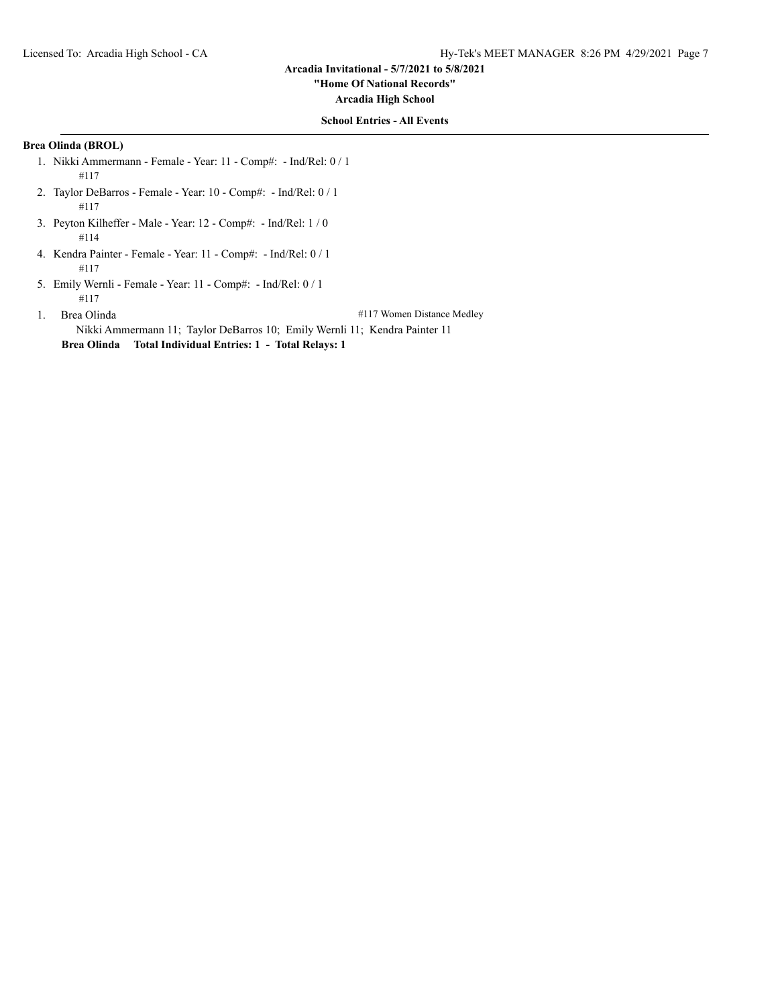# **"Home Of National Records"**

**Arcadia High School**

## **School Entries - All Events**

# **Brea Olinda (BROL)**

- 1. Nikki Ammermann Female Year: 11 Comp#: Ind/Rel: 0 / 1 #117
- 2. Taylor DeBarros Female Year: 10 Comp#: Ind/Rel: 0 / 1 #117
- 3. Peyton Kilheffer Male Year: 12 Comp#: Ind/Rel: 1 / 0 #114
- 4. Kendra Painter Female Year: 11 Comp#: Ind/Rel: 0 / 1 #117
- 5. Emily Wernli Female Year: 11 Comp#: Ind/Rel: 0 / 1 #117

1. Brea Olinda **1. All 2018** 2019 12:30 and 4117 Women Distance Medley

Nikki Ammermann 11; Taylor DeBarros 10; Emily Wernli 11; Kendra Painter 11 **Brea Olinda Total Individual Entries: 1 - Total Relays: 1**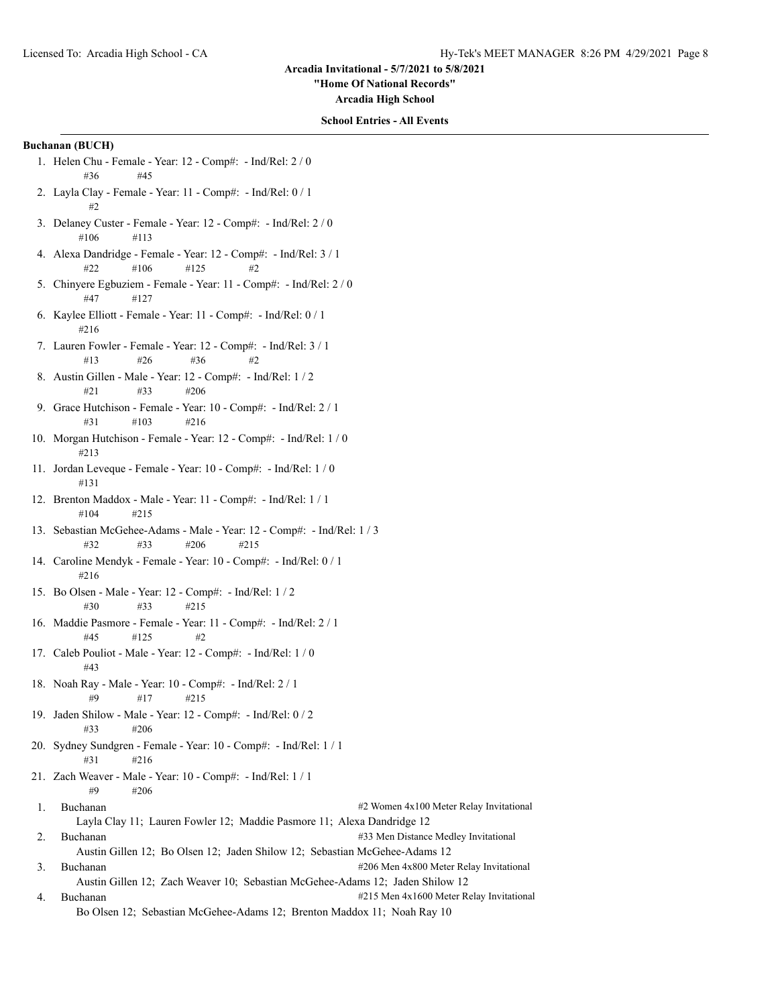**"Home Of National Records"**

**Arcadia High School**

#### **School Entries - All Events**

# **Buchanan (BUCH)**

- 1. Helen Chu Female Year: 12 Comp#: Ind/Rel: 2 / 0 #36 #45
- 2. Layla Clay Female Year: 11 Comp#: Ind/Rel: 0 / 1 #2
- 3. Delaney Custer Female Year: 12 Comp#: Ind/Rel: 2 / 0 #106 #113
- 4. Alexa Dandridge Female Year: 12 Comp#: Ind/Rel: 3 / 1 #22 #106 #125 #2
- 5. Chinyere Egbuziem Female Year: 11 Comp#: Ind/Rel: 2 / 0 #47 #127
- 6. Kaylee Elliott Female Year: 11 Comp#: Ind/Rel: 0 / 1 #216
- 7. Lauren Fowler Female Year: 12 Comp#: Ind/Rel: 3 / 1  $\#13$   $\#26$   $\#36$   $\#2$
- 8. Austin Gillen Male Year: 12 Comp#: Ind/Rel: 1 / 2 #21 #33 #206
- 9. Grace Hutchison Female Year: 10 Comp#: Ind/Rel: 2 / 1 #31 #103 #216
- 10. Morgan Hutchison Female Year: 12 Comp#: Ind/Rel: 1 / 0 #213
- 11. Jordan Leveque Female Year: 10 Comp#: Ind/Rel: 1 / 0 #131
- 12. Brenton Maddox Male Year: 11 Comp#: Ind/Rel: 1 / 1 #104 #215
- 13. Sebastian McGehee-Adams Male Year: 12 Comp#: Ind/Rel: 1 / 3 #32 #33 #206 #215
- 14. Caroline Mendyk Female Year: 10 Comp#: Ind/Rel: 0 / 1 #216
- 15. Bo Olsen Male Year: 12 Comp#: Ind/Rel: 1 / 2 #30 #33 #215
- 16. Maddie Pasmore Female Year: 11 Comp#: Ind/Rel: 2 / 1 #45 #125 #2
- 17. Caleb Pouliot Male Year: 12 Comp#: Ind/Rel: 1 / 0 #43
- 18. Noah Ray Male Year: 10 Comp#: Ind/Rel: 2 / 1 #9 #17 #215
- 19. Jaden Shilow Male Year: 12 Comp#: Ind/Rel: 0 / 2 #33 #206
- 20. Sydney Sundgren Female Year: 10 Comp#: Ind/Rel: 1 / 1 #31 #216
- 21. Zach Weaver Male Year: 10 Comp#: Ind/Rel: 1 / 1 #9 #206
- 1. Buchanan #2 Women 4x100 Meter Relay Invitational Layla Clay 11; Lauren Fowler 12; Maddie Pasmore 11; Alexa Dandridge 12 2. Buchanan **2008** 2. Buchanan #33 Men Distance Medley Invitational
- Austin Gillen 12; Bo Olsen 12; Jaden Shilow 12; Sebastian McGehee-Adams 12 3. Buchanan #206 Men 4x800 Meter Relay Invitational Austin Gillen 12; Zach Weaver 10; Sebastian McGehee-Adams 12; Jaden Shilow 12
- 4. Buchanan **1980** Buchanan **2008** At 215 Men 4x1600 Meter Relay Invitational Bo Olsen 12; Sebastian McGehee-Adams 12; Brenton Maddox 11; Noah Ray 10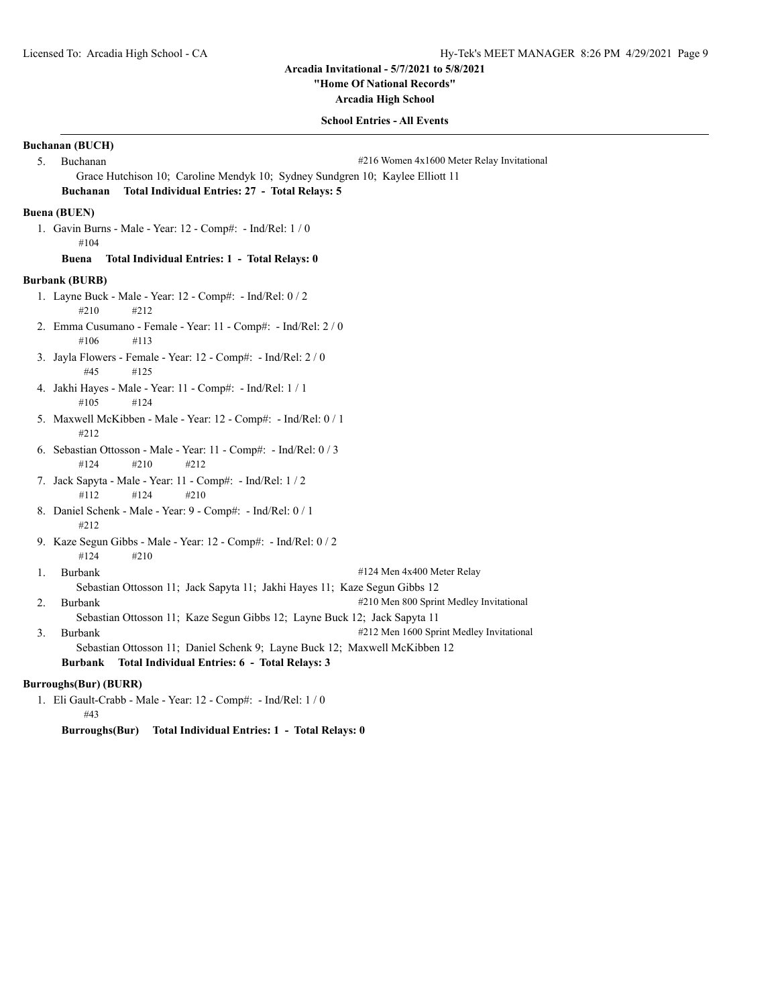**"Home Of National Records"**

**Arcadia High School**

#### **School Entries - All Events**

# **Buchanan (BUCH)** 5. Buchanan **1988** Suchanan **1998** Such an *#216* Women 4x1600 Meter Relay Invitational Grace Hutchison 10; Caroline Mendyk 10; Sydney Sundgren 10; Kaylee Elliott 11 **Buchanan Total Individual Entries: 27 - Total Relays: 5 Buena (BUEN)** 1. Gavin Burns - Male - Year: 12 - Comp#: - Ind/Rel: 1 / 0 #104 **Buena Total Individual Entries: 1 - Total Relays: 0 Burbank (BURB)** 1. Layne Buck - Male - Year: 12 - Comp#: - Ind/Rel: 0 / 2 #210 #212 2. Emma Cusumano - Female - Year: 11 - Comp#: - Ind/Rel: 2 / 0 #106 #113 3. Jayla Flowers - Female - Year: 12 - Comp#: - Ind/Rel: 2 / 0 #45 #125 4. Jakhi Hayes - Male - Year: 11 - Comp#: - Ind/Rel: 1 / 1 #105 #124 5. Maxwell McKibben - Male - Year: 12 - Comp#: - Ind/Rel: 0 / 1 #212 6. Sebastian Ottosson - Male - Year: 11 - Comp#: - Ind/Rel: 0 / 3 #124 #210 #212 7. Jack Sapyta - Male - Year: 11 - Comp#: - Ind/Rel: 1 / 2 #112 #124 #210 8. Daniel Schenk - Male - Year: 9 - Comp#: - Ind/Rel: 0 / 1 #212 9. Kaze Segun Gibbs - Male - Year: 12 - Comp#: - Ind/Rel: 0 / 2 #124 #210 1. Burbank #124 Men 4x400 Meter Relay Sebastian Ottosson 11; Jack Sapyta 11; Jakhi Hayes 11; Kaze Segun Gibbs 12 2. Burbank  $#210$  Men 800 Sprint Medley Invitational Sebastian Ottosson 11; Kaze Segun Gibbs 12; Layne Buck 12; Jack Sapyta 11 3. Burbank #212 Men 1600 Sprint Medley Invitational Sebastian Ottosson 11; Daniel Schenk 9; Layne Buck 12; Maxwell McKibben 12 **Burbank Total Individual Entries: 6 - Total Relays: 3 Burroughs(Bur) (BURR)** 1. Eli Gault-Crabb - Male - Year: 12 - Comp#: - Ind/Rel: 1 / 0 #43

**Burroughs(Bur) Total Individual Entries: 1 - Total Relays: 0**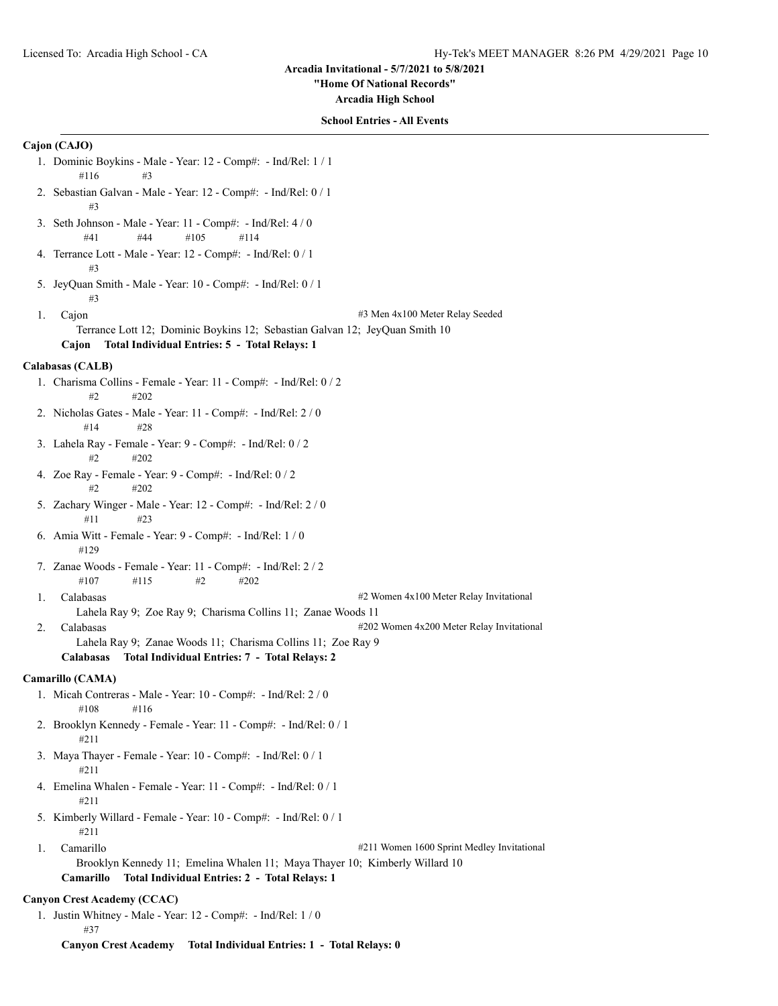#### **"Home Of National Records"**

**Arcadia High School**

#### **School Entries - All Events**

#### **Cajon (CAJO)**

- 1. Dominic Boykins Male Year: 12 Comp#: Ind/Rel: 1 / 1 #116 #3
- 2. Sebastian Galvan Male Year: 12 Comp#: Ind/Rel: 0 / 1 #3
- 3. Seth Johnson Male Year: 11 Comp#: Ind/Rel: 4 / 0 #41 #44 #105 #114
- 4. Terrance Lott Male Year: 12 Comp#: Ind/Rel: 0 / 1 #3
- 5. JeyQuan Smith Male Year: 10 Comp#: Ind/Rel: 0 / 1 #3
- 

1. Cajon #3 Men 4x100 Meter Relay Seeded

- Terrance Lott 12; Dominic Boykins 12; Sebastian Galvan 12; JeyQuan Smith 10
- **Cajon Total Individual Entries: 5 Total Relays: 1**

## **Calabasas (CALB)**

- 1. Charisma Collins Female Year: 11 Comp#: Ind/Rel: 0 / 2  $#2 \qquad \qquad #202$
- 2. Nicholas Gates Male Year: 11 Comp#: Ind/Rel: 2 / 0 #14 #28
- 3. Lahela Ray Female Year: 9 Comp#: Ind/Rel: 0 / 2 #2 #202
- 4. Zoe Ray Female Year: 9 Comp#: Ind/Rel: 0 / 2 #2 #202
- 5. Zachary Winger Male Year: 12 Comp#: Ind/Rel: 2 / 0 #11 #23
- 6. Amia Witt Female Year: 9 Comp#: Ind/Rel: 1 / 0 #129
- 7. Zanae Woods Female Year: 11 Comp#: Ind/Rel: 2 / 2 #107 #115 #2 #202
- 

1. Calabasas #2 Women 4x100 Meter Relay Invitational

- Lahela Ray 9; Zoe Ray 9; Charisma Collins 11; Zanae Woods 11
- 2. Calabasas **2. Calabasas**  $\frac{4202 \text{ Women} 4x200 \text{meter}$  Relay Invitational
	- Lahela Ray 9; Zanae Woods 11; Charisma Collins 11; Zoe Ray 9

#### **Calabasas Total Individual Entries: 7 - Total Relays: 2**

# **Camarillo (CAMA)**

- 1. Micah Contreras Male Year: 10 Comp#: Ind/Rel: 2 / 0 #108 #116
- 2. Brooklyn Kennedy Female Year: 11 Comp#: Ind/Rel: 0 / 1 #211
- 3. Maya Thayer Female Year: 10 Comp#: Ind/Rel: 0 / 1 #211
- 4. Emelina Whalen Female Year: 11 Comp#: Ind/Rel: 0 / 1 #211
- 5. Kimberly Willard Female Year: 10 Comp#: Ind/Rel: 0 / 1 #211
- 1. Camarillo **1.1. Camarillo 1.1. Camarillo 1.1. Camarillo 1.1. Camarillo 1.1. Camarillo 1.1. Camarillo 1.1. Camarillo 1.1. Camarillo 1.1. Camarillo 1.1. Camarillo 1.1. Camarillo 1.1. Camarillo 1.1.** Brooklyn Kennedy 11; Emelina Whalen 11; Maya Thayer 10; Kimberly Willard 10 **Camarillo Total Individual Entries: 2 - Total Relays: 1**

# **Canyon Crest Academy (CCAC)**

1. Justin Whitney - Male - Year: 12 - Comp#: - Ind/Rel: 1 / 0 #37

**Canyon Crest Academy Total Individual Entries: 1 - Total Relays: 0**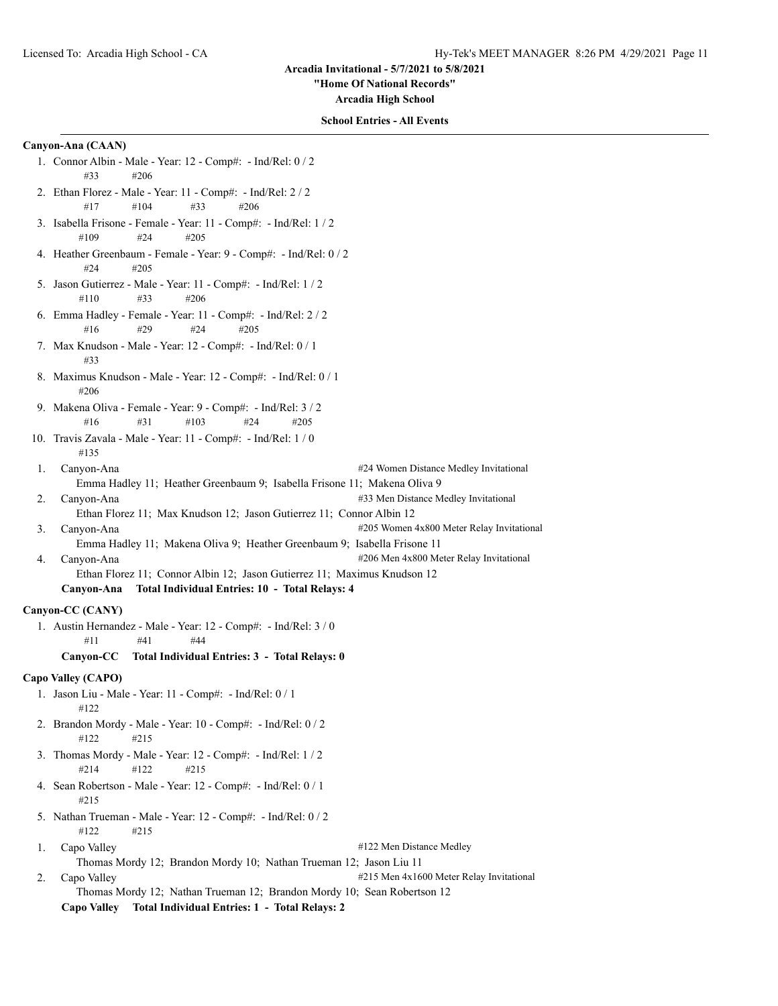**"Home Of National Records"**

**Arcadia High School**

#### **School Entries - All Events**

### **Canyon-Ana (CAAN)**

- 1. Connor Albin Male Year: 12 Comp#: Ind/Rel: 0 / 2 #33 #206
- 2. Ethan Florez Male Year: 11 Comp#: Ind/Rel: 2 / 2 #17 #104 #33 #206
- 3. Isabella Frisone Female Year: 11 Comp#: Ind/Rel: 1 / 2 #109 #24 #205
- 4. Heather Greenbaum Female Year: 9 Comp#: Ind/Rel: 0 / 2 #24 #205
- 5. Jason Gutierrez Male Year: 11 Comp#: Ind/Rel: 1 / 2 #110 #33 #206
- 6. Emma Hadley Female Year: 11 Comp#: Ind/Rel: 2 / 2 #16 #29 #24 #205
- 7. Max Knudson Male Year: 12 Comp#: Ind/Rel: 0 / 1 #33
- 8. Maximus Knudson Male Year: 12 Comp#: Ind/Rel: 0 / 1 #206
- 9. Makena Oliva Female Year: 9 Comp#: Ind/Rel: 3 / 2 #16 #31 #103 #24 #205
- 10. Travis Zavala Male Year: 11 Comp#: Ind/Rel: 1 / 0 #135
- 1. Canyon-Ana #24 Women Distance Medley Invitational Emma Hadley 11; Heather Greenbaum 9; Isabella Frisone 11; Makena Oliva 9
- 2. Canyon-Ana **2008** 2. Canyon-Ana **2008** 2. Canyon-Ana **2008** 2. Canyon-Ana 2. Canyon-Ana 2. Canyon-Ana 2. Canyon-Ana 2. Canyon-Ana 2. Canyon-
- Ethan Florez 11; Max Knudson 12; Jason Gutierrez 11; Connor Albin 12
- 3. Canyon-Ana **2008** Canyon-Ana **2008** Meter Relay Invitational
- Emma Hadley 11; Makena Oliva 9; Heather Greenbaum 9; Isabella Frisone 11 4. Canyon-Ana **2008** Canyon-Ana **2008** Men 4x800 Meter Relay Invitational Ethan Florez 11; Connor Albin 12; Jason Gutierrez 11; Maximus Knudson 12

#### **Canyon-Ana Total Individual Entries: 10 - Total Relays: 4**

# **Canyon-CC (CANY)**

1. Austin Hernandez - Male - Year: 12 - Comp#: - Ind/Rel: 3 / 0  $\#11$   $\#41$   $\#44$ 

#### **Canyon-CC Total Individual Entries: 3 - Total Relays: 0**

# **Capo Valley (CAPO)**

- 1. Jason Liu Male Year: 11 Comp#: Ind/Rel: 0 / 1 #122
- 2. Brandon Mordy Male Year: 10 Comp#: Ind/Rel: 0 / 2 #122 #215
- 3. Thomas Mordy Male Year: 12 Comp#: Ind/Rel: 1 / 2 #214 #122 #215
- 4. Sean Robertson Male Year: 12 Comp#: Ind/Rel: 0 / 1 #215
- 5. Nathan Trueman Male Year: 12 Comp#: Ind/Rel: 0 / 2 #122 #215
- 

## 1. Capo Valley **Alley 1.** Capo Valley **1.** Capo Valley **1.** Capo Valley **1.** Capo Valley **1.** Capo Valley **1.** Capo Valley **1.** Capo Valley **1.** Capo Valley **1.** Capo Valley **1.** Capo Valley **1.** Capo Valley **1.** Capo Va

Thomas Mordy 12; Brandon Mordy 10; Nathan Trueman 12; Jason Liu 11 2. Capo Valley **215 Men 4x1600** Meter Relay Invitational

Thomas Mordy 12; Nathan Trueman 12; Brandon Mordy 10; Sean Robertson 12 **Capo Valley Total Individual Entries: 1 - Total Relays: 2**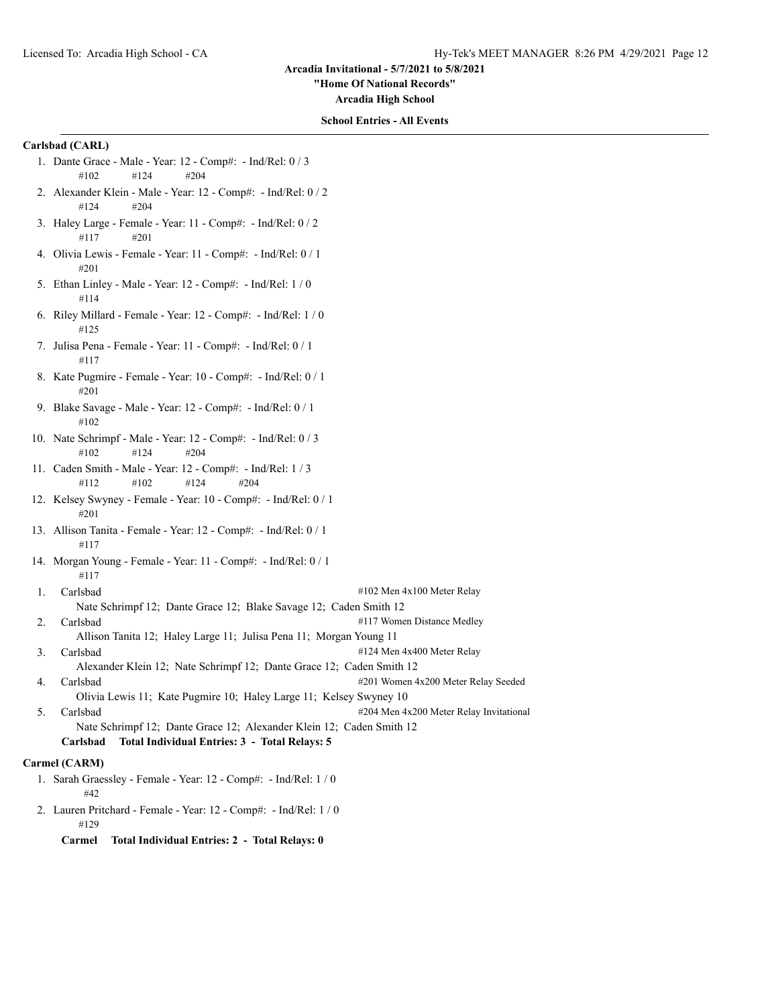**"Home Of National Records"**

**Arcadia High School**

# **School Entries - All Events**

# **Carlsbad (CARL)**

- 1. Dante Grace Male Year: 12 Comp#: Ind/Rel: 0 / 3 #102 #124 #204
- 2. Alexander Klein Male Year: 12 Comp#: Ind/Rel: 0 / 2 #124 #204
- 3. Haley Large Female Year: 11 Comp#: Ind/Rel: 0 / 2 #117 #201
- 4. Olivia Lewis Female Year: 11 Comp#: Ind/Rel: 0 / 1 #201
- 5. Ethan Linley Male Year: 12 Comp#: Ind/Rel: 1 / 0 #114
- 6. Riley Millard Female Year: 12 Comp#: Ind/Rel: 1 / 0 #125
- 7. Julisa Pena Female Year: 11 Comp#: Ind/Rel: 0 / 1 #117
- 8. Kate Pugmire Female Year: 10 Comp#: Ind/Rel: 0 / 1 #201
- 9. Blake Savage Male Year: 12 Comp#: Ind/Rel: 0 / 1 #102
- 10. Nate Schrimpf Male Year: 12 Comp#: Ind/Rel: 0 / 3 #102 #124 #204
- 11. Caden Smith Male Year: 12 Comp#: Ind/Rel: 1 / 3 #112 #102 #124 #204
- 12. Kelsey Swyney Female Year: 10 Comp#: Ind/Rel: 0 / 1 #201
- 13. Allison Tanita Female Year: 12 Comp#: Ind/Rel: 0 / 1 #117
- 14. Morgan Young Female Year: 11 Comp#: Ind/Rel: 0 / 1 #117
- 1. Carlsbad #102 Men 4x100 Meter Relay Nate Schrimpf 12; Dante Grace 12; Blake Savage 12; Caden Smith 12
- 2. Carlsbad #117 Women Distance Medley
	- Allison Tanita 12; Haley Large 11; Julisa Pena 11; Morgan Young 11
- 3. Carlsbad #124 Men 4x400 Meter Relay
- Alexander Klein 12; Nate Schrimpf 12; Dante Grace 12; Caden Smith 12 4. Carlsbad #201 Women 4x200 Meter Relay Seeded
- Olivia Lewis 11; Kate Pugmire 10; Haley Large 11; Kelsey Swyney 10 5. Carlsbad #204 Men 4x200 Meter Relay Invitational Nate Schrimpf 12; Dante Grace 12; Alexander Klein 12; Caden Smith 12 **Carlsbad Total Individual Entries: 3 - Total Relays: 5**

#### **Carmel (CARM)**

- 1. Sarah Graessley Female Year: 12 Comp#: Ind/Rel: 1 / 0 #42
- 2. Lauren Pritchard Female Year: 12 Comp#: Ind/Rel: 1 / 0 #129
	- **Carmel Total Individual Entries: 2 Total Relays: 0**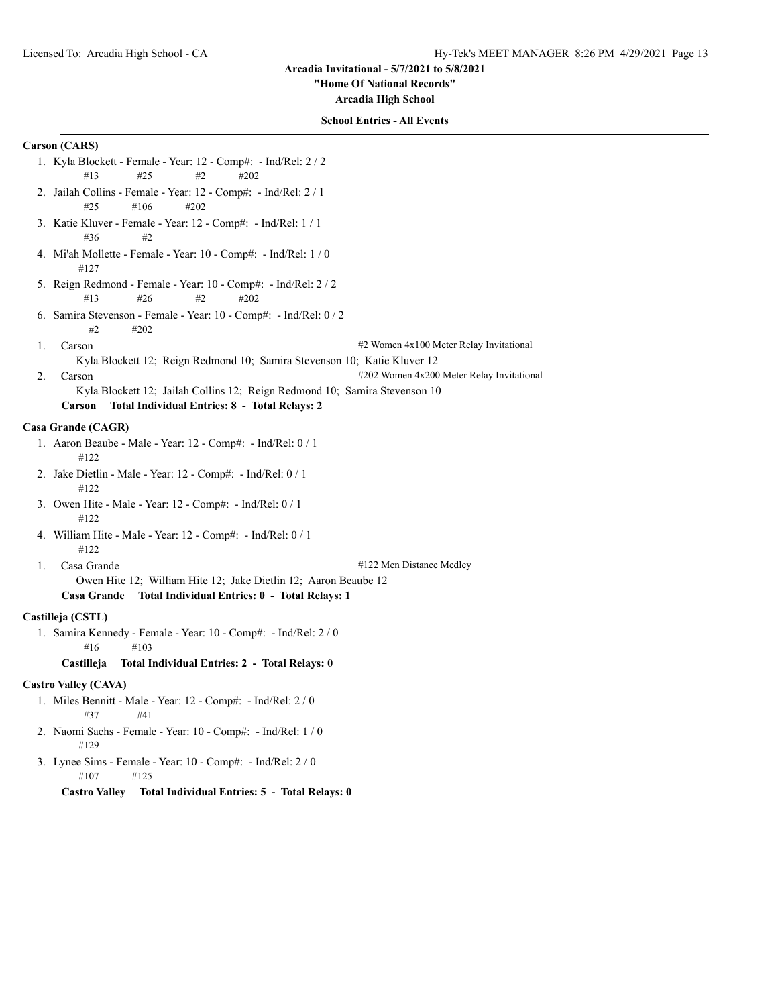#### **"Home Of National Records"**

**Arcadia High School**

#### **School Entries - All Events**

# **Carson (CARS)**

- 1. Kyla Blockett Female Year: 12 Comp#: Ind/Rel: 2 / 2 #13 #25 #2 #202
- 2. Jailah Collins Female Year: 12 Comp#: Ind/Rel: 2 / 1 #25 #106 #202
- 3. Katie Kluver Female Year: 12 Comp#: Ind/Rel: 1 / 1 #36 #2
- 4. Mi'ah Mollette Female Year: 10 Comp#: Ind/Rel: 1 / 0 #127
- 5. Reign Redmond Female Year: 10 Comp#: Ind/Rel: 2 / 2 #13 #26 #2 #202
- 6. Samira Stevenson Female Year: 10 Comp#: Ind/Rel: 0 / 2 #2 #202
- 1. Carson #2 Women 4x100 Meter Relay Invitational

Kyla Blockett 12; Reign Redmond 10; Samira Stevenson 10; Katie Kluver 12 2. Carson **2. Carson** #202 Women 4x200 Meter Relay Invitational

Kyla Blockett 12; Jailah Collins 12; Reign Redmond 10; Samira Stevenson 10

# **Carson Total Individual Entries: 8 - Total Relays: 2**

# **Casa Grande (CAGR)**

- 1. Aaron Beaube Male Year: 12 Comp#: Ind/Rel: 0 / 1 #122
- 2. Jake Dietlin Male Year: 12 Comp#: Ind/Rel: 0 / 1 #122
- 3. Owen Hite Male Year: 12 Comp#: Ind/Rel: 0 / 1 #122
- 4. William Hite Male Year: 12 Comp#: Ind/Rel: 0 / 1 #122
	-

1. Casa Grande #122 Men Distance Medley

Owen Hite 12; William Hite 12; Jake Dietlin 12; Aaron Beaube 12 **Casa Grande Total Individual Entries: 0 - Total Relays: 1**

## **Castilleja (CSTL)**

- 1. Samira Kennedy Female Year: 10 Comp#: Ind/Rel: 2 / 0 #16 #103
	- **Castilleja Total Individual Entries: 2 Total Relays: 0**

# **Castro Valley (CAVA)**

- 1. Miles Bennitt Male Year: 12 Comp#: Ind/Rel: 2 / 0 #37 #41
- 2. Naomi Sachs Female Year: 10 Comp#: Ind/Rel: 1 / 0 #129
- 3. Lynee Sims Female Year: 10 Comp#: Ind/Rel: 2 / 0 #107 #125

**Castro Valley Total Individual Entries: 5 - Total Relays: 0**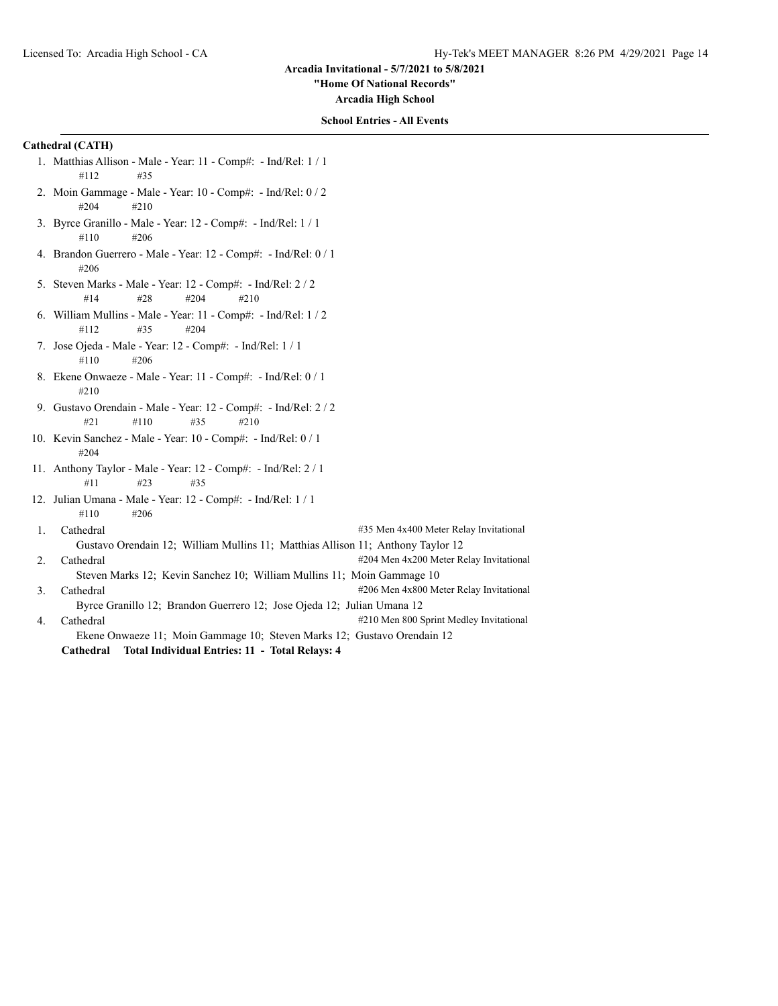**"Home Of National Records"**

**Arcadia High School**

# **School Entries - All Events**

# **Cathedral (CATH)**

- 1. Matthias Allison Male Year: 11 Comp#: Ind/Rel: 1 / 1 #112 #35
- 2. Moin Gammage Male Year: 10 Comp#: Ind/Rel: 0 / 2 #204 #210
- 3. Byrce Granillo Male Year: 12 Comp#: Ind/Rel: 1 / 1 #110 #206
- 4. Brandon Guerrero Male Year: 12 Comp#: Ind/Rel: 0 / 1 #206
- 5. Steven Marks Male Year: 12 Comp#: Ind/Rel: 2 / 2 #14 #28 #204 #210
- 6. William Mullins Male Year: 11 Comp#: Ind/Rel: 1 / 2 #112 #35 #204
- 7. Jose Ojeda Male Year: 12 Comp#: Ind/Rel: 1 / 1 #110 #206
- 8. Ekene Onwaeze Male Year: 11 Comp#: Ind/Rel: 0 / 1 #210
- 9. Gustavo Orendain Male Year: 12 Comp#: Ind/Rel: 2 / 2 #21 #110 #35 #210
- 10. Kevin Sanchez Male Year: 10 Comp#: Ind/Rel: 0 / 1 #204
- 11. Anthony Taylor Male Year: 12 Comp#: Ind/Rel: 2 / 1 #11 #23 #35
- 12. Julian Umana Male Year: 12 Comp#: Ind/Rel: 1 / 1 #110 #206
- 1. Cathedral **1.** Cathedral **1.** Cathedral **1.** Cathedral **1.** Cathedral **1.** Cathedral **1.** Cathedral **1.** Cathedral **1.** Cathedral **1.** Cathedral **1.** Cathedral **1.** Cathedral **1.** Cathedral **1.** Cathedral **1.** Cathedral Gustavo Orendain 12; William Mullins 11; Matthias Allison 11; Anthony Taylor 12 2. Cathedral #204 Men 4x200 Meter Relay Invitational #204 Men 4x200 Meter Relay Invitational
	- Steven Marks 12; Kevin Sanchez 10; William Mullins 11; Moin Gammage 10
- 3. Cathedral  $\frac{4206 \text{ Men } 4x800 \text{ Meter} \text{Relay Invitational}}{4206 \text{ Men } 4x800 \text{ Meter} \text{Relay Invitational}}$ Byrce Granillo 12; Brandon Guerrero 12; Jose Ojeda 12; Julian Umana 12
- 4. Cathedral **4210** Men 800 Sprint Medley Invitational

Ekene Onwaeze 11; Moin Gammage 10; Steven Marks 12; Gustavo Orendain 12 **Cathedral Total Individual Entries: 11 - Total Relays: 4**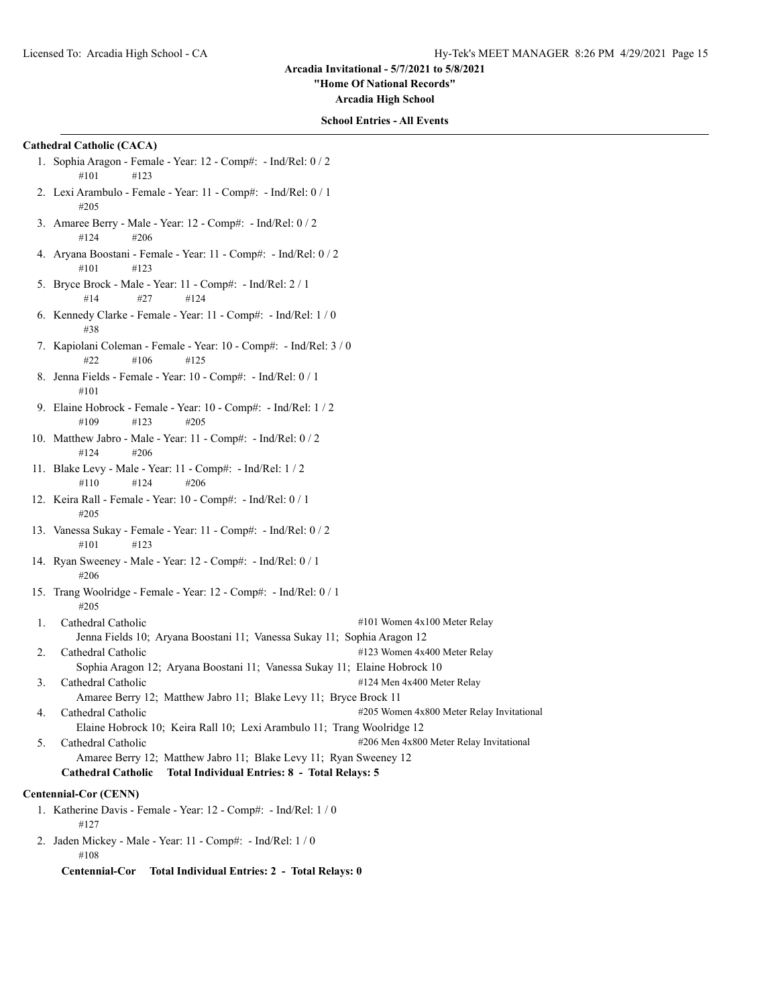**"Home Of National Records"**

**Arcadia High School**

#### **School Entries - All Events**

# **Cathedral Catholic (CACA)**

- 1. Sophia Aragon Female Year: 12 Comp#: Ind/Rel: 0 / 2 #101 #123
- 2. Lexi Arambulo Female Year: 11 Comp#: Ind/Rel: 0 / 1 #205
- 3. Amaree Berry Male Year: 12 Comp#: Ind/Rel: 0 / 2 #124 #206
- 4. Aryana Boostani Female Year: 11 Comp#: Ind/Rel: 0 / 2 #101 #123
- 5. Bryce Brock Male Year: 11 Comp#: Ind/Rel: 2 / 1 #14 #27 #124
- 6. Kennedy Clarke Female Year: 11 Comp#: Ind/Rel: 1 / 0 #38
- 7. Kapiolani Coleman Female Year: 10 Comp#: Ind/Rel: 3 / 0 #22 #106 #125
- 8. Jenna Fields Female Year: 10 Comp#: Ind/Rel: 0 / 1 #101
- 9. Elaine Hobrock Female Year: 10 Comp#: Ind/Rel: 1 / 2  $\#109$   $\#123$   $\#205$
- 10. Matthew Jabro Male Year: 11 Comp#: Ind/Rel: 0 / 2 #124 #206
- 11. Blake Levy Male Year: 11 Comp#: Ind/Rel: 1 / 2 #110 #124 #206
- 12. Keira Rall Female Year: 10 Comp#: Ind/Rel: 0 / 1 #205
- 13. Vanessa Sukay Female Year: 11 Comp#: Ind/Rel: 0 / 2 #101 #123
- 14. Ryan Sweeney Male Year: 12 Comp#: Ind/Rel: 0 / 1 #206
- 15. Trang Woolridge Female Year: 12 Comp#: Ind/Rel: 0 / 1 #205
- 1. Cathedral Catholic #101 Women 4x100 Meter Relay Jenna Fields 10; Aryana Boostani 11; Vanessa Sukay 11; Sophia Aragon 12
- 2. Cathedral Catholic #123 Women 4x400 Meter Relay
- Sophia Aragon 12; Aryana Boostani 11; Vanessa Sukay 11; Elaine Hobrock 10 3. Cathedral Catholic #124 Men 4x400 Meter Relay
- Amaree Berry 12; Matthew Jabro 11; Blake Levy 11; Bryce Brock 11 4. Cathedral Catholic #205 Women 4x800 Meter Relay Invitational Elaine Hobrock 10; Keira Rall 10; Lexi Arambulo 11; Trang Woolridge 12 5. Cathedral Catholic #206 Men 4x800 Meter Relay Invitational Amaree Berry 12; Matthew Jabro 11; Blake Levy 11; Ryan Sweeney 12
	- **Cathedral Catholic Total Individual Entries: 8 Total Relays: 5**

#### **Centennial-Cor (CENN)**

- 1. Katherine Davis Female Year: 12 Comp#: Ind/Rel: 1 / 0 #127
- 2. Jaden Mickey Male Year: 11 Comp#: Ind/Rel: 1 / 0 #108

**Centennial-Cor Total Individual Entries: 2 - Total Relays: 0**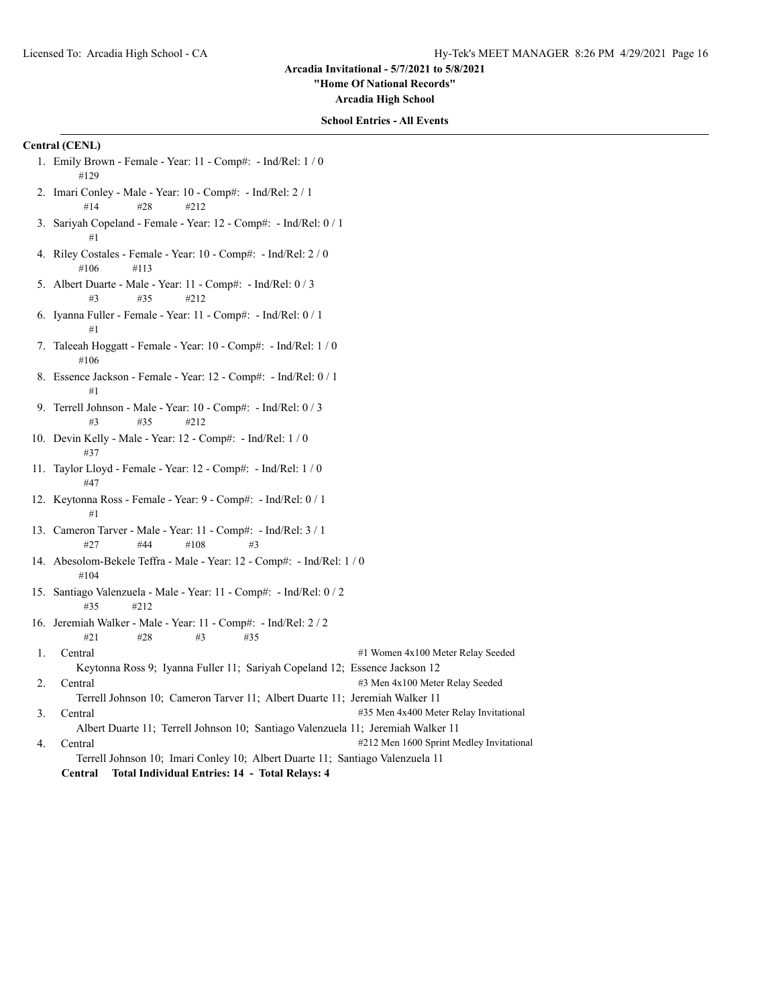**"Home Of National Records"**

**Arcadia High School**

#### **School Entries - All Events**

# **Central (CENL)**

- 1. Emily Brown Female Year: 11 Comp#: Ind/Rel: 1 / 0 #129
- 2. Imari Conley Male Year: 10 Comp#: Ind/Rel: 2 / 1 #14 #28 #212
- 3. Sariyah Copeland Female Year: 12 Comp#: Ind/Rel: 0 / 1 #1
- 4. Riley Costales Female Year: 10 Comp#: Ind/Rel: 2 / 0 #106 #113
- 5. Albert Duarte Male Year: 11 Comp#: Ind/Rel: 0 / 3 #3 #35 #212
- 6. Iyanna Fuller Female Year: 11 Comp#: Ind/Rel: 0 / 1 #1
- 7. Taleeah Hoggatt Female Year: 10 Comp#: Ind/Rel: 1 / 0 #106
- 8. Essence Jackson Female Year: 12 Comp#: Ind/Rel: 0 / 1 #1
- 9. Terrell Johnson Male Year: 10 Comp#: Ind/Rel: 0 / 3 #3 #35 #212
- 10. Devin Kelly Male Year: 12 Comp#: Ind/Rel: 1 / 0 #37
- 11. Taylor Lloyd Female Year: 12 Comp#: Ind/Rel: 1 / 0 #47
- 12. Keytonna Ross Female Year: 9 Comp#: Ind/Rel: 0 / 1 #1
- 13. Cameron Tarver Male Year: 11 Comp#: Ind/Rel: 3 / 1 #27 #44 #108 #3
- 14. Abesolom-Bekele Teffra Male Year: 12 Comp#: Ind/Rel: 1 / 0 #104
- 15. Santiago Valenzuela Male Year: 11 Comp#: Ind/Rel: 0 / 2 #35 #212
- 16. Jeremiah Walker Male Year: 11 Comp#: Ind/Rel: 2 / 2 #21 #28 #3 #35
- 1. Central #1 Women 4x100 Meter Relay Seeded Keytonna Ross 9; Iyanna Fuller 11; Sariyah Copeland 12; Essence Jackson 12
- 2. Central #3 Men 4x100 Meter Relay Seeded Terrell Johnson 10; Cameron Tarver 11; Albert Duarte 11; Jeremiah Walker 11 3. Central #35 Men 4x400 Meter Relay Invitational
- Albert Duarte 11; Terrell Johnson 10; Santiago Valenzuela 11; Jeremiah Walker 11 4. Central  $\#212$  Men 1600 Sprint Medley Invitational
	- Terrell Johnson 10; Imari Conley 10; Albert Duarte 11; Santiago Valenzuela 11
	- **Central Total Individual Entries: 14 Total Relays: 4**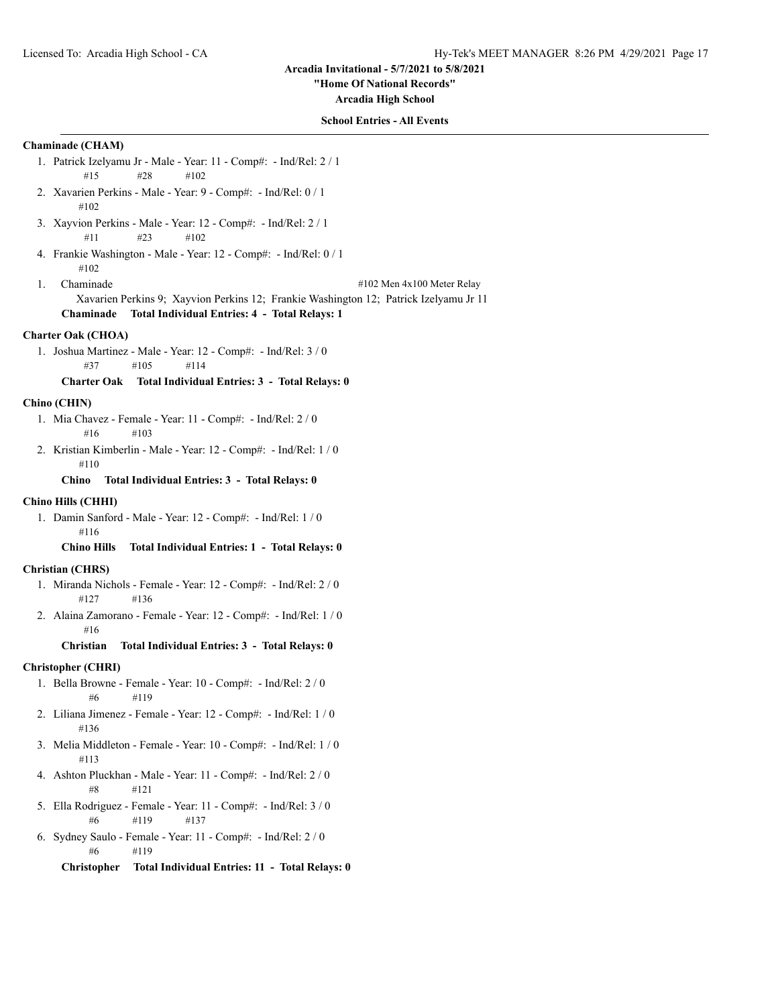**"Home Of National Records"**

**Arcadia High School**

# **School Entries - All Events**

# **Chaminade (CHAM)**

- 1. Patrick Izelyamu Jr Male Year: 11 Comp#: Ind/Rel: 2 / 1 #15 #28 #102
- 2. Xavarien Perkins Male Year: 9 Comp#: Ind/Rel: 0 / 1 #102
- 3. Xayvion Perkins Male Year: 12 Comp#: Ind/Rel: 2 / 1 #11 #23 #102
- 4. Frankie Washington Male Year: 12 Comp#: Ind/Rel: 0 / 1 #102
- 1. Chaminade #102 Men 4x100 Meter Relay Xavarien Perkins 9; Xayvion Perkins 12; Frankie Washington 12; Patrick Izelyamu Jr 11 **Chaminade Total Individual Entries: 4 - Total Relays: 1**

# **Charter Oak (CHOA)**

1. Joshua Martinez - Male - Year: 12 - Comp#: - Ind/Rel: 3 / 0 #37 #105 #114

**Charter Oak Total Individual Entries: 3 - Total Relays: 0**

# **Chino (CHIN)**

- 1. Mia Chavez Female Year: 11 Comp#: Ind/Rel: 2 / 0 #16 #103
- 2. Kristian Kimberlin Male Year: 12 Comp#: Ind/Rel: 1 / 0 #110

#### **Chino Total Individual Entries: 3 - Total Relays: 0**

# **Chino Hills (CHHI)**

1. Damin Sanford - Male - Year: 12 - Comp#: - Ind/Rel: 1 / 0 #116

**Chino Hills Total Individual Entries: 1 - Total Relays: 0**

## **Christian (CHRS)**

- 1. Miranda Nichols Female Year: 12 Comp#: Ind/Rel: 2 / 0 #127 #136
- 2. Alaina Zamorano Female Year: 12 Comp#: Ind/Rel: 1 / 0 #16

**Christian Total Individual Entries: 3 - Total Relays: 0**

# **Christopher (CHRI)**

- 1. Bella Browne Female Year: 10 Comp#: Ind/Rel: 2 / 0 #6 #119
- 2. Liliana Jimenez Female Year: 12 Comp#: Ind/Rel: 1 / 0 #136
- 3. Melia Middleton Female Year: 10 Comp#: Ind/Rel: 1 / 0 #113
- 4. Ashton Pluckhan Male Year: 11 Comp#: Ind/Rel: 2 / 0 #8 #121
- 5. Ella Rodriguez Female Year: 11 Comp#: Ind/Rel: 3 / 0 #6 #119 #137
- 6. Sydney Saulo Female Year: 11 Comp#: Ind/Rel: 2 / 0 #6 #119

**Christopher Total Individual Entries: 11 - Total Relays: 0**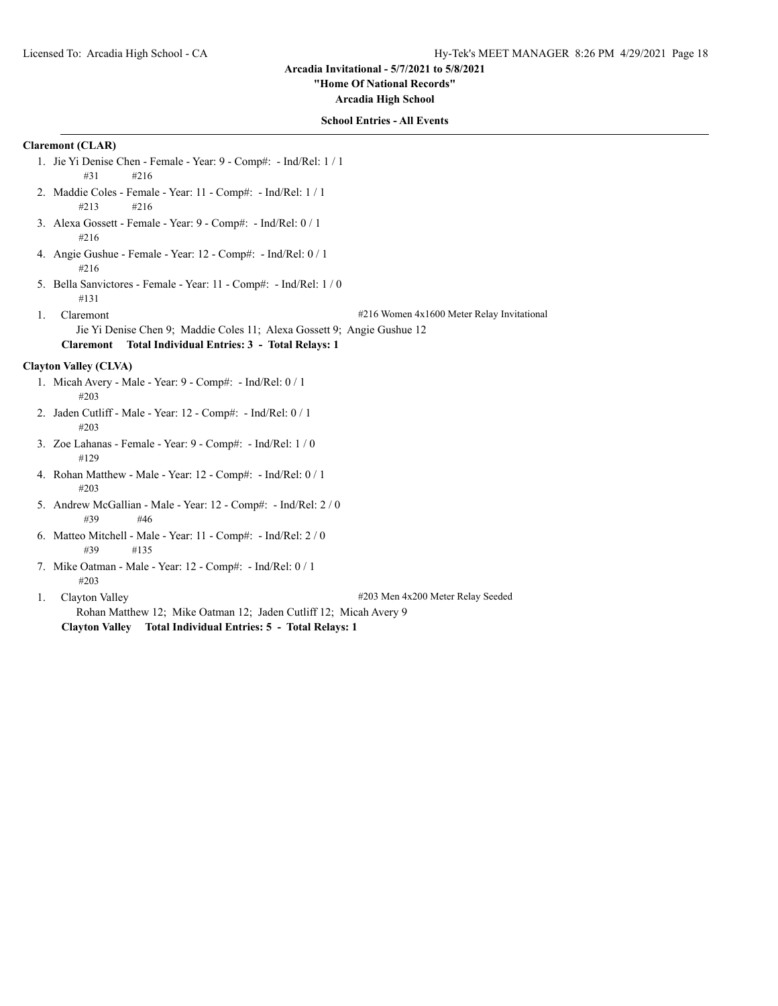#### **"Home Of National Records"**

**Arcadia High School**

# **School Entries - All Events**

# **Claremont (CLAR)**

- 1. Jie Yi Denise Chen Female Year: 9 Comp#: Ind/Rel: 1 / 1 #31 #216
- 2. Maddie Coles Female Year: 11 Comp#: Ind/Rel: 1 / 1 #213 #216
- 3. Alexa Gossett Female Year: 9 Comp#: Ind/Rel: 0 / 1 #216
- 4. Angie Gushue Female Year: 12 Comp#: Ind/Rel: 0 / 1 #216
- 5. Bella Sanvictores Female Year: 11 Comp#: Ind/Rel: 1 / 0 #131
- 1. Claremont **1.16 Claremont** +216 Women 4x1600 Meter Relay Invitational

Jie Yi Denise Chen 9; Maddie Coles 11; Alexa Gossett 9; Angie Gushue 12 **Claremont Total Individual Entries: 3 - Total Relays: 1**

# **Clayton Valley (CLVA)**

- 1. Micah Avery Male Year: 9 Comp#: Ind/Rel: 0 / 1 #203
- 2. Jaden Cutliff Male Year: 12 Comp#: Ind/Rel: 0 / 1 #203
- 3. Zoe Lahanas Female Year: 9 Comp#: Ind/Rel: 1 / 0 #129
- 4. Rohan Matthew Male Year: 12 Comp#: Ind/Rel: 0 / 1 #203
- 5. Andrew McGallian Male Year: 12 Comp#: Ind/Rel: 2 / 0 #39 #46
- 6. Matteo Mitchell Male Year: 11 Comp#: Ind/Rel: 2 / 0 #39 #135
- 7. Mike Oatman Male Year: 12 Comp#: Ind/Rel: 0 / 1 #203
- 

1. Clayton Valley #203 Men 4x200 Meter Relay Seeded

Rohan Matthew 12; Mike Oatman 12; Jaden Cutliff 12; Micah Avery 9 **Clayton Valley Total Individual Entries: 5 - Total Relays: 1**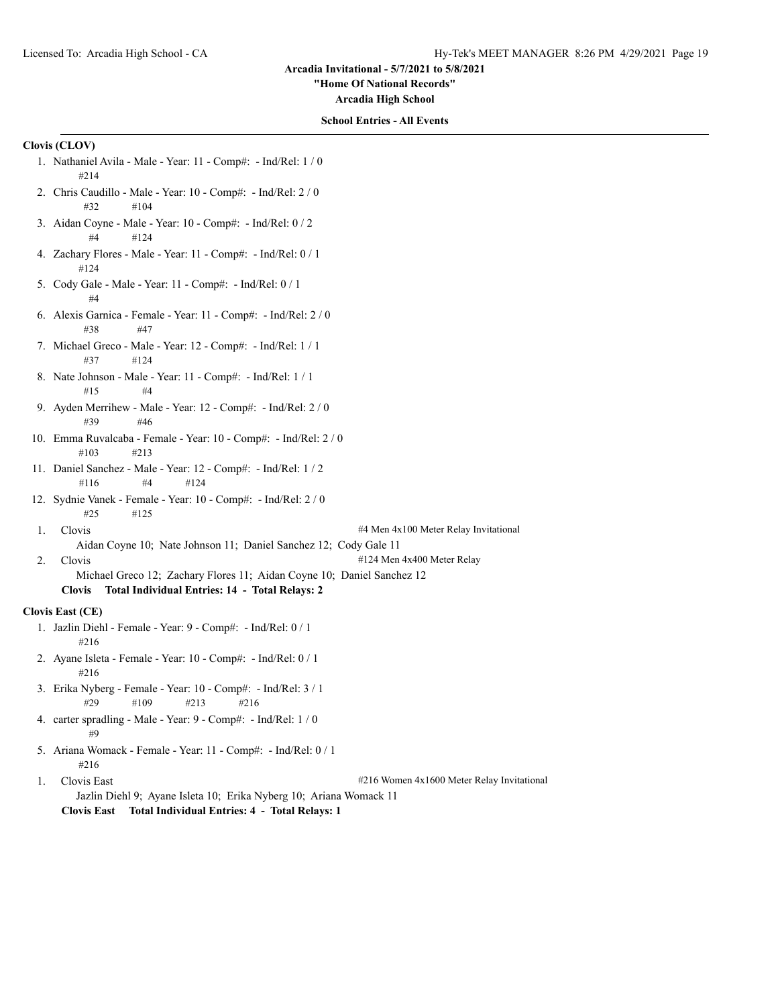**"Home Of National Records"**

**Arcadia High School**

# **School Entries - All Events**

# **Clovis (CLOV)**

- 1. Nathaniel Avila Male Year: 11 Comp#: Ind/Rel: 1 / 0 #214
- 2. Chris Caudillo Male Year: 10 Comp#: Ind/Rel: 2 / 0 #32 #104
- 3. Aidan Coyne Male Year: 10 Comp#: Ind/Rel: 0 / 2 #4 #124
- 4. Zachary Flores Male Year: 11 Comp#: Ind/Rel: 0 / 1 #124
- 5. Cody Gale Male Year: 11 Comp#: Ind/Rel: 0 / 1 #4
- 6. Alexis Garnica Female Year: 11 Comp#: Ind/Rel: 2 / 0 #38 #47
- 7. Michael Greco Male Year: 12 Comp#: Ind/Rel: 1 / 1 #37 #124
- 8. Nate Johnson Male Year: 11 Comp#: Ind/Rel: 1 / 1 #15 #4
- 9. Ayden Merrihew Male Year: 12 Comp#: Ind/Rel: 2 / 0 #39 #46
- 10. Emma Ruvalcaba Female Year: 10 Comp#: Ind/Rel: 2 / 0 #103 #213
- 11. Daniel Sanchez Male Year: 12 Comp#: Ind/Rel: 1 / 2 #116 #4 #124
- 12. Sydnie Vanek Female Year: 10 Comp#: Ind/Rel: 2 / 0 #25 #125
- 

1. Clovis #4 Men 4x100 Meter Relay Invitational

Aidan Coyne 10; Nate Johnson 11; Daniel Sanchez 12; Cody Gale 11

2. Clovis #124 Men 4x400 Meter Relay

Michael Greco 12; Zachary Flores 11; Aidan Coyne 10; Daniel Sanchez 12 **Clovis Total Individual Entries: 14 - Total Relays: 2**

#### **Clovis East (CE)**

- 1. Jazlin Diehl Female Year: 9 Comp#: Ind/Rel: 0 / 1 #216
- 2. Ayane Isleta Female Year: 10 Comp#: Ind/Rel: 0 / 1 #216
- 3. Erika Nyberg Female Year: 10 Comp#: Ind/Rel: 3 / 1 #29 #109 #213 #216
- 4. carter spradling Male Year: 9 Comp#: Ind/Rel: 1 / 0 #9
- 5. Ariana Womack Female Year: 11 Comp#: Ind/Rel: 0 / 1 #216
- 1. Clovis East #216 Women 4x1600 Meter Relay Invitational Jazlin Diehl 9; Ayane Isleta 10; Erika Nyberg 10; Ariana Womack 11 **Clovis East Total Individual Entries: 4 - Total Relays: 1**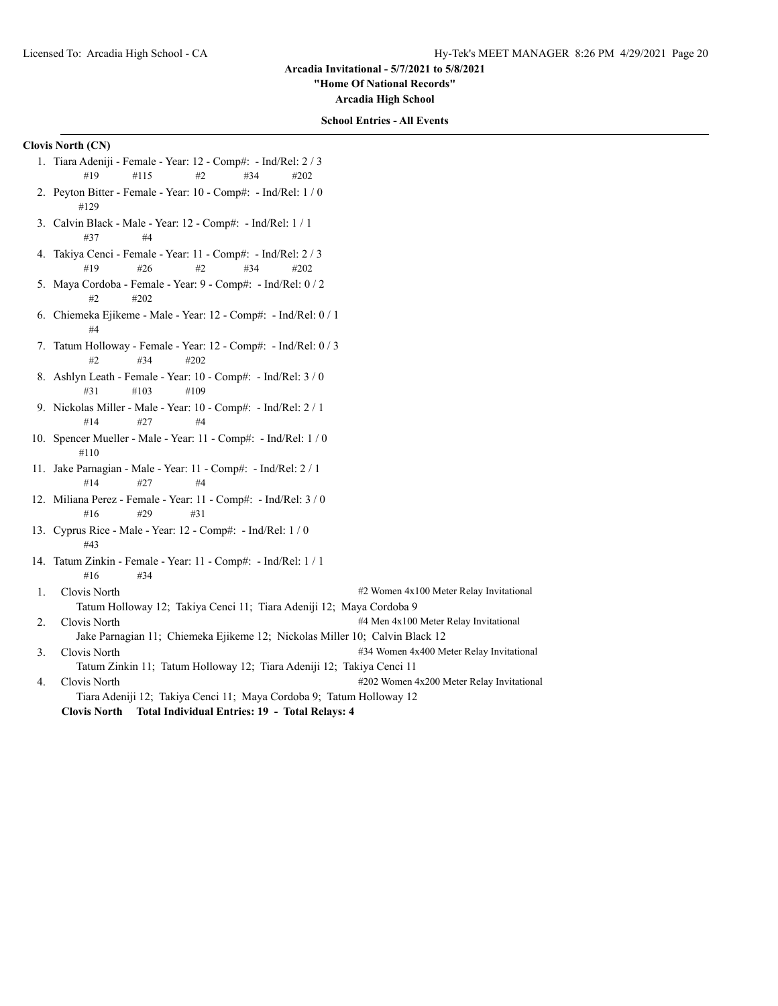**"Home Of National Records"**

**Arcadia High School**

# **School Entries - All Events**

# **Clovis North (CN)**

- 1. Tiara Adeniji Female Year: 12 Comp#: Ind/Rel: 2 / 3 #19 #115 #2 #34 #202
- 2. Peyton Bitter Female Year: 10 Comp#: Ind/Rel: 1 / 0 #129
- 3. Calvin Black Male Year: 12 Comp#: Ind/Rel: 1 / 1 #37 #4
- 4. Takiya Cenci Female Year: 11 Comp#: Ind/Rel: 2 / 3 #19 #26 #2 #34 #202
- 5. Maya Cordoba Female Year: 9 Comp#: Ind/Rel: 0 / 2 #2 #202
- 6. Chiemeka Ejikeme Male Year: 12 Comp#: Ind/Rel: 0 / 1 #4
- 7. Tatum Holloway Female Year: 12 Comp#: Ind/Rel: 0 / 3 #2 #34 #202
- 8. Ashlyn Leath Female Year: 10 Comp#: Ind/Rel: 3 / 0 #31 #103 #109
- 9. Nickolas Miller Male Year: 10 Comp#: Ind/Rel: 2 / 1 #14 #27 #4
- 10. Spencer Mueller Male Year: 11 Comp#: Ind/Rel: 1 / 0 #110
- 11. Jake Parnagian Male Year: 11 Comp#: Ind/Rel: 2 / 1 #14 #27 #4
- 12. Miliana Perez Female Year: 11 Comp#: Ind/Rel: 3 / 0 #16 #29 #31
- 13. Cyprus Rice Male Year: 12 Comp#: Ind/Rel: 1 / 0 #43
- 14. Tatum Zinkin Female Year: 11 Comp#: Ind/Rel: 1 / 1 #16 #34
- 1. Clovis North  $\#2$  Women 4x100 Meter Relay Invitational Tatum Holloway 12; Takiya Cenci 11; Tiara Adeniji 12; Maya Cordoba 9 2. Clovis North **1200 Meter Relay Invitational** #4 Men 4x100 Meter Relay Invitational
	- Jake Parnagian 11; Chiemeka Ejikeme 12; Nickolas Miller 10; Calvin Black 12
- 3. Clovis North #34 Women 4x400 Meter Relay Invitational Tatum Zinkin 11; Tatum Holloway 12; Tiara Adeniji 12; Takiya Cenci 11
- 4. Clovis North **ACCLOVIS 1202 Women 4x200** Meter Relay Invitational Tiara Adeniji 12; Takiya Cenci 11; Maya Cordoba 9; Tatum Holloway 12
	- **Clovis North Total Individual Entries: 19 Total Relays: 4**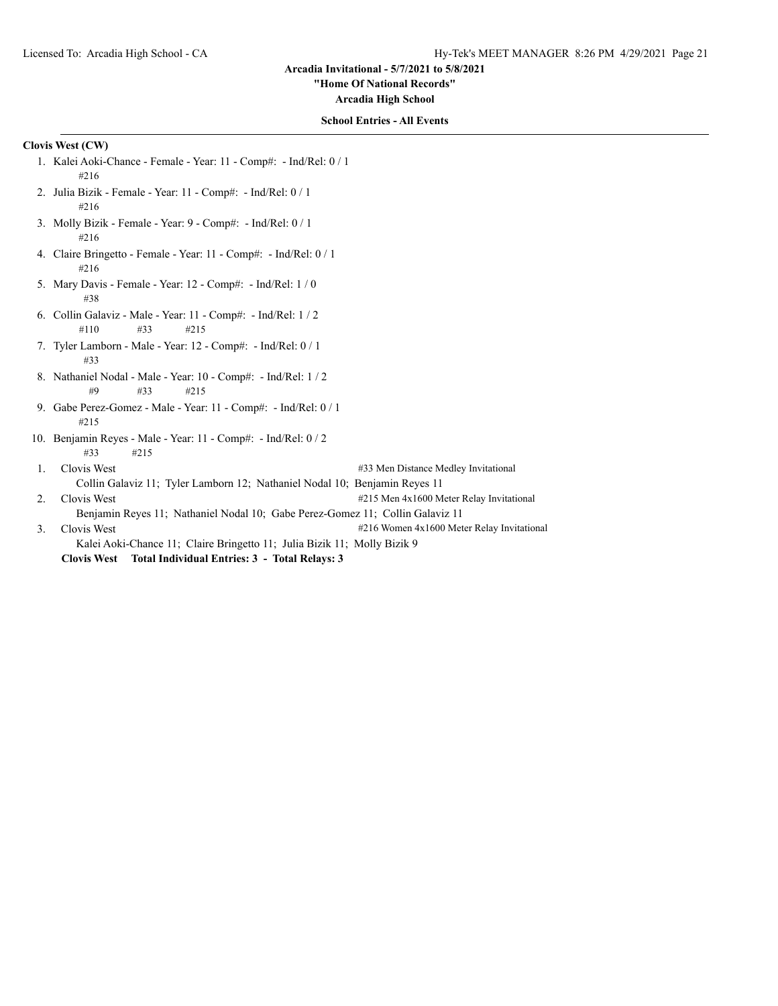**"Home Of National Records"**

**Arcadia High School**

#### **School Entries - All Events**

# **Clovis West (CW)**

- 1. Kalei Aoki-Chance Female Year: 11 Comp#: Ind/Rel: 0 / 1 #216
- 2. Julia Bizik Female Year: 11 Comp#: Ind/Rel: 0 / 1 #216
- 3. Molly Bizik Female Year: 9 Comp#: Ind/Rel: 0 / 1 #216
- 4. Claire Bringetto Female Year: 11 Comp#: Ind/Rel: 0 / 1 #216
- 5. Mary Davis Female Year: 12 Comp#: Ind/Rel: 1 / 0 #38
- 6. Collin Galaviz Male Year: 11 Comp#: Ind/Rel: 1 / 2 #110 #33 #215
- 7. Tyler Lamborn Male Year: 12 Comp#: Ind/Rel: 0 / 1 #33
- 8. Nathaniel Nodal Male Year: 10 Comp#: Ind/Rel: 1 / 2 #9 #33 #215
- 9. Gabe Perez-Gomez Male Year: 11 Comp#: Ind/Rel: 0 / 1 #215
- 10. Benjamin Reyes Male Year: 11 Comp#: Ind/Rel: 0 / 2 #33 #215
- 1. Clovis West #33 Men Distance Medley Invitational Collin Galaviz 11; Tyler Lamborn 12; Nathaniel Nodal 10; Benjamin Reyes 11 2. Clovis West **1215 Men 4x1600 Meter Relay Invitational**
- Benjamin Reyes 11; Nathaniel Nodal 10; Gabe Perez-Gomez 11; Collin Galaviz 11
- 3. Clovis West #216 Women 4x1600 Meter Relay Invitational
	- Kalei Aoki-Chance 11; Claire Bringetto 11; Julia Bizik 11; Molly Bizik 9

**Clovis West Total Individual Entries: 3 - Total Relays: 3**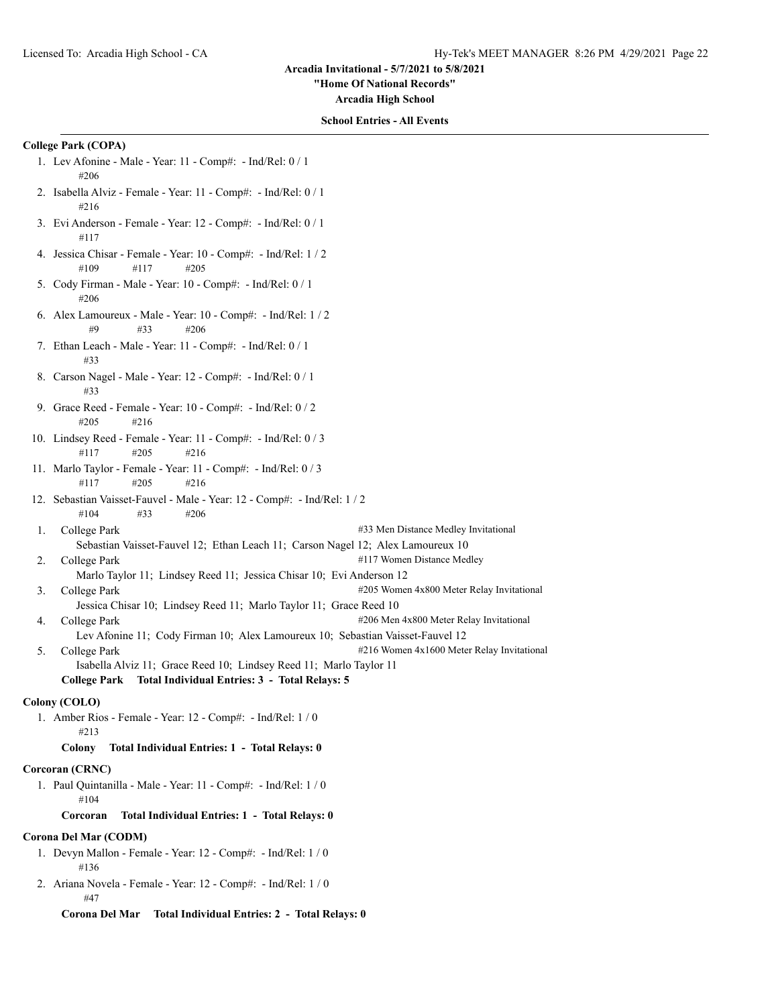**"Home Of National Records"**

**Arcadia High School**

#### **School Entries - All Events**

# **College Park (COPA)**

- 1. Lev Afonine Male Year: 11 Comp#: Ind/Rel: 0 / 1 #206
- 2. Isabella Alviz Female Year: 11 Comp#: Ind/Rel: 0 / 1 #216
- 3. Evi Anderson Female Year: 12 Comp#: Ind/Rel: 0 / 1 #117
- 4. Jessica Chisar Female Year: 10 Comp#: Ind/Rel: 1 / 2 #109 #117 #205
- 5. Cody Firman Male Year: 10 Comp#: Ind/Rel: 0 / 1 #206
- 6. Alex Lamoureux Male Year: 10 Comp#: Ind/Rel: 1 / 2 #9 #33 #206
- 7. Ethan Leach Male Year: 11 Comp#: Ind/Rel: 0 / 1 #33
- 8. Carson Nagel Male Year: 12 Comp#: Ind/Rel: 0 / 1 #33
- 9. Grace Reed Female Year: 10 Comp#: Ind/Rel: 0 / 2 #205 #216
- 10. Lindsey Reed Female Year: 11 Comp#: Ind/Rel: 0 / 3 #117 #205 #216
- 11. Marlo Taylor Female Year: 11 Comp#: Ind/Rel: 0 / 3 #117 #205 #216
- 12. Sebastian Vaisset-Fauvel Male Year: 12 Comp#: Ind/Rel: 1 / 2 #104 #33 #206
- 1. College Park #33 Men Distance Medley Invitational Sebastian Vaisset-Fauvel 12; Ethan Leach 11; Carson Nagel 12; Alex Lamoureux 10
- 2. College Park #117 Women Distance Medley Marlo Taylor 11; Lindsey Reed 11; Jessica Chisar 10; Evi Anderson 12
	-
- 3. College Park #205 Women 4x800 Meter Relay Invitational Jessica Chisar 10; Lindsey Reed 11; Marlo Taylor 11; Grace Reed 10 4. College Park **4206** Men 4x800 Meter Relay Invitational
	- Lev Afonine 11; Cody Firman 10; Alex Lamoureux 10; Sebastian Vaisset-Fauvel 12
- 5. College Park #216 Women 4x1600 Meter Relay Invitational Isabella Alviz 11; Grace Reed 10; Lindsey Reed 11; Marlo Taylor 11
	- **College Park Total Individual Entries: 3 Total Relays: 5**

# **Colony (COLO)**

1. Amber Rios - Female - Year: 12 - Comp#: - Ind/Rel: 1 / 0 #213

# **Colony Total Individual Entries: 1 - Total Relays: 0**

# **Corcoran (CRNC)**

1. Paul Quintanilla - Male - Year: 11 - Comp#: - Ind/Rel: 1 / 0 #104

# **Corcoran Total Individual Entries: 1 - Total Relays: 0**

# **Corona Del Mar (CODM)**

- 1. Devyn Mallon Female Year: 12 Comp#: Ind/Rel: 1 / 0 #136
- 2. Ariana Novela Female Year: 12 Comp#: Ind/Rel: 1 / 0 #47

**Corona Del Mar Total Individual Entries: 2 - Total Relays: 0**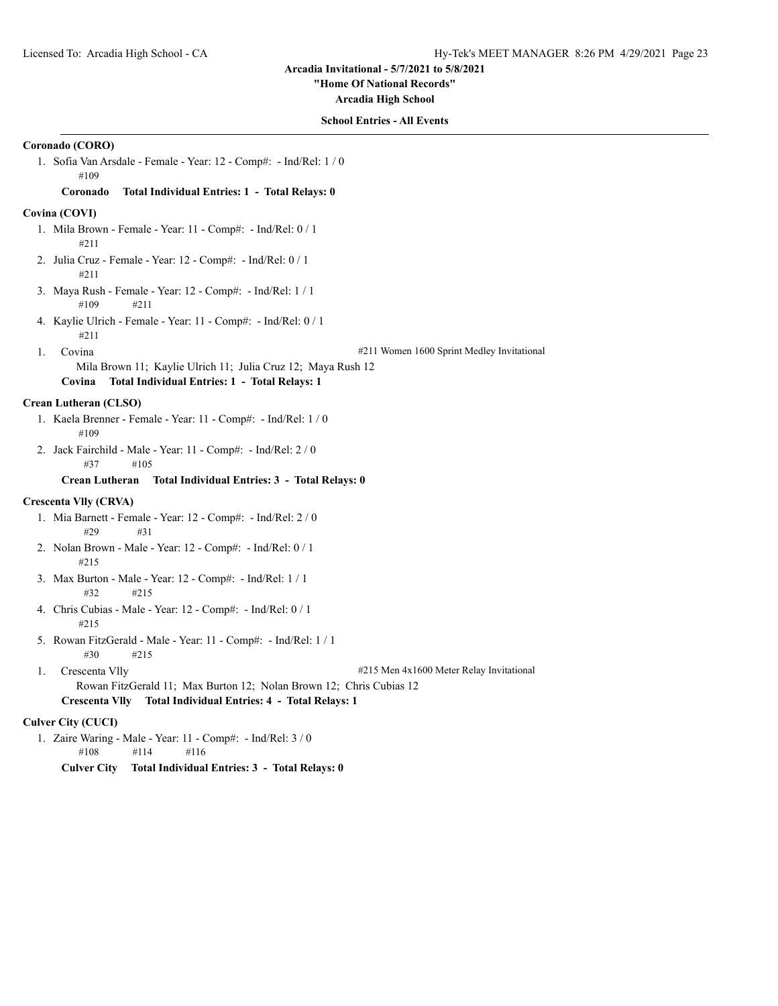#### **"Home Of National Records"**

**Arcadia High School**

## **School Entries - All Events**

# **Coronado (CORO)**

1. Sofia Van Arsdale - Female - Year: 12 - Comp#: - Ind/Rel: 1 / 0 #109

#### **Coronado Total Individual Entries: 1 - Total Relays: 0**

### **Covina (COVI)**

- 1. Mila Brown Female Year: 11 Comp#: Ind/Rel: 0 / 1 #211
- 2. Julia Cruz Female Year: 12 Comp#: Ind/Rel: 0 / 1 #211
- 3. Maya Rush Female Year: 12 Comp#: Ind/Rel: 1 / 1 #109 #211
- 4. Kaylie Ulrich Female Year: 11 Comp#: Ind/Rel: 0 / 1 #211
	-

1. Covina #211 Women 1600 Sprint Medley Invitational

Mila Brown 11; Kaylie Ulrich 11; Julia Cruz 12; Maya Rush 12

# **Covina Total Individual Entries: 1 - Total Relays: 1**

## **Crean Lutheran (CLSO)**

- 1. Kaela Brenner Female Year: 11 Comp#: Ind/Rel: 1 / 0 #109
- 2. Jack Fairchild Male Year: 11 Comp#: Ind/Rel: 2 / 0 #37 #105

#### **Crean Lutheran Total Individual Entries: 3 - Total Relays: 0**

# **Crescenta Vlly (CRVA)**

- 1. Mia Barnett Female Year: 12 Comp#: Ind/Rel: 2 / 0 #29 #31
- 2. Nolan Brown Male Year: 12 Comp#: Ind/Rel: 0 / 1 #215
- 3. Max Burton Male Year: 12 Comp#: Ind/Rel: 1 / 1 #32 #215
- 4. Chris Cubias Male Year: 12 Comp#: Ind/Rel: 0 / 1 #215
- 5. Rowan FitzGerald Male Year: 11 Comp#: Ind/Rel: 1 / 1 #30 #215
- 1. Crescenta Vlly #215 Men 4x1600 Meter Relay Invitational

Rowan FitzGerald 11; Max Burton 12; Nolan Brown 12; Chris Cubias 12 **Crescenta Vlly Total Individual Entries: 4 - Total Relays: 1**

#### **Culver City (CUCI)**

1. Zaire Waring - Male - Year: 11 - Comp#: - Ind/Rel: 3 / 0 #108 #114 #116

**Culver City Total Individual Entries: 3 - Total Relays: 0**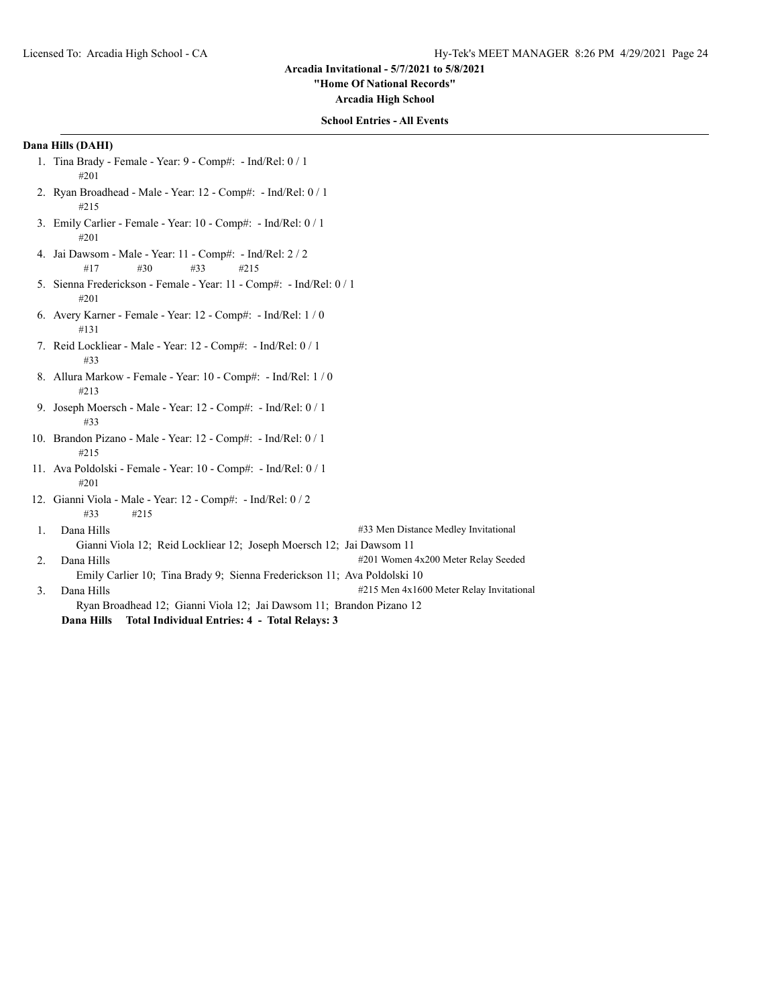**"Home Of National Records"**

**Arcadia High School**

# **School Entries - All Events**

# **Dana Hills (DAHI)**

- 1. Tina Brady Female Year: 9 Comp#: Ind/Rel: 0 / 1 #201
- 2. Ryan Broadhead Male Year: 12 Comp#: Ind/Rel: 0 / 1 #215
- 3. Emily Carlier Female Year: 10 Comp#: Ind/Rel: 0 / 1 #201
- 4. Jai Dawsom Male Year: 11 Comp#: Ind/Rel: 2 / 2 #17 #30 #33 #215
- 5. Sienna Frederickson Female Year: 11 Comp#: Ind/Rel: 0 / 1 #201
- 6. Avery Karner Female Year: 12 Comp#: Ind/Rel: 1 / 0 #131
- 7. Reid Lockliear Male Year: 12 Comp#: Ind/Rel: 0 / 1 #33
- 8. Allura Markow Female Year: 10 Comp#: Ind/Rel: 1 / 0 #213
- 9. Joseph Moersch Male Year: 12 Comp#: Ind/Rel: 0 / 1 #33
- 10. Brandon Pizano Male Year: 12 Comp#: Ind/Rel: 0 / 1 #215
- 11. Ava Poldolski Female Year: 10 Comp#: Ind/Rel: 0 / 1 #201
- 12. Gianni Viola Male Year: 12 Comp#: Ind/Rel: 0 / 2 #33 #215
- 1. Dana Hills #33 Men Distance Medley Invitational Gianni Viola 12; Reid Lockliear 12; Joseph Moersch 12; Jai Dawsom 11
- 2. Dana Hills #201 Women 4x200 Meter Relay Seeded Emily Carlier 10; Tina Brady 9; Sienna Frederickson 11; Ava Poldolski 10
- 3. Dana Hills  $\#215$  Men 4x1600 Meter Relay Invitational Ryan Broadhead 12; Gianni Viola 12; Jai Dawsom 11; Brandon Pizano 12 **Dana Hills Total Individual Entries: 4 - Total Relays: 3**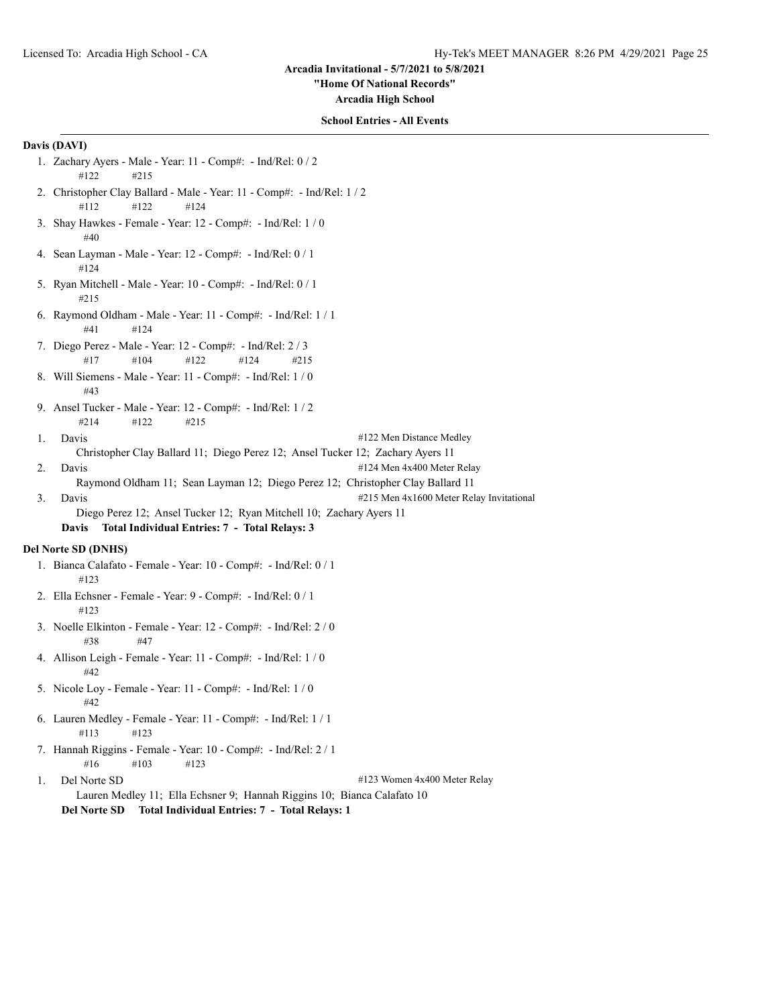**"Home Of National Records"**

**Arcadia High School**

## **School Entries - All Events**

# **Davis (DAVI)**

- 1. Zachary Ayers Male Year: 11 Comp#: Ind/Rel: 0 / 2 #122 #215
- 2. Christopher Clay Ballard Male Year: 11 Comp#: Ind/Rel: 1 / 2 #112 #122 #124
- 3. Shay Hawkes Female Year: 12 Comp#: Ind/Rel: 1 / 0 #40
- 4. Sean Layman Male Year: 12 Comp#: Ind/Rel: 0 / 1 #124
- 5. Ryan Mitchell Male Year: 10 Comp#: Ind/Rel: 0 / 1 #215
- 6. Raymond Oldham Male Year: 11 Comp#: Ind/Rel: 1 / 1 #41 #124
- 7. Diego Perez Male Year: 12 Comp#: Ind/Rel: 2 / 3 #17 #104 #122 #124 #215
- 8. Will Siemens Male Year: 11 Comp#: Ind/Rel: 1 / 0 #43
- 9. Ansel Tucker Male Year: 12 Comp#: Ind/Rel: 1 / 2 #214 #122 #215
- 1. Davis #122 Men Distance Medley
- Christopher Clay Ballard 11; Diego Perez 12; Ansel Tucker 12; Zachary Ayers 11
- 2. Davis #124 Men 4x400 Meter Relay Raymond Oldham 11; Sean Layman 12; Diego Perez 12; Christopher Clay Ballard 11
- 3. Davis **Example 2018** 215 Men 4x1600 Meter Relay Invitational
	- Diego Perez 12; Ansel Tucker 12; Ryan Mitchell 10; Zachary Ayers 11 **Davis Total Individual Entries: 7 - Total Relays: 3**

#### **Del Norte SD (DNHS)**

- 1. Bianca Calafato Female Year: 10 Comp#: Ind/Rel: 0 / 1 #123
- 2. Ella Echsner Female Year: 9 Comp#: Ind/Rel: 0 / 1 #123
- 3. Noelle Elkinton Female Year: 12 Comp#: Ind/Rel: 2 / 0 #38 #47
- 4. Allison Leigh Female Year: 11 Comp#: Ind/Rel: 1 / 0 #42
- 5. Nicole Loy Female Year: 11 Comp#: Ind/Rel: 1 / 0 #42
- 6. Lauren Medley Female Year: 11 Comp#: Ind/Rel: 1 / 1 #113 #123
- 7. Hannah Riggins Female Year: 10 Comp#: Ind/Rel: 2 / 1 #16 #103 #123
- 1. Del Norte SD #123 Women 4x400 Meter Relay Lauren Medley 11; Ella Echsner 9; Hannah Riggins 10; Bianca Calafato 10 **Del Norte SD Total Individual Entries: 7 - Total Relays: 1**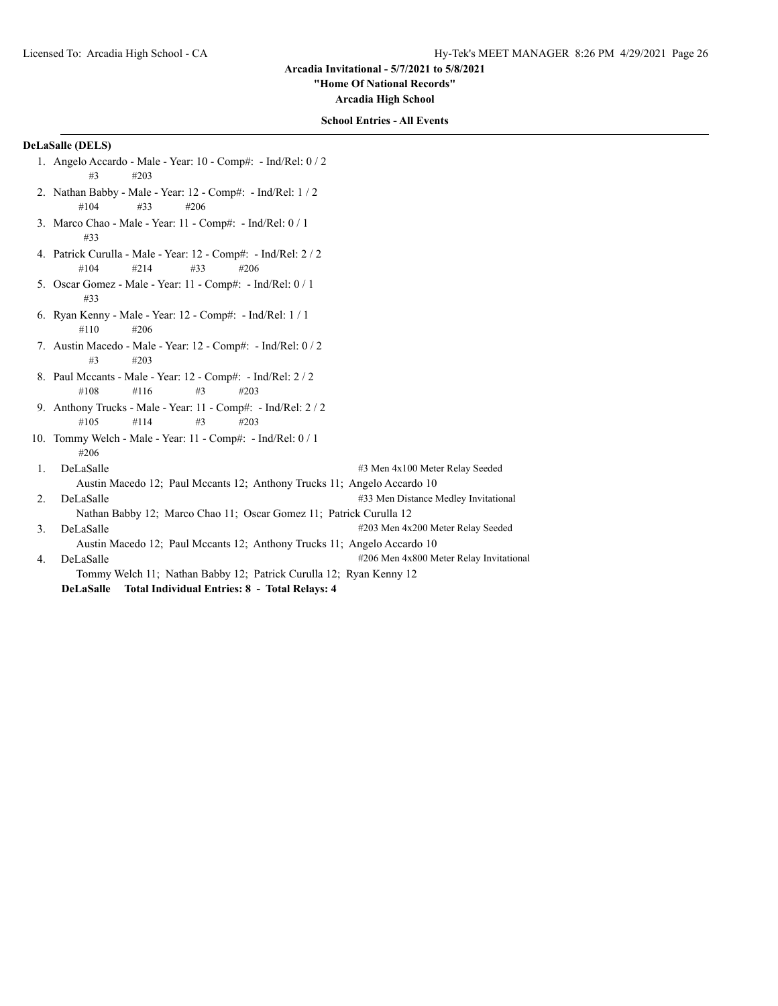**"Home Of National Records"**

**Arcadia High School**

## **School Entries - All Events**

# **DeLaSalle (DELS)**

- 1. Angelo Accardo Male Year: 10 Comp#: Ind/Rel: 0 / 2 #3 #203
- 2. Nathan Babby Male Year: 12 Comp#: Ind/Rel: 1 / 2 #104 #33 #206
- 3. Marco Chao Male Year: 11 Comp#: Ind/Rel: 0 / 1 #33
- 4. Patrick Curulla Male Year: 12 Comp#: Ind/Rel: 2 / 2 #104 #214 #33 #206
- 5. Oscar Gomez Male Year: 11 Comp#: Ind/Rel: 0 / 1 #33
- 6. Ryan Kenny Male Year: 12 Comp#: Ind/Rel: 1 / 1 #110 #206
- 7. Austin Macedo Male Year: 12 Comp#: Ind/Rel: 0 / 2 #3 #203
- 8. Paul Mccants Male Year: 12 Comp#: Ind/Rel: 2 / 2 #108 #116 #3 #203
- 9. Anthony Trucks Male Year: 11 Comp#: Ind/Rel: 2 / 2 #105 #114 #3 #203
- 10. Tommy Welch Male Year: 11 Comp#: Ind/Rel: 0 / 1 #206
- 1. DeLaSalle #3 Men 4x100 Meter Relay Seeded Austin Macedo 12; Paul Mccants 12; Anthony Trucks 11; Angelo Accardo 10 2. DeLaSalle #33 Men Distance Medley Invitational Nathan Babby 12; Marco Chao 11; Oscar Gomez 11; Patrick Curulla 12
- 3. DeLaSalle #203 Men 4x200 Meter Relay Seeded
- 
- Austin Macedo 12; Paul Mccants 12; Anthony Trucks 11; Angelo Accardo 10 4. DeLaSalle #206 Men 4x800 Meter Relay Invitational Tommy Welch 11; Nathan Babby 12; Patrick Curulla 12; Ryan Kenny 12
	- **DeLaSalle Total Individual Entries: 8 Total Relays: 4**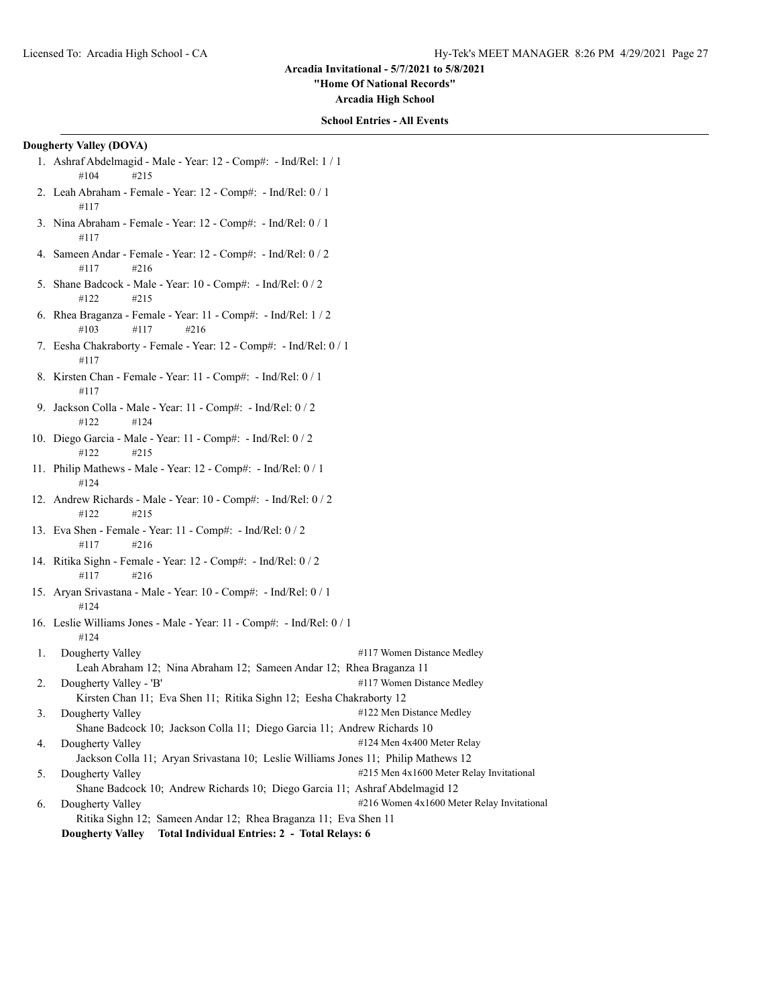**"Home Of National Records"**

**Arcadia High School**

#### **School Entries - All Events**

# **Dougherty Valley (DOVA)**

- 1. Ashraf Abdelmagid Male Year: 12 Comp#: Ind/Rel: 1 / 1 #104 #215
- 2. Leah Abraham Female Year: 12 Comp#: Ind/Rel: 0 / 1 #117
- 3. Nina Abraham Female Year: 12 Comp#: Ind/Rel: 0 / 1 #117
- 4. Sameen Andar Female Year: 12 Comp#: Ind/Rel: 0 / 2 #117 #216
- 5. Shane Badcock Male Year: 10 Comp#: Ind/Rel: 0 / 2 #122 #215
- 6. Rhea Braganza Female Year: 11 Comp#: Ind/Rel: 1 / 2 #103 #117 #216
- 7. Eesha Chakraborty Female Year: 12 Comp#: Ind/Rel: 0 / 1 #117
- 8. Kirsten Chan Female Year: 11 Comp#: Ind/Rel: 0 / 1 #117
- 9. Jackson Colla Male Year: 11 Comp#: Ind/Rel: 0 / 2 #122 #124
- 10. Diego Garcia Male Year: 11 Comp#: Ind/Rel: 0 / 2 #122 #215
- 11. Philip Mathews Male Year: 12 Comp#: Ind/Rel: 0 / 1 #124
- 12. Andrew Richards Male Year: 10 Comp#: Ind/Rel: 0 / 2 #122 #215
- 13. Eva Shen Female Year: 11 Comp#: Ind/Rel: 0 / 2 #117 #216
- 14. Ritika Sighn Female Year: 12 Comp#: Ind/Rel: 0 / 2 #117 #216
- 15. Aryan Srivastana Male Year: 10 Comp#: Ind/Rel: 0 / 1 #124
- 16. Leslie Williams Jones Male Year: 11 Comp#: Ind/Rel: 0 / 1 #124
- 1. Dougherty Valley **1.17 Women Distance Medley** Leah Abraham 12; Nina Abraham 12; Sameen Andar 12; Rhea Braganza 11 2. Dougherty Valley - 'B'  $\qquad$  #117 Women Distance Medley
- Kirsten Chan 11; Eva Shen 11; Ritika Sighn 12; Eesha Chakraborty 12 3. Dougherty Valley **Alley Accord 2013 Example 2014 Example 2014 Example 2014 Example 2014 Example 2014 Example 2014 Example 2014 Example 2014 Example 2014 Example 2014 Example 2014 Example 2014**
- Shane Badcock 10; Jackson Colla 11; Diego Garcia 11; Andrew Richards 10
- 4. Dougherty Valley **Accord 2018** 2124 Men 4x400 Meter Relay Jackson Colla 11; Aryan Srivastana 10; Leslie Williams Jones 11; Philip Mathews 12
- 5. Dougherty Valley **Example 2018** 215 Men 4x1600 Meter Relay Invitational
- Shane Badcock 10; Andrew Richards 10; Diego Garcia 11; Ashraf Abdelmagid 12
- 6. Dougherty Valley **1988** 2008 216 Women 4x1600 Meter Relay Invitational Ritika Sighn 12; Sameen Andar 12; Rhea Braganza 11; Eva Shen 11
	- **Dougherty Valley Total Individual Entries: 2 Total Relays: 6**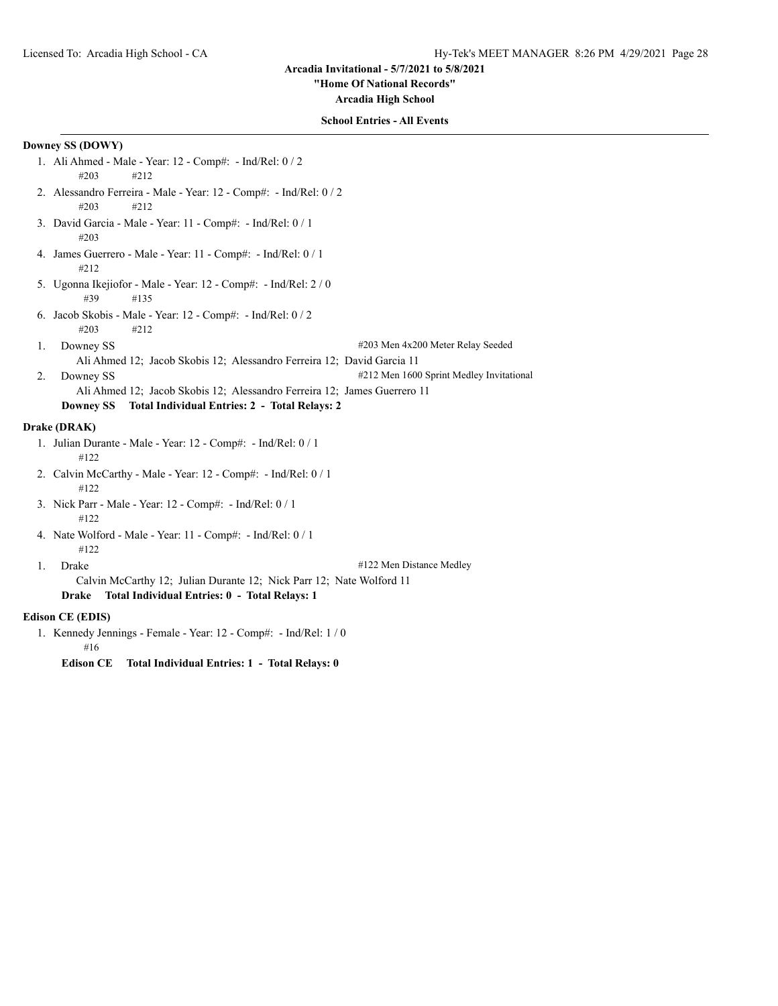#### **"Home Of National Records"**

**Arcadia High School**

# **School Entries - All Events**

# **Downey SS (DOWY)**

- 1. Ali Ahmed Male Year: 12 Comp#: Ind/Rel: 0 / 2 #203 #212
- 2. Alessandro Ferreira Male Year: 12 Comp#: Ind/Rel: 0 / 2 #203 #212
- 3. David Garcia Male Year: 11 Comp#: Ind/Rel: 0 / 1 #203
- 4. James Guerrero Male Year: 11 Comp#: Ind/Rel: 0 / 1 #212
- 5. Ugonna Ikejiofor Male Year: 12 Comp#: Ind/Rel: 2 / 0 #39 #135
- 6. Jacob Skobis Male Year: 12 Comp#: Ind/Rel: 0 / 2 #203 #212
- 1. Downey SS  $\#203$  Men  $4x200$  Meter Relay Seeded

- Ali Ahmed 12; Jacob Skobis 12; Alessandro Ferreira 12; David Garcia 11
- 2. Downey SS  $\#212$  Men 1600 Sprint Medley Invitational Ali Ahmed 12; Jacob Skobis 12; Alessandro Ferreira 12; James Guerrero 11

## **Downey SS Total Individual Entries: 2 - Total Relays: 2**

# **Drake (DRAK)**

- 1. Julian Durante Male Year: 12 Comp#: Ind/Rel: 0 / 1 #122
- 2. Calvin McCarthy Male Year: 12 Comp#: Ind/Rel: 0 / 1 #122
- 3. Nick Parr Male Year: 12 Comp#: Ind/Rel: 0 / 1 #122
- 4. Nate Wolford Male Year: 11 Comp#: Ind/Rel: 0 / 1 #122
- 

1. Drake #122 Men Distance Medley

Calvin McCarthy 12; Julian Durante 12; Nick Parr 12; Nate Wolford 11 **Drake Total Individual Entries: 0 - Total Relays: 1**

## **Edison CE (EDIS)**

1. Kennedy Jennings - Female - Year: 12 - Comp#: - Ind/Rel: 1 / 0 #16

**Edison CE Total Individual Entries: 1 - Total Relays: 0**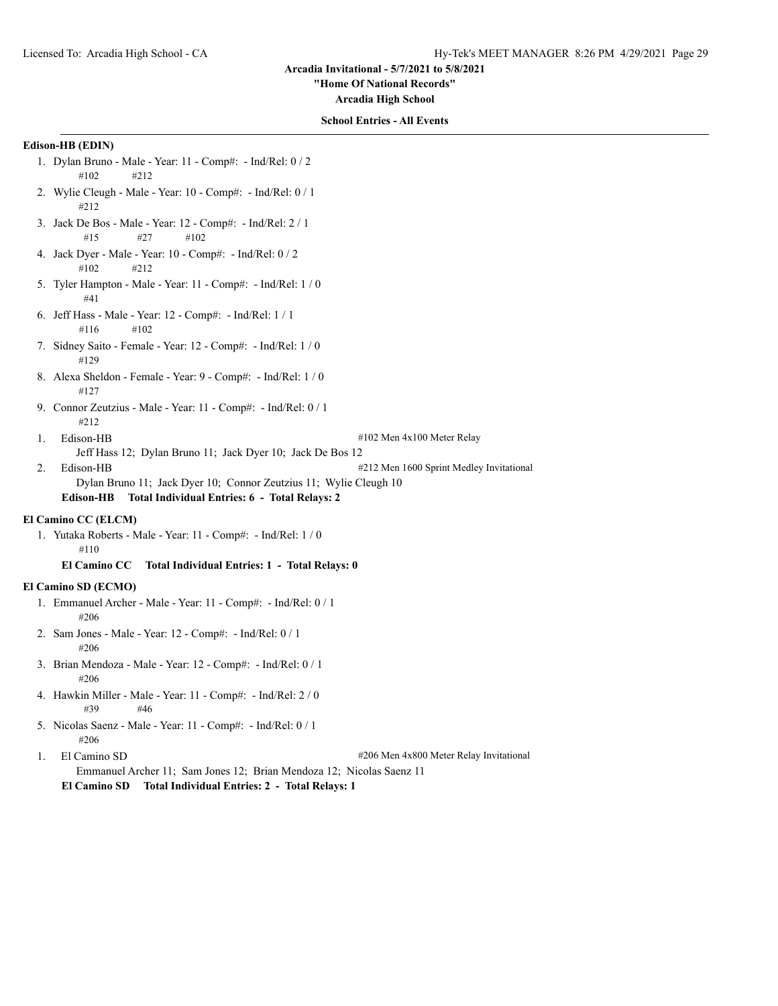**"Home Of National Records"**

**Arcadia High School**

# **School Entries - All Events**

# **Edison-HB (EDIN)**

- 1. Dylan Bruno Male Year: 11 Comp#: Ind/Rel: 0 / 2 #102 #212
- 2. Wylie Cleugh Male Year: 10 Comp#: Ind/Rel: 0 / 1 #212
- 3. Jack De Bos Male Year: 12 Comp#: Ind/Rel: 2 / 1 #15 #27 #102
- 4. Jack Dyer Male Year: 10 Comp#: Ind/Rel: 0 / 2 #102 #212
- 5. Tyler Hampton Male Year: 11 Comp#: Ind/Rel: 1 / 0 #41
- 6. Jeff Hass Male Year: 12 Comp#: Ind/Rel: 1 / 1 #116 #102
- 7. Sidney Saito Female Year: 12 Comp#: Ind/Rel: 1 / 0 #129
- 8. Alexa Sheldon Female Year: 9 Comp#: Ind/Rel: 1 / 0 #127
- 9. Connor Zeutzius Male Year: 11 Comp#: Ind/Rel: 0 / 1  $#212$
- 1. Edison-HB #102 Men 4x100 Meter Relay Jeff Hass 12; Dylan Bruno 11; Jack Dyer 10; Jack De Bos 12 2. Edison-HB #212 Men 1600 Sprint Medley Invitational
- Dylan Bruno 11; Jack Dyer 10; Connor Zeutzius 11; Wylie Cleugh 10 **Edison-HB Total Individual Entries: 6 - Total Relays: 2**

#### **El Camino CC (ELCM)**

1. Yutaka Roberts - Male - Year: 11 - Comp#: - Ind/Rel: 1 / 0 #110

**El Camino CC Total Individual Entries: 1 - Total Relays: 0**

# **El Camino SD (ECMO)**

- 1. Emmanuel Archer Male Year: 11 Comp#: Ind/Rel: 0 / 1 #206
- 2. Sam Jones Male Year: 12 Comp#: Ind/Rel: 0 / 1 #206
- 3. Brian Mendoza Male Year: 12 Comp#: Ind/Rel: 0 / 1 #206
- 4. Hawkin Miller Male Year: 11 Comp#: Ind/Rel: 2 / 0 #39 #46
- 5. Nicolas Saenz Male Year: 11 Comp#: Ind/Rel: 0 / 1 #206
- 

1. El Camino SD  $\#206$  Men 4x800 Meter Relay Invitational

**El Camino SD Total Individual Entries: 2 - Total Relays: 1**

Emmanuel Archer 11; Sam Jones 12; Brian Mendoza 12; Nicolas Saenz 11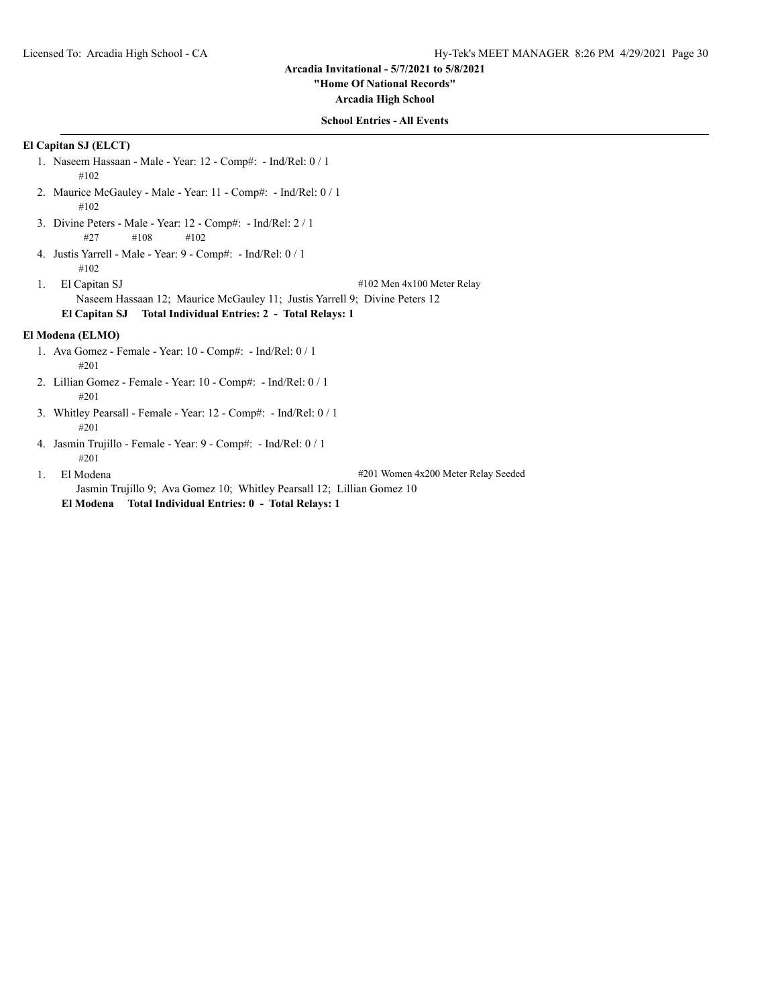**"Home Of National Records"**

**Arcadia High School**

# **School Entries - All Events**

# **El Capitan SJ (ELCT)**

1. Naseem Hassaan - Male - Year: 12 - Comp#: - Ind/Rel: 0 / 1 #102 2. Maurice McGauley - Male - Year: 11 - Comp#: - Ind/Rel: 0 / 1 #102 3. Divine Peters - Male - Year: 12 - Comp#: - Ind/Rel: 2 / 1 #27 #108 #102 4. Justis Yarrell - Male - Year: 9 - Comp#: - Ind/Rel: 0 / 1 #102 1. El Capitan SJ #102 Men 4x100 Meter Relay Naseem Hassaan 12; Maurice McGauley 11; Justis Yarrell 9; Divine Peters 12 **El Capitan SJ Total Individual Entries: 2 - Total Relays: 1 El Modena (ELMO)** 1. Ava Gomez - Female - Year: 10 - Comp#: - Ind/Rel: 0 / 1 #201 2. Lillian Gomez - Female - Year: 10 - Comp#: - Ind/Rel: 0 / 1 #201 3. Whitley Pearsall - Female - Year: 12 - Comp#: - Ind/Rel: 0 / 1 #201 4. Jasmin Trujillo - Female - Year: 9 - Comp#: - Ind/Rel: 0 / 1 #201 1. El Modena **1. El Modena** 200 Meter Relay Seeded Jasmin Trujillo 9; Ava Gomez 10; Whitley Pearsall 12; Lillian Gomez 10

**El Modena Total Individual Entries: 0 - Total Relays: 1**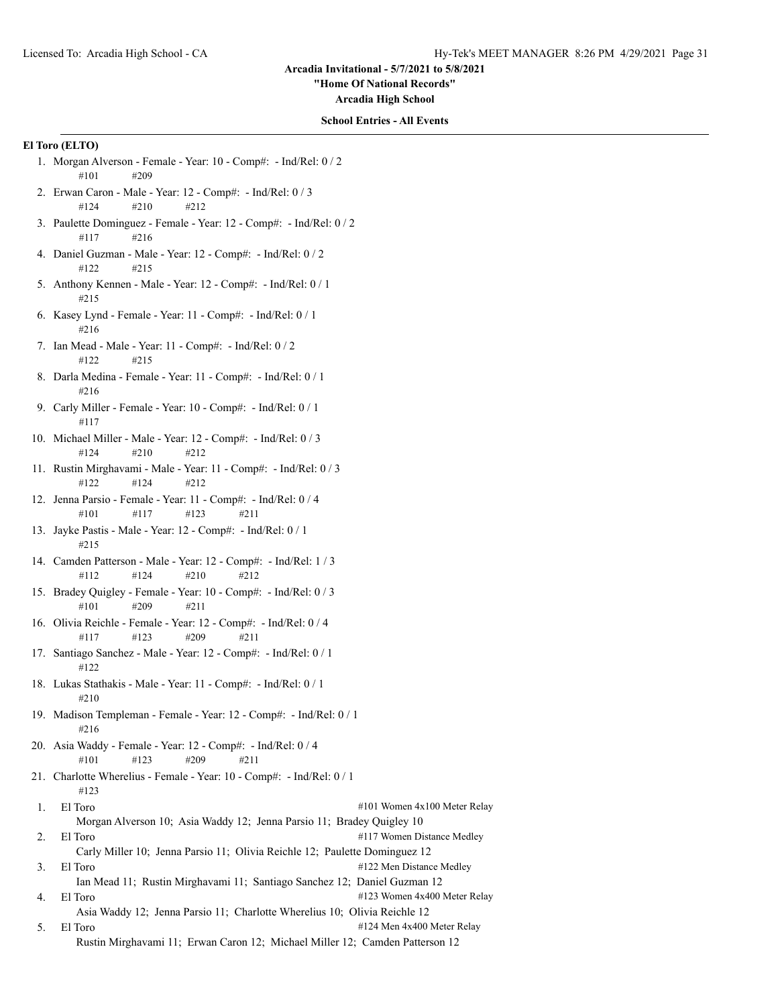**"Home Of National Records"**

**Arcadia High School**

#### **School Entries - All Events**

# **El Toro (ELTO)**

- 1. Morgan Alverson Female Year: 10 Comp#: Ind/Rel: 0 / 2 #101 #209
- 2. Erwan Caron Male Year: 12 Comp#: Ind/Rel: 0 / 3 #124 #210 #212
- 3. Paulette Dominguez Female Year: 12 Comp#: Ind/Rel: 0 / 2 #117 #216
- 4. Daniel Guzman Male Year: 12 Comp#: Ind/Rel: 0 / 2 #122 #215
- 5. Anthony Kennen Male Year: 12 Comp#: Ind/Rel: 0 / 1 #215
- 6. Kasey Lynd Female Year: 11 Comp#: Ind/Rel: 0 / 1 #216
- 7. Ian Mead Male Year: 11 Comp#: Ind/Rel: 0 / 2 #122 #215
- 8. Darla Medina Female Year: 11 Comp#: Ind/Rel: 0 / 1 #216
- 9. Carly Miller Female Year: 10 Comp#: Ind/Rel: 0 / 1 #117
- 10. Michael Miller Male Year: 12 Comp#: Ind/Rel: 0 / 3 #124 #210 #212
- 11. Rustin Mirghavami Male Year: 11 Comp#: Ind/Rel: 0 / 3 #122 #124 #212
- 12. Jenna Parsio Female Year: 11 Comp#: Ind/Rel: 0 / 4 #101 #117 #123 #211
- 13. Jayke Pastis Male Year: 12 Comp#: Ind/Rel: 0 / 1 #215
- 14. Camden Patterson Male Year: 12 Comp#: Ind/Rel: 1 / 3 #112 #124 #210 #212
- 15. Bradey Quigley Female Year: 10 Comp#: Ind/Rel: 0 / 3 #101 #209 #211
- 16. Olivia Reichle Female Year: 12 Comp#: Ind/Rel: 0 / 4 #117 #123 #209 #211
- 17. Santiago Sanchez Male Year: 12 Comp#: Ind/Rel: 0 / 1 #122
- 18. Lukas Stathakis Male Year: 11 Comp#: Ind/Rel: 0 / 1 #210
- 19. Madison Templeman Female Year: 12 Comp#: Ind/Rel: 0 / 1 #216
- 20. Asia Waddy Female Year: 12 Comp#: Ind/Rel: 0 / 4 #101 #123 #209 #211
- 21. Charlotte Wherelius Female Year: 10 Comp#: Ind/Rel: 0 / 1 #123
- 1. El Toro  $\#101$  Women 4x100 Meter Relay Morgan Alverson 10; Asia Waddy 12; Jenna Parsio 11; Bradey Quigley 10 2. El Toro #117 Women Distance Medley Carly Miller 10; Jenna Parsio 11; Olivia Reichle 12; Paulette Dominguez 12
- 3. El Toro #122 Men Distance Medley Ian Mead 11; Rustin Mirghavami 11; Santiago Sanchez 12; Daniel Guzman 12 4. El Toro  $\#123$  Women 4x400 Meter Relay

Asia Waddy 12; Jenna Parsio 11; Charlotte Wherelius 10; Olivia Reichle 12

5. El Toro  $\text{H124}$  Men 4x400 Meter Relay Rustin Mirghavami 11; Erwan Caron 12; Michael Miller 12; Camden Patterson 12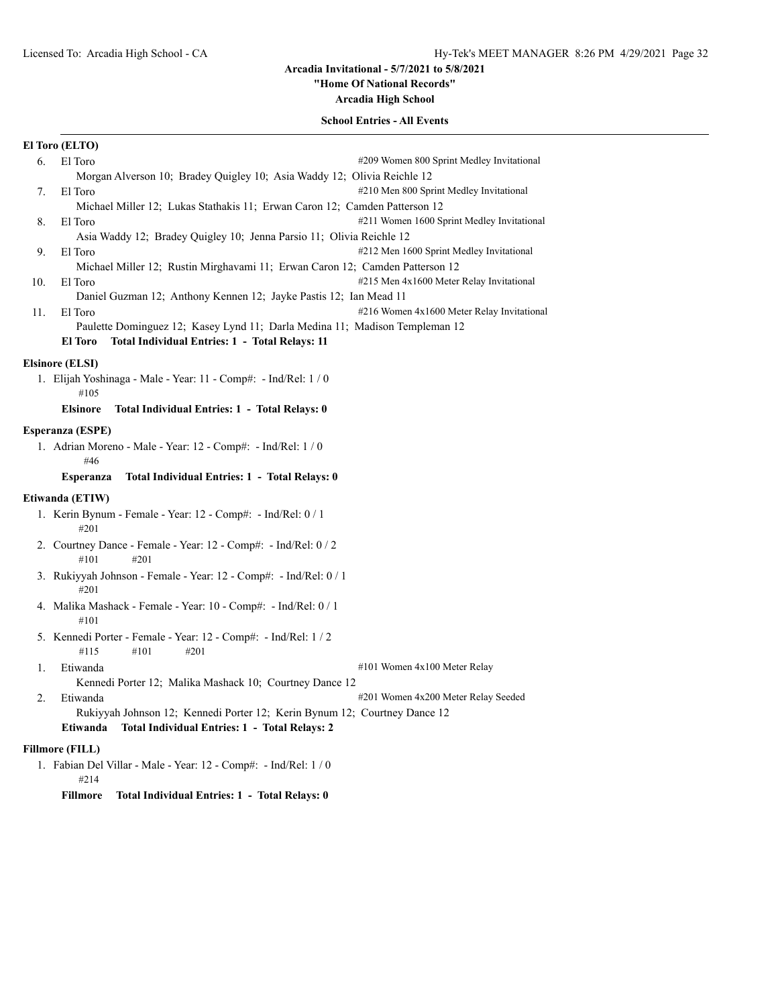# **"Home Of National Records"**

**Arcadia High School**

# **School Entries - All Events**

|                 | El Toro (ELTO)                                                                                                                                  |  |
|-----------------|-------------------------------------------------------------------------------------------------------------------------------------------------|--|
| 6.              | El Toro<br>#209 Women 800 Sprint Medley Invitational                                                                                            |  |
|                 | Morgan Alverson 10; Bradey Quigley 10; Asia Waddy 12; Olivia Reichle 12                                                                         |  |
| 7.              | El Toro<br>#210 Men 800 Sprint Medley Invitational                                                                                              |  |
|                 | Michael Miller 12; Lukas Stathakis 11; Erwan Caron 12; Camden Patterson 12                                                                      |  |
| 8.              | #211 Women 1600 Sprint Medley Invitational<br>El Toro                                                                                           |  |
|                 | Asia Waddy 12; Bradey Quigley 10; Jenna Parsio 11; Olivia Reichle 12                                                                            |  |
| 9.              | #212 Men 1600 Sprint Medley Invitational<br>El Toro                                                                                             |  |
|                 | Michael Miller 12; Rustin Mirghavami 11; Erwan Caron 12; Camden Patterson 12                                                                    |  |
| 10.             | #215 Men 4x1600 Meter Relay Invitational<br>El Toro                                                                                             |  |
|                 | Daniel Guzman 12; Anthony Kennen 12; Jayke Pastis 12; Ian Mead 11                                                                               |  |
| 11.             | #216 Women 4x1600 Meter Relay Invitational<br>El Toro                                                                                           |  |
|                 | Paulette Dominguez 12; Kasey Lynd 11; Darla Medina 11; Madison Templeman 12<br>Total Individual Entries: 1 - Total Relays: 11<br><b>El Toro</b> |  |
|                 | <b>Elsinore (ELSI)</b>                                                                                                                          |  |
|                 | 1. Elijah Yoshinaga - Male - Year: 11 - Comp#: - Ind/Rel: 1 / 0                                                                                 |  |
|                 | #105                                                                                                                                            |  |
|                 | Total Individual Entries: 1 - Total Relays: 0<br><b>Elsinore</b>                                                                                |  |
|                 |                                                                                                                                                 |  |
|                 | Esperanza (ESPE)                                                                                                                                |  |
|                 | 1. Adrian Moreno - Male - Year: 12 - Comp#: - Ind/Rel: 1 / 0<br>#46                                                                             |  |
|                 | Total Individual Entries: 1 - Total Relays: 0<br><b>Esperanza</b>                                                                               |  |
| Etiwanda (ETIW) |                                                                                                                                                 |  |
|                 | 1. Kerin Bynum - Female - Year: 12 - Comp#: - Ind/Rel: 0 / 1<br>#201                                                                            |  |
|                 | 2. Courtney Dance - Female - Year: 12 - Comp#: - Ind/Rel: 0 / 2<br>#101<br>#201                                                                 |  |
|                 | 3. Rukiyyah Johnson - Female - Year: 12 - Comp#: - Ind/Rel: 0 / 1<br>#201                                                                       |  |
|                 | 4. Malika Mashack - Female - Year: 10 - Comp#: - Ind/Rel: 0 / 1<br>#101                                                                         |  |
|                 | 5. Kennedi Porter - Female - Year: 12 - Comp#: - Ind/Rel: 1 / 2<br>#115<br>#101<br>#201                                                         |  |
| 1.              | #101 Women 4x100 Meter Relay<br>Etiwanda                                                                                                        |  |
|                 | Kennedi Porter 12; Malika Mashack 10; Courtney Dance 12                                                                                         |  |
| 2.              | #201 Women 4x200 Meter Relay Seeded<br>Etiwanda                                                                                                 |  |
|                 | Rukiyyah Johnson 12; Kennedi Porter 12; Kerin Bynum 12; Courtney Dance 12                                                                       |  |
|                 | Total Individual Entries: 1 - Total Relays: 2<br>Etiwanda                                                                                       |  |
|                 | <b>Fillmore (FILL)</b>                                                                                                                          |  |
|                 | 1. Fabian Del Villar - Male - Year: 12 - Comp#: - Ind/Rel: 1 / 0<br>#214                                                                        |  |
|                 | Total Individual Entries: 1 - Total Relays: 0<br>Fillmore                                                                                       |  |
|                 |                                                                                                                                                 |  |
|                 |                                                                                                                                                 |  |
|                 |                                                                                                                                                 |  |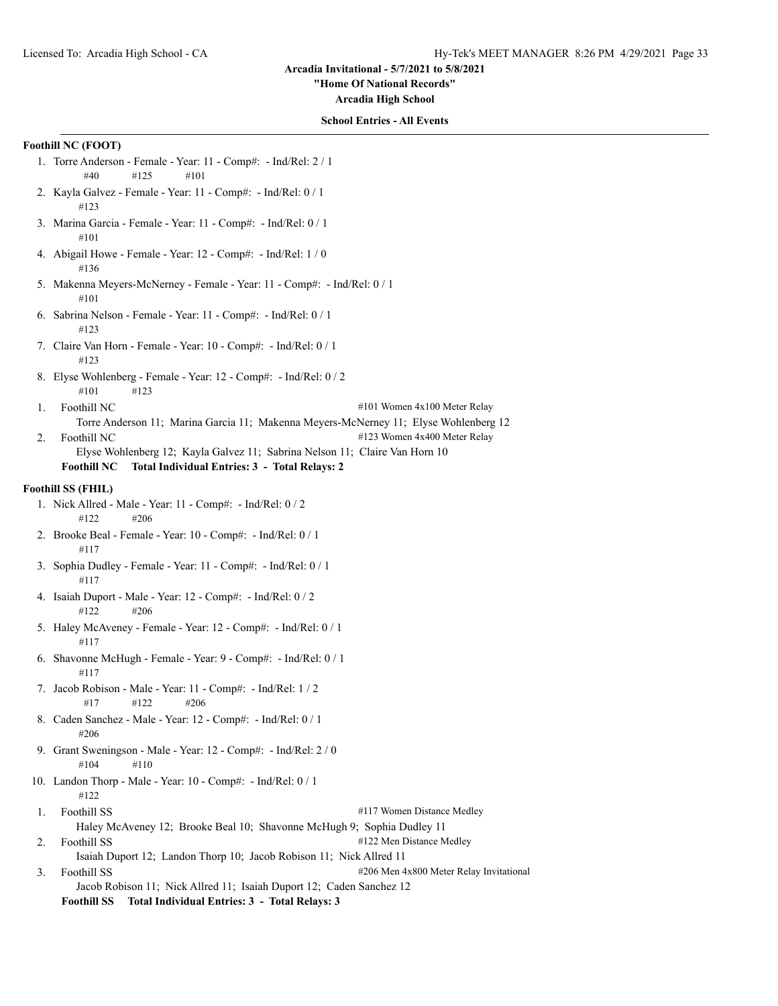### **"Home Of National Records"**

**Arcadia High School**

# **School Entries - All Events**

# **Foothill NC (FOOT)**

- 1. Torre Anderson Female Year: 11 Comp#: Ind/Rel: 2 / 1 #40 #125 #101
- 2. Kayla Galvez Female Year: 11 Comp#: Ind/Rel: 0 / 1 #123
- 3. Marina Garcia Female Year: 11 Comp#: Ind/Rel: 0 / 1 #101
- 4. Abigail Howe Female Year: 12 Comp#: Ind/Rel: 1 / 0 #136
- 5. Makenna Meyers-McNerney Female Year: 11 Comp#: Ind/Rel: 0 / 1 #101
- 6. Sabrina Nelson Female Year: 11 Comp#: Ind/Rel: 0 / 1 #123
- 7. Claire Van Horn Female Year: 10 Comp#: Ind/Rel: 0 / 1 #123
- 8. Elyse Wohlenberg Female Year: 12 Comp#: Ind/Rel: 0 / 2 #101 #123
- 1. Foothill NC  $\#101$  Women 4x100 Meter Relay
- Torre Anderson 11; Marina Garcia 11; Makenna Meyers-McNerney 11; Elyse Wohlenberg 12 2. Foothill NC  $#123$  Women 4x400 Meter Relay
	-
	- Elyse Wohlenberg 12; Kayla Galvez 11; Sabrina Nelson 11; Claire Van Horn 10 **Foothill NC Total Individual Entries: 3 - Total Relays: 2**

# **Foothill SS (FHIL)**

- 1. Nick Allred Male Year: 11 Comp#: Ind/Rel: 0 / 2 #122 #206
- 2. Brooke Beal Female Year: 10 Comp#: Ind/Rel: 0 / 1 #117
- 3. Sophia Dudley Female Year: 11 Comp#: Ind/Rel: 0 / 1 #117
- 4. Isaiah Duport Male Year: 12 Comp#: Ind/Rel: 0 / 2 #122 #206
- 5. Haley McAveney Female Year: 12 Comp#: Ind/Rel: 0 / 1 #117
- 6. Shavonne McHugh Female Year: 9 Comp#: Ind/Rel: 0 / 1 #117
- 7. Jacob Robison Male Year: 11 Comp#: Ind/Rel: 1 / 2  $\#17$   $\#122$   $\#206$
- 8. Caden Sanchez Male Year: 12 Comp#: Ind/Rel: 0 / 1 #206
- 9. Grant Sweningson Male Year: 12 Comp#: Ind/Rel: 2 / 0 #104 #110
- 10. Landon Thorp Male Year: 10 Comp#: Ind/Rel: 0 / 1 #122
- 1. Foothill SS  $\qquad$  #117 Women Distance Medley Haley McAveney 12; Brooke Beal 10; Shavonne McHugh 9; Sophia Dudley 11
- 2. Foothill SS #122 Men Distance Medley Isaiah Duport 12; Landon Thorp 10; Jacob Robison 11; Nick Allred 11 3. Foothill SS  $\#206$  Men 4x800 Meter Relay Invitational

Jacob Robison 11; Nick Allred 11; Isaiah Duport 12; Caden Sanchez 12 **Foothill SS Total Individual Entries: 3 - Total Relays: 3**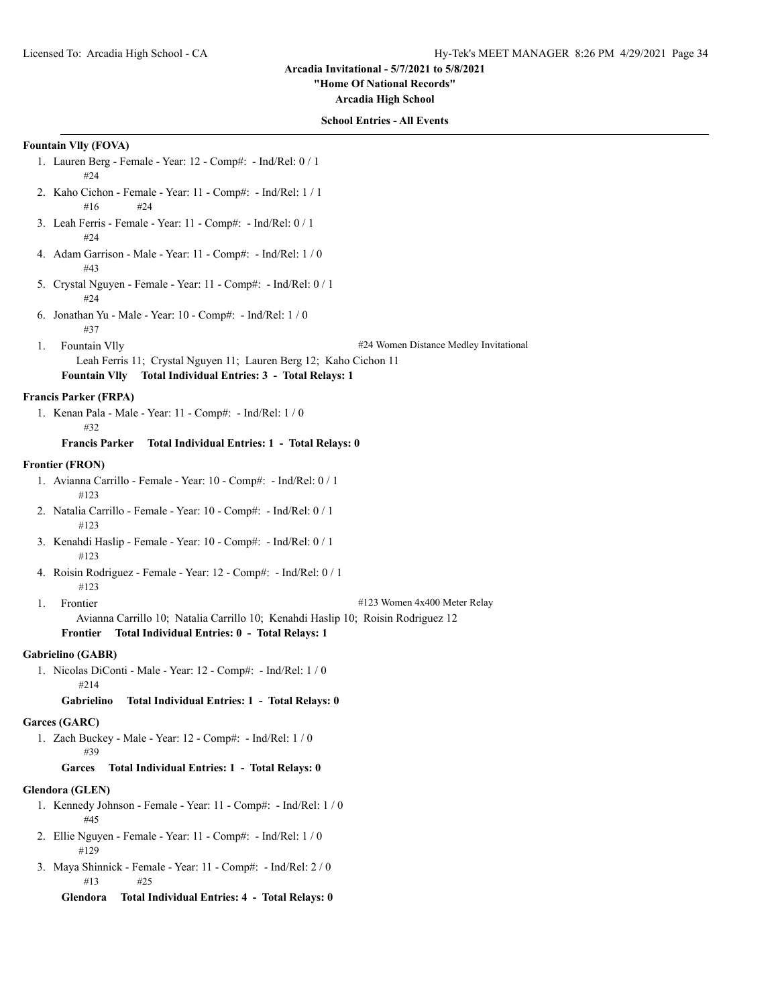# **"Home Of National Records"**

**Arcadia High School**

# **School Entries - All Events**

# **Fountain Vlly (FOVA)**

- 1. Lauren Berg Female Year: 12 Comp#: Ind/Rel: 0 / 1 #24
- 2. Kaho Cichon Female Year: 11 Comp#: Ind/Rel: 1 / 1 #16 #24
- 3. Leah Ferris Female Year: 11 Comp#: Ind/Rel: 0 / 1 #24
- 4. Adam Garrison Male Year: 11 Comp#: Ind/Rel: 1 / 0 #43
- 5. Crystal Nguyen Female Year: 11 Comp#: Ind/Rel: 0 / 1 #24
- 6. Jonathan Yu Male Year: 10 Comp#: Ind/Rel: 1 / 0 #37
- 

1. Fountain Vlly #24 Women Distance Medley Invitational

Leah Ferris 11; Crystal Nguyen 11; Lauren Berg 12; Kaho Cichon 11 **Fountain Vlly Total Individual Entries: 3 - Total Relays: 1**

# **Francis Parker (FRPA)**

1. Kenan Pala - Male - Year: 11 - Comp#: - Ind/Rel: 1 / 0 #32

**Francis Parker Total Individual Entries: 1 - Total Relays: 0**

#### **Frontier (FRON)**

- 1. Avianna Carrillo Female Year: 10 Comp#: Ind/Rel: 0 / 1 #123
- 2. Natalia Carrillo Female Year: 10 Comp#: Ind/Rel: 0 / 1 #123
- 3. Kenahdi Haslip Female Year: 10 Comp#: Ind/Rel: 0 / 1 #123
- 4. Roisin Rodriguez Female Year: 12 Comp#: Ind/Rel: 0 / 1 #123
- 
- 1. Frontier #123 Women 4x400 Meter Relay
	- Avianna Carrillo 10; Natalia Carrillo 10; Kenahdi Haslip 10; Roisin Rodriguez 12

# **Frontier Total Individual Entries: 0 - Total Relays: 1**

# **Gabrielino (GABR)**

1. Nicolas DiConti - Male - Year: 12 - Comp#: - Ind/Rel: 1 / 0 #214

# **Gabrielino Total Individual Entries: 1 - Total Relays: 0**

#### **Garces (GARC)**

1. Zach Buckey - Male - Year: 12 - Comp#: - Ind/Rel: 1 / 0 #39

# **Garces Total Individual Entries: 1 - Total Relays: 0**

#### **Glendora (GLEN)**

- 1. Kennedy Johnson Female Year: 11 Comp#: Ind/Rel: 1 / 0 #45
- 2. Ellie Nguyen Female Year: 11 Comp#: Ind/Rel: 1 / 0 #129
- 3. Maya Shinnick Female Year: 11 Comp#: Ind/Rel: 2 / 0 #13 #25

**Glendora Total Individual Entries: 4 - Total Relays: 0**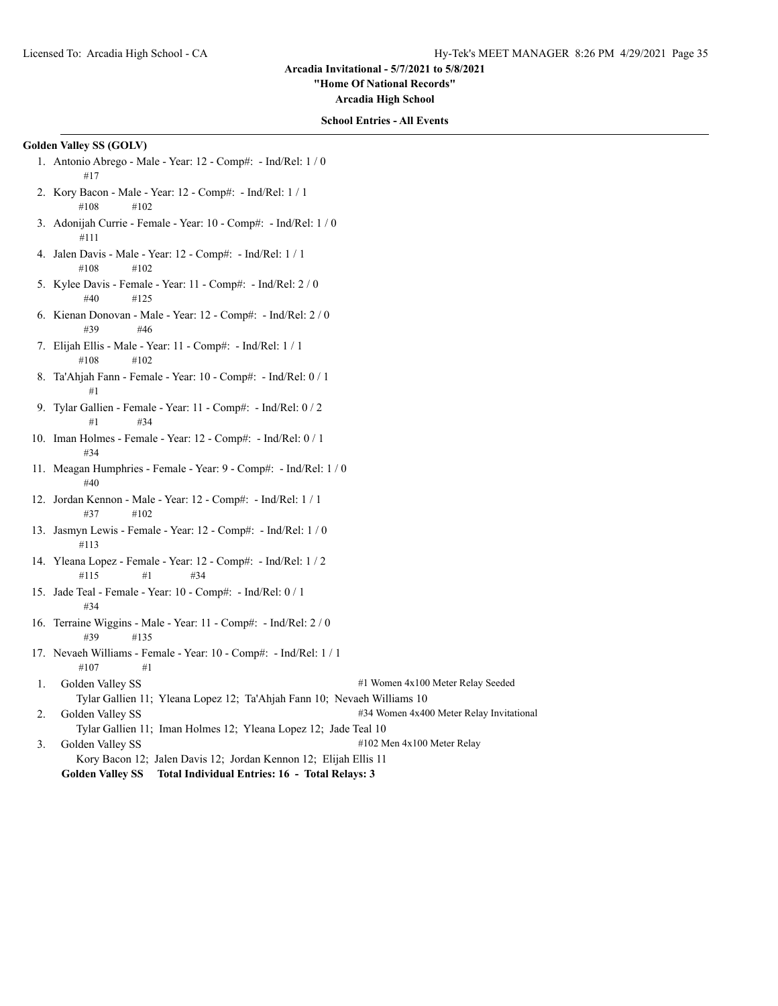**"Home Of National Records"**

**Arcadia High School**

# **School Entries - All Events**

# **Golden Valley SS (GOLV)**

- 1. Antonio Abrego Male Year: 12 Comp#: Ind/Rel: 1 / 0 #17
- 2. Kory Bacon Male Year: 12 Comp#: Ind/Rel: 1 / 1 #108 #102
- 3. Adonijah Currie Female Year: 10 Comp#: Ind/Rel: 1 / 0 #111
- 4. Jalen Davis Male Year: 12 Comp#: Ind/Rel: 1 / 1 #108 #102
- 5. Kylee Davis Female Year: 11 Comp#: Ind/Rel: 2 / 0 #40 #125
- 6. Kienan Donovan Male Year: 12 Comp#: Ind/Rel: 2 / 0 #39 #46
- 7. Elijah Ellis Male Year: 11 Comp#: Ind/Rel: 1 / 1 #108 #102
- 8. Ta'Ahjah Fann Female Year: 10 Comp#: Ind/Rel: 0 / 1 #1
- 9. Tylar Gallien Female Year: 11 Comp#: Ind/Rel: 0 / 2 #1 #34
- 10. Iman Holmes Female Year: 12 Comp#: Ind/Rel: 0 / 1 #34
- 11. Meagan Humphries Female Year: 9 Comp#: Ind/Rel: 1 / 0 #40
- 12. Jordan Kennon Male Year: 12 Comp#: Ind/Rel: 1 / 1 #37 #102
- 13. Jasmyn Lewis Female Year: 12 Comp#: Ind/Rel: 1 / 0 #113
- 14. Yleana Lopez Female Year: 12 Comp#: Ind/Rel: 1 / 2 #115 #1 #34
- 15. Jade Teal Female Year: 10 Comp#: Ind/Rel: 0 / 1 #34
- 16. Terraine Wiggins Male Year: 11 Comp#: Ind/Rel: 2 / 0 #39 #135
- 17. Nevaeh Williams Female Year: 10 Comp#: Ind/Rel: 1 / 1 #107 #1
- 1. Golden Valley SS  $\#1$  Women 4x100 Meter Relay Seeded Tylar Gallien 11; Yleana Lopez 12; Ta'Ahjah Fann 10; Nevaeh Williams 10 2. Golden Valley SS  $\qquad$  #34 Women 4x400 Meter Relay Invitational
- Tylar Gallien 11; Iman Holmes 12; Yleana Lopez 12; Jade Teal 10
- 3. Golden Valley SS #102 Men 4x100 Meter Relay Kory Bacon 12; Jalen Davis 12; Jordan Kennon 12; Elijah Ellis 11
	- **Golden Valley SS Total Individual Entries: 16 Total Relays: 3**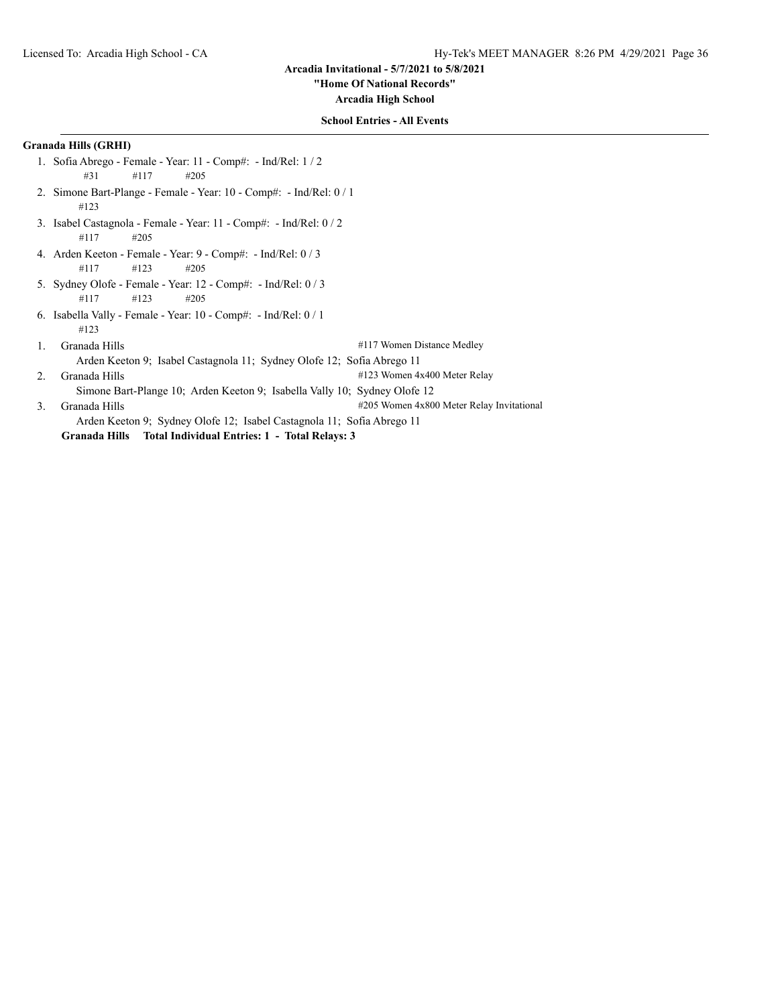**"Home Of National Records"**

**Arcadia High School**

# **School Entries - All Events**

# **Granada Hills (GRHI)**

- 1. Sofia Abrego Female Year: 11 Comp#: Ind/Rel: 1 / 2 #31 #117 #205
- 2. Simone Bart-Plange Female Year: 10 Comp#: Ind/Rel: 0 / 1 #123
- 3. Isabel Castagnola Female Year: 11 Comp#: Ind/Rel: 0 / 2 #117 #205
- 4. Arden Keeton Female Year: 9 Comp#: Ind/Rel: 0 / 3 #117 #123 #205
- 5. Sydney Olofe Female Year: 12 Comp#: Ind/Rel: 0 / 3 #117 #123 #205
- 6. Isabella Vally Female Year: 10 Comp#: Ind/Rel: 0 / 1 #123
- 1. Granada Hills #117 Women Distance Medley Arden Keeton 9; Isabel Castagnola 11; Sydney Olofe 12; Sofia Abrego 11 2. Granada Hills #123 Women 4x400 Meter Relay Simone Bart-Plange 10; Arden Keeton 9; Isabella Vally 10; Sydney Olofe 12 3. Granada Hills #205 Women 4x800 Meter Relay Invitational Arden Keeton 9; Sydney Olofe 12; Isabel Castagnola 11; Sofia Abrego 11

**Granada Hills Total Individual Entries: 1 - Total Relays: 3**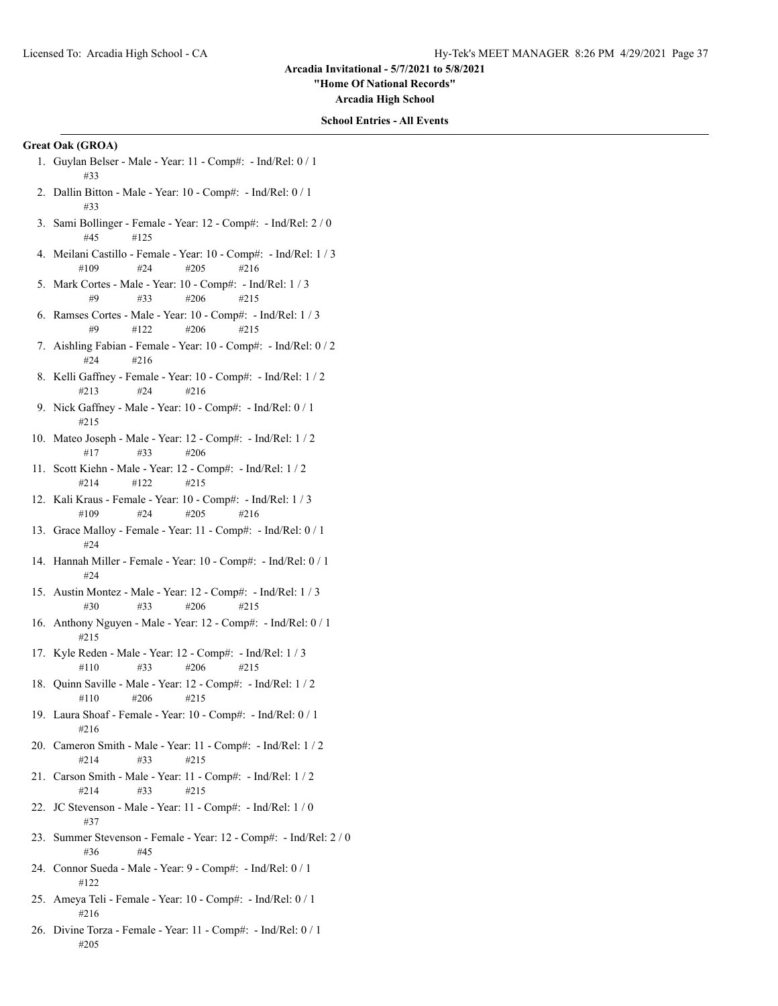**"Home Of National Records"**

**Arcadia High School**

## **School Entries - All Events**

# **Great Oak (GROA)**

- 1. Guylan Belser Male Year: 11 Comp#: Ind/Rel: 0 / 1 #33
- 2. Dallin Bitton Male Year: 10 Comp#: Ind/Rel: 0 / 1 #33
- 3. Sami Bollinger Female Year: 12 Comp#: Ind/Rel: 2 / 0 #45 #125
- 4. Meilani Castillo Female Year: 10 Comp#: Ind/Rel: 1 / 3 #109 #24 #205 #216
- 5. Mark Cortes Male Year: 10 Comp#: Ind/Rel: 1 / 3 #9 #33 #206 #215
- 6. Ramses Cortes Male Year: 10 Comp#: Ind/Rel: 1 / 3 #9 #122 #206 #215
- 7. Aishling Fabian Female Year: 10 Comp#: Ind/Rel: 0 / 2 #24 #216
- 8. Kelli Gaffney Female Year: 10 Comp#: Ind/Rel: 1 / 2 #213 #24 #216
- 9. Nick Gaffney Male Year: 10 Comp#: Ind/Rel: 0 / 1 #215
- 10. Mateo Joseph Male Year: 12 Comp#: Ind/Rel: 1 / 2 #17 #33 #206
- 11. Scott Kiehn Male Year: 12 Comp#: Ind/Rel: 1 / 2 #214 #122 #215
- 12. Kali Kraus Female Year: 10 Comp#: Ind/Rel: 1 / 3 #109 #24 #205 #216
- 13. Grace Malloy Female Year: 11 Comp#: Ind/Rel: 0 / 1 #24
- 14. Hannah Miller Female Year: 10 Comp#: Ind/Rel: 0 / 1 #24
- 15. Austin Montez Male Year: 12 Comp#: Ind/Rel: 1 / 3 #30 #33 #206 #215
- 16. Anthony Nguyen Male Year: 12 Comp#: Ind/Rel: 0 / 1 #215
- 17. Kyle Reden Male Year: 12 Comp#: Ind/Rel: 1 / 3 #110 #33 #206 #215
- 18. Quinn Saville Male Year: 12 Comp#: Ind/Rel: 1 / 2 #110 #206 #215
- 19. Laura Shoaf Female Year: 10 Comp#: Ind/Rel: 0 / 1 #216
- 20. Cameron Smith Male Year: 11 Comp#: Ind/Rel: 1 / 2 #214 #33 #215
- 21. Carson Smith Male Year: 11 Comp#: Ind/Rel: 1 / 2 #214 #33 #215
- 22. JC Stevenson Male Year: 11 Comp#: Ind/Rel: 1 / 0 #37
- 23. Summer Stevenson Female Year: 12 Comp#: Ind/Rel: 2 / 0 #36 #45
- 24. Connor Sueda Male Year: 9 Comp#: Ind/Rel: 0 / 1 #122
- 25. Ameya Teli Female Year: 10 Comp#: Ind/Rel: 0 / 1 #216
- 26. Divine Torza Female Year: 11 Comp#: Ind/Rel: 0 / 1 #205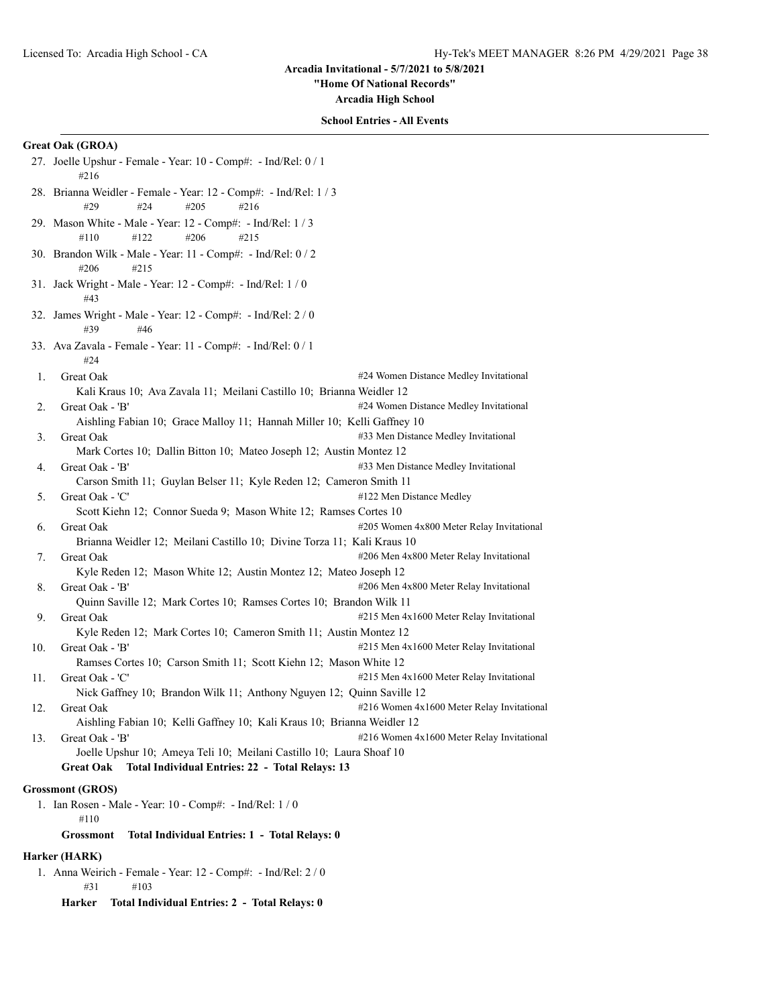**"Home Of National Records"**

**Arcadia High School**

# **School Entries - All Events**

# **Great Oak (GROA)**

|     | 28. Brianna Weidler - Female - Year: 12 - Comp#: - Ind/Rel: 1/3<br>#29<br>#24<br>#205<br>#216<br>29. Mason White - Male - Year: 12 - Comp#: - Ind/Rel: 1 / 3<br>#122<br>#206<br>#110<br>#215<br>30. Brandon Wilk - Male - Year: 11 - Comp#: - Ind/Rel: 0 / 2<br>#206<br>#215<br>31. Jack Wright - Male - Year: 12 - Comp#: - Ind/Rel: $1/0$<br>#43 |  |
|-----|----------------------------------------------------------------------------------------------------------------------------------------------------------------------------------------------------------------------------------------------------------------------------------------------------------------------------------------------------|--|
|     |                                                                                                                                                                                                                                                                                                                                                    |  |
|     |                                                                                                                                                                                                                                                                                                                                                    |  |
|     |                                                                                                                                                                                                                                                                                                                                                    |  |
|     |                                                                                                                                                                                                                                                                                                                                                    |  |
|     | 32. James Wright - Male - Year: 12 - Comp#: - Ind/Rel: 2/0<br>#39<br>#46                                                                                                                                                                                                                                                                           |  |
|     | 33. Ava Zavala - Female - Year: 11 - Comp#: - Ind/Rel: 0 / 1<br>#24                                                                                                                                                                                                                                                                                |  |
| 1.  | #24 Women Distance Medley Invitational<br>Great Oak                                                                                                                                                                                                                                                                                                |  |
|     | Kali Kraus 10; Ava Zavala 11; Meilani Castillo 10; Brianna Weidler 12                                                                                                                                                                                                                                                                              |  |
| 2.  | Great Oak - 'B'<br>#24 Women Distance Medley Invitational                                                                                                                                                                                                                                                                                          |  |
|     | Aishling Fabian 10; Grace Malloy 11; Hannah Miller 10; Kelli Gaffney 10                                                                                                                                                                                                                                                                            |  |
| 3.  | #33 Men Distance Medley Invitational<br>Great Oak                                                                                                                                                                                                                                                                                                  |  |
|     | Mark Cortes 10; Dallin Bitton 10; Mateo Joseph 12; Austin Montez 12                                                                                                                                                                                                                                                                                |  |
| 4.  | #33 Men Distance Medley Invitational<br>Great Oak - 'B'                                                                                                                                                                                                                                                                                            |  |
|     | Carson Smith 11; Guylan Belser 11; Kyle Reden 12; Cameron Smith 11                                                                                                                                                                                                                                                                                 |  |
| 5.  | Great Oak - 'C'<br>#122 Men Distance Medley                                                                                                                                                                                                                                                                                                        |  |
|     | Scott Kiehn 12; Connor Sueda 9; Mason White 12; Ramses Cortes 10                                                                                                                                                                                                                                                                                   |  |
| 6.  | #205 Women 4x800 Meter Relay Invitational<br>Great Oak                                                                                                                                                                                                                                                                                             |  |
|     | Brianna Weidler 12; Meilani Castillo 10; Divine Torza 11; Kali Kraus 10                                                                                                                                                                                                                                                                            |  |
| 7.  | #206 Men 4x800 Meter Relay Invitational<br>Great Oak                                                                                                                                                                                                                                                                                               |  |
|     | Kyle Reden 12; Mason White 12; Austin Montez 12; Mateo Joseph 12                                                                                                                                                                                                                                                                                   |  |
| 8.  | #206 Men 4x800 Meter Relay Invitational<br>Great Oak - 'B'                                                                                                                                                                                                                                                                                         |  |
|     | Quinn Saville 12; Mark Cortes 10; Ramses Cortes 10; Brandon Wilk 11                                                                                                                                                                                                                                                                                |  |
| 9.  | #215 Men 4x1600 Meter Relay Invitational<br>Great Oak                                                                                                                                                                                                                                                                                              |  |
|     | Kyle Reden 12; Mark Cortes 10; Cameron Smith 11; Austin Montez 12                                                                                                                                                                                                                                                                                  |  |
| 10. | #215 Men 4x1600 Meter Relay Invitational<br>Great Oak - 'B'                                                                                                                                                                                                                                                                                        |  |
|     | Ramses Cortes 10; Carson Smith 11; Scott Kiehn 12; Mason White 12                                                                                                                                                                                                                                                                                  |  |
| 11. | #215 Men 4x1600 Meter Relay Invitational<br>Great Oak - 'C'                                                                                                                                                                                                                                                                                        |  |
|     | Nick Gaffney 10; Brandon Wilk 11; Anthony Nguyen 12; Quinn Saville 12                                                                                                                                                                                                                                                                              |  |
| 12. | #216 Women 4x1600 Meter Relay Invitational<br>Great Oak                                                                                                                                                                                                                                                                                            |  |
|     | Aishling Fabian 10; Kelli Gaffney 10; Kali Kraus 10; Brianna Weidler 12                                                                                                                                                                                                                                                                            |  |
| 13. | Great Oak - 'B'<br>#216 Women 4x1600 Meter Relay Invitational                                                                                                                                                                                                                                                                                      |  |
|     | Joelle Upshur 10; Ameya Teli 10; Meilani Castillo 10; Laura Shoaf 10                                                                                                                                                                                                                                                                               |  |
|     | Total Individual Entries: 22 - Total Relays: 13<br><b>Great Oak</b>                                                                                                                                                                                                                                                                                |  |
|     | <b>Grossmont (GROS)</b>                                                                                                                                                                                                                                                                                                                            |  |
|     | 1. Ian Rosen - Male - Year: 10 - Comp#: - Ind/Rel: 1 / 0                                                                                                                                                                                                                                                                                           |  |

#110

**Grossmont Total Individual Entries: 1 - Total Relays: 0**

# **Harker (HARK)**

1. Anna Weirich - Female - Year: 12 - Comp#: - Ind/Rel: 2 / 0 #31 #103

**Harker Total Individual Entries: 2 - Total Relays: 0**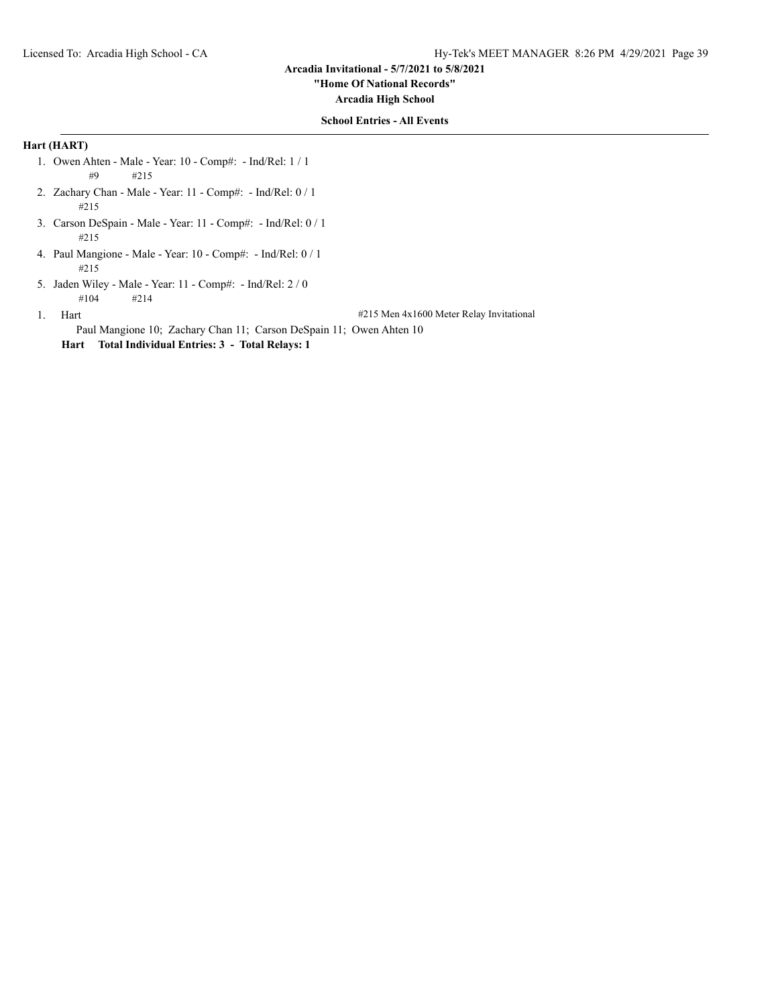**"Home Of National Records"**

**Arcadia High School**

## **School Entries - All Events**

# **Hart (HART)**

- 1. Owen Ahten Male Year: 10 Comp#: Ind/Rel: 1 / 1 #9 #215
- 2. Zachary Chan Male Year: 11 Comp#: Ind/Rel: 0 / 1 #215
- 3. Carson DeSpain Male Year: 11 Comp#: Ind/Rel: 0 / 1 #215
- 4. Paul Mangione Male Year: 10 Comp#: Ind/Rel: 0 / 1 #215
- 5. Jaden Wiley Male Year: 11 Comp#: Ind/Rel: 2 / 0 #104 #214

1. Hart **1.1. Hart 1.2.1.** Hart **1.2.1.2.1.** Hart **H215** Men 4x1600 Meter Relay Invitational

Paul Mangione 10; Zachary Chan 11; Carson DeSpain 11; Owen Ahten 10

**Hart Total Individual Entries: 3 - Total Relays: 1**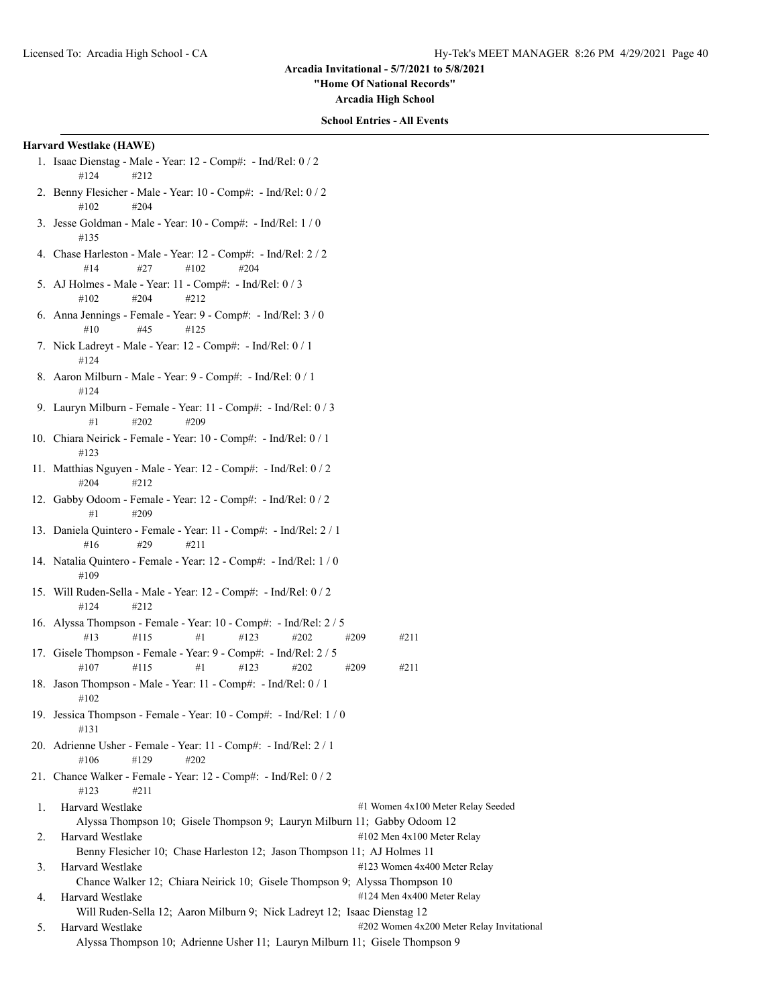**"Home Of National Records"**

**Arcadia High School**

#### **School Entries - All Events**

## **Harvard Westlake (HAWE)**

- 1. Isaac Dienstag Male Year: 12 Comp#: Ind/Rel: 0 / 2 #124 #212
- 2. Benny Flesicher Male Year: 10 Comp#: Ind/Rel: 0 / 2 #102 #204
- 3. Jesse Goldman Male Year: 10 Comp#: Ind/Rel: 1 / 0 #135
- 4. Chase Harleston Male Year: 12 Comp#: Ind/Rel: 2 / 2 #14 #27 #102 #204
- 5. AJ Holmes Male Year: 11 Comp#: Ind/Rel: 0 / 3  $\#102$   $\#204$   $\#212$
- 6. Anna Jennings Female Year: 9 Comp#: Ind/Rel: 3 / 0 #10 #45 #125
- 7. Nick Ladreyt Male Year: 12 Comp#: Ind/Rel: 0 / 1 #124
- 8. Aaron Milburn Male Year: 9 Comp#: Ind/Rel: 0 / 1 #124
- 9. Lauryn Milburn Female Year: 11 Comp#: Ind/Rel: 0 / 3 #1 #202 #209
- 10. Chiara Neirick Female Year: 10 Comp#: Ind/Rel: 0 / 1 #123
- 11. Matthias Nguyen Male Year: 12 Comp#: Ind/Rel: 0 / 2 #204 #212
- 12. Gabby Odoom Female Year: 12 Comp#: Ind/Rel: 0 / 2 #1 #209
- 13. Daniela Quintero Female Year: 11 Comp#: Ind/Rel: 2 / 1 #16 #29 #211
- 14. Natalia Quintero Female Year: 12 Comp#: Ind/Rel: 1 / 0 #109
- 15. Will Ruden-Sella Male Year: 12 Comp#: Ind/Rel: 0 / 2 #124 #212
- 16. Alyssa Thompson Female Year: 10 Comp#: Ind/Rel: 2 / 5 #13 #115 #1 #123 #202 #209 #211
- 17. Gisele Thompson Female Year: 9 Comp#: Ind/Rel: 2 / 5 #107 #115 #1 #123 #202 #209 #211
- 18. Jason Thompson Male Year: 11 Comp#: Ind/Rel: 0 / 1 #102
- 19. Jessica Thompson Female Year: 10 Comp#: Ind/Rel: 1 / 0 #131
- 20. Adrienne Usher Female Year: 11 Comp#: Ind/Rel: 2 / 1 #106 #129 #202
- 21. Chance Walker Female Year: 12 Comp#: Ind/Rel: 0 / 2 #123 #211
- 1. Harvard Westlake #1 Women 4x100 Meter Relay Seeded Alyssa Thompson 10; Gisele Thompson 9; Lauryn Milburn 11; Gabby Odoom 12 2. Harvard Westlake #102 Men 4x100 Meter Relay Benny Flesicher 10; Chase Harleston 12; Jason Thompson 11; AJ Holmes 11 3. Harvard Westlake #123 Women 4x400 Meter Relay Chance Walker 12; Chiara Neirick 10; Gisele Thompson 9; Alyssa Thompson 10 4. Harvard Westlake  $\#124$  Men 4x400 Meter Relay
- Will Ruden-Sella 12; Aaron Milburn 9; Nick Ladreyt 12; Isaac Dienstag 12
- 5. Harvard Westlake  $\text{H202}$  Women 4x200 Meter Relay Invitational Alyssa Thompson 10; Adrienne Usher 11; Lauryn Milburn 11; Gisele Thompson 9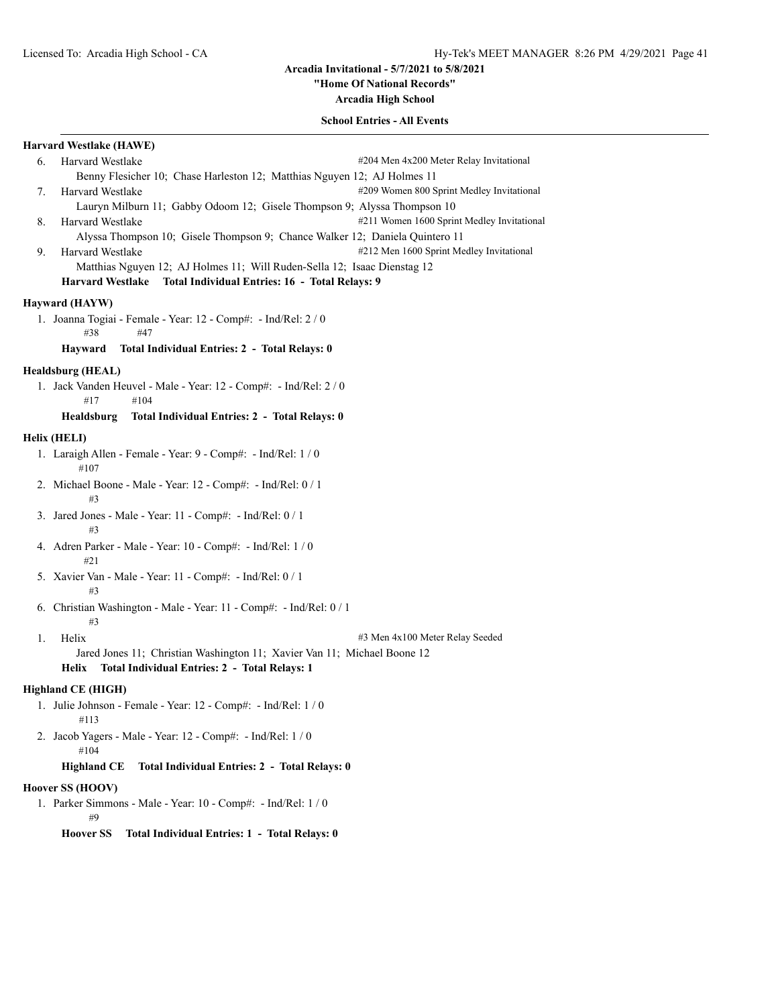**"Home Of National Records"**

**Arcadia High School**

## **School Entries - All Events**

## **Harvard Westlake (HAWE)**

6. Harvard Westlake #204 Men 4x200 Meter Relay Invitational Benny Flesicher 10; Chase Harleston 12; Matthias Nguyen 12; AJ Holmes 11 7. Harvard Westlake #209 Women 800 Sprint Medley Invitational Lauryn Milburn 11; Gabby Odoom 12; Gisele Thompson 9; Alyssa Thompson 10 8. Harvard Westlake #211 Women 1600 Sprint Medley Invitational Alyssa Thompson 10; Gisele Thompson 9; Chance Walker 12; Daniela Quintero 11 9. Harvard Westlake #212 Men 1600 Sprint Medley Invitational Matthias Nguyen 12; AJ Holmes 11; Will Ruden-Sella 12; Isaac Dienstag 12 **Harvard Westlake Total Individual Entries: 16 - Total Relays: 9**

# **Hayward (HAYW)**

1. Joanna Togiai - Female - Year: 12 - Comp#: - Ind/Rel: 2 / 0 #38 #47

## **Hayward Total Individual Entries: 2 - Total Relays: 0**

#### **Healdsburg (HEAL)**

1. Jack Vanden Heuvel - Male - Year: 12 - Comp#: - Ind/Rel: 2 / 0 #17 #104

# **Healdsburg Total Individual Entries: 2 - Total Relays: 0**

#### **Helix (HELI)**

- 1. Laraigh Allen Female Year: 9 Comp#: Ind/Rel: 1 / 0 #107
- 2. Michael Boone Male Year: 12 Comp#: Ind/Rel: 0 / 1 #3
- 3. Jared Jones Male Year: 11 Comp#: Ind/Rel: 0 / 1 #3
- 4. Adren Parker Male Year: 10 Comp#: Ind/Rel: 1 / 0 #21
- 5. Xavier Van Male Year: 11 Comp#: Ind/Rel: 0 / 1 #3
- 6. Christian Washington Male Year: 11 Comp#: Ind/Rel: 0 / 1 #3
- 

1. Helix #3 Men 4x100 Meter Relay Seeded

Jared Jones 11; Christian Washington 11; Xavier Van 11; Michael Boone 12 **Helix Total Individual Entries: 2 - Total Relays: 1**

#### **Highland CE (HIGH)**

- 1. Julie Johnson Female Year: 12 Comp#: Ind/Rel: 1 / 0 #113
- 2. Jacob Yagers Male Year: 12 Comp#: Ind/Rel: 1 / 0 #104

#### **Highland CE Total Individual Entries: 2 - Total Relays: 0**

#### **Hoover SS (HOOV)**

1. Parker Simmons - Male - Year: 10 - Comp#: - Ind/Rel: 1 / 0  $\#Q$ 

#### **Hoover SS Total Individual Entries: 1 - Total Relays: 0**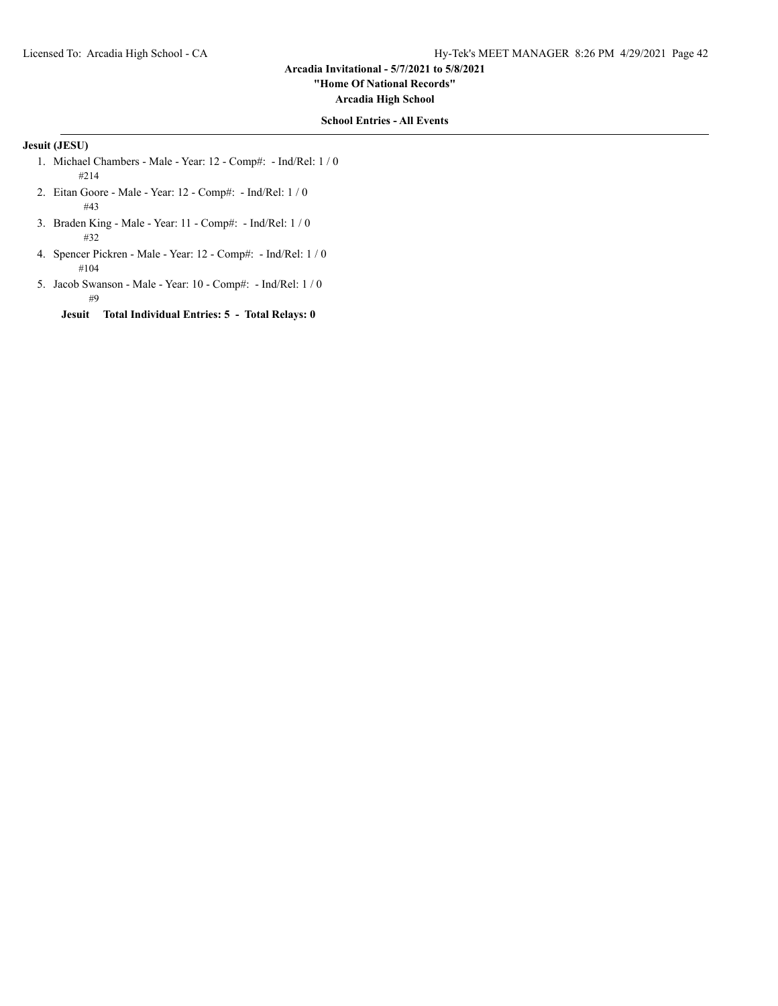**"Home Of National Records"**

**Arcadia High School**

## **School Entries - All Events**

# **Jesuit (JESU)**

- 1. Michael Chambers Male Year: 12 Comp#: Ind/Rel: 1 / 0 #214
- 2. Eitan Goore Male Year: 12 Comp#: Ind/Rel: 1 / 0 #43
- 3. Braden King Male Year: 11 Comp#: Ind/Rel: 1 / 0 #32
- 4. Spencer Pickren Male Year: 12 Comp#: Ind/Rel: 1 / 0 #104
- 5. Jacob Swanson Male Year: 10 Comp#: Ind/Rel: 1 / 0 #9

**Jesuit Total Individual Entries: 5 - Total Relays: 0**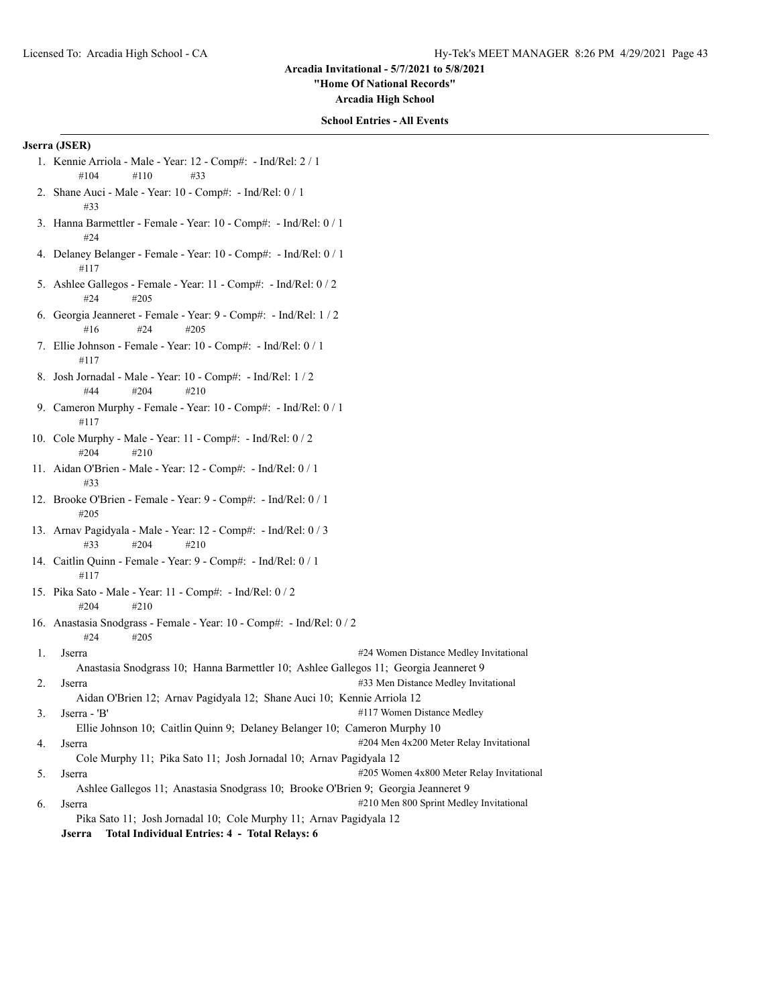**"Home Of National Records"**

**Arcadia High School**

## **School Entries - All Events**

## **Jserra (JSER)**

- 1. Kennie Arriola Male Year: 12 Comp#: Ind/Rel: 2 / 1 #104 #110 #33
- 2. Shane Auci Male Year: 10 Comp#: Ind/Rel: 0 / 1 #33
- 3. Hanna Barmettler Female Year: 10 Comp#: Ind/Rel: 0 / 1 #24
- 4. Delaney Belanger Female Year: 10 Comp#: Ind/Rel: 0 / 1 #117
- 5. Ashlee Gallegos Female Year: 11 Comp#: Ind/Rel: 0 / 2 #24 #205
- 6. Georgia Jeanneret Female Year: 9 Comp#: Ind/Rel: 1 / 2 #16 #24 #205
- 7. Ellie Johnson Female Year: 10 Comp#: Ind/Rel: 0 / 1 #117
- 8. Josh Jornadal Male Year: 10 Comp#: Ind/Rel: 1 / 2 #44 #204 #210
- 9. Cameron Murphy Female Year: 10 Comp#: Ind/Rel: 0 / 1 #117
- 10. Cole Murphy Male Year: 11 Comp#: Ind/Rel: 0 / 2 #204 #210
- 11. Aidan O'Brien Male Year: 12 Comp#: Ind/Rel: 0 / 1 #33
- 12. Brooke O'Brien Female Year: 9 Comp#: Ind/Rel: 0 / 1 #205
- 13. Arnav Pagidyala Male Year: 12 Comp#: Ind/Rel: 0 / 3 #33 #204 #210
- 14. Caitlin Quinn Female Year: 9 Comp#: Ind/Rel: 0 / 1 #117
- 15. Pika Sato Male Year: 11 Comp#: Ind/Rel: 0 / 2 #204 #210
- 16. Anastasia Snodgrass Female Year: 10 Comp#: Ind/Rel: 0 / 2 #24 #205
- 1. Jserra **1. Iserra 2018** 1. Iserra 2018 1. Iserra 2018 1. Islam 2. Islam 2. Islam 2. Islam 2. Islam 2. Islam 2. Islam 2. Islam 2. Islam 2. Islam 2. Islam 2. Islam 2. Islam 2. Islam 2. Islam 2. Islam 2. Islam 2. Islam 2. Anastasia Snodgrass 10; Hanna Barmettler 10; Ashlee Gallegos 11; Georgia Jeanneret 9 2. Jserra **1988** Serra 2008 12 and 2008 133 Men Distance Medley Invitational
- Aidan O'Brien 12; Arnav Pagidyala 12; Shane Auci 10; Kennie Arriola 12 3. Jserra - 'B' #117 Women Distance Medley
- Ellie Johnson 10; Caitlin Quinn 9; Delaney Belanger 10; Cameron Murphy 10
- 4. Jserra **1988** Serra 200 Meter Relay Invitational 204 Men 4x200 Meter Relay Invitational Cole Murphy 11; Pika Sato 11; Josh Jornadal 10; Arnav Pagidyala 12
- 5. Jserra #205 Women 4x800 Meter Relay Invitational Ashlee Gallegos 11; Anastasia Snodgrass 10; Brooke O'Brien 9; Georgia Jeanneret 9
- 6. Jserra #210 Men 800 Sprint Medley Invitational Pika Sato 11; Josh Jornadal 10; Cole Murphy 11; Arnav Pagidyala 12 **Jserra Total Individual Entries: 4 - Total Relays: 6**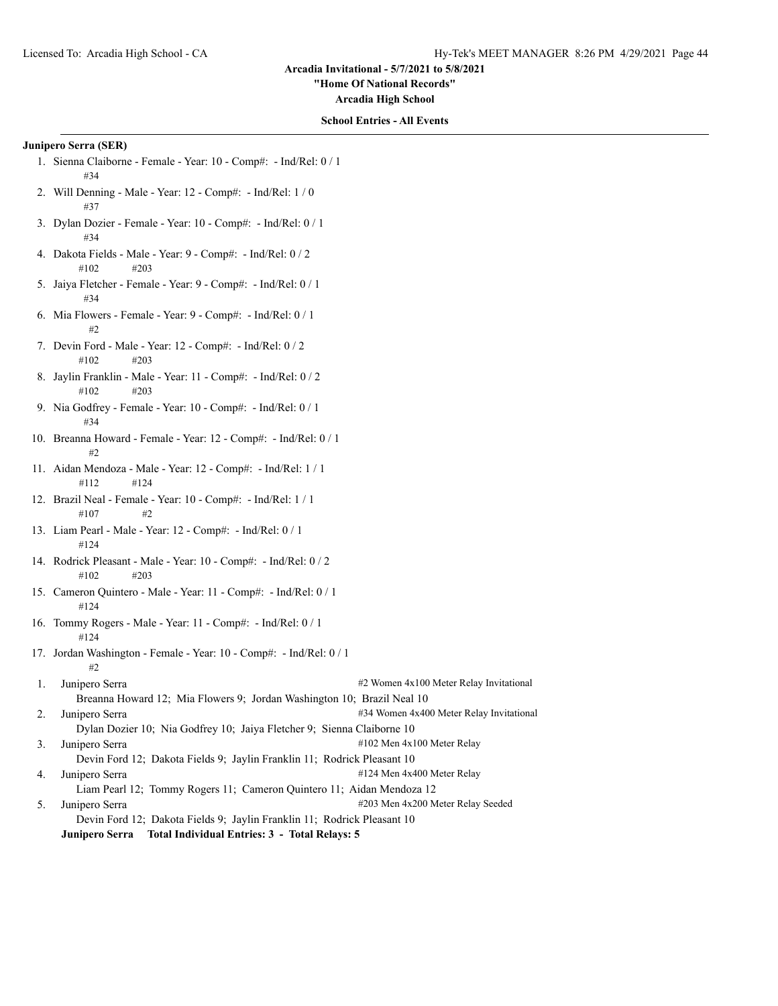**"Home Of National Records"**

**Arcadia High School**

## **School Entries - All Events**

#### **Junipero Serra (SER)**

- 1. Sienna Claiborne Female Year: 10 Comp#: Ind/Rel: 0 / 1 #34
- 2. Will Denning Male Year: 12 Comp#: Ind/Rel: 1 / 0 #37
- 3. Dylan Dozier Female Year: 10 Comp#: Ind/Rel: 0 / 1 #34
- 4. Dakota Fields Male Year: 9 Comp#: Ind/Rel: 0 / 2 #102 #203
- 5. Jaiya Fletcher Female Year: 9 Comp#: Ind/Rel: 0 / 1 #34
- 6. Mia Flowers Female Year: 9 Comp#: Ind/Rel: 0 / 1 #2
- 7. Devin Ford Male Year: 12 Comp#: Ind/Rel: 0 / 2 #102 #203
- 8. Jaylin Franklin Male Year: 11 Comp#: Ind/Rel: 0 / 2 #102 #203
- 9. Nia Godfrey Female Year: 10 Comp#: Ind/Rel: 0 / 1 #34
- 10. Breanna Howard Female Year: 12 Comp#: Ind/Rel: 0 / 1 #2
- 11. Aidan Mendoza Male Year: 12 Comp#: Ind/Rel: 1 / 1 #112 #124
- 12. Brazil Neal Female Year: 10 Comp#: Ind/Rel: 1 / 1 #107 #2
- 13. Liam Pearl Male Year: 12 Comp#: Ind/Rel: 0 / 1 #124
- 14. Rodrick Pleasant Male Year: 10 Comp#: Ind/Rel: 0 / 2 #102 #203
- 15. Cameron Quintero Male Year: 11 Comp#: Ind/Rel: 0 / 1 #124
- 16. Tommy Rogers Male Year: 11 Comp#: Ind/Rel: 0 / 1 #124
- 17. Jordan Washington Female Year: 10 Comp#: Ind/Rel: 0 / 1 #2
- 1. Junipero Serra #2 Women 4x100 Meter Relay Invitational Breanna Howard 12; Mia Flowers 9; Jordan Washington 10; Brazil Neal 10 2. Junipero Serra #34 Women 4x400 Meter Relay Invitational

Dylan Dozier 10; Nia Godfrey 10; Jaiya Fletcher 9; Sienna Claiborne 10

- 3. Junipero Serra #102 Men 4x100 Meter Relay
	- Devin Ford 12; Dakota Fields 9; Jaylin Franklin 11; Rodrick Pleasant 10
- 4. Junipero Serra #124 Men 4x400 Meter Relay

Liam Pearl 12; Tommy Rogers 11; Cameron Quintero 11; Aidan Mendoza 12 5. Junipero Serra #203 Men 4x200 Meter Relay Seeded Devin Ford 12; Dakota Fields 9; Jaylin Franklin 11; Rodrick Pleasant 10

**Junipero Serra Total Individual Entries: 3 - Total Relays: 5**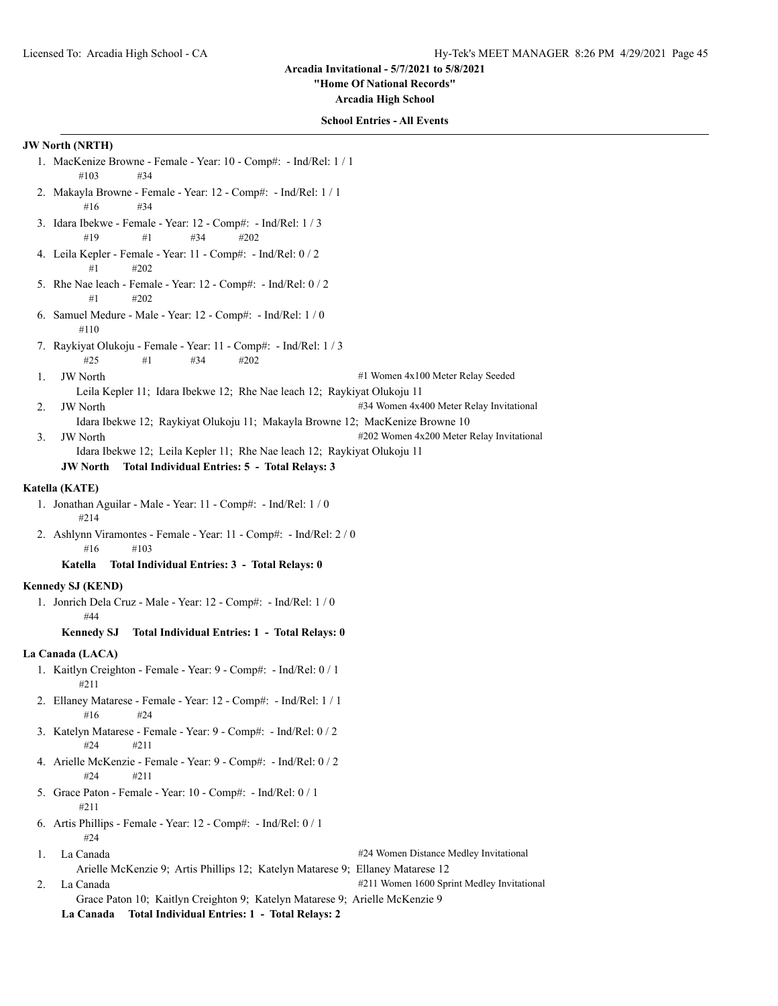## **"Home Of National Records"**

**Arcadia High School**

## **School Entries - All Events**

- **JW North (NRTH)** 1. MacKenize Browne - Female - Year: 10 - Comp#: - Ind/Rel: 1 / 1 #103 #34 2. Makayla Browne - Female - Year: 12 - Comp#: - Ind/Rel: 1 / 1 #16 #34 3. Idara Ibekwe - Female - Year: 12 - Comp#: - Ind/Rel: 1 / 3 #19 #1 #34 #202 4. Leila Kepler - Female - Year: 11 - Comp#: - Ind/Rel: 0 / 2 #1 #202 5. Rhe Nae leach - Female - Year: 12 - Comp#: - Ind/Rel: 0 / 2  $#1$   $#202$ 6. Samuel Medure - Male - Year: 12 - Comp#: - Ind/Rel: 1 / 0 #110 7. Raykiyat Olukoju - Female - Year: 11 - Comp#: - Ind/Rel: 1 / 3 #25 #1 #34 #202 1. JW North  $\#1$  Women 4x100 Meter Relay Seeded Leila Kepler 11; Idara Ibekwe 12; Rhe Nae leach 12; Raykiyat Olukoju 11 2. JW North #34 Women 4x400 Meter Relay Invitational Idara Ibekwe 12; Raykiyat Olukoju 11; Makayla Browne 12; MacKenize Browne 10 3. JW North  $\text{4202}$  Women 4x200 Meter Relay Invitational Idara Ibekwe 12; Leila Kepler 11; Rhe Nae leach 12; Raykiyat Olukoju 11 **JW North Total Individual Entries: 5 - Total Relays: 3 Katella (KATE)** 1. Jonathan Aguilar - Male - Year: 11 - Comp#: - Ind/Rel: 1 / 0 #214 2. Ashlynn Viramontes - Female - Year: 11 - Comp#: - Ind/Rel: 2 / 0 #16 #103 **Katella Total Individual Entries: 3 - Total Relays: 0 Kennedy SJ (KEND)** 1. Jonrich Dela Cruz - Male - Year: 12 - Comp#: - Ind/Rel: 1 / 0 #44 **Kennedy SJ Total Individual Entries: 1 - Total Relays: 0 La Canada (LACA)** 1. Kaitlyn Creighton - Female - Year: 9 - Comp#: - Ind/Rel: 0 / 1 #211 2. Ellaney Matarese - Female - Year: 12 - Comp#: - Ind/Rel: 1 / 1 #16 #24 3. Katelyn Matarese - Female - Year: 9 - Comp#: - Ind/Rel: 0 / 2 #24 #211 4. Arielle McKenzie - Female - Year: 9 - Comp#: - Ind/Rel: 0 / 2 #24 #211 5. Grace Paton - Female - Year: 10 - Comp#: - Ind/Rel: 0 / 1 #211 6. Artis Phillips - Female - Year: 12 - Comp#: - Ind/Rel: 0 / 1 #24 1. La Canada **1. La Canada** #24 Women Distance Medley Invitational Arielle McKenzie 9; Artis Phillips 12; Katelyn Matarese 9; Ellaney Matarese 12 2. La Canada **2. La Canada** 211 Women 1600 Sprint Medley Invitational
	- Grace Paton 10; Kaitlyn Creighton 9; Katelyn Matarese 9; Arielle McKenzie 9 **La Canada Total Individual Entries: 1 - Total Relays: 2**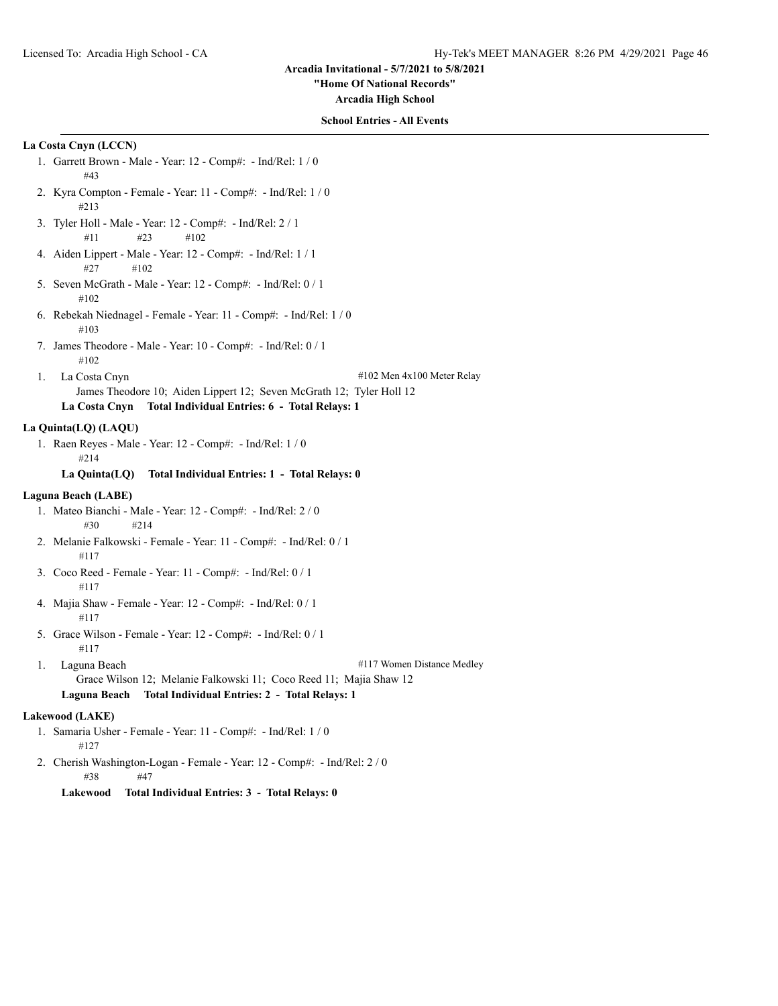**"Home Of National Records"**

**Arcadia High School**

## **School Entries - All Events**

# **La Costa Cnyn (LCCN)**

- 1. Garrett Brown Male Year: 12 Comp#: Ind/Rel: 1 / 0 #43
- 2. Kyra Compton Female Year: 11 Comp#: Ind/Rel: 1 / 0 #213
- 3. Tyler Holl Male Year: 12 Comp#: Ind/Rel: 2 / 1 #11 #23 #102
- 4. Aiden Lippert Male Year: 12 Comp#: Ind/Rel: 1 / 1 #27 #102
- 5. Seven McGrath Male Year: 12 Comp#: Ind/Rel: 0 / 1 #102
- 6. Rebekah Niednagel Female Year: 11 Comp#: Ind/Rel: 1 / 0 #103
- 7. James Theodore Male Year: 10 Comp#: Ind/Rel: 0 / 1 #102
- 1. La Costa Cnyn  $\#102$  Men  $4x100$  Meter Relay James Theodore 10; Aiden Lippert 12; Seven McGrath 12; Tyler Holl 12 **La Costa Cnyn Total Individual Entries: 6 - Total Relays: 1**

#### **La Quinta(LQ) (LAQU)**

1. Raen Reyes - Male - Year: 12 - Comp#: - Ind/Rel: 1 / 0 #214

## **La Quinta(LQ) Total Individual Entries: 1 - Total Relays: 0**

## **Laguna Beach (LABE)**

- 1. Mateo Bianchi Male Year: 12 Comp#: Ind/Rel: 2 / 0 #30 #214
- 2. Melanie Falkowski Female Year: 11 Comp#: Ind/Rel: 0 / 1 #117
- 3. Coco Reed Female Year: 11 Comp#: Ind/Rel: 0 / 1 #117
- 4. Majia Shaw Female Year: 12 Comp#: Ind/Rel: 0 / 1 #117
- 5. Grace Wilson Female Year: 12 Comp#: Ind/Rel: 0 / 1 #117
- 1. Laguna Beach #117 Women Distance Medley Grace Wilson 12; Melanie Falkowski 11; Coco Reed 11; Majia Shaw 12 **Laguna Beach Total Individual Entries: 2 - Total Relays: 1**

## **Lakewood (LAKE)**

- 1. Samaria Usher Female Year: 11 Comp#: Ind/Rel: 1 / 0 #127
- 2. Cherish Washington-Logan Female Year: 12 Comp#: Ind/Rel: 2 / 0 #38 #47

# **Lakewood Total Individual Entries: 3 - Total Relays: 0**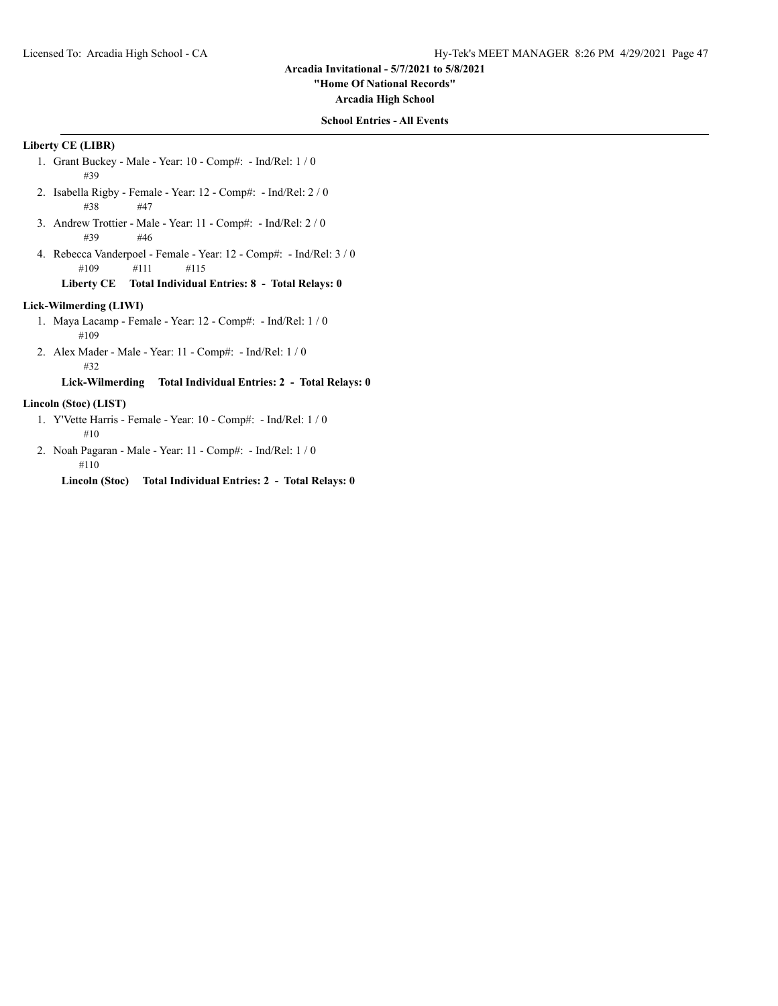**"Home Of National Records"**

**Arcadia High School**

## **School Entries - All Events**

# **Liberty CE (LIBR)**

- 1. Grant Buckey Male Year: 10 Comp#: Ind/Rel: 1 / 0 #39
- 2. Isabella Rigby Female Year: 12 Comp#: Ind/Rel: 2 / 0 #38 #47
- 3. Andrew Trottier Male Year: 11 Comp#: Ind/Rel: 2 / 0 #39 #46
- 4. Rebecca Vanderpoel Female Year: 12 Comp#: Ind/Rel: 3 / 0 #109 #111 #115

## **Liberty CE Total Individual Entries: 8 - Total Relays: 0**

# **Lick-Wilmerding (LIWI)**

- 1. Maya Lacamp Female Year: 12 Comp#: Ind/Rel: 1 / 0 #109
- 2. Alex Mader Male Year: 11 Comp#: Ind/Rel: 1 / 0 #32

# **Lick-Wilmerding Total Individual Entries: 2 - Total Relays: 0**

## **Lincoln (Stoc) (LIST)**

- 1. Y'Vette Harris Female Year: 10 Comp#: Ind/Rel: 1 / 0 #10
- 2. Noah Pagaran Male Year: 11 Comp#: Ind/Rel: 1 / 0 #110
	- **Lincoln (Stoc) Total Individual Entries: 2 Total Relays: 0**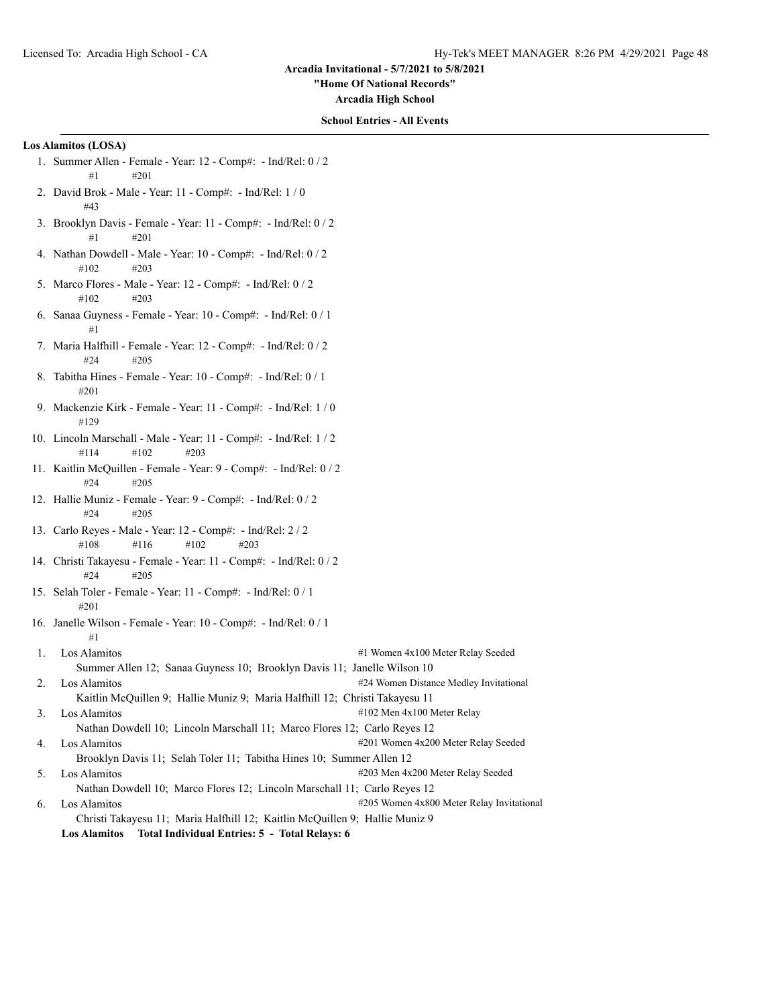**"Home Of National Records"**

**Arcadia High School**

## **School Entries - All Events**

# **Los Alamitos (LOSA)**

- 1. Summer Allen Female Year: 12 Comp#: Ind/Rel: 0 / 2 #1 #201
- 2. David Brok Male Year: 11 Comp#: Ind/Rel: 1 / 0 #43
- 3. Brooklyn Davis Female Year: 11 Comp#: Ind/Rel: 0 / 2 #1 #201
- 4. Nathan Dowdell Male Year: 10 Comp#: Ind/Rel: 0 / 2 #102 #203
- 5. Marco Flores Male Year: 12 Comp#: Ind/Rel: 0 / 2  $\#102$   $\#203$
- 6. Sanaa Guyness Female Year: 10 Comp#: Ind/Rel: 0 / 1 #1
- 7. Maria Halfhill Female Year: 12 Comp#: Ind/Rel: 0 / 2 #24 #205
- 8. Tabitha Hines Female Year: 10 Comp#: Ind/Rel: 0 / 1 #201
- 9. Mackenzie Kirk Female Year: 11 Comp#: Ind/Rel: 1 / 0 #129
- 10. Lincoln Marschall Male Year: 11 Comp#: Ind/Rel: 1 / 2 #114 #102 #203
- 11. Kaitlin McQuillen Female Year: 9 Comp#: Ind/Rel: 0 / 2 #24 #205
- 12. Hallie Muniz Female Year: 9 Comp#: Ind/Rel: 0 / 2 #24 #205
- 13. Carlo Reyes Male Year: 12 Comp#: Ind/Rel: 2 / 2 #108 #116 #102 #203
- 14. Christi Takayesu Female Year: 11 Comp#: Ind/Rel: 0 / 2 #24 #205
- 15. Selah Toler Female Year: 11 Comp#: Ind/Rel: 0 / 1 #201
- 16. Janelle Wilson Female Year: 10 Comp#: Ind/Rel: 0 / 1 #1
- 1. Los Alamitos #1 Women 4x100 Meter Relay Seeded Summer Allen 12; Sanaa Guyness 10; Brooklyn Davis 11; Janelle Wilson 10 2. Los Alamitos **1986** 2012 12:30 to the 424 Women Distance Medley Invitational Kaitlin McQuillen 9; Hallie Muniz 9; Maria Halfhill 12; Christi Takayesu 11
- 3. Los Alamitos  $\qquad$  #102 Men 4x100 Meter Relay Nathan Dowdell 10; Lincoln Marschall 11; Marco Flores 12; Carlo Reyes 12 4. Los Alamitos  $\text{#201}$  Women 4x200 Meter Relay Seeded Brooklyn Davis 11; Selah Toler 11; Tabitha Hines 10; Summer Allen 12
- 5. Los Alamitos #203 Men 4x200 Meter Relay Seeded
- Nathan Dowdell 10; Marco Flores 12; Lincoln Marschall 11; Carlo Reyes 12
- 6. Los Alamitos **1986** Los Alamitos **205 Women 4x800** Meter Relay Invitational Christi Takayesu 11; Maria Halfhill 12; Kaitlin McQuillen 9; Hallie Muniz 9 **Los Alamitos Total Individual Entries: 5 - Total Relays: 6**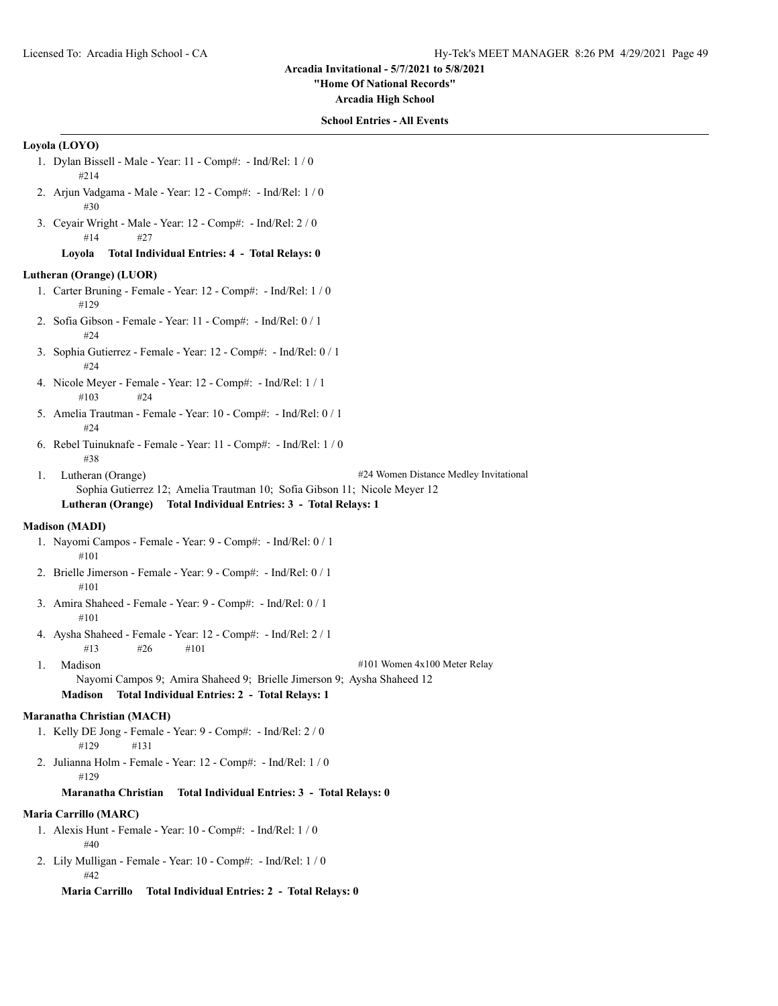**"Home Of National Records"**

**Arcadia High School**

## **School Entries - All Events**

## **Loyola (LOYO)**

- 1. Dylan Bissell Male Year: 11 Comp#: Ind/Rel: 1 / 0 #214
- 2. Arjun Vadgama Male Year: 12 Comp#: Ind/Rel: 1 / 0 #30
- 3. Ceyair Wright Male Year: 12 Comp#: Ind/Rel: 2 / 0 #14 #27

## **Loyola Total Individual Entries: 4 - Total Relays: 0**

## **Lutheran (Orange) (LUOR)**

- 1. Carter Bruning Female Year: 12 Comp#: Ind/Rel: 1 / 0 #129
- 2. Sofia Gibson Female Year: 11 Comp#: Ind/Rel: 0 / 1 #24
- 3. Sophia Gutierrez Female Year: 12 Comp#: Ind/Rel: 0 / 1 #24
- 4. Nicole Meyer Female Year: 12 Comp#: Ind/Rel: 1 / 1 #103 #24
- 5. Amelia Trautman Female Year: 10 Comp#: Ind/Rel: 0 / 1 #24
- 6. Rebel Tuinuknafe Female Year: 11 Comp#: Ind/Rel: 1 / 0 #38
- 1. Lutheran (Orange) **2020** #24 Women Distance Medley Invitational Sophia Gutierrez 12; Amelia Trautman 10; Sofia Gibson 11; Nicole Meyer 12

# **Lutheran (Orange) Total Individual Entries: 3 - Total Relays: 1**

## **Madison (MADI)**

- 1. Nayomi Campos Female Year: 9 Comp#: Ind/Rel: 0 / 1 #101
- 2. Brielle Jimerson Female Year: 9 Comp#: Ind/Rel: 0 / 1 #101
- 3. Amira Shaheed Female Year: 9 Comp#: Ind/Rel: 0 / 1 #101
- 4. Aysha Shaheed Female Year: 12 Comp#: Ind/Rel: 2 / 1 #13  $\#26$  #101
- 

1. Madison #101 Women 4x100 Meter Relay

Nayomi Campos 9; Amira Shaheed 9; Brielle Jimerson 9; Aysha Shaheed 12 **Madison Total Individual Entries: 2 - Total Relays: 1**

## **Maranatha Christian (MACH)**

- 1. Kelly DE Jong Female Year: 9 Comp#: Ind/Rel: 2 / 0 #129 #131
- 2. Julianna Holm Female Year: 12 Comp#: Ind/Rel: 1 / 0 #129

## **Maranatha Christian Total Individual Entries: 3 - Total Relays: 0**

#### **Maria Carrillo (MARC)**

- 1. Alexis Hunt Female Year: 10 Comp#: Ind/Rel: 1 / 0 #40
- 2. Lily Mulligan Female Year: 10 Comp#: Ind/Rel: 1 / 0 #42

**Maria Carrillo Total Individual Entries: 2 - Total Relays: 0**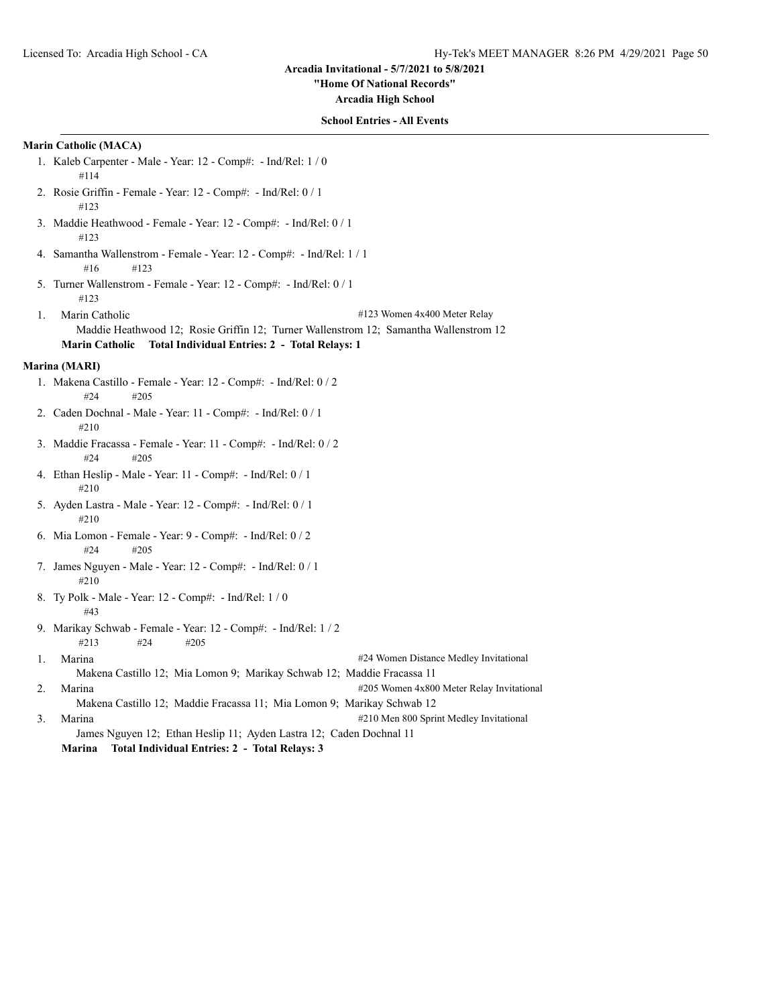## **"Home Of National Records"**

**Arcadia High School**

## **School Entries - All Events**

# **Marin Catholic (MACA)**

- 1. Kaleb Carpenter Male Year: 12 Comp#: Ind/Rel: 1 / 0 #114
- 2. Rosie Griffin Female Year: 12 Comp#: Ind/Rel: 0 / 1 #123
- 3. Maddie Heathwood Female Year: 12 Comp#: Ind/Rel: 0 / 1 #123
- 4. Samantha Wallenstrom Female Year: 12 Comp#: Ind/Rel: 1 / 1 #16 #123
- 5. Turner Wallenstrom Female Year: 12 Comp#: Ind/Rel: 0 / 1 #123
- 1. Marin Catholic #123 Women 4x400 Meter Relay Maddie Heathwood 12; Rosie Griffin 12; Turner Wallenstrom 12; Samantha Wallenstrom 12 **Marin Catholic Total Individual Entries: 2 - Total Relays: 1**

#### **Marina (MARI)**

- 1. Makena Castillo Female Year: 12 Comp#: Ind/Rel: 0 / 2 #24 #205
- 2. Caden Dochnal Male Year: 11 Comp#: Ind/Rel: 0 / 1 #210
- 3. Maddie Fracassa Female Year: 11 Comp#: Ind/Rel: 0 / 2 #24 #205
- 4. Ethan Heslip Male Year: 11 Comp#: Ind/Rel: 0 / 1 #210
- 5. Ayden Lastra Male Year: 12 Comp#: Ind/Rel: 0 / 1 #210
- 6. Mia Lomon Female Year: 9 Comp#: Ind/Rel: 0 / 2 #24 #205
- 7. James Nguyen Male Year: 12 Comp#: Ind/Rel: 0 / 1 #210
- 8. Ty Polk Male Year: 12 Comp#: Ind/Rel: 1 / 0 #43
- 9. Marikay Schwab Female Year: 12 Comp#: Ind/Rel: 1 / 2 #213 #24 #205
- 1. Marina #24 Women Distance Medley Invitational Makena Castillo 12; Mia Lomon 9; Marikay Schwab 12; Maddie Fracassa 11 2. Marina **1205** Momen 4x800 Meter Relay Invitational Makena Castillo 12; Maddie Fracassa 11; Mia Lomon 9; Marikay Schwab 12
- 3. Marina #210 Men 800 Sprint Medley Invitational James Nguyen 12; Ethan Heslip 11; Ayden Lastra 12; Caden Dochnal 11 **Marina Total Individual Entries: 2 - Total Relays: 3**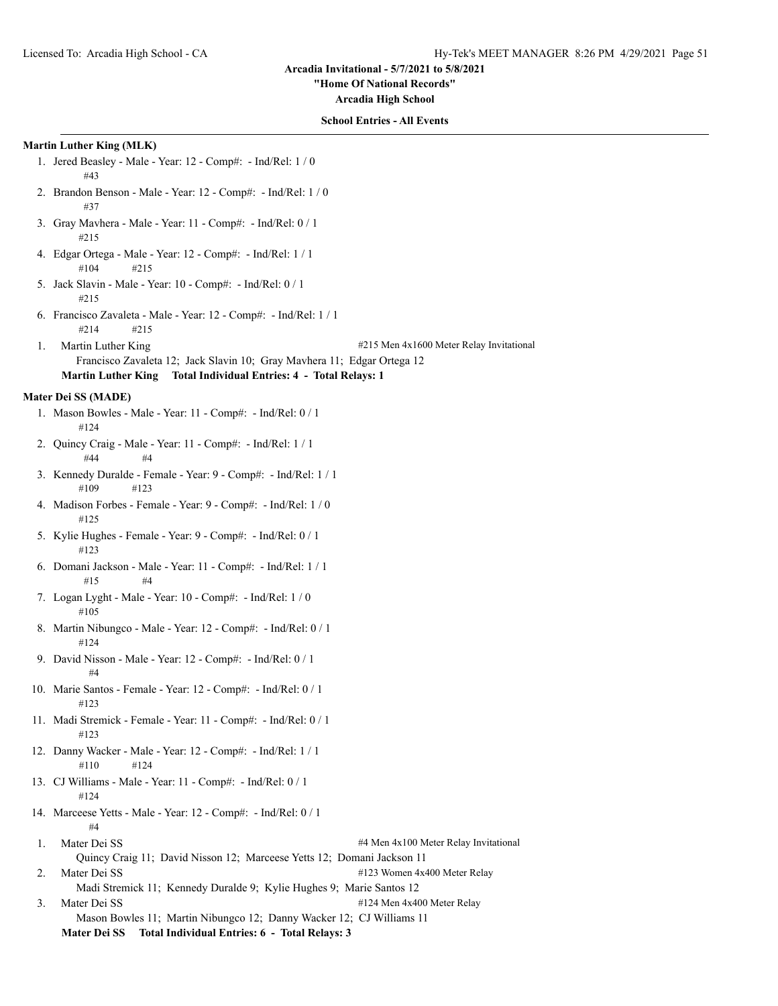**"Home Of National Records"**

**Arcadia High School**

#### **School Entries - All Events**

#### **Martin Luther King (MLK)**

- 1. Jered Beasley Male Year: 12 Comp#: Ind/Rel: 1 / 0 #43
- 2. Brandon Benson Male Year: 12 Comp#: Ind/Rel: 1 / 0 #37
- 3. Gray Mavhera Male Year: 11 Comp#: Ind/Rel: 0 / 1 #215
- 4. Edgar Ortega Male Year: 12 Comp#: Ind/Rel: 1 / 1 #104 #215
- 5. Jack Slavin Male Year: 10 Comp#: Ind/Rel: 0 / 1 #215
- 6. Francisco Zavaleta Male Year: 12 Comp#: Ind/Rel: 1 / 1 #214 #215
- 1. Martin Luther King #215 Men 4x1600 Meter Relay Invitational Francisco Zavaleta 12; Jack Slavin 10; Gray Mavhera 11; Edgar Ortega 12
	- **Martin Luther King Total Individual Entries: 4 Total Relays: 1**

#### **Mater Dei SS (MADE)**

- 1. Mason Bowles Male Year: 11 Comp#: Ind/Rel: 0 / 1 #124
- 2. Quincy Craig Male Year: 11 Comp#: Ind/Rel: 1 / 1 #44 #4
- 3. Kennedy Duralde Female Year: 9 Comp#: Ind/Rel: 1 / 1 #109 #123
- 4. Madison Forbes Female Year: 9 Comp#: Ind/Rel: 1 / 0 #125
- 5. Kylie Hughes Female Year: 9 Comp#: Ind/Rel: 0 / 1 #123
- 6. Domani Jackson Male Year: 11 Comp#: Ind/Rel: 1 / 1 #15 #4
- 7. Logan Lyght Male Year: 10 Comp#: Ind/Rel: 1 / 0 #105
- 8. Martin Nibungco Male Year: 12 Comp#: Ind/Rel: 0 / 1 #124
- 9. David Nisson Male Year: 12 Comp#: Ind/Rel: 0 / 1 #4
- 10. Marie Santos Female Year: 12 Comp#: Ind/Rel: 0 / 1 #123
- 11. Madi Stremick Female Year: 11 Comp#: Ind/Rel: 0 / 1 #123
- 12. Danny Wacker Male Year: 12 Comp#: Ind/Rel: 1 / 1 #110 #124
- 13. CJ Williams Male Year: 11 Comp#: Ind/Rel: 0 / 1 #124
- 14. Marceese Yetts Male Year: 12 Comp#: Ind/Rel: 0 / 1 #4
- 1. Mater Dei SS  $\#4$  Men 4x100 Meter Relay Invitational Quincy Craig 11; David Nisson 12; Marceese Yetts 12; Domani Jackson 11 2. Mater Dei SS #123 Women 4x400 Meter Relay
- Madi Stremick 11; Kennedy Duralde 9; Kylie Hughes 9; Marie Santos 12
- 3. Mater Dei SS #124 Men 4x400 Meter Relay Mason Bowles 11; Martin Nibungco 12; Danny Wacker 12; CJ Williams 11 **Mater Dei SS Total Individual Entries: 6 - Total Relays: 3**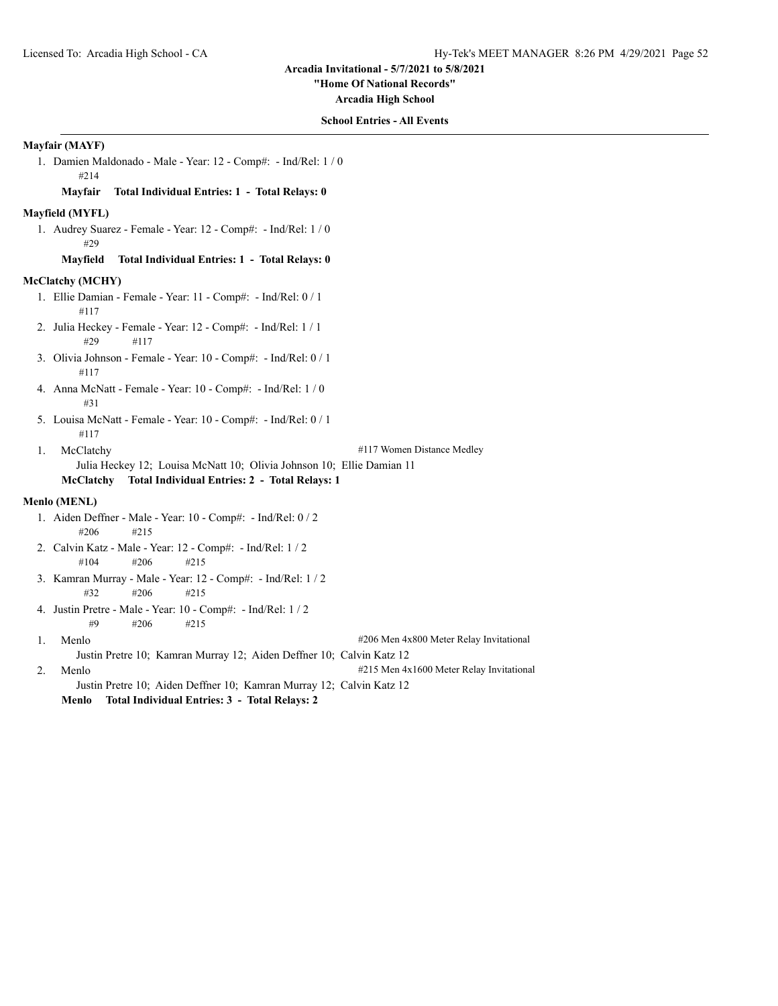**"Home Of National Records"**

**Arcadia High School**

## **School Entries - All Events**

## **Mayfair (MAYF)**

1. Damien Maldonado - Male - Year: 12 - Comp#: - Ind/Rel: 1 / 0 #214 **Mayfair Total Individual Entries: 1 - Total Relays: 0 Mayfield (MYFL)** 1. Audrey Suarez - Female - Year: 12 - Comp#: - Ind/Rel: 1 / 0 #29 **Mayfield Total Individual Entries: 1 - Total Relays: 0 McClatchy (MCHY)** 1. Ellie Damian - Female - Year: 11 - Comp#: - Ind/Rel: 0 / 1 #117 2. Julia Heckey - Female - Year: 12 - Comp#: - Ind/Rel: 1 / 1 #29 #117 3. Olivia Johnson - Female - Year: 10 - Comp#: - Ind/Rel: 0 / 1 #117 4. Anna McNatt - Female - Year: 10 - Comp#: - Ind/Rel: 1 / 0 #31 5. Louisa McNatt - Female - Year: 10 - Comp#: - Ind/Rel: 0 / 1 #117 1. McClatchy #117 Women Distance Medley Julia Heckey 12; Louisa McNatt 10; Olivia Johnson 10; Ellie Damian 11 **McClatchy Total Individual Entries: 2 - Total Relays: 1 Menlo (MENL)** 1. Aiden Deffner - Male - Year: 10 - Comp#: - Ind/Rel: 0 / 2 #206 #215 2. Calvin Katz - Male - Year: 12 - Comp#: - Ind/Rel: 1 / 2 #104 #206 #215 3. Kamran Murray - Male - Year: 12 - Comp#: - Ind/Rel: 1 / 2 #32 #206 #215 4. Justin Pretre - Male - Year: 10 - Comp#: - Ind/Rel: 1 / 2 #9 #206 #215 1. Menlo #206 Men 4x800 Meter Relay Invitational Justin Pretre 10; Kamran Murray 12; Aiden Deffner 10; Calvin Katz 12 2. Menlo #215 Men 4x1600 Meter Relay Invitational Justin Pretre 10; Aiden Deffner 10; Kamran Murray 12; Calvin Katz 12 **Menlo Total Individual Entries: 3 - Total Relays: 2**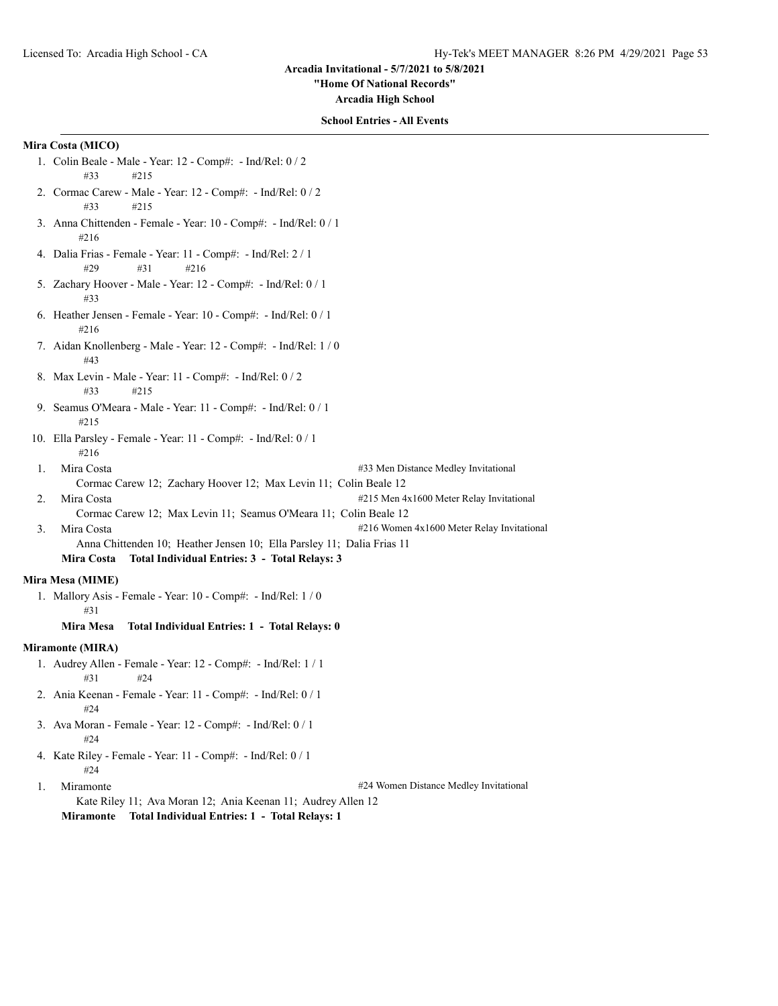#### **"Home Of National Records"**

**Arcadia High School**

## **School Entries - All Events**

# **Mira Costa (MICO)**

- 1. Colin Beale Male Year: 12 Comp#: Ind/Rel: 0 / 2 #33 #215
- 2. Cormac Carew Male Year: 12 Comp#: Ind/Rel: 0 / 2 #33 #215
- 3. Anna Chittenden Female Year: 10 Comp#: Ind/Rel: 0 / 1 #216
- 4. Dalia Frias Female Year: 11 Comp#: Ind/Rel: 2 / 1 #29 #31 #216
- 5. Zachary Hoover Male Year: 12 Comp#: Ind/Rel: 0 / 1 #33
- 6. Heather Jensen Female Year: 10 Comp#: Ind/Rel: 0 / 1 #216
- 7. Aidan Knollenberg Male Year: 12 Comp#: Ind/Rel: 1 / 0 #43
- 8. Max Levin Male Year: 11 Comp#: Ind/Rel: 0 / 2 #33 #215
- 9. Seamus O'Meara Male Year: 11 Comp#: Ind/Rel: 0 / 1 #215
- 10. Ella Parsley Female Year: 11 Comp#: Ind/Rel: 0 / 1 #216
- 1. Mira Costa #33 Men Distance Medley Invitational Cormac Carew 12; Zachary Hoover 12; Max Levin 11; Colin Beale 12
- 2. Mira Costa **1986** Mira Costa **1996** Meter Relay Invitational **4215** Men 4x1600 Meter Relay Invitational
	- Cormac Carew 12; Max Levin 11; Seamus O'Meara 11; Colin Beale 12
- 3. Mira Costa #216 Women 4x1600 Meter Relay Invitational Anna Chittenden 10; Heather Jensen 10; Ella Parsley 11; Dalia Frias 11
	- **Mira Costa Total Individual Entries: 3 Total Relays: 3**

## **Mira Mesa (MIME)**

1. Mallory Asis - Female - Year: 10 - Comp#: - Ind/Rel: 1 / 0 #31

## **Mira Mesa Total Individual Entries: 1 - Total Relays: 0**

## **Miramonte (MIRA)**

- 1. Audrey Allen Female Year: 12 Comp#: Ind/Rel: 1 / 1 #31 #24
- 2. Ania Keenan Female Year: 11 Comp#: Ind/Rel: 0 / 1 #24
- 3. Ava Moran Female Year: 12 Comp#: Ind/Rel: 0 / 1 #24
- 4. Kate Riley Female Year: 11 Comp#: Ind/Rel: 0 / 1  $#24$
- 

1. Miramonte **1.1. Miramonte** 2.1. Miramonte **1.1. Miramonte** 424 Women Distance Medley Invitational

Kate Riley 11; Ava Moran 12; Ania Keenan 11; Audrey Allen 12 **Miramonte Total Individual Entries: 1 - Total Relays: 1**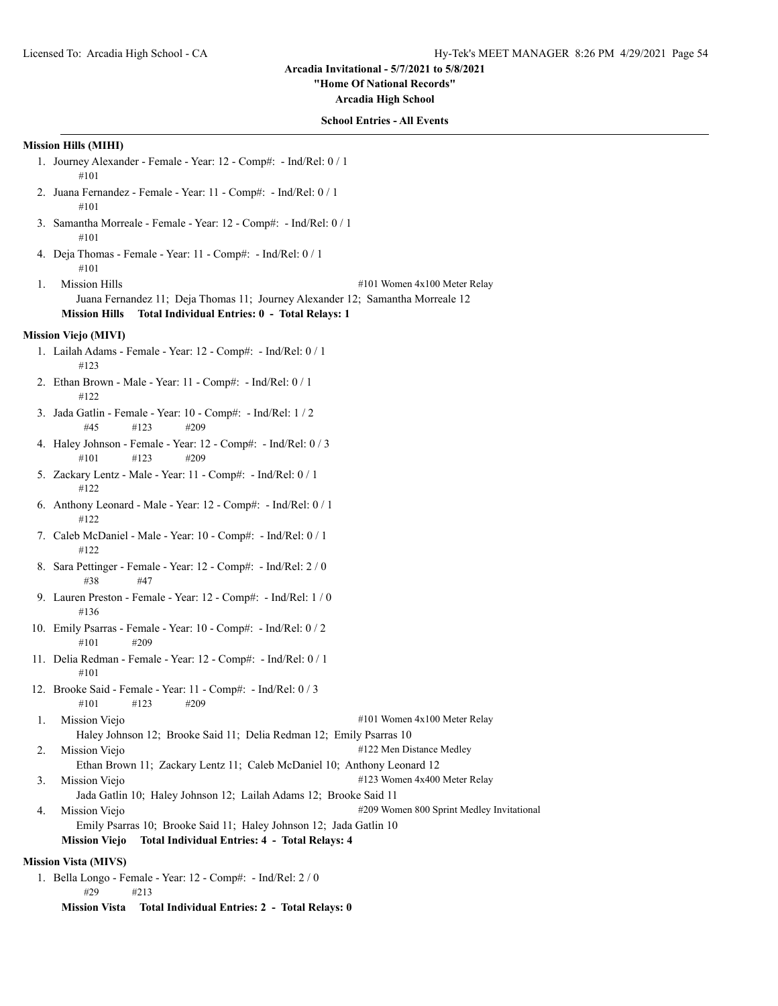# **"Home Of National Records"**

**Arcadia High School**

# **School Entries - All Events**

# **Mission Hills (MIHI)**

|    | гизэгчи тишэ (гиппт)                                                                                                                                                                                            |
|----|-----------------------------------------------------------------------------------------------------------------------------------------------------------------------------------------------------------------|
|    | 1. Journey Alexander - Female - Year: 12 - Comp#: - Ind/Rel: 0 / 1<br>#101                                                                                                                                      |
|    | 2. Juana Fernandez - Female - Year: 11 - Comp#: - Ind/Rel: 0 / 1<br>#101                                                                                                                                        |
|    | 3. Samantha Morreale - Female - Year: 12 - Comp#: - Ind/Rel: 0 / 1<br>#101                                                                                                                                      |
|    | 4. Deja Thomas - Female - Year: 11 - Comp#: - Ind/Rel: 0 / 1<br>#101                                                                                                                                            |
| 1. | <b>Mission Hills</b><br>#101 Women 4x100 Meter Relay<br>Juana Fernandez 11; Deja Thomas 11; Journey Alexander 12; Samantha Morreale 12<br>Total Individual Entries: 0 - Total Relays: 1<br><b>Mission Hills</b> |
|    | Mission Viejo (MIVI)                                                                                                                                                                                            |
|    | 1. Lailah Adams - Female - Year: 12 - Comp#: - Ind/Rel: 0 / 1<br>#123                                                                                                                                           |
|    | 2. Ethan Brown - Male - Year: 11 - Comp#: - Ind/Rel: 0 / 1<br>#122                                                                                                                                              |
|    | 3. Jada Gatlin - Female - Year: 10 - Comp#: - Ind/Rel: 1 / 2<br>#45<br>#123<br>#209                                                                                                                             |
|    | 4. Haley Johnson - Female - Year: 12 - Comp#: - Ind/Rel: 0 / 3<br>#101<br>#123<br>#209                                                                                                                          |
|    | 5. Zackary Lentz - Male - Year: 11 - Comp#: - Ind/Rel: 0 / 1<br>#122                                                                                                                                            |
|    | 6. Anthony Leonard - Male - Year: 12 - Comp#: - Ind/Rel: 0 / 1<br>#122                                                                                                                                          |
|    | 7. Caleb McDaniel - Male - Year: 10 - Comp#: - Ind/Rel: 0 / 1<br>#122                                                                                                                                           |
|    | 8. Sara Pettinger - Female - Year: 12 - Comp#: - Ind/Rel: 2 / 0<br>#38<br>#47                                                                                                                                   |
|    | 9. Lauren Preston - Female - Year: 12 - Comp#: - Ind/Rel: 1 / 0<br>#136                                                                                                                                         |
|    | 10. Emily Psarras - Female - Year: 10 - Comp#: - Ind/Rel: 0 / 2<br>#101<br>#209                                                                                                                                 |
|    | 11. Delia Redman - Female - Year: 12 - Comp#: - Ind/Rel: 0 / 1<br>#101                                                                                                                                          |
|    | 12. Brooke Said - Female - Year: 11 - Comp#: - Ind/Rel: 0 / 3<br>#123<br>#209<br>#101                                                                                                                           |
| 1. | Mission Viejo<br>#101 Women 4x100 Meter Relay                                                                                                                                                                   |
|    | Haley Johnson 12; Brooke Said 11; Delia Redman 12; Emily Psarras 10                                                                                                                                             |
| 2. | #122 Men Distance Medley<br>Mission Viejo<br>Ethan Brown 11; Zackary Lentz 11; Caleb McDaniel 10; Anthony Leonard 12                                                                                            |
| 3. | #123 Women 4x400 Meter Relay<br>Mission Viejo                                                                                                                                                                   |
|    | Jada Gatlin 10; Haley Johnson 12; Lailah Adams 12; Brooke Said 11                                                                                                                                               |
| 4. | #209 Women 800 Sprint Medley Invitational<br>Mission Viejo<br>Emily Psarras 10; Brooke Said 11; Haley Johnson 12; Jada Gatlin 10                                                                                |
|    | <b>Mission Viejo</b><br>Total Individual Entries: 4 - Total Relays: 4                                                                                                                                           |
|    | <b>Mission Vista (MIVS)</b>                                                                                                                                                                                     |
|    | 1. Bella Longo - Female - Year: 12 - Comp#: - Ind/Rel: 2 / 0                                                                                                                                                    |
|    | #29<br>#213                                                                                                                                                                                                     |

**Mission Vista Total Individual Entries: 2 - Total Relays: 0**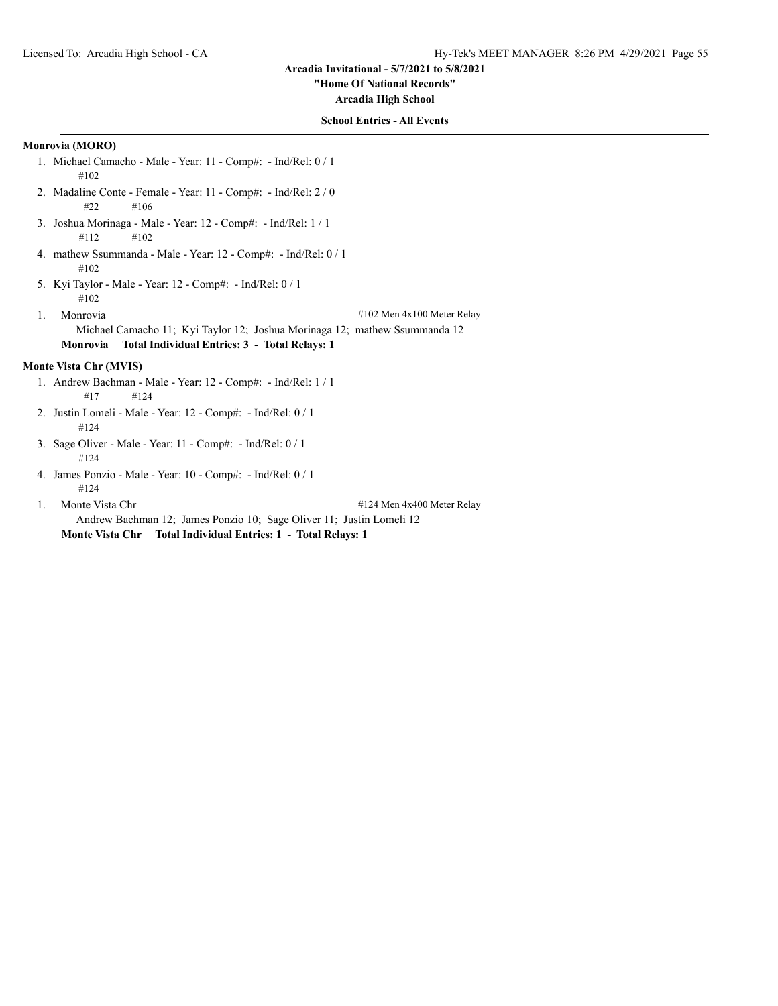**"Home Of National Records"**

**Arcadia High School**

## **School Entries - All Events**

## **Monrovia (MORO)**

- 1. Michael Camacho Male Year: 11 Comp#: Ind/Rel: 0 / 1 #102
- 2. Madaline Conte Female Year: 11 Comp#: Ind/Rel: 2 / 0 #22 #106
- 3. Joshua Morinaga Male Year: 12 Comp#: Ind/Rel: 1 / 1 #112 #102
- 4. mathew Ssummanda Male Year: 12 Comp#: Ind/Rel: 0 / 1 #102
- 5. Kyi Taylor Male Year: 12 Comp#: Ind/Rel: 0 / 1 #102
- 1. Monrovia #102 Men 4x100 Meter Relay Michael Camacho 11; Kyi Taylor 12; Joshua Morinaga 12; mathew Ssummanda 12 **Monrovia Total Individual Entries: 3 - Total Relays: 1**

## **Monte Vista Chr (MVIS)**

- 1. Andrew Bachman Male Year: 12 Comp#: Ind/Rel: 1 / 1 #17 #124
- 2. Justin Lomeli Male Year: 12 Comp#: Ind/Rel: 0 / 1 #124
- 3. Sage Oliver Male Year: 11 Comp#: Ind/Rel: 0 / 1 #124
- 4. James Ponzio Male Year: 10 Comp#: Ind/Rel: 0 / 1 #124
- 

1. Monte Vista Chr  $\#124$  Men 4x400 Meter Relay

Andrew Bachman 12; James Ponzio 10; Sage Oliver 11; Justin Lomeli 12 **Monte Vista Chr Total Individual Entries: 1 - Total Relays: 1**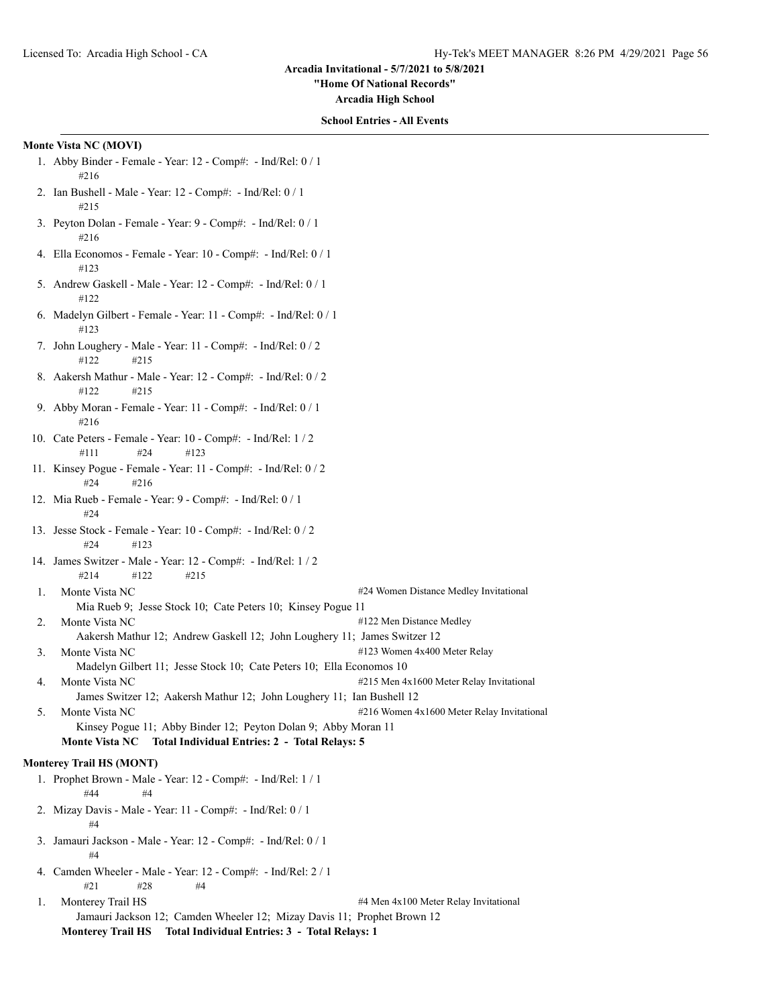**"Home Of National Records"**

**Arcadia High School**

#### **School Entries - All Events**

#### **Monte Vista NC (MOVI)**

- 1. Abby Binder Female Year: 12 Comp#: Ind/Rel: 0 / 1 #216
- 2. Ian Bushell Male Year: 12 Comp#: Ind/Rel: 0 / 1 #215
- 3. Peyton Dolan Female Year: 9 Comp#: Ind/Rel: 0 / 1 #216
- 4. Ella Economos Female Year: 10 Comp#: Ind/Rel: 0 / 1 #123
- 5. Andrew Gaskell Male Year: 12 Comp#: Ind/Rel: 0 / 1 #122
- 6. Madelyn Gilbert Female Year: 11 Comp#: Ind/Rel: 0 / 1 #123
- 7. John Loughery Male Year: 11 Comp#: Ind/Rel: 0 / 2 #122 #215
- 8. Aakersh Mathur Male Year: 12 Comp#: Ind/Rel: 0 / 2 #122 #215
- 9. Abby Moran Female Year: 11 Comp#: Ind/Rel: 0 / 1 #216
- 10. Cate Peters Female Year: 10 Comp#: Ind/Rel: 1 / 2 #111 #24 #123
- 11. Kinsey Pogue Female Year: 11 Comp#: Ind/Rel: 0 / 2 #24 #216
- 12. Mia Rueb Female Year: 9 Comp#: Ind/Rel: 0 / 1 #24
- 13. Jesse Stock Female Year: 10 Comp#: Ind/Rel: 0 / 2 #24 #123
- 14. James Switzer Male Year: 12 Comp#: Ind/Rel: 1 / 2 #214 #122 #215
- 1. Monte Vista NC  $\#24$  Women Distance Medley Invitational Mia Rueb 9; Jesse Stock 10; Cate Peters 10; Kinsey Pogue 11
- 2. Monte Vista NC  $#122$  Men Distance Medley
- Aakersh Mathur 12; Andrew Gaskell 12; John Loughery 11; James Switzer 12 3. Monte Vista NC  $#123$  Women 4x400 Meter Relay
- Madelyn Gilbert 11; Jesse Stock 10; Cate Peters 10; Ella Economos 10
- 4. Monte Vista NC  $\#215$  Men 4x1600 Meter Relay Invitational James Switzer 12; Aakersh Mathur 12; John Loughery 11; Ian Bushell 12
- 5. Monte Vista NC  $\#216$  Women 4x1600 Meter Relay Invitational Kinsey Pogue 11; Abby Binder 12; Peyton Dolan 9; Abby Moran 11 **Monte Vista NC Total Individual Entries: 2 - Total Relays: 5**

## **Monterey Trail HS (MONT)**

- 1. Prophet Brown Male Year: 12 Comp#: Ind/Rel: 1 / 1 #44 #4
- 2. Mizay Davis Male Year: 11 Comp#: Ind/Rel: 0 / 1 #4
- 3. Jamauri Jackson Male Year: 12 Comp#: Ind/Rel: 0 / 1 #4
- 4. Camden Wheeler Male Year: 12 Comp#: Ind/Rel: 2 / 1 #21 #28 #4

1. Monterey Trail HS  $\#4$  Men 4x100 Meter Relay Invitational Jamauri Jackson 12; Camden Wheeler 12; Mizay Davis 11; Prophet Brown 12 **Monterey Trail HS Total Individual Entries: 3 - Total Relays: 1**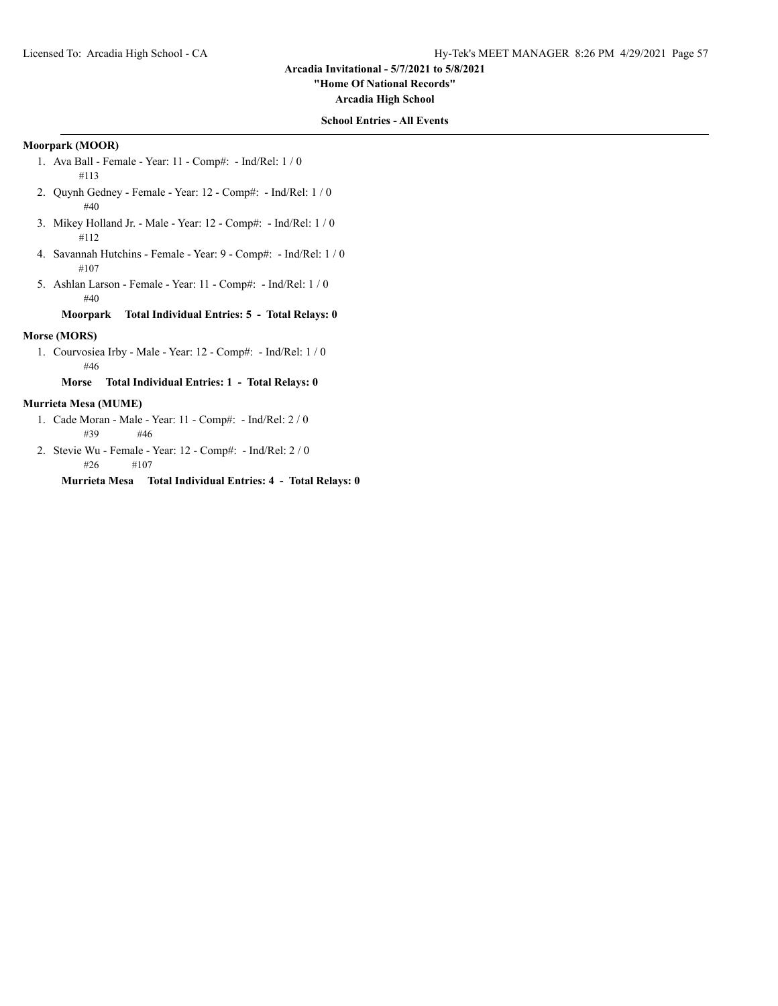**"Home Of National Records"**

**Arcadia High School**

## **School Entries - All Events**

# **Moorpark (MOOR)**

- 1. Ava Ball Female Year: 11 Comp#: Ind/Rel: 1 / 0 #113
- 2. Quynh Gedney Female Year: 12 Comp#: Ind/Rel: 1 / 0 #40
- 3. Mikey Holland Jr. Male Year: 12 Comp#: Ind/Rel: 1 / 0 #112
- 4. Savannah Hutchins Female Year: 9 Comp#: Ind/Rel: 1 / 0 #107
- 5. Ashlan Larson Female Year: 11 Comp#: Ind/Rel: 1 / 0 #40

**Moorpark Total Individual Entries: 5 - Total Relays: 0**

# **Morse (MORS)**

1. Courvosiea Irby - Male - Year: 12 - Comp#: - Ind/Rel: 1 / 0 #46

**Morse Total Individual Entries: 1 - Total Relays: 0**

## **Murrieta Mesa (MUME)**

- 1. Cade Moran Male Year: 11 Comp#: Ind/Rel: 2 / 0 #39 #46
- 2. Stevie Wu Female Year: 12 Comp#: Ind/Rel: 2 / 0 #26 #107

**Murrieta Mesa Total Individual Entries: 4 - Total Relays: 0**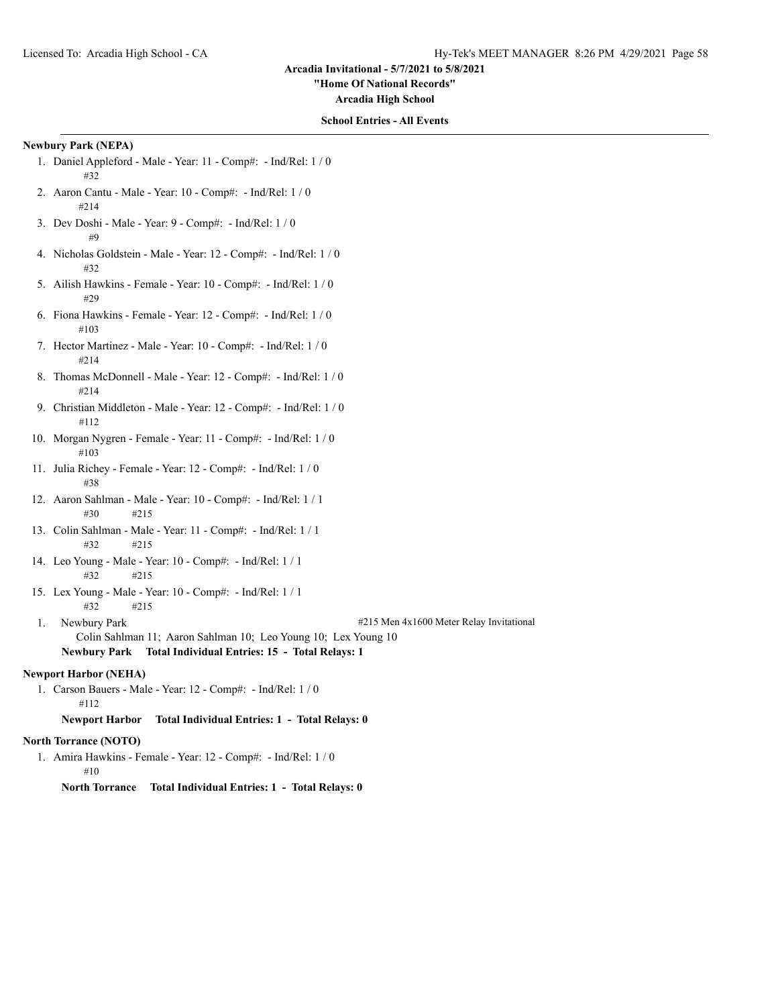**"Home Of National Records"**

**Arcadia High School**

## **School Entries - All Events**

# **Newbury Park (NEPA)**

- 1. Daniel Appleford Male Year: 11 Comp#: Ind/Rel: 1 / 0 #32
- 2. Aaron Cantu Male Year: 10 Comp#: Ind/Rel: 1 / 0 #214
- 3. Dev Doshi Male Year: 9 Comp#: Ind/Rel: 1 / 0 #9
- 4. Nicholas Goldstein Male Year: 12 Comp#: Ind/Rel: 1 / 0 #32
- 5. Ailish Hawkins Female Year: 10 Comp#: Ind/Rel: 1 / 0 #29
- 6. Fiona Hawkins Female Year: 12 Comp#: Ind/Rel: 1 / 0 #103
- 7. Hector Martinez Male Year: 10 Comp#: Ind/Rel: 1 / 0 #214
- 8. Thomas McDonnell Male Year: 12 Comp#: Ind/Rel: 1 / 0 #214
- 9. Christian Middleton Male Year: 12 Comp#: Ind/Rel: 1 / 0 #112
- 10. Morgan Nygren Female Year: 11 Comp#: Ind/Rel: 1 / 0 #103
- 11. Julia Richey Female Year: 12 Comp#: Ind/Rel: 1 / 0 #38
- 12. Aaron Sahlman Male Year: 10 Comp#: Ind/Rel: 1 / 1 #30 #215
- 13. Colin Sahlman Male Year: 11 Comp#: Ind/Rel: 1 / 1 #32 #215
- 14. Leo Young Male Year: 10 Comp#: Ind/Rel: 1 / 1 #32 #215
- 15. Lex Young Male Year: 10 Comp#: Ind/Rel: 1 / 1 #32 #215
- 

1. Newbury Park #215 Men 4x1600 Meter Relay Invitational

Colin Sahlman 11; Aaron Sahlman 10; Leo Young 10; Lex Young 10 **Newbury Park Total Individual Entries: 15 - Total Relays: 1**

## **Newport Harbor (NEHA)**

1. Carson Bauers - Male - Year: 12 - Comp#: - Ind/Rel: 1 / 0 #112

**Newport Harbor Total Individual Entries: 1 - Total Relays: 0**

# **North Torrance (NOTO)**

- 1. Amira Hawkins Female Year: 12 Comp#: Ind/Rel: 1 / 0 #10
	- **North Torrance Total Individual Entries: 1 Total Relays: 0**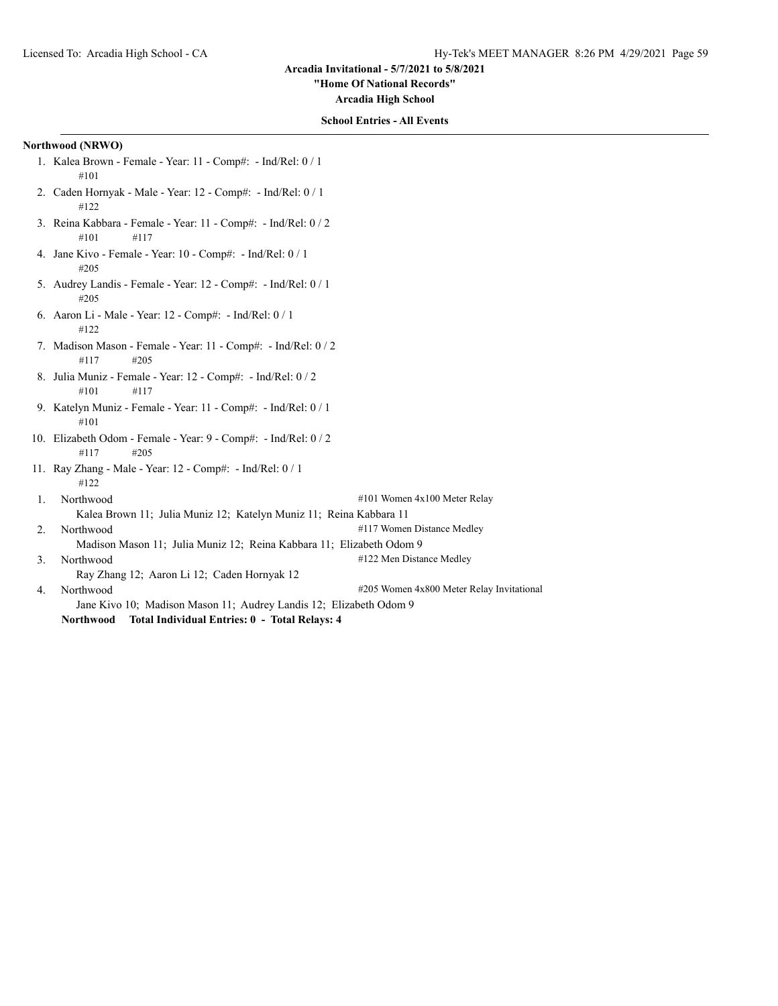**"Home Of National Records"**

**Arcadia High School**

## **School Entries - All Events**

## **Northwood (NRWO)**

- 1. Kalea Brown Female Year: 11 Comp#: Ind/Rel: 0 / 1 #101
- 2. Caden Hornyak Male Year: 12 Comp#: Ind/Rel: 0 / 1 #122
- 3. Reina Kabbara Female Year: 11 Comp#: Ind/Rel: 0 / 2 #101 #117
- 4. Jane Kivo Female Year: 10 Comp#: Ind/Rel: 0 / 1 #205
- 5. Audrey Landis Female Year: 12 Comp#: Ind/Rel: 0 / 1 #205
- 6. Aaron Li Male Year: 12 Comp#: Ind/Rel: 0 / 1 #122
- 7. Madison Mason Female Year: 11 Comp#: Ind/Rel: 0 / 2 #117 #205
- 8. Julia Muniz Female Year: 12 Comp#: Ind/Rel: 0 / 2 #101 #117
- 9. Katelyn Muniz Female Year: 11 Comp#: Ind/Rel: 0 / 1 #101
- 10. Elizabeth Odom Female Year: 9 Comp#: Ind/Rel: 0 / 2 #117 #205
- 11. Ray Zhang Male Year: 12 Comp#: Ind/Rel: 0 / 1 #122

1. Northwood #101 Women 4x100 Meter Relay Kalea Brown 11; Julia Muniz 12; Katelyn Muniz 11; Reina Kabbara 11 2. Northwood #117 Women Distance Medley

Madison Mason 11; Julia Muniz 12; Reina Kabbara 11; Elizabeth Odom 9

3. Northwood #122 Men Distance Medley

Ray Zhang 12; Aaron Li 12; Caden Hornyak 12

4. Northwood **1.2008** Northwood **2.008** Neter Relay Invitational **4205** Women 4x800 Meter Relay Invitational Jane Kivo 10; Madison Mason 11; Audrey Landis 12; Elizabeth Odom 9 **Northwood Total Individual Entries: 0 - Total Relays: 4**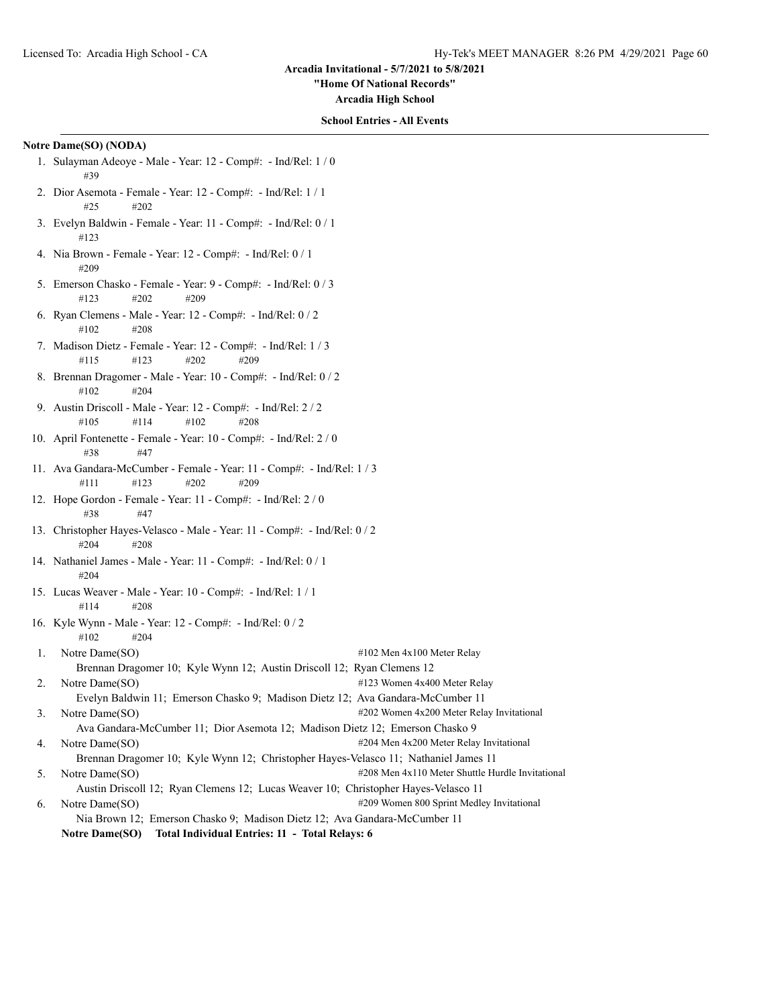**"Home Of National Records"**

**Arcadia High School**

#### **School Entries - All Events**

## **Notre Dame(SO) (NODA)**

- 1. Sulayman Adeoye Male Year: 12 Comp#: Ind/Rel: 1 / 0 #39
- 2. Dior Asemota Female Year: 12 Comp#: Ind/Rel: 1 / 1 #25 #202
- 3. Evelyn Baldwin Female Year: 11 Comp#: Ind/Rel: 0 / 1 #123
- 4. Nia Brown Female Year: 12 Comp#: Ind/Rel: 0 / 1 #209
- 5. Emerson Chasko Female Year: 9 Comp#: Ind/Rel: 0 / 3 #123 #202 #209
- 6. Ryan Clemens Male Year: 12 Comp#: Ind/Rel: 0 / 2 #102 #208
- 7. Madison Dietz Female Year: 12 Comp#: Ind/Rel: 1 / 3 #115 #123 #202 #209
- 8. Brennan Dragomer Male Year: 10 Comp#: Ind/Rel: 0 / 2 #102 #204
- 9. Austin Driscoll Male Year: 12 Comp#: Ind/Rel: 2 / 2 #105 #114 #102 #208
- 10. April Fontenette Female Year: 10 Comp#: Ind/Rel: 2 / 0 #38 #47
- 11. Ava Gandara-McCumber Female Year: 11 Comp#: Ind/Rel: 1 / 3 #111 #123 #202 #209
- 12. Hope Gordon Female Year: 11 Comp#: Ind/Rel: 2 / 0 #38 #47
- 13. Christopher Hayes-Velasco Male Year: 11 Comp#: Ind/Rel: 0 / 2 #204 #208
- 14. Nathaniel James Male Year: 11 Comp#: Ind/Rel: 0 / 1 #204
- 15. Lucas Weaver Male Year: 10 Comp#: Ind/Rel: 1 / 1 #114 #208
- 16. Kyle Wynn Male Year: 12 Comp#: Ind/Rel: 0 / 2 #102 #204
- 1. Notre Dame(SO)  $\#102$  Men 4x100 Meter Relay Brennan Dragomer 10; Kyle Wynn 12; Austin Driscoll 12; Ryan Clemens 12 2. Notre Dame(SO) #123 Women 4x400 Meter Relay
- Evelyn Baldwin 11; Emerson Chasko 9; Madison Dietz 12; Ava Gandara-McCumber 11 3. Notre Dame(SO)  $\#202$  Women 4x200 Meter Relay Invitational
- Ava Gandara-McCumber 11; Dior Asemota 12; Madison Dietz 12; Emerson Chasko 9
- 4. Notre Dame(SO)  $\#204$  Men 4x200 Meter Relay Invitational Brennan Dragomer 10; Kyle Wynn 12; Christopher Hayes-Velasco 11; Nathaniel James 11
- 5. Notre Dame(SO)  $\#208$  Men 4x110 Meter Shuttle Hurdle Invitational
- Austin Driscoll 12; Ryan Clemens 12; Lucas Weaver 10; Christopher Hayes-Velasco 11
- 6. Notre Dame(SO) #209 Women 800 Sprint Medley Invitational Nia Brown 12; Emerson Chasko 9; Madison Dietz 12; Ava Gandara-McCumber 11
	- **Notre Dame(SO) Total Individual Entries: 11 Total Relays: 6**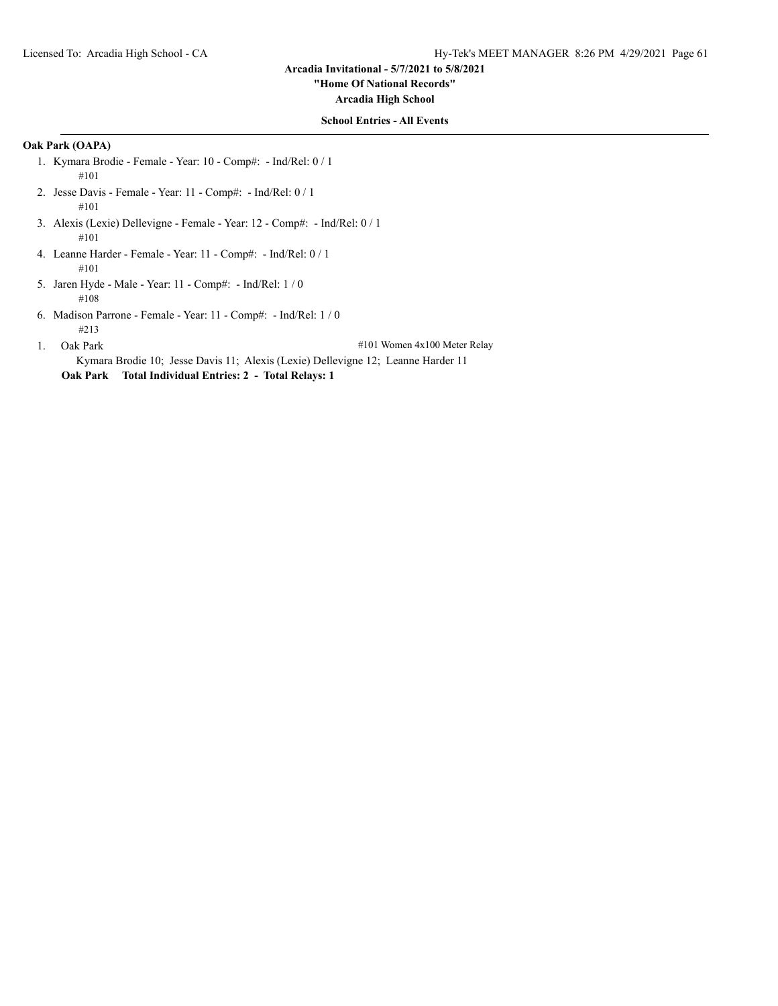# **"Home Of National Records"**

**Arcadia High School**

## **School Entries - All Events**

# **Oak Park (OAPA)**

- 1. Kymara Brodie Female Year: 10 Comp#: Ind/Rel: 0 / 1 #101
- 2. Jesse Davis Female Year: 11 Comp#: Ind/Rel: 0 / 1 #101
- 3. Alexis (Lexie) Dellevigne Female Year: 12 Comp#: Ind/Rel: 0 / 1 #101
- 4. Leanne Harder Female Year: 11 Comp#: Ind/Rel: 0 / 1 #101
- 5. Jaren Hyde Male Year: 11 Comp#: Ind/Rel: 1 / 0 #108
- 6. Madison Parrone Female Year: 11 Comp#: Ind/Rel: 1 / 0 #213
- 

1. Oak Park #101 Women 4x100 Meter Relay

Kymara Brodie 10; Jesse Davis 11; Alexis (Lexie) Dellevigne 12; Leanne Harder 11 **Oak Park Total Individual Entries: 2 - Total Relays: 1**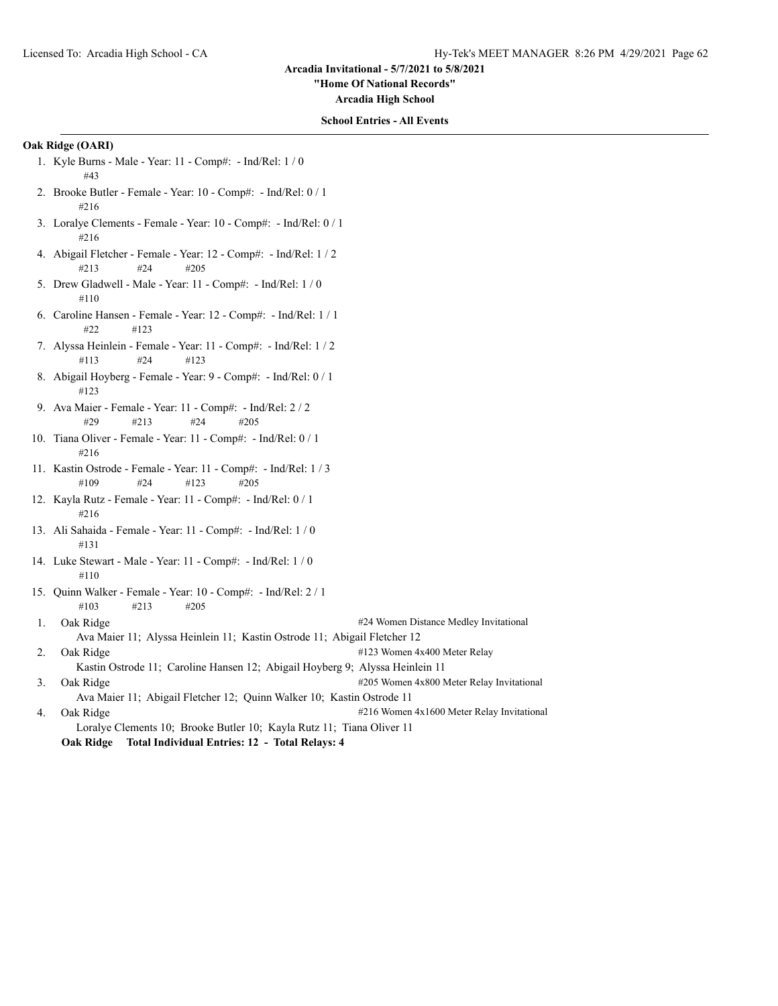**"Home Of National Records"**

**Arcadia High School**

## **School Entries - All Events**

# **Oak Ridge (OARI)**

- 1. Kyle Burns Male Year: 11 Comp#: Ind/Rel: 1 / 0 #43
- 2. Brooke Butler Female Year: 10 Comp#: Ind/Rel: 0 / 1 #216
- 3. Loralye Clements Female Year: 10 Comp#: Ind/Rel: 0 / 1 #216
- 4. Abigail Fletcher Female Year: 12 Comp#: Ind/Rel: 1 / 2 #213 #24 #205
- 5. Drew Gladwell Male Year: 11 Comp#: Ind/Rel: 1 / 0 #110
- 6. Caroline Hansen Female Year: 12 Comp#: Ind/Rel: 1 / 1 #22 #123
- 7. Alyssa Heinlein Female Year: 11 Comp#: Ind/Rel: 1 / 2 #113 #24 #123
- 8. Abigail Hoyberg Female Year: 9 Comp#: Ind/Rel: 0 / 1 #123
- 9. Ava Maier Female Year: 11 Comp#: Ind/Rel: 2 / 2 #29 #213 #24 #205
- 10. Tiana Oliver Female Year: 11 Comp#: Ind/Rel: 0 / 1 #216
- 11. Kastin Ostrode Female Year: 11 Comp#: Ind/Rel: 1 / 3 #109 #24 #123 #205
- 12. Kayla Rutz Female Year: 11 Comp#: Ind/Rel: 0 / 1 #216
- 13. Ali Sahaida Female Year: 11 Comp#: Ind/Rel: 1 / 0 #131
- 14. Luke Stewart Male Year: 11 Comp#: Ind/Rel: 1 / 0 #110
- 15. Quinn Walker Female Year: 10 Comp#: Ind/Rel: 2 / 1 #103 #213 #205

1. Oak Ridge **1.1. Oak Ridge 1.2. In a state of the U.S.** 24 Women Distance Medley Invitational

- Ava Maier 11; Alyssa Heinlein 11; Kastin Ostrode 11; Abigail Fletcher 12
- 2. Oak Ridge  $\frac{4123 \text{ Women } 4x400 \text{ meter} \text{Relay}}{x}$
- Kastin Ostrode 11; Caroline Hansen 12; Abigail Hoyberg 9; Alyssa Heinlein 11 3. Oak Ridge #205 Women 4x800 Meter Relay Invitational Ava Maier 11; Abigail Fletcher 12; Quinn Walker 10; Kastin Ostrode 11
- 4. Oak Ridge **1988** 216 Women 4x1600 Meter Relay Invitational Loralye Clements 10; Brooke Butler 10; Kayla Rutz 11; Tiana Oliver 11
	- **Oak Ridge Total Individual Entries: 12 Total Relays: 4**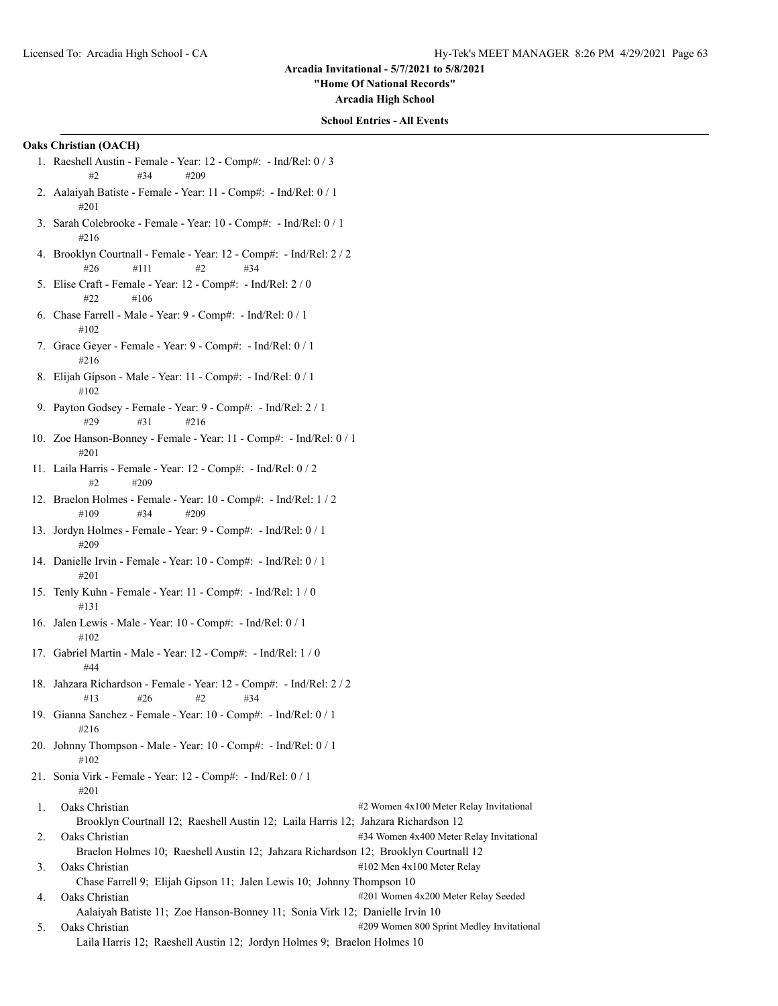**"Home Of National Records"**

**Arcadia High School**

#### **School Entries - All Events**

# **Oaks Christian (OACH)**

- 1. Raeshell Austin Female Year: 12 Comp#: Ind/Rel: 0 / 3 #2 #34 #209
- 2. Aalaiyah Batiste Female Year: 11 Comp#: Ind/Rel: 0 / 1 #201
- 3. Sarah Colebrooke Female Year: 10 Comp#: Ind/Rel: 0 / 1 #216
- 4. Brooklyn Courtnall Female Year: 12 Comp#: Ind/Rel: 2 / 2 #26 #111 #2 #34
- 5. Elise Craft Female Year: 12 Comp#: Ind/Rel: 2 / 0  $#22$   $#106$
- 6. Chase Farrell Male Year: 9 Comp#: Ind/Rel: 0 / 1 #102
- 7. Grace Geyer Female Year: 9 Comp#: Ind/Rel: 0 / 1 #216
- 8. Elijah Gipson Male Year: 11 Comp#: Ind/Rel: 0 / 1 #102
- 9. Payton Godsey Female Year: 9 Comp#: Ind/Rel: 2 / 1 #29 #31 #216
- 10. Zoe Hanson-Bonney Female Year: 11 Comp#: Ind/Rel: 0 / 1 #201
- 11. Laila Harris Female Year: 12 Comp#: Ind/Rel: 0 / 2 #2 #209
- 12. Braelon Holmes Female Year: 10 Comp#: Ind/Rel: 1 / 2 #109 #34 #209
- 13. Jordyn Holmes Female Year: 9 Comp#: Ind/Rel: 0 / 1 #209
- 14. Danielle Irvin Female Year: 10 Comp#: Ind/Rel: 0 / 1 #201
- 15. Tenly Kuhn Female Year: 11 Comp#: Ind/Rel: 1 / 0 #131
- 16. Jalen Lewis Male Year: 10 Comp#: Ind/Rel: 0 / 1 #102
- 17. Gabriel Martin Male Year: 12 Comp#: Ind/Rel: 1 / 0 #44
- 18. Jahzara Richardson Female Year: 12 Comp#: Ind/Rel: 2 / 2 #13 #26 #2 #34
- 19. Gianna Sanchez Female Year: 10 Comp#: Ind/Rel: 0 / 1 #216
- 20. Johnny Thompson Male Year: 10 Comp#: Ind/Rel: 0 / 1 #102
- 21. Sonia Virk Female Year: 12 Comp#: Ind/Rel: 0 / 1 #201
- 1. Oaks Christian #2 Women 4x100 Meter Relay Invitational Brooklyn Courtnall 12; Raeshell Austin 12; Laila Harris 12; Jahzara Richardson 12 2. Oaks Christian #34 Women 4x400 Meter Relay Invitational Braelon Holmes 10; Raeshell Austin 12; Jahzara Richardson 12; Brooklyn Courtnall 12
- 3. Oaks Christian #102 Men 4x100 Meter Relay Chase Farrell 9; Elijah Gipson 11; Jalen Lewis 10; Johnny Thompson 10 4. Oaks Christian #201 Women 4x200 Meter Relay Seeded

Aalaiyah Batiste 11; Zoe Hanson-Bonney 11; Sonia Virk 12; Danielle Irvin 10

5. Oaks Christian **5.** Oaks Christian **200** Women 800 Sprint Medley Invitational Laila Harris 12; Raeshell Austin 12; Jordyn Holmes 9; Braelon Holmes 10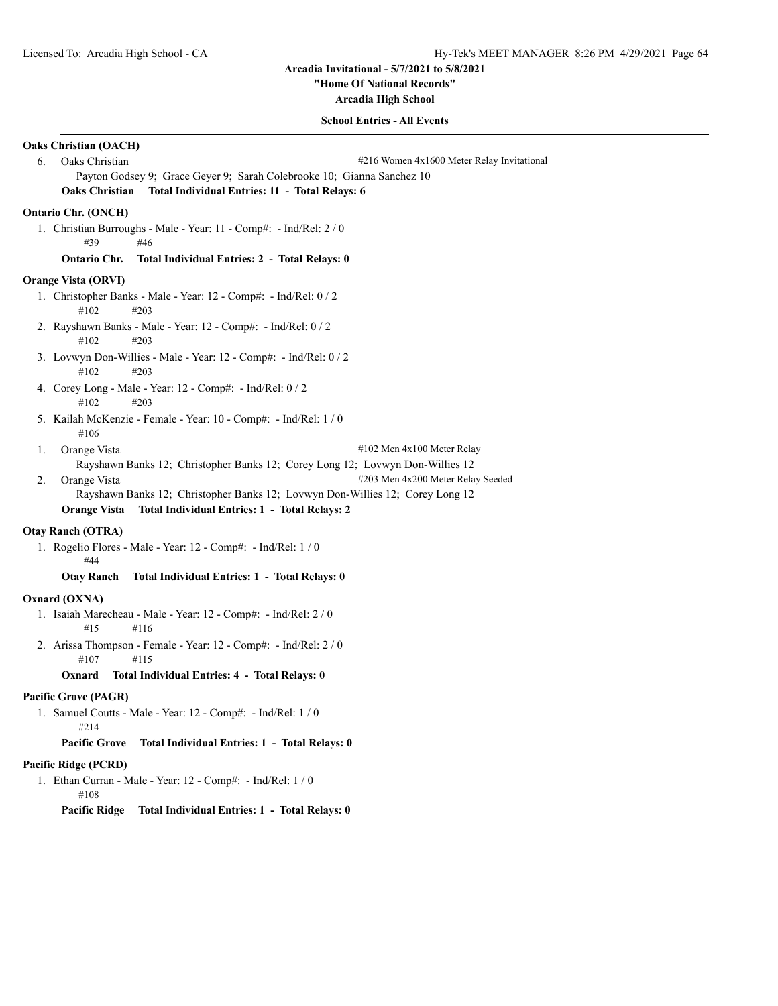**"Home Of National Records"**

**Arcadia High School**

# **School Entries - All Events**

| <b>Oaks Christian (OACH)</b>                                                      |  |  |  |
|-----------------------------------------------------------------------------------|--|--|--|
| Oaks Christian<br>6.<br>#216 Women 4x1600 Meter Relay Invitational                |  |  |  |
| Payton Godsey 9; Grace Geyer 9; Sarah Colebrooke 10; Gianna Sanchez 10            |  |  |  |
| <b>Oaks Christian</b><br>Total Individual Entries: 11 - Total Relays: 6           |  |  |  |
| <b>Ontario Chr. (ONCH)</b>                                                        |  |  |  |
| 1. Christian Burroughs - Male - Year: 11 - Comp#: - Ind/Rel: 2 / 0<br>#39<br>#46  |  |  |  |
| <b>Ontario Chr.</b><br>Total Individual Entries: 2 - Total Relays: 0              |  |  |  |
| <b>Orange Vista (ORVI)</b>                                                        |  |  |  |
| 1. Christopher Banks - Male - Year: 12 - Comp#: - Ind/Rel: 0 / 2<br>#203<br>#102  |  |  |  |
| 2. Rayshawn Banks - Male - Year: 12 - Comp#: - Ind/Rel: 0 / 2<br>#102<br>#203     |  |  |  |
| 3. Lovwyn Don-Willies - Male - Year: 12 - Comp#: - Ind/Rel: 0 / 2<br>#102<br>#203 |  |  |  |
| 4. Corey Long - Male - Year: 12 - Comp#: - Ind/Rel: 0 / 2<br>#102<br>#203         |  |  |  |
| 5. Kailah McKenzie - Female - Year: 10 - Comp#: - Ind/Rel: 1 / 0<br>#106          |  |  |  |
| #102 Men 4x100 Meter Relay<br>1.<br>Orange Vista                                  |  |  |  |
| Rayshawn Banks 12; Christopher Banks 12; Corey Long 12; Lovwyn Don-Willies 12     |  |  |  |
| #203 Men 4x200 Meter Relay Seeded<br>2.<br>Orange Vista                           |  |  |  |
| Rayshawn Banks 12; Christopher Banks 12; Lovwyn Don-Willies 12; Corey Long 12     |  |  |  |
| <b>Orange Vista</b><br>Total Individual Entries: 1 - Total Relays: 2              |  |  |  |
| <b>Otay Ranch (OTRA)</b>                                                          |  |  |  |
| 1. Rogelio Flores - Male - Year: 12 - Comp#: - Ind/Rel: 1 / 0<br>#44              |  |  |  |
| <b>Otav Ranch</b><br>Total Individual Entries: 1 - Total Relays: 0                |  |  |  |
| Oxnard (OXNA)                                                                     |  |  |  |
| 1. Isaiah Marecheau - Male - Year: 12 - Comp#: - Ind/Rel: 2 / 0<br>#15<br>#116    |  |  |  |
| 2. Arissa Thompson - Female - Year: 12 - Comp#: - Ind/Rel: 2 / 0<br>#107<br>#115  |  |  |  |
| Oxnard<br>Total Individual Entries: 4 - Total Relays: 0                           |  |  |  |
| Pacific Grove (PAGR)                                                              |  |  |  |
| 1. Samuel Coutts - Male - Year: 12 - Comp#: - Ind/Rel: 1 / 0<br>#214              |  |  |  |
| <b>Pacific Grove</b><br>Total Individual Entries: 1 - Total Relays: 0             |  |  |  |

# **Pacific Ridge (PCRD)**

1. Ethan Curran - Male - Year: 12 - Comp#: - Ind/Rel: 1 / 0 #108

**Pacific Ridge Total Individual Entries: 1 - Total Relays: 0**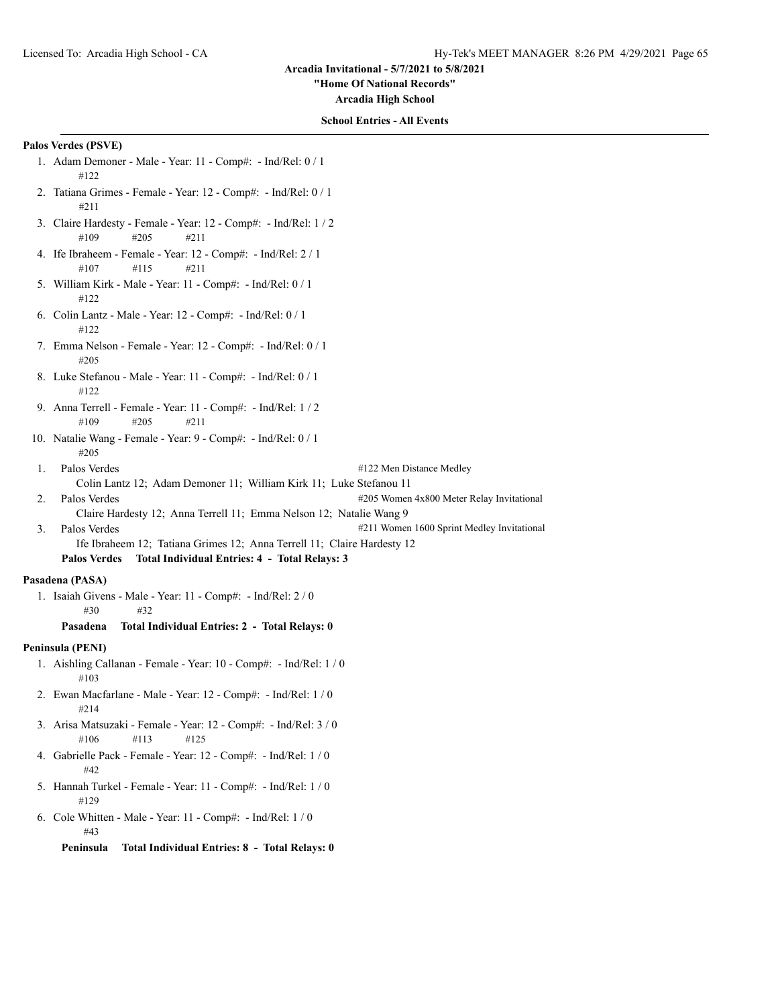#### **"Home Of National Records"**

**Arcadia High School**

## **School Entries - All Events**

## **Palos Verdes (PSVE)**

- 1. Adam Demoner Male Year: 11 Comp#: Ind/Rel: 0 / 1 #122
- 2. Tatiana Grimes Female Year: 12 Comp#: Ind/Rel: 0 / 1 #211
- 3. Claire Hardesty Female Year: 12 Comp#: Ind/Rel: 1 / 2 #109 #205 #211
- 4. Ife Ibraheem Female Year: 12 Comp#: Ind/Rel: 2 / 1 #107 #115 #211
- 5. William Kirk Male Year: 11 Comp#: Ind/Rel: 0 / 1 #122
- 6. Colin Lantz Male Year: 12 Comp#: Ind/Rel: 0 / 1 #122
- 7. Emma Nelson Female Year: 12 Comp#: Ind/Rel: 0 / 1 #205
- 8. Luke Stefanou Male Year: 11 Comp#: Ind/Rel: 0 / 1 #122
- 9. Anna Terrell Female Year: 11 Comp#: Ind/Rel: 1 / 2 #109 #205 #211
- 10. Natalie Wang Female Year: 9 Comp#: Ind/Rel: 0 / 1 #205
- 1. Palos Verdes #122 Men Distance Medley Colin Lantz 12; Adam Demoner 11; William Kirk 11; Luke Stefanou 11
- 2. Palos Verdes #205 Women 4x800 Meter Relay Invitational
	- Claire Hardesty 12; Anna Terrell 11; Emma Nelson 12; Natalie Wang 9
- 3. Palos Verdes #211 Women 1600 Sprint Medley Invitational
	- Ife Ibraheem 12; Tatiana Grimes 12; Anna Terrell 11; Claire Hardesty 12
		- **Palos Verdes Total Individual Entries: 4 Total Relays: 3**

# **Pasadena (PASA)**

- 1. Isaiah Givens Male Year: 11 Comp#: Ind/Rel: 2 / 0 #30 #32
	- **Pasadena Total Individual Entries: 2 Total Relays: 0**

#### **Peninsula (PENI)**

- 1. Aishling Callanan Female Year: 10 Comp#: Ind/Rel: 1 / 0 #103
- 2. Ewan Macfarlane Male Year: 12 Comp#: Ind/Rel: 1 / 0 #214
- 3. Arisa Matsuzaki Female Year: 12 Comp#: Ind/Rel: 3 / 0 #106 #113 #125
- 4. Gabrielle Pack Female Year: 12 Comp#: Ind/Rel: 1 / 0 #42
- 5. Hannah Turkel Female Year: 11 Comp#: Ind/Rel: 1 / 0 #129
- 6. Cole Whitten Male Year: 11 Comp#: Ind/Rel: 1 / 0 #43

**Peninsula Total Individual Entries: 8 - Total Relays: 0**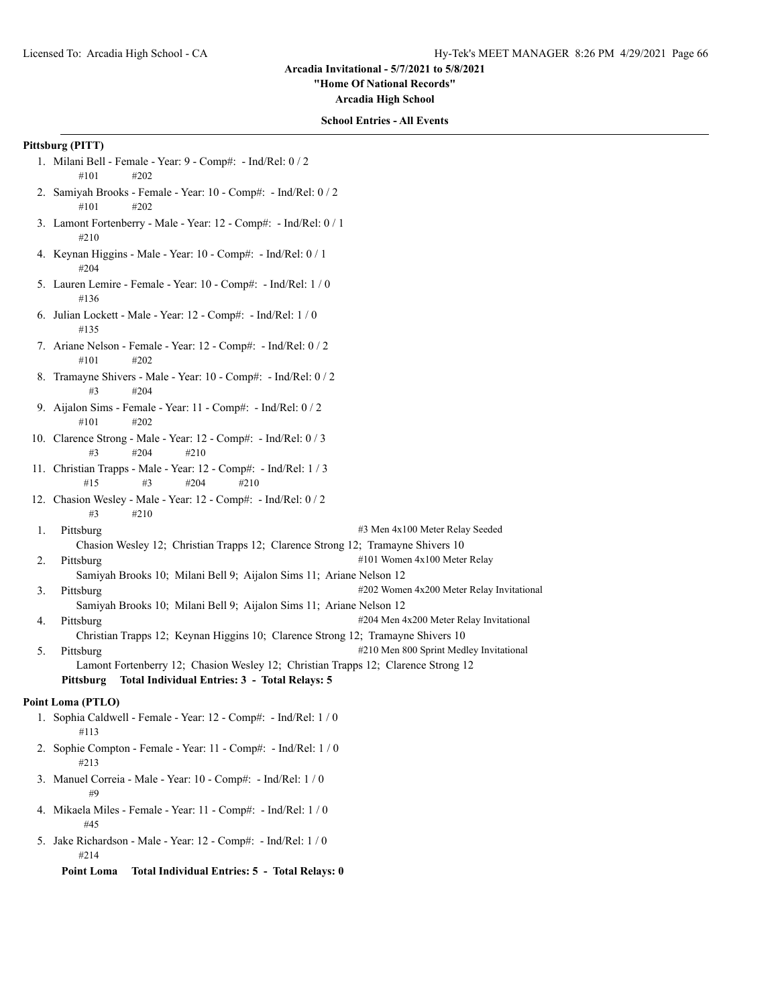#### **"Home Of National Records"**

**Arcadia High School**

## **School Entries - All Events**

#### **Pittsburg (PITT)**

- 1. Milani Bell Female Year: 9 Comp#: Ind/Rel: 0 / 2 #101 #202
- 2. Samiyah Brooks Female Year: 10 Comp#: Ind/Rel: 0 / 2 #101 #202
- 3. Lamont Fortenberry Male Year: 12 Comp#: Ind/Rel: 0 / 1 #210
- 4. Keynan Higgins Male Year: 10 Comp#: Ind/Rel: 0 / 1 #204
- 5. Lauren Lemire Female Year: 10 Comp#: Ind/Rel: 1 / 0 #136
- 6. Julian Lockett Male Year: 12 Comp#: Ind/Rel: 1 / 0 #135
- 7. Ariane Nelson Female Year: 12 Comp#: Ind/Rel: 0 / 2 #101 #202
- 8. Tramayne Shivers Male Year: 10 Comp#: Ind/Rel: 0 / 2 #3 #204
- 9. Aijalon Sims Female Year: 11 Comp#: Ind/Rel: 0 / 2 #101 #202
- 10. Clarence Strong Male Year: 12 Comp#: Ind/Rel: 0 / 3 #3 #204 #210
- 11. Christian Trapps Male Year: 12 Comp#: Ind/Rel: 1 / 3 #15 #3 #204 #210
- 12. Chasion Wesley Male Year: 12 Comp#: Ind/Rel: 0 / 2 #3 #210
- 1. Pittsburg #3 Men 4x100 Meter Relay Seeded Chasion Wesley 12; Christian Trapps 12; Clarence Strong 12; Tramayne Shivers 10
- 2. Pittsburg  $\qquad$   $\qquad$  Pittsburg  $\qquad$   $\qquad$   $\qquad$   $\qquad$   $\qquad$   $\qquad$   $\qquad$   $\qquad$   $\qquad$   $\qquad$   $\qquad$   $\qquad$   $\qquad$   $\qquad$   $\qquad$   $\qquad$   $\qquad$   $\qquad$   $\qquad$   $\qquad$   $\qquad$   $\qquad$   $\qquad$   $\qquad$   $\qquad$   $\qquad$   $\qquad$   $\qquad$   $\qquad$   $\qquad$   $\qquad$ 
	- Samiyah Brooks 10; Milani Bell 9; Aijalon Sims 11; Ariane Nelson 12
- 3. Pittsburg **Example 202** Women 4x200 Meter Relay Invitational Samiyah Brooks 10; Milani Bell 9; Aijalon Sims 11; Ariane Nelson 12 4. Pittsburg **1988** 1204 Men 4x200 Meter Relay Invitational
	- Christian Trapps 12; Keynan Higgins 10; Clarence Strong 12; Tramayne Shivers 10
- 5. Pittsburg **Example 2018** 1210 Men 800 Sprint Medley Invitational Lamont Fortenberry 12; Chasion Wesley 12; Christian Trapps 12; Clarence Strong 12 **Pittsburg Total Individual Entries: 3 - Total Relays: 5**

# **Point Loma (PTLO)**

- 1. Sophia Caldwell Female Year: 12 Comp#: Ind/Rel: 1 / 0 #113
- 2. Sophie Compton Female Year: 11 Comp#: Ind/Rel: 1 / 0 #213
- 3. Manuel Correia Male Year: 10 Comp#: Ind/Rel: 1 / 0 #9
- 4. Mikaela Miles Female Year: 11 Comp#: Ind/Rel: 1 / 0 #45
- 5. Jake Richardson Male Year: 12 Comp#: Ind/Rel: 1 / 0 #214

**Point Loma Total Individual Entries: 5 - Total Relays: 0**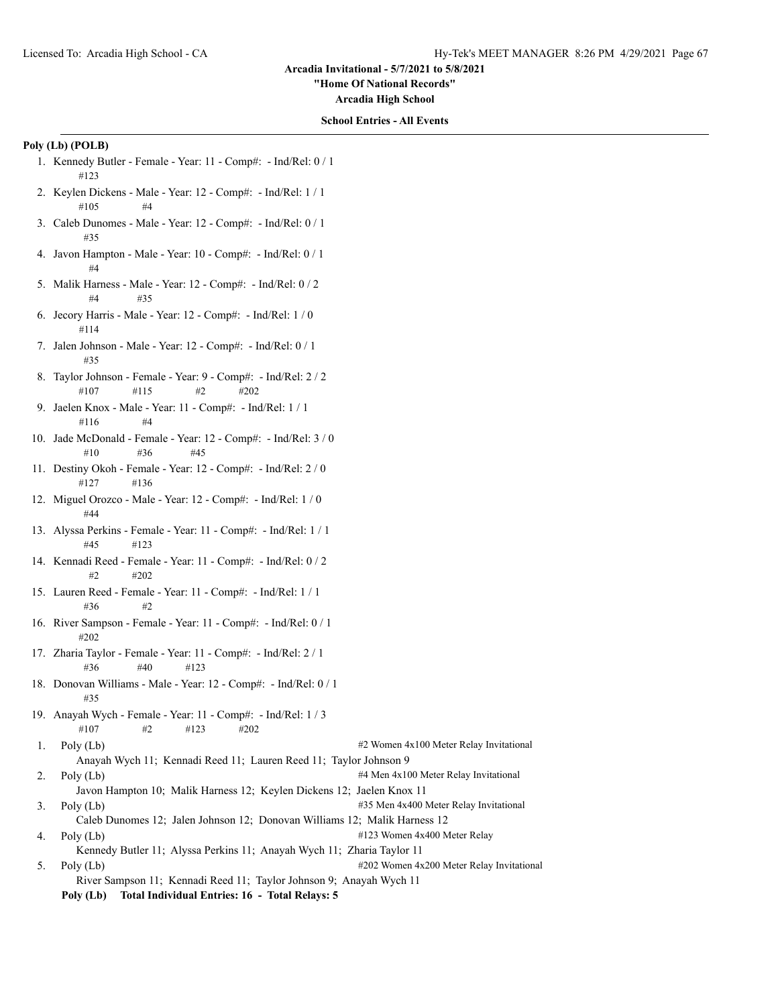**"Home Of National Records"**

**Arcadia High School**

## **School Entries - All Events**

# **Poly (Lb) (POLB)**

- 1. Kennedy Butler Female Year: 11 Comp#: Ind/Rel: 0 / 1 #123
- 2. Keylen Dickens Male Year: 12 Comp#: Ind/Rel: 1 / 1  $\#105$   $\#4$
- 3. Caleb Dunomes Male Year: 12 Comp#: Ind/Rel: 0 / 1 #35
- 4. Javon Hampton Male Year: 10 Comp#: Ind/Rel: 0 / 1 #4
- 5. Malik Harness Male Year: 12 Comp#: Ind/Rel: 0 / 2  $#4 + 35$
- 6. Jecory Harris Male Year: 12 Comp#: Ind/Rel: 1 / 0 #114
- 7. Jalen Johnson Male Year: 12 Comp#: Ind/Rel: 0 / 1 #35
- 8. Taylor Johnson Female Year: 9 Comp#: Ind/Rel: 2 / 2 #107 #115 #2 #202
- 9. Jaelen Knox Male Year: 11 Comp#: Ind/Rel: 1 / 1 #116 #4
- 10. Jade McDonald Female Year: 12 Comp#: Ind/Rel: 3 / 0 #10 #36 #45
- 11. Destiny Okoh Female Year: 12 Comp#: Ind/Rel: 2 / 0 #127 #136
- 12. Miguel Orozco Male Year: 12 Comp#: Ind/Rel: 1 / 0 #44
- 13. Alyssa Perkins Female Year: 11 Comp#: Ind/Rel: 1 / 1 #45 #123
- 14. Kennadi Reed Female Year: 11 Comp#: Ind/Rel: 0 / 2 #2 #202
- 15. Lauren Reed Female Year: 11 Comp#: Ind/Rel: 1 / 1 #36 #2
- 16. River Sampson Female Year: 11 Comp#: Ind/Rel: 0 / 1 #202
- 17. Zharia Taylor Female Year: 11 Comp#: Ind/Rel: 2 / 1 #36 #40 #123
- 18. Donovan Williams Male Year: 12 Comp#: Ind/Rel: 0 / 1 #35
- 19. Anayah Wych Female Year: 11 Comp#: Ind/Rel: 1 / 3 #107 #2 #123 #202
- 1. Poly (Lb) #2 Women 4x100 Meter Relay Invitational Anayah Wych 11; Kennadi Reed 11; Lauren Reed 11; Taylor Johnson 9 2. Poly (Lb) #4 Men 4x100 Meter Relay Invitational
- Javon Hampton 10; Malik Harness 12; Keylen Dickens 12; Jaelen Knox 11 3. Poly (Lb) #35 Men 4x400 Meter Relay Invitational
- Caleb Dunomes 12; Jalen Johnson 12; Donovan Williams 12; Malik Harness 12 4. Poly (Lb)  $\qquad$  #123 Women 4x400 Meter Relay
- Kennedy Butler 11; Alyssa Perkins 11; Anayah Wych 11; Zharia Taylor 11 5. Poly (Lb)  $\#202$  Women 4x200 Meter Relay Invitational
- River Sampson 11; Kennadi Reed 11; Taylor Johnson 9; Anayah Wych 11 **Poly (Lb) Total Individual Entries: 16 - Total Relays: 5**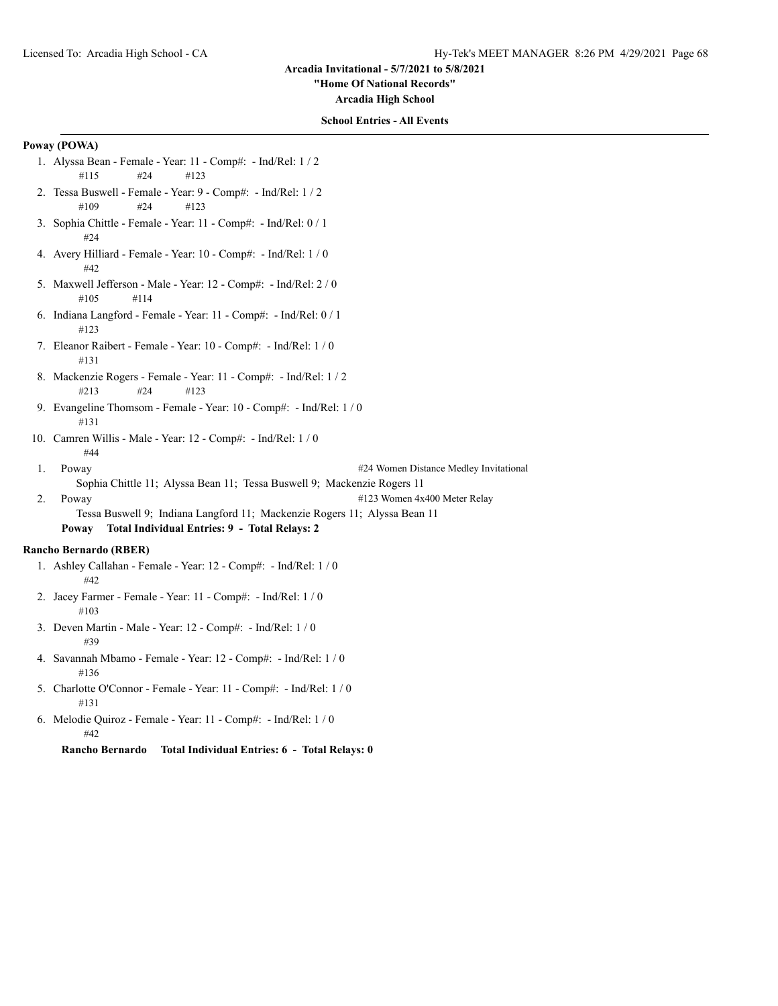**"Home Of National Records"**

**Arcadia High School**

## **School Entries - All Events**

# **Poway (POWA)**

- 1. Alyssa Bean Female Year: 11 Comp#: Ind/Rel: 1 / 2 #115 #24 #123
- 2. Tessa Buswell Female Year: 9 Comp#: Ind/Rel: 1 / 2 #109 #24 #123
- 3. Sophia Chittle Female Year: 11 Comp#: Ind/Rel: 0 / 1 #24
- 4. Avery Hilliard Female Year: 10 Comp#: Ind/Rel: 1 / 0 #42
- 5. Maxwell Jefferson Male Year: 12 Comp#: Ind/Rel: 2 / 0 #105 #114
- 6. Indiana Langford Female Year: 11 Comp#: Ind/Rel: 0 / 1 #123
- 7. Eleanor Raibert Female Year: 10 Comp#: Ind/Rel: 1 / 0 #131
- 8. Mackenzie Rogers Female Year: 11 Comp#: Ind/Rel: 1 / 2 #213 #24 #123
- 9. Evangeline Thomsom Female Year: 10 Comp#: Ind/Rel: 1 / 0 #131
- 10. Camren Willis Male Year: 12 Comp#: Ind/Rel: 1 / 0 #44
- 1. Poway **2018** Poway **2018** Poway **2018** Poway **2018** Poway **21 Distance Medley Invitational** Sophia Chittle 11; Alyssa Bean 11; Tessa Buswell 9; Mackenzie Rogers 11
- 2. Poway  $\frac{4123 \text{ Women } 4x400 \text{meter}$  Relay

Tessa Buswell 9; Indiana Langford 11; Mackenzie Rogers 11; Alyssa Bean 11 **Poway Total Individual Entries: 9 - Total Relays: 2**

#### **Rancho Bernardo (RBER)**

- 1. Ashley Callahan Female Year: 12 Comp#: Ind/Rel: 1 / 0 #42
- 2. Jacey Farmer Female Year: 11 Comp#: Ind/Rel: 1 / 0 #103
- 3. Deven Martin Male Year: 12 Comp#: Ind/Rel: 1 / 0 #39
- 4. Savannah Mbamo Female Year: 12 Comp#: Ind/Rel: 1 / 0 #136
- 5. Charlotte O'Connor Female Year: 11 Comp#: Ind/Rel: 1 / 0 #131
- 6. Melodie Quiroz Female Year: 11 Comp#: Ind/Rel: 1 / 0 #42

**Rancho Bernardo Total Individual Entries: 6 - Total Relays: 0**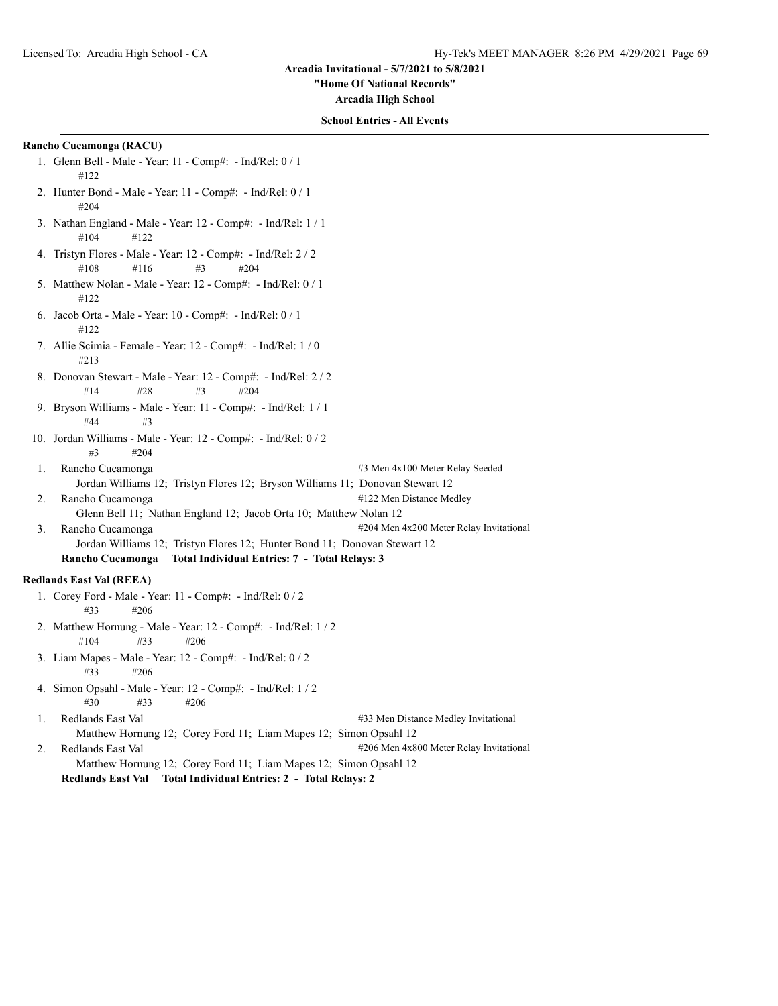**"Home Of National Records"**

**Arcadia High School**

## **School Entries - All Events**

## **Rancho Cucamonga (RACU)**

- 1. Glenn Bell Male Year: 11 Comp#: Ind/Rel: 0 / 1 #122
- 2. Hunter Bond Male Year: 11 Comp#: Ind/Rel: 0 / 1 #204
- 3. Nathan England Male Year: 12 Comp#: Ind/Rel: 1 / 1 #104 #122
- 4. Tristyn Flores Male Year: 12 Comp#: Ind/Rel: 2 / 2 #108 #116 #3 #204
- 5. Matthew Nolan Male Year: 12 Comp#: Ind/Rel: 0 / 1 #122
- 6. Jacob Orta Male Year: 10 Comp#: Ind/Rel: 0 / 1 #122
- 7. Allie Scimia Female Year: 12 Comp#: Ind/Rel: 1 / 0 #213
- 8. Donovan Stewart Male Year: 12 Comp#: Ind/Rel: 2 / 2 #14 #28 #3 #204
- 9. Bryson Williams Male Year: 11 Comp#: Ind/Rel: 1 / 1  $#44$   $#3$
- 10. Jordan Williams Male Year: 12 Comp#: Ind/Rel: 0 / 2 #3 #204
- 1. Rancho Cucamonga **1. 1. 1. Rancho Cucamonga 43 Men 4x100 Meter Relay Seeded** Jordan Williams 12; Tristyn Flores 12; Bryson Williams 11; Donovan Stewart 12 2. Rancho Cucamonga **122 Men** Distance Medley Glenn Bell 11; Nathan England 12; Jacob Orta 10; Matthew Nolan 12 3. Rancho Cucamonga **1988** Men 4x200 Meter Relay Invitational
- Jordan Williams 12; Tristyn Flores 12; Hunter Bond 11; Donovan Stewart 12 **Rancho Cucamonga Total Individual Entries: 7 - Total Relays: 3**

## **Redlands East Val (REEA)**

- 1. Corey Ford Male Year: 11 Comp#: Ind/Rel: 0 / 2 #33 #206
- 2. Matthew Hornung Male Year: 12 Comp#: Ind/Rel: 1 / 2 #104 #33 #206
- 3. Liam Mapes Male Year: 12 Comp#: Ind/Rel: 0 / 2 #33 #206
- 4. Simon Opsahl Male Year: 12 Comp#: Ind/Rel: 1 / 2  $\#30 \qquad \#33 \qquad \#206$
- 1. Redlands East Val #33 Men Distance Medley Invitational Matthew Hornung 12; Corey Ford 11; Liam Mapes 12; Simon Opsahl 12 2. Redlands East Val #206 Men 4x800 Meter Relay Invitational Matthew Hornung 12; Corey Ford 11; Liam Mapes 12; Simon Opsahl 12
	- **Redlands East Val Total Individual Entries: 2 Total Relays: 2**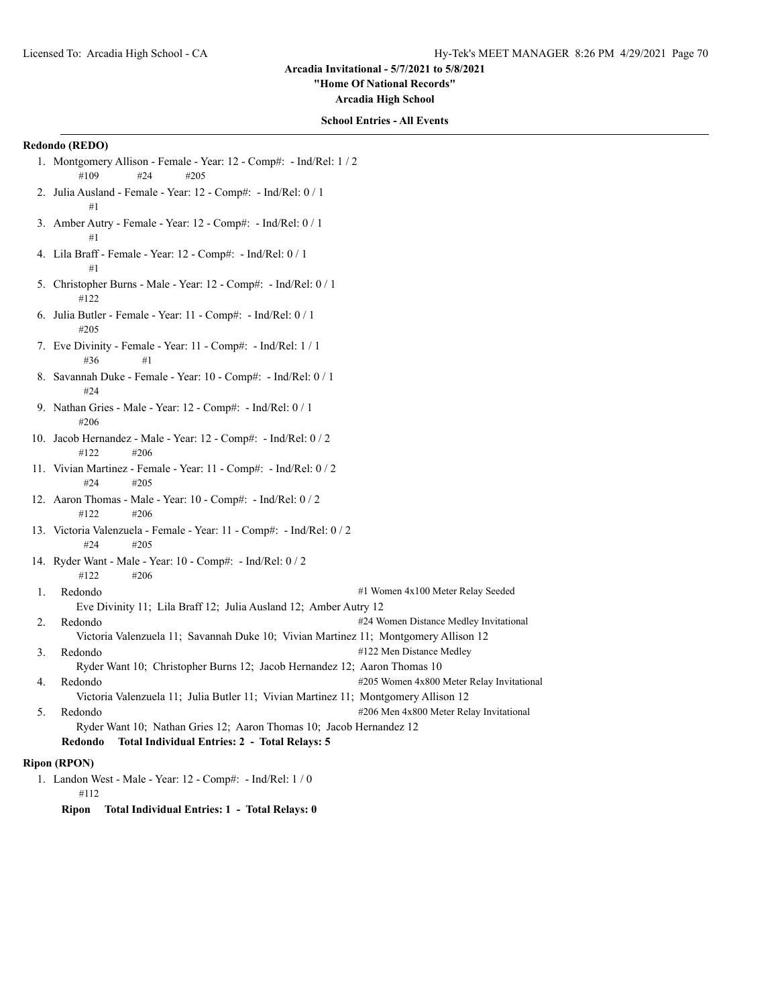**"Home Of National Records"**

**Arcadia High School**

## **School Entries - All Events**

## **Redondo (REDO)**

- 1. Montgomery Allison Female Year: 12 Comp#: Ind/Rel: 1 / 2 #109 #24 #205
- 2. Julia Ausland Female Year: 12 Comp#: Ind/Rel: 0 / 1 #1
- 3. Amber Autry Female Year: 12 Comp#: Ind/Rel: 0 / 1 #1
- 4. Lila Braff Female Year: 12 Comp#: Ind/Rel: 0 / 1 #1
- 5. Christopher Burns Male Year: 12 Comp#: Ind/Rel: 0 / 1 #122
- 6. Julia Butler Female Year: 11 Comp#: Ind/Rel: 0 / 1 #205
- 7. Eve Divinity Female Year: 11 Comp#: Ind/Rel: 1 / 1 #36 #1
- 8. Savannah Duke Female Year: 10 Comp#: Ind/Rel: 0 / 1 #24
- 9. Nathan Gries Male Year: 12 Comp#: Ind/Rel: 0 / 1 #206
- 10. Jacob Hernandez Male Year: 12 Comp#: Ind/Rel: 0 / 2 #122 #206
- 11. Vivian Martinez Female Year: 11 Comp#: Ind/Rel: 0 / 2 #24 #205
- 12. Aaron Thomas Male Year: 10 Comp#: Ind/Rel: 0 / 2 #122 #206
- 13. Victoria Valenzuela Female Year: 11 Comp#: Ind/Rel: 0 / 2 #24 #205
- 14. Ryder Want Male Year: 10 Comp#: Ind/Rel: 0 / 2 #122 #206
- 
- 1. Redondo #1 Women 4x100 Meter Relay Seeded Eve Divinity 11; Lila Braff 12; Julia Ausland 12; Amber Autry 12
- 2. Redondo **2. Automobilism and 24 Women Distance Medley Invitational**
- Victoria Valenzuela 11; Savannah Duke 10; Vivian Martinez 11; Montgomery Allison 12
- 3. Redondo #122 Men Distance Medley
- Ryder Want 10; Christopher Burns 12; Jacob Hernandez 12; Aaron Thomas 10 4. Redondo **1205 Women 4x800 Meter Relay Invitational** Victoria Valenzuela 11; Julia Butler 11; Vivian Martinez 11; Montgomery Allison 12
- 5. Redondo **1206 Men 4x800 Meter Relay Invitational** Ryder Want 10; Nathan Gries 12; Aaron Thomas 10; Jacob Hernandez 12 **Redondo Total Individual Entries: 2 - Total Relays: 5**

# **Ripon (RPON)**

1. Landon West - Male - Year: 12 - Comp#: - Ind/Rel: 1 / 0 #112

**Ripon Total Individual Entries: 1 - Total Relays: 0**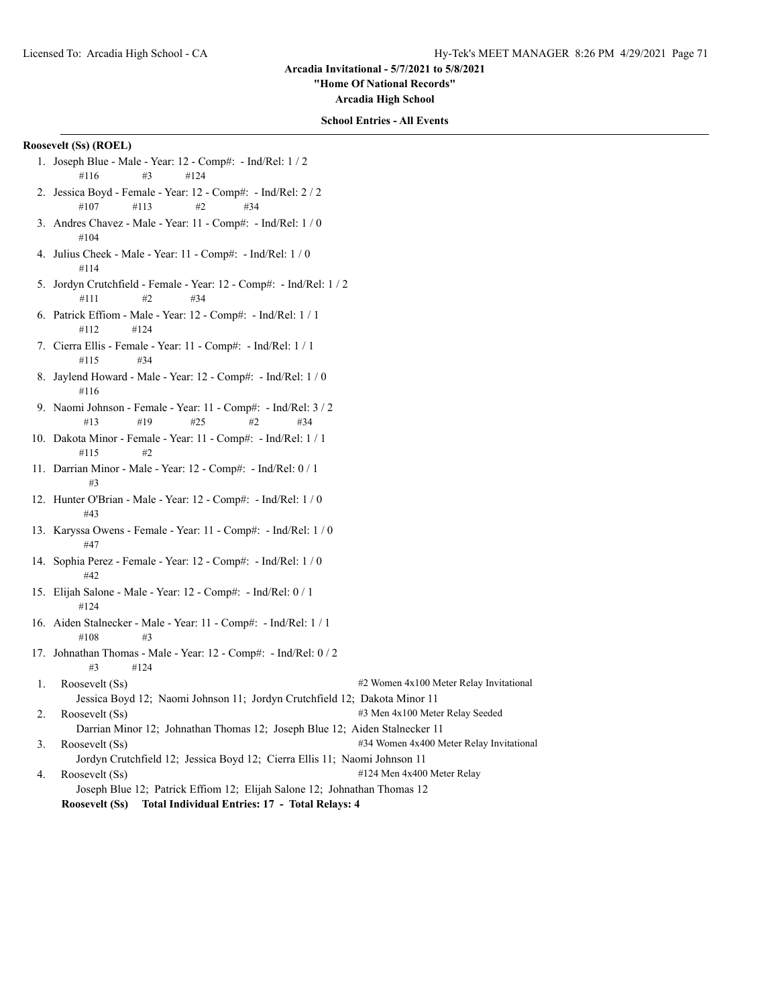**"Home Of National Records"**

**Arcadia High School**

## **School Entries - All Events**

# **Roosevelt (Ss) (ROEL)**

- 1. Joseph Blue Male Year: 12 Comp#: Ind/Rel: 1 / 2 #116 #3 #124
- 2. Jessica Boyd Female Year: 12 Comp#: Ind/Rel: 2 / 2 #107 #113 #2 #34
- 3. Andres Chavez Male Year: 11 Comp#: Ind/Rel: 1 / 0 #104
- 4. Julius Cheek Male Year: 11 Comp#: Ind/Rel: 1 / 0 #114
- 5. Jordyn Crutchfield Female Year: 12 Comp#: Ind/Rel: 1 / 2  $\#111$   $\#2$   $\#34$
- 6. Patrick Effiom Male Year: 12 Comp#: Ind/Rel: 1 / 1 #112 #124
- 7. Cierra Ellis Female Year: 11 Comp#: Ind/Rel: 1 / 1 #115 #34
- 8. Jaylend Howard Male Year: 12 Comp#: Ind/Rel: 1 / 0 #116
- 9. Naomi Johnson Female Year: 11 Comp#: Ind/Rel: 3 / 2 #13 #19 #25 #2 #34
- 10. Dakota Minor Female Year: 11 Comp#: Ind/Rel: 1 / 1 #115 #2
- 11. Darrian Minor Male Year: 12 Comp#: Ind/Rel: 0 / 1 #3
- 12. Hunter O'Brian Male Year: 12 Comp#: Ind/Rel: 1 / 0 #43
- 13. Karyssa Owens Female Year: 11 Comp#: Ind/Rel: 1 / 0 #47
- 14. Sophia Perez Female Year: 12 Comp#: Ind/Rel: 1 / 0 #42
- 15. Elijah Salone Male Year: 12 Comp#: Ind/Rel: 0 / 1 #124
- 16. Aiden Stalnecker Male Year: 11 Comp#: Ind/Rel: 1 / 1  $\#108$   $\#3$
- 17. Johnathan Thomas Male Year: 12 Comp#: Ind/Rel: 0 / 2 #3 #124
- 1. Roosevelt (Ss)  $\#2$  Women 4x100 Meter Relay Invitational Jessica Boyd 12; Naomi Johnson 11; Jordyn Crutchfield 12; Dakota Minor 11 2. Roosevelt (Ss)  $\qquad$  #3 Men 4x100 Meter Relay Seeded
- Darrian Minor 12; Johnathan Thomas 12; Joseph Blue 12; Aiden Stalnecker 11
- 3. Roosevelt (Ss)  $\qquad$  #34 Women 4x400 Meter Relay Invitational
	- Jordyn Crutchfield 12; Jessica Boyd 12; Cierra Ellis 11; Naomi Johnson 11
- 4. Roosevelt (Ss)  $\#124$  Men 4x400 Meter Relay
	- Joseph Blue 12; Patrick Effiom 12; Elijah Salone 12; Johnathan Thomas 12

**Roosevelt (Ss) Total Individual Entries: 17 - Total Relays: 4**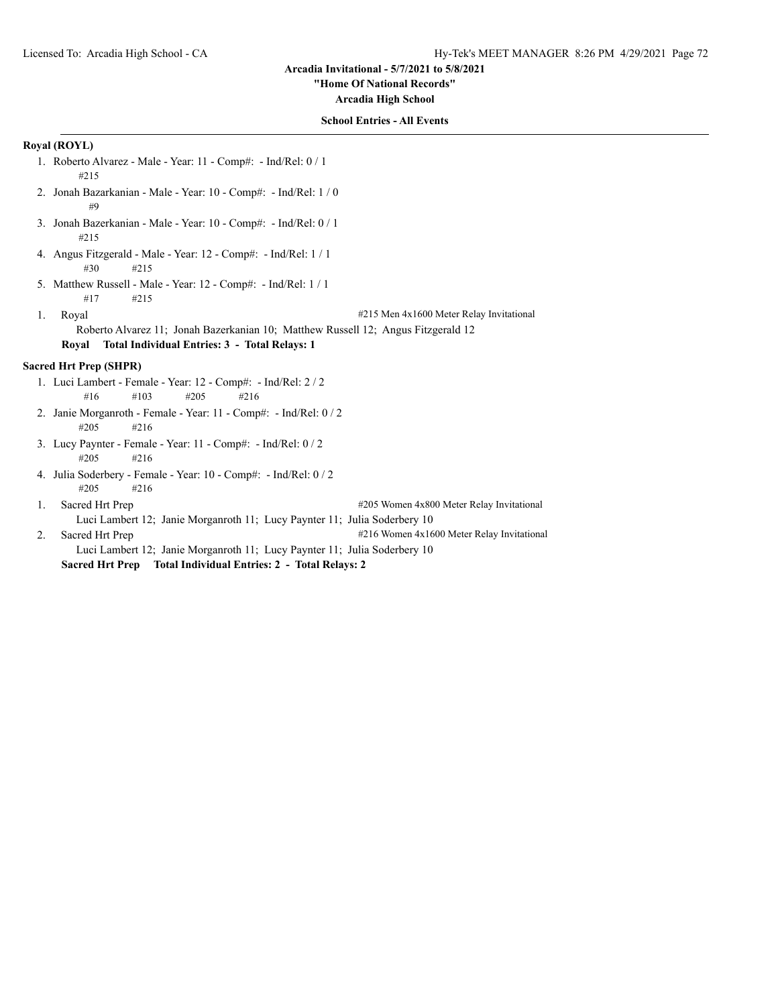#### **"Home Of National Records"**

**Arcadia High School**

## **School Entries - All Events**

# **Royal (ROYL)**

- 1. Roberto Alvarez Male Year: 11 Comp#: Ind/Rel: 0 / 1 #215
- 2. Jonah Bazarkanian Male Year: 10 Comp#: Ind/Rel: 1 / 0 #9
- 3. Jonah Bazerkanian Male Year: 10 Comp#: Ind/Rel: 0 / 1 #215
- 4. Angus Fitzgerald Male Year: 12 Comp#: Ind/Rel: 1 / 1 #30 #215
- 5. Matthew Russell Male Year: 12 Comp#: Ind/Rel: 1 / 1 #17 #215
- 
- 1. Royal **1.** Royal **1.** Royal **1.** Royal **1.** Royal **1.** Royal **1.** Royal **1.** Royal **1.** Royal **1.** Royal **1.** Royal **1.** Royal **1.** Royal **1.** Royal **1.** Royal **1.** Royal **1.** Royal **1.** Royal **1.** Royal **1.** Royal **1.** 
	- Roberto Alvarez 11; Jonah Bazerkanian 10; Matthew Russell 12; Angus Fitzgerald 12
	- **Royal Total Individual Entries: 3 Total Relays: 1**

## **Sacred Hrt Prep (SHPR)**

- 1. Luci Lambert Female Year: 12 Comp#: Ind/Rel: 2 / 2 #16 #103 #205 #216
- 2. Janie Morganroth Female Year: 11 Comp#: Ind/Rel: 0 / 2 #205 #216
- 3. Lucy Paynter Female Year: 11 Comp#: Ind/Rel: 0 / 2 #205 #216
- 4. Julia Soderbery Female Year: 10 Comp#: Ind/Rel: 0 / 2 #205 #216
- 1. Sacred Hrt Prep #205 Women 4x800 Meter Relay Invitational Luci Lambert 12; Janie Morganroth 11; Lucy Paynter 11; Julia Soderbery 10
- 2. Sacred Hrt Prep #216 Women 4x1600 Meter Relay Invitational Luci Lambert 12; Janie Morganroth 11; Lucy Paynter 11; Julia Soderbery 10
	- **Sacred Hrt Prep Total Individual Entries: 2 Total Relays: 2**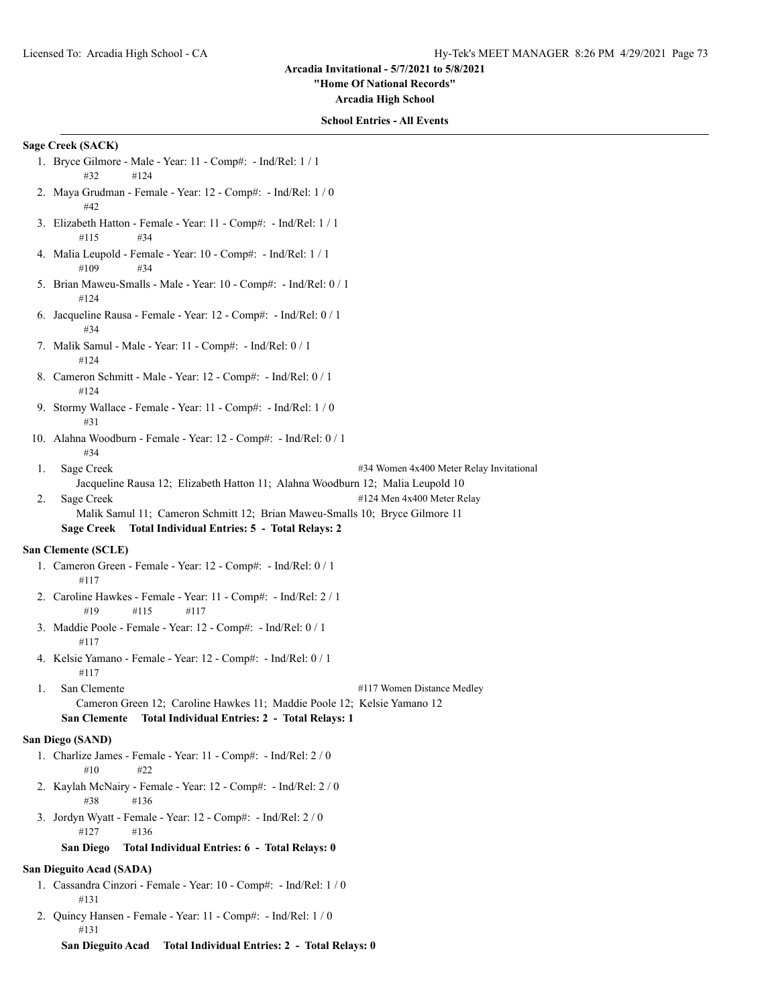**"Home Of National Records"**

**Arcadia High School**

#### **School Entries - All Events**

# **Sage Creek (SACK)**

- 1. Bryce Gilmore Male Year: 11 Comp#: Ind/Rel: 1 / 1 #32 #124
- 2. Maya Grudman Female Year: 12 Comp#: Ind/Rel: 1 / 0 #42
- 3. Elizabeth Hatton Female Year: 11 Comp#: Ind/Rel: 1 / 1 #115 #34
- 4. Malia Leupold Female Year: 10 Comp#: Ind/Rel: 1 / 1 #109 #34
- 5. Brian Maweu-Smalls Male Year: 10 Comp#: Ind/Rel: 0 / 1 #124
- 6. Jacqueline Rausa Female Year: 12 Comp#: Ind/Rel: 0 / 1 #34
- 7. Malik Samul Male Year: 11 Comp#: Ind/Rel: 0 / 1 #124
- 8. Cameron Schmitt Male Year: 12 Comp#: Ind/Rel: 0 / 1 #124
- 9. Stormy Wallace Female Year: 11 Comp#: Ind/Rel: 1 / 0 #31
- 10. Alahna Woodburn Female Year: 12 Comp#: Ind/Rel: 0 / 1 #34
- 1. Sage Creek #34 Women 4x400 Meter Relay Invitational Jacqueline Rausa 12; Elizabeth Hatton 11; Alahna Woodburn 12; Malia Leupold 10 2. Sage Creek #124 Men 4x400 Meter Relay Malik Samul 11; Cameron Schmitt 12; Brian Maweu-Smalls 10; Bryce Gilmore 11

**Sage Creek Total Individual Entries: 5 - Total Relays: 2**

# **San Clemente (SCLE)**

- 1. Cameron Green Female Year: 12 Comp#: Ind/Rel: 0 / 1 #117
- 2. Caroline Hawkes Female Year: 11 Comp#: Ind/Rel: 2 / 1 #19 #115 #117
- 3. Maddie Poole Female Year: 12 Comp#: Ind/Rel: 0 / 1 #117
- 4. Kelsie Yamano Female Year: 12 Comp#: Ind/Rel: 0 / 1 #117
- 1. San Clemente #117 Women Distance Medley Cameron Green 12; Caroline Hawkes 11; Maddie Poole 12; Kelsie Yamano 12

# **San Clemente Total Individual Entries: 2 - Total Relays: 1**

# **San Diego (SAND)**

- 1. Charlize James Female Year: 11 Comp#: Ind/Rel: 2 / 0 #10 #22
- 2. Kaylah McNairy Female Year: 12 Comp#: Ind/Rel: 2 / 0 #38 #136
- 3. Jordyn Wyatt Female Year: 12 Comp#: Ind/Rel: 2 / 0 #127 #136

#### **San Diego Total Individual Entries: 6 - Total Relays: 0**

# **San Dieguito Acad (SADA)**

- 1. Cassandra Cinzori Female Year: 10 Comp#: Ind/Rel: 1 / 0 #131
- 2. Quincy Hansen Female Year: 11 Comp#: Ind/Rel: 1 / 0 #131
	- **San Dieguito Acad Total Individual Entries: 2 Total Relays: 0**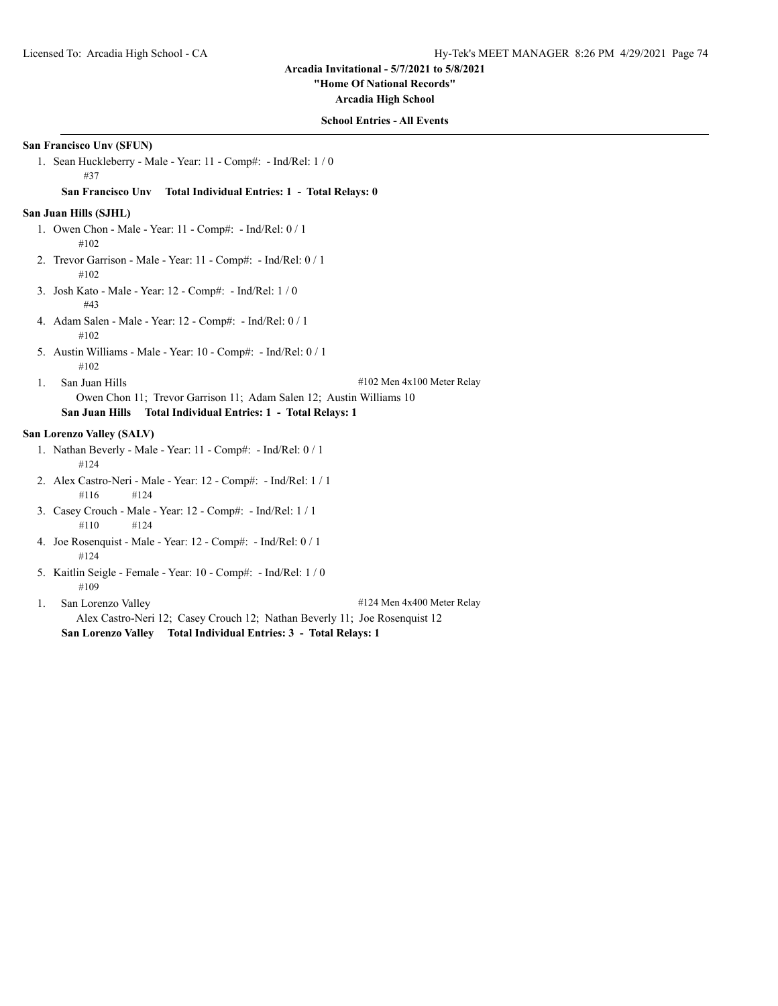**"Home Of National Records"**

**Arcadia High School**

### **School Entries - All Events**

# **San Francisco Unv (SFUN)**

1. Sean Huckleberry - Male - Year: 11 - Comp#: - Ind/Rel: 1 / 0 #37

#### **San Francisco Unv Total Individual Entries: 1 - Total Relays: 0**

#### **San Juan Hills (SJHL)**

- 1. Owen Chon Male Year: 11 Comp#: Ind/Rel: 0 / 1 #102
- 2. Trevor Garrison Male Year: 11 Comp#: Ind/Rel: 0 / 1 #102
- 3. Josh Kato Male Year: 12 Comp#: Ind/Rel: 1 / 0 #43
- 4. Adam Salen Male Year: 12 Comp#: Ind/Rel: 0 / 1 #102
- 5. Austin Williams Male Year: 10 Comp#: Ind/Rel: 0 / 1 #102
- 

1. San Juan Hills #102 Men 4x100 Meter Relay

# Owen Chon 11; Trevor Garrison 11; Adam Salen 12; Austin Williams 10 **San Juan Hills Total Individual Entries: 1 - Total Relays: 1**

# **San Lorenzo Valley (SALV)**

- 1. Nathan Beverly Male Year: 11 Comp#: Ind/Rel: 0 / 1 #124
- 2. Alex Castro-Neri Male Year: 12 Comp#: Ind/Rel: 1 / 1 #116 #124
- 3. Casey Crouch Male Year: 12 Comp#: Ind/Rel: 1 / 1 #110 #124
- 4. Joe Rosenquist Male Year: 12 Comp#: Ind/Rel: 0 / 1 #124
- 5. Kaitlin Seigle Female Year: 10 Comp#: Ind/Rel: 1 / 0 #109

1. San Lorenzo Valley #124 Men 4x400 Meter Relay Alex Castro-Neri 12; Casey Crouch 12; Nathan Beverly 11; Joe Rosenquist 12 **San Lorenzo Valley Total Individual Entries: 3 - Total Relays: 1**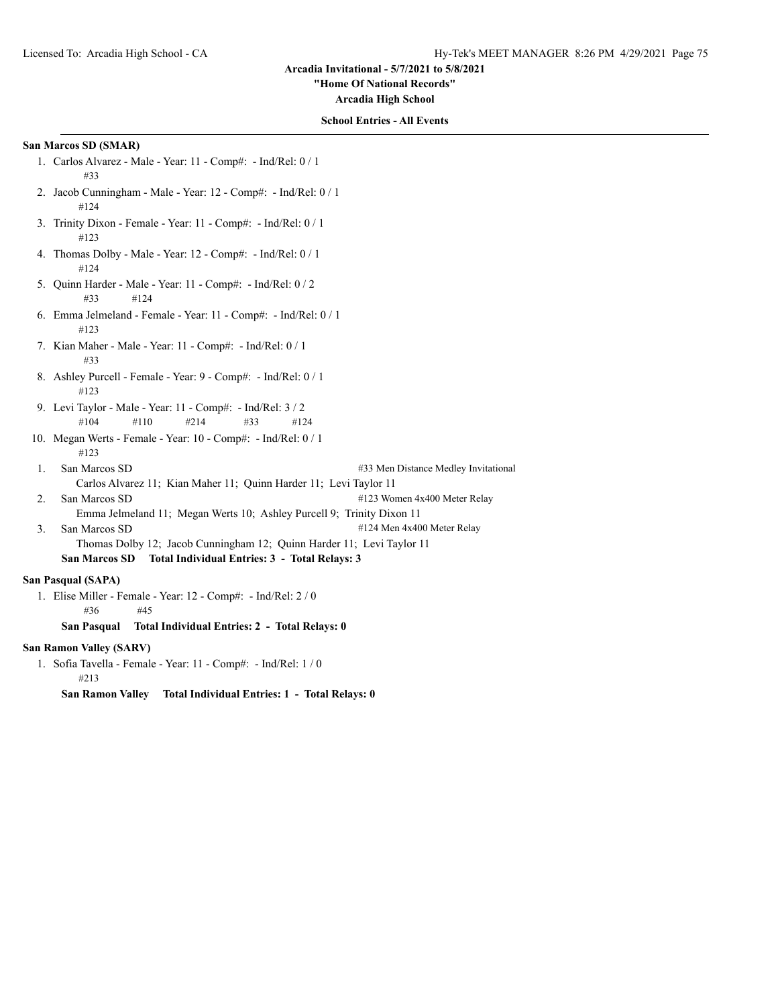**"Home Of National Records"**

**Arcadia High School**

## **School Entries - All Events**

# **San Marcos SD (SMAR)**

- 1. Carlos Alvarez Male Year: 11 Comp#: Ind/Rel: 0 / 1 #33
- 2. Jacob Cunningham Male Year: 12 Comp#: Ind/Rel: 0 / 1 #124
- 3. Trinity Dixon Female Year: 11 Comp#: Ind/Rel: 0 / 1 #123
- 4. Thomas Dolby Male Year: 12 Comp#: Ind/Rel: 0 / 1 #124
- 5. Quinn Harder Male Year: 11 Comp#: Ind/Rel: 0 / 2 #33 #124
- 6. Emma Jelmeland Female Year: 11 Comp#: Ind/Rel: 0 / 1 #123
- 7. Kian Maher Male Year: 11 Comp#: Ind/Rel: 0 / 1 #33
- 8. Ashley Purcell Female Year: 9 Comp#: Ind/Rel: 0 / 1 #123
- 9. Levi Taylor Male Year: 11 Comp#: Ind/Rel: 3 / 2 #104 #110 #214 #33 #124
- 10. Megan Werts Female Year: 10 Comp#: Ind/Rel: 0 / 1 #123
- 1. San Marcos SD  $\qquad$  #33 Men Distance Medley Invitational Carlos Alvarez 11; Kian Maher 11; Quinn Harder 11; Levi Taylor 11 2. San Marcos SD  $\#123$  Women 4x400 Meter Relay
- Emma Jelmeland 11; Megan Werts 10; Ashley Purcell 9; Trinity Dixon 11
- 3. San Marcos SD  $\frac{4124 \text{ Men } 4x400 \text{ Meter} \text{Relay}}{}$ 
	- Thomas Dolby 12; Jacob Cunningham 12; Quinn Harder 11; Levi Taylor 11 **San Marcos SD Total Individual Entries: 3 - Total Relays: 3**

# **San Pasqual (SAPA)**

1. Elise Miller - Female - Year: 12 - Comp#: - Ind/Rel: 2 / 0 #36 #45

#### **San Pasqual Total Individual Entries: 2 - Total Relays: 0**

# **San Ramon Valley (SARV)**

1. Sofia Tavella - Female - Year: 11 - Comp#: - Ind/Rel: 1 / 0 #213

**San Ramon Valley Total Individual Entries: 1 - Total Relays: 0**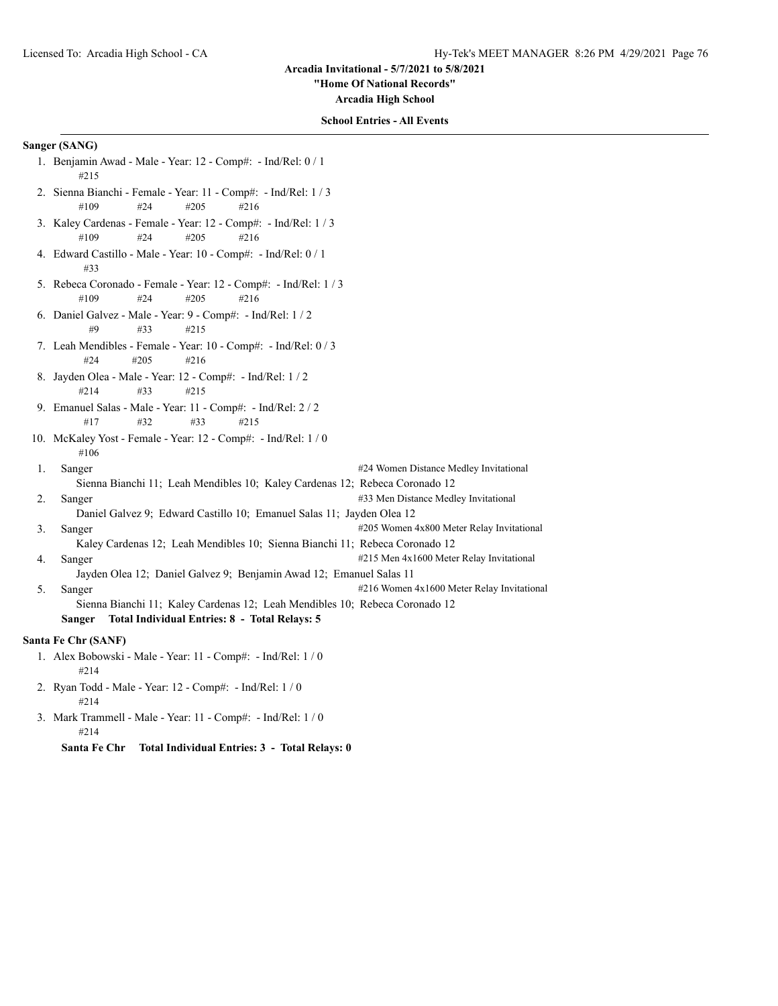**"Home Of National Records"**

**Arcadia High School**

## **School Entries - All Events**

# **Sanger (SANG)**

- 1. Benjamin Awad Male Year: 12 Comp#: Ind/Rel: 0 / 1 #215
- 2. Sienna Bianchi Female Year: 11 Comp#: Ind/Rel: 1 / 3 #109 #24 #205 #216
- 3. Kaley Cardenas Female Year: 12 Comp#: Ind/Rel: 1 / 3 #109 #24 #205 #216
- 4. Edward Castillo Male Year: 10 Comp#: Ind/Rel: 0 / 1 #33
- 5. Rebeca Coronado Female Year: 12 Comp#: Ind/Rel: 1 / 3 #109 #24 #205 #216
- 6. Daniel Galvez Male Year: 9 Comp#: Ind/Rel: 1 / 2 #9 #33 #215
- 7. Leah Mendibles Female Year: 10 Comp#: Ind/Rel: 0 / 3 #24 #205 #216
- 8. Jayden Olea Male Year: 12 Comp#: Ind/Rel: 1 / 2 #214 #33 #215
- 9. Emanuel Salas Male Year: 11 Comp#: Ind/Rel: 2 / 2 #17 #32 #33 #215
- 10. McKaley Yost Female Year: 12 Comp#: Ind/Rel: 1 / 0 #106
- 1. Sanger #24 Women Distance Medley Invitational Sienna Bianchi 11; Leah Mendibles 10; Kaley Cardenas 12; Rebeca Coronado 12 2. Sanger **12. Sanger 12. Sanger 12. Sanger** #33 Men Distance Medley Invitational Daniel Galvez 9; Edward Castillo 10; Emanuel Salas 11; Jayden Olea 12
- 3. Sanger #205 Women 4x800 Meter Relay Invitational Kaley Cardenas 12; Leah Mendibles 10; Sienna Bianchi 11; Rebeca Coronado 12 4. Sanger #215 Men 4x1600 Meter Relay Invitational
	- Jayden Olea 12; Daniel Galvez 9; Benjamin Awad 12; Emanuel Salas 11
- 5. Sanger #216 Women 4x1600 Meter Relay Invitational Sienna Bianchi 11; Kaley Cardenas 12; Leah Mendibles 10; Rebeca Coronado 12 **Sanger Total Individual Entries: 8 - Total Relays: 5**

#### **Santa Fe Chr (SANF)**

- 1. Alex Bobowski Male Year: 11 Comp#: Ind/Rel: 1 / 0 #214
- 2. Ryan Todd Male Year: 12 Comp#: Ind/Rel: 1 / 0 #214
- 3. Mark Trammell Male Year: 11 Comp#: Ind/Rel: 1 / 0 #214

**Santa Fe Chr Total Individual Entries: 3 - Total Relays: 0**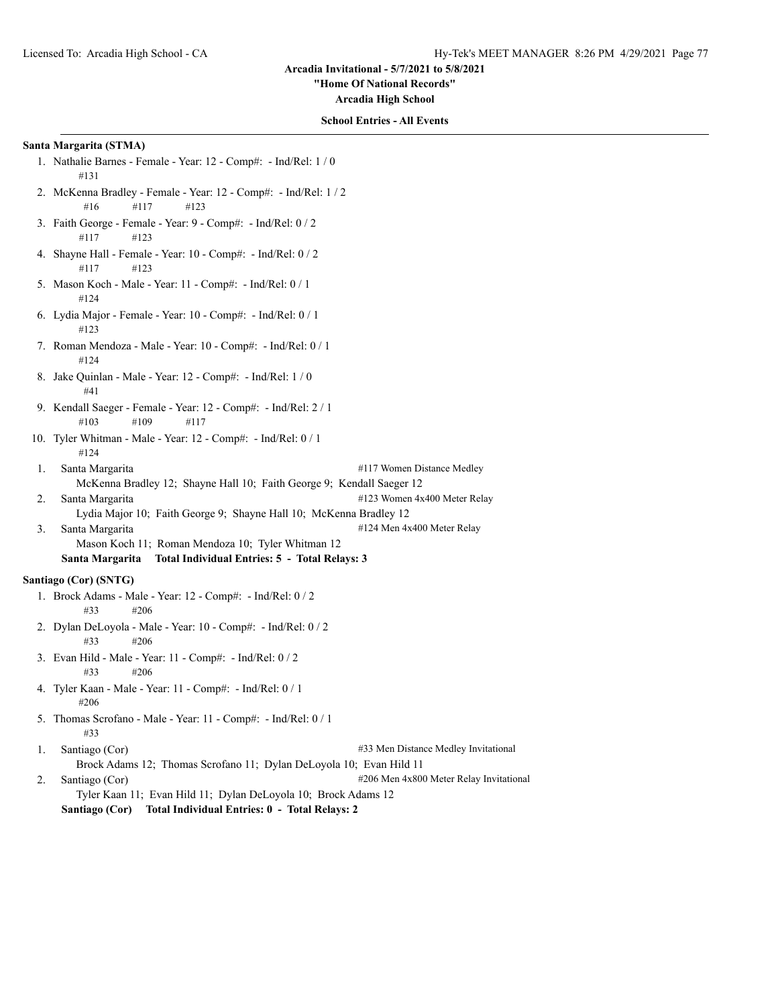**"Home Of National Records"**

**Arcadia High School**

### **School Entries - All Events**

## **Santa Margarita (STMA)**

- 1. Nathalie Barnes Female Year: 12 Comp#: Ind/Rel: 1 / 0 #131
- 2. McKenna Bradley Female Year: 12 Comp#: Ind/Rel: 1 / 2 #16 #117 #123
- 3. Faith George Female Year: 9 Comp#: Ind/Rel: 0 / 2 #117 #123
- 4. Shayne Hall Female Year: 10 Comp#: Ind/Rel: 0 / 2 #117 #123
- 5. Mason Koch Male Year: 11 Comp#: Ind/Rel: 0 / 1 #124
- 6. Lydia Major Female Year: 10 Comp#: Ind/Rel: 0 / 1 #123
- 7. Roman Mendoza Male Year: 10 Comp#: Ind/Rel: 0 / 1 #124
- 8. Jake Quinlan Male Year: 12 Comp#: Ind/Rel: 1 / 0 #41
- 9. Kendall Saeger Female Year: 12 Comp#: Ind/Rel: 2 / 1 #103 #109 #117
- 10. Tyler Whitman Male Year: 12 Comp#: Ind/Rel: 0 / 1 #124
- 1. Santa Margarita **1. Santa Margarita 1. Santa Margarita 1. Santa Margarita 1. Santa Margarita 1. Santa Margarita 1. Santa Margarita 1. Santa Margarita 1. Santa Margarita 1. Santa Margarita 1. Santa Marg** McKenna Bradley 12; Shayne Hall 10; Faith George 9; Kendall Saeger 12 2. Santa Margarita #123 Women 4x400 Meter Relay
	- Lydia Major 10; Faith George 9; Shayne Hall 10; McKenna Bradley 12
- 3. Santa Margarita #124 Men 4x400 Meter Relay
	- Mason Koch 11; Roman Mendoza 10; Tyler Whitman 12
	- **Santa Margarita Total Individual Entries: 5 Total Relays: 3**

# **Santiago (Cor) (SNTG)**

- 1. Brock Adams Male Year: 12 Comp#: Ind/Rel: 0 / 2 #33 #206
- 2. Dylan DeLoyola Male Year: 10 Comp#: Ind/Rel: 0 / 2 #33 #206
- 3. Evan Hild Male Year: 11 Comp#: Ind/Rel: 0 / 2 #33 #206
- 4. Tyler Kaan Male Year: 11 Comp#: Ind/Rel: 0 / 1 #206
- 5. Thomas Scrofano Male Year: 11 Comp#: Ind/Rel: 0 / 1 #33

1. Santiago (Cor) #33 Men Distance Medley Invitational Brock Adams 12; Thomas Scrofano 11; Dylan DeLoyola 10; Evan Hild 11

2. Santiago (Cor) #206 Men 4x800 Meter Relay Invitational Tyler Kaan 11; Evan Hild 11; Dylan DeLoyola 10; Brock Adams 12 **Santiago (Cor) Total Individual Entries: 0 - Total Relays: 2**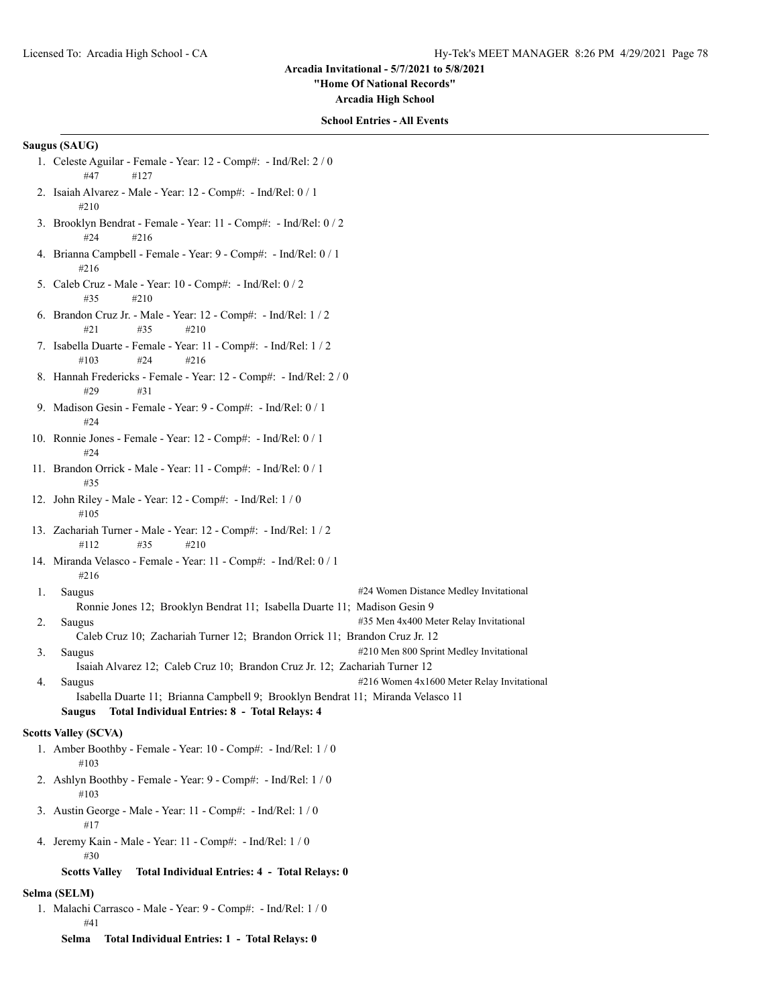**"Home Of National Records"**

**Arcadia High School**

#### **School Entries - All Events**

#### **Saugus (SAUG)**

- 1. Celeste Aguilar Female Year: 12 Comp#: Ind/Rel: 2 / 0 #47 #127
- 2. Isaiah Alvarez Male Year: 12 Comp#: Ind/Rel: 0 / 1 #210
- 3. Brooklyn Bendrat Female Year: 11 Comp#: Ind/Rel: 0 / 2 #24 #216
- 4. Brianna Campbell Female Year: 9 Comp#: Ind/Rel: 0 / 1 #216
- 5. Caleb Cruz Male Year: 10 Comp#: Ind/Rel: 0 / 2 #35 #210
- 6. Brandon Cruz Jr. Male Year: 12 Comp#: Ind/Rel: 1 / 2 #21 #35 #210
- 7. Isabella Duarte Female Year: 11 Comp#: Ind/Rel: 1 / 2 #103 #24 #216
- 8. Hannah Fredericks Female Year: 12 Comp#: Ind/Rel: 2 / 0 #29 #31
- 9. Madison Gesin Female Year: 9 Comp#: Ind/Rel: 0 / 1 #24
- 10. Ronnie Jones Female Year: 12 Comp#: Ind/Rel: 0 / 1 #24
- 11. Brandon Orrick Male Year: 11 Comp#: Ind/Rel: 0 / 1 #35
- 12. John Riley Male Year: 12 Comp#: Ind/Rel: 1 / 0 #105
- 13. Zachariah Turner Male Year: 12 Comp#: Ind/Rel: 1 / 2 #112 #35 #210
- 14. Miranda Velasco Female Year: 11 Comp#: Ind/Rel: 0 / 1 #216
- 1. Saugus **1. Saugus 1. Saugus 1. Saugus 1. Saugus 1. Saugus 1. Saugus 1. Saugus 1. Saugus 1. Saugus 1. Saugus 1. Saugus 1. Saugus 1. Saugus 1. Saugus 1. Saugus 1. Saugus 1. Saugus 1. Saugus 1. Saugus 1. Saugus 1. Saugus 1**
- Ronnie Jones 12; Brooklyn Bendrat 11; Isabella Duarte 11; Madison Gesin 9 2. Saugus **2.** Saugus **2.** Saugus **2.** Saugus **2.** Saugus **2.**  $\frac{1}{2}$  **12.**  $\frac{1}{2}$  **2.**  $\frac{1}{2}$  **2.**  $\frac{1}{2}$  **12.**  $\frac{1}{2}$  **12.**  $\frac{1}{2}$  **12.**  $\frac{1}{2}$  **12.**  $\frac{1}{2}$  **12.**  $\frac{1}{2}$  **12.**  $\frac{1}{2}$  **12.**
- Caleb Cruz 10; Zachariah Turner 12; Brandon Orrick 11; Brandon Cruz Jr. 12 3. Saugus #210 Men 800 Sprint Medley Invitational Isaiah Alvarez 12; Caleb Cruz 10; Brandon Cruz Jr. 12; Zachariah Turner 12
- 4. Saugus **216 Women 4x1600 Meter Relay Invitational** Isabella Duarte 11; Brianna Campbell 9; Brooklyn Bendrat 11; Miranda Velasco 11 **Saugus Total Individual Entries: 8 - Total Relays: 4**

#### **Scotts Valley (SCVA)**

- 1. Amber Boothby Female Year: 10 Comp#: Ind/Rel: 1 / 0 #103
- 2. Ashlyn Boothby Female Year: 9 Comp#: Ind/Rel: 1 / 0 #103
- 3. Austin George Male Year: 11 Comp#: Ind/Rel: 1 / 0 #17
- 4. Jeremy Kain Male Year: 11 Comp#: Ind/Rel: 1 / 0 #30

# **Scotts Valley Total Individual Entries: 4 - Total Relays: 0**

# **Selma (SELM)**

- 1. Malachi Carrasco Male Year: 9 Comp#: Ind/Rel: 1 / 0 #41
	- **Selma Total Individual Entries: 1 Total Relays: 0**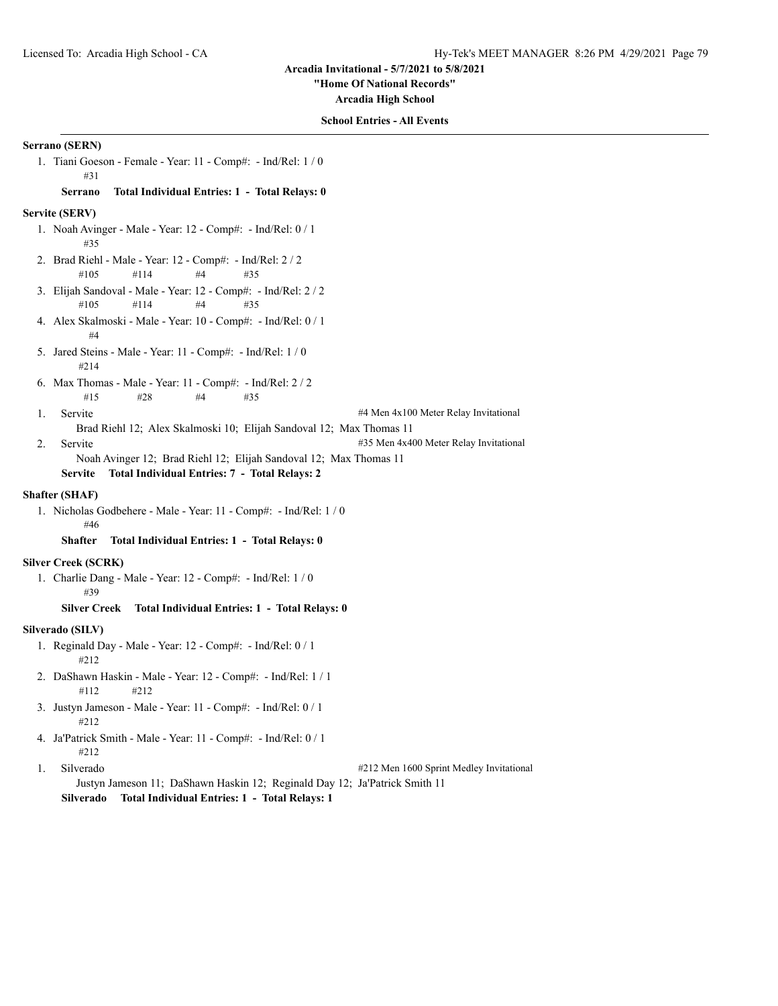**"Home Of National Records"**

**Arcadia High School**

## **School Entries - All Events**

# **Serrano (SERN)**

1. Tiani Goeson - Female - Year: 11 - Comp#: - Ind/Rel: 1 / 0 #31

### **Serrano Total Individual Entries: 1 - Total Relays: 0**

### **Servite (SERV)**

- 1. Noah Avinger Male Year: 12 Comp#: Ind/Rel: 0 / 1 #35
- 2. Brad Riehl Male Year: 12 Comp#: Ind/Rel: 2 / 2 #105 #114 #4 #35
- 3. Elijah Sandoval Male Year: 12 Comp#: Ind/Rel: 2 / 2 #105 #114 #4 #35
- 4. Alex Skalmoski Male Year: 10 Comp#: Ind/Rel: 0 / 1 #4
- 5. Jared Steins Male Year: 11 Comp#: Ind/Rel: 1 / 0 #214
- 6. Max Thomas Male Year: 11 Comp#: Ind/Rel: 2 / 2 #15 #28 #4 #35
- 1. Servite #4 Men 4x100 Meter Relay Invitational

Brad Riehl 12; Alex Skalmoski 10; Elijah Sandoval 12; Max Thomas 11

- 2. Servite **12. Servite** 2. Servite **2. Servite** 2. Servite **2. Servite 2. Servite 2. Servite** 2. Servite 2. Servite 2. Servite 2. Servite 2. Servite 2. Servite 2. Servite 2. Servite 2. Servite 2. Servite 2. Servite 2. Ser Noah Avinger 12; Brad Riehl 12; Elijah Sandoval 12; Max Thomas 11
	- **Servite Total Individual Entries: 7 Total Relays: 2**

### **Shafter (SHAF)**

1. Nicholas Godbehere - Male - Year: 11 - Comp#: - Ind/Rel: 1 / 0 #46

# **Shafter Total Individual Entries: 1 - Total Relays: 0**

#### **Silver Creek (SCRK)**

1. Charlie Dang - Male - Year: 12 - Comp#: - Ind/Rel: 1 / 0 #39

**Silver Creek Total Individual Entries: 1 - Total Relays: 0**

### **Silverado (SILV)**

- 1. Reginald Day Male Year: 12 Comp#: Ind/Rel: 0 / 1 #212
- 2. DaShawn Haskin Male Year: 12 Comp#: Ind/Rel: 1 / 1 #112 #212
- 3. Justyn Jameson Male Year: 11 Comp#: Ind/Rel: 0 / 1 #212
- 4. Ja'Patrick Smith Male Year: 11 Comp#: Ind/Rel: 0 / 1 #212

1. Silverado #212 Men 1600 Sprint Medley Invitational Justyn Jameson 11; DaShawn Haskin 12; Reginald Day 12; Ja'Patrick Smith 11

**Silverado Total Individual Entries: 1 - Total Relays: 1**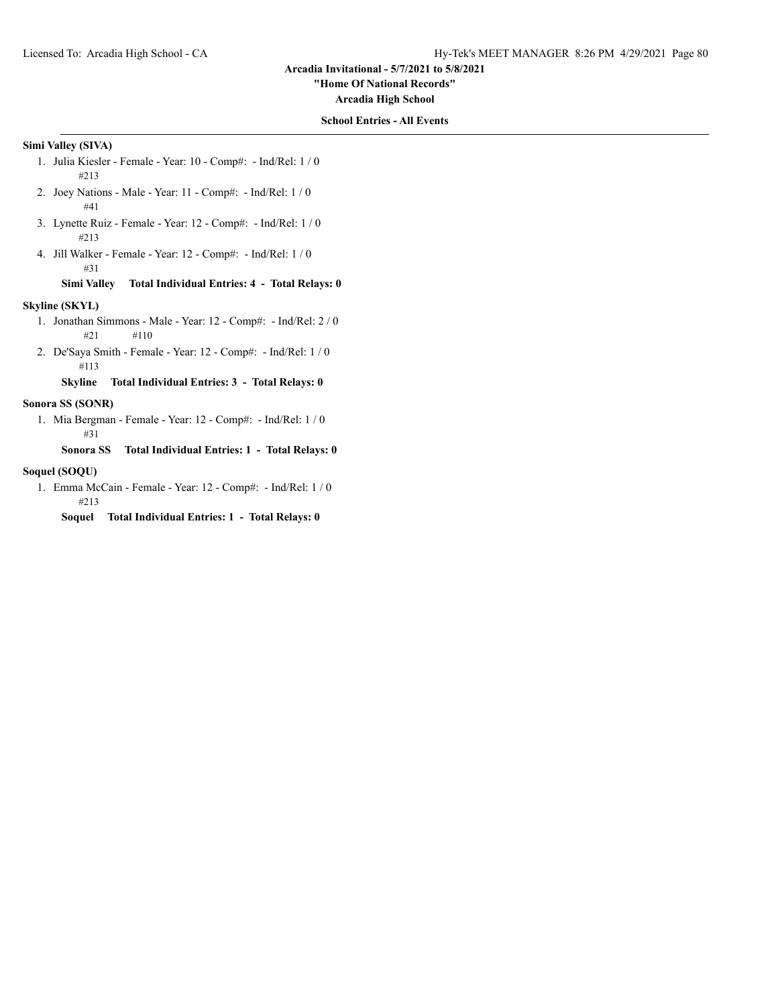**"Home Of National Records"**

**Arcadia High School**

### **School Entries - All Events**

# **Simi Valley (SIVA)**

- 1. Julia Kiesler Female Year: 10 Comp#: Ind/Rel: 1 / 0 #213
- 2. Joey Nations Male Year: 11 Comp#: Ind/Rel: 1 / 0 #41
- 3. Lynette Ruiz Female Year: 12 Comp#: Ind/Rel: 1 / 0 #213
- 4. Jill Walker Female Year: 12 Comp#: Ind/Rel: 1 / 0 #31

# **Simi Valley Total Individual Entries: 4 - Total Relays: 0**

### **Skyline (SKYL)**

- 1. Jonathan Simmons Male Year: 12 Comp#: Ind/Rel: 2 / 0 #21 #110
- 2. De'Saya Smith Female Year: 12 Comp#: Ind/Rel: 1 / 0 #113

**Skyline Total Individual Entries: 3 - Total Relays: 0**

# **Sonora SS (SONR)**

1. Mia Bergman - Female - Year: 12 - Comp#: - Ind/Rel: 1 / 0 #31

**Sonora SS Total Individual Entries: 1 - Total Relays: 0**

# **Soquel (SOQU)**

1. Emma McCain - Female - Year: 12 - Comp#: - Ind/Rel: 1 / 0 #213

**Soquel Total Individual Entries: 1 - Total Relays: 0**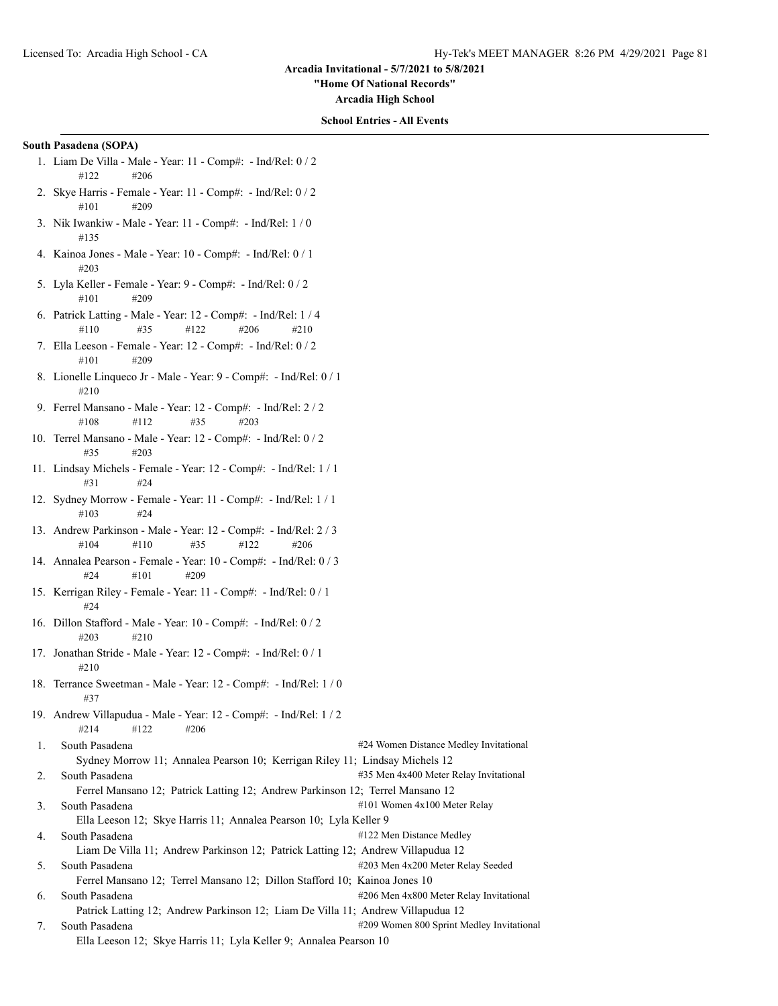**"Home Of National Records"**

**Arcadia High School**

#### **School Entries - All Events**

#### **South Pasadena (SOPA)**

- 1. Liam De Villa Male Year: 11 Comp#: Ind/Rel: 0 / 2 #122 #206
- 2. Skye Harris Female Year: 11 Comp#: Ind/Rel: 0 / 2 #101 #209
- 3. Nik Iwankiw Male Year: 11 Comp#: Ind/Rel: 1 / 0 #135
- 4. Kainoa Jones Male Year: 10 Comp#: Ind/Rel: 0 / 1 #203
- 5. Lyla Keller Female Year: 9 Comp#: Ind/Rel: 0 / 2  $\#101$   $\#209$
- 6. Patrick Latting Male Year: 12 Comp#: Ind/Rel: 1 / 4 #110 #35 #122 #206 #210
- 7. Ella Leeson Female Year: 12 Comp#: Ind/Rel: 0 / 2 #101 #209
- 8. Lionelle Linqueco Jr Male Year: 9 Comp#: Ind/Rel: 0 / 1 #210
- 9. Ferrel Mansano Male Year: 12 Comp#: Ind/Rel: 2 / 2 #108 #112 #35 #203
- 10. Terrel Mansano Male Year: 12 Comp#: Ind/Rel: 0 / 2 #35 #203
- 11. Lindsay Michels Female Year: 12 Comp#: Ind/Rel: 1 / 1 #31 #24
- 12. Sydney Morrow Female Year: 11 Comp#: Ind/Rel: 1 / 1 #103 #24
- 13. Andrew Parkinson Male Year: 12 Comp#: Ind/Rel: 2 / 3 #104 #110 #35 #122 #206
- 14. Annalea Pearson Female Year: 10 Comp#: Ind/Rel: 0 / 3 #24 #101 #209
- 15. Kerrigan Riley Female Year: 11 Comp#: Ind/Rel: 0 / 1 #24
- 16. Dillon Stafford Male Year: 10 Comp#: Ind/Rel: 0 / 2 #203 #210
- 17. Jonathan Stride Male Year: 12 Comp#: Ind/Rel: 0 / 1 #210
- 18. Terrance Sweetman Male Year: 12 Comp#: Ind/Rel: 1 / 0 #37
- 19. Andrew Villapudua Male Year: 12 Comp#: Ind/Rel: 1 / 2 #214 #122 #206
- 1. South Pasadena **1.1.** South Pasadena **1.1.** South Pasadena **1.1.** South Pasadena **1.1.** South Pasadena 1.1. South Pasadena 1.1. South Pasadena 1.1. South Pasadena 1.1. South Pasadena 1.1. South Pasadena 1.1.  $\#24$  Wome Sydney Morrow 11; Annalea Pearson 10; Kerrigan Riley 11; Lindsay Michels 12 2. South Pasadena **1200 and 2000 and 2000 and 2000 and 435 Men** 4x400 Meter Relay Invitational Ferrel Mansano 12; Patrick Latting 12; Andrew Parkinson 12; Terrel Mansano 12 3. South Pasadena **Allows**  $\frac{4101 \text{ Women} 4x100 \text{meter}$  Relay Ella Leeson 12; Skye Harris 11; Annalea Pearson 10; Lyla Keller 9
- 4. South Pasadena #122 Men Distance Medley
- Liam De Villa 11; Andrew Parkinson 12; Patrick Latting 12; Andrew Villapudua 12 5. South Pasadena #203 Men 4x200 Meter Relay Seeded
- Ferrel Mansano 12; Terrel Mansano 12; Dillon Stafford 10; Kainoa Jones 10 6. South Pasadena #206 Men 4x800 Meter Relay Invitational Patrick Latting 12; Andrew Parkinson 12; Liam De Villa 11; Andrew Villapudua 12
- 7. South Pasadena #209 Women 800 Sprint Medley Invitational Ella Leeson 12; Skye Harris 11; Lyla Keller 9; Annalea Pearson 10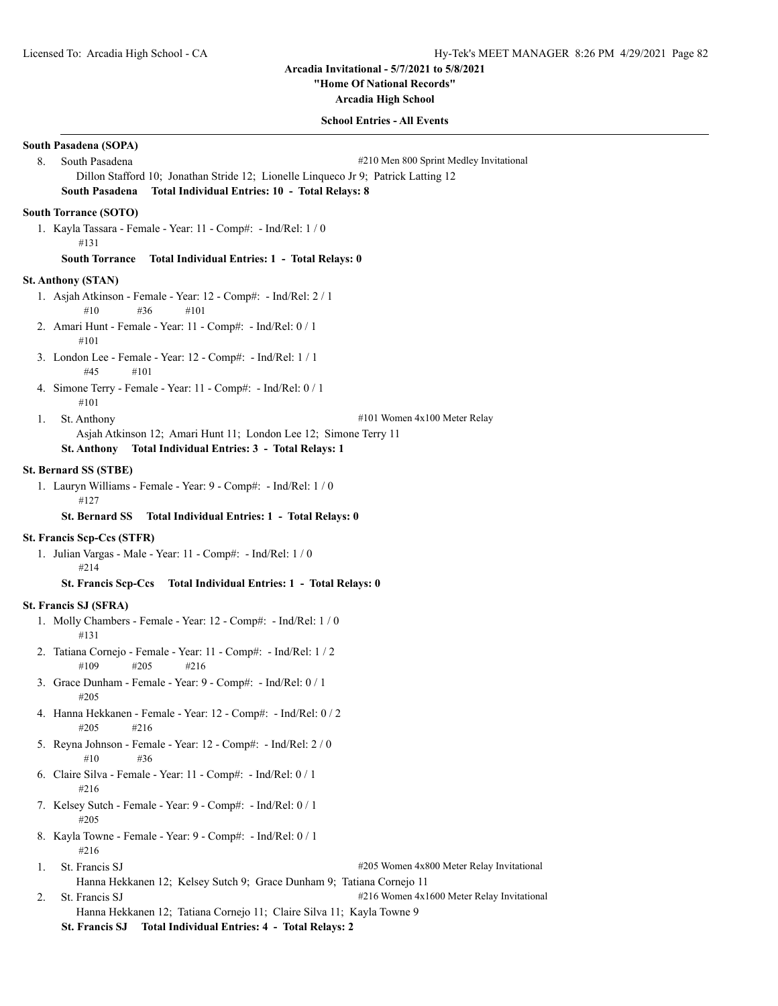**"Home Of National Records"**

**Arcadia High School**

#### **School Entries - All Events**

# **South Pasadena (SOPA)** 8. South Pasadena **8. South Pasadena** #210 Men 800 Sprint Medley Invitational Dillon Stafford 10; Jonathan Stride 12; Lionelle Linqueco Jr 9; Patrick Latting 12 **South Pasadena Total Individual Entries: 10 - Total Relays: 8 South Torrance (SOTO)** 1. Kayla Tassara - Female - Year: 11 - Comp#: - Ind/Rel: 1 / 0 #131 **South Torrance Total Individual Entries: 1 - Total Relays: 0 St. Anthony (STAN)** 1. Asjah Atkinson - Female - Year: 12 - Comp#: - Ind/Rel: 2 / 1 #10 #36 #101 2. Amari Hunt - Female - Year: 11 - Comp#: - Ind/Rel: 0 / 1 #101 3. London Lee - Female - Year: 12 - Comp#: - Ind/Rel: 1 / 1 #45 #101 4. Simone Terry - Female - Year: 11 - Comp#: - Ind/Rel: 0 / 1 #101 1. St. Anthony #101 Women 4x100 Meter Relay Asjah Atkinson 12; Amari Hunt 11; London Lee 12; Simone Terry 11 **St. Anthony Total Individual Entries: 3 - Total Relays: 1 St. Bernard SS (STBE)** 1. Lauryn Williams - Female - Year: 9 - Comp#: - Ind/Rel: 1 / 0 #127 **St. Bernard SS Total Individual Entries: 1 - Total Relays: 0 St. Francis Scp-Ccs (STFR)** 1. Julian Vargas - Male - Year: 11 - Comp#: - Ind/Rel: 1 / 0 #214 **St. Francis Scp-Ccs Total Individual Entries: 1 - Total Relays: 0 St. Francis SJ (SFRA)** 1. Molly Chambers - Female - Year: 12 - Comp#: - Ind/Rel: 1 / 0 #131 2. Tatiana Cornejo - Female - Year: 11 - Comp#: - Ind/Rel: 1 / 2 #109 #205 #216 3. Grace Dunham - Female - Year: 9 - Comp#: - Ind/Rel: 0 / 1 #205 4. Hanna Hekkanen - Female - Year: 12 - Comp#: - Ind/Rel: 0 / 2 #205 #216 5. Reyna Johnson - Female - Year: 12 - Comp#: - Ind/Rel: 2 / 0 #10 #36 6. Claire Silva - Female - Year: 11 - Comp#: - Ind/Rel: 0 / 1 #216 7. Kelsey Sutch - Female - Year: 9 - Comp#: - Ind/Rel: 0 / 1 #205 8. Kayla Towne - Female - Year: 9 - Comp#: - Ind/Rel: 0 / 1 #216 1. St. Francis SJ #205 Women 4x800 Meter Relay Invitational Hanna Hekkanen 12; Kelsey Sutch 9; Grace Dunham 9; Tatiana Cornejo 11 2. St. Francis SJ  $\text{#216}$  Women 4x1600 Meter Relay Invitational Hanna Hekkanen 12; Tatiana Cornejo 11; Claire Silva 11; Kayla Towne 9 **St. Francis SJ Total Individual Entries: 4 - Total Relays: 2**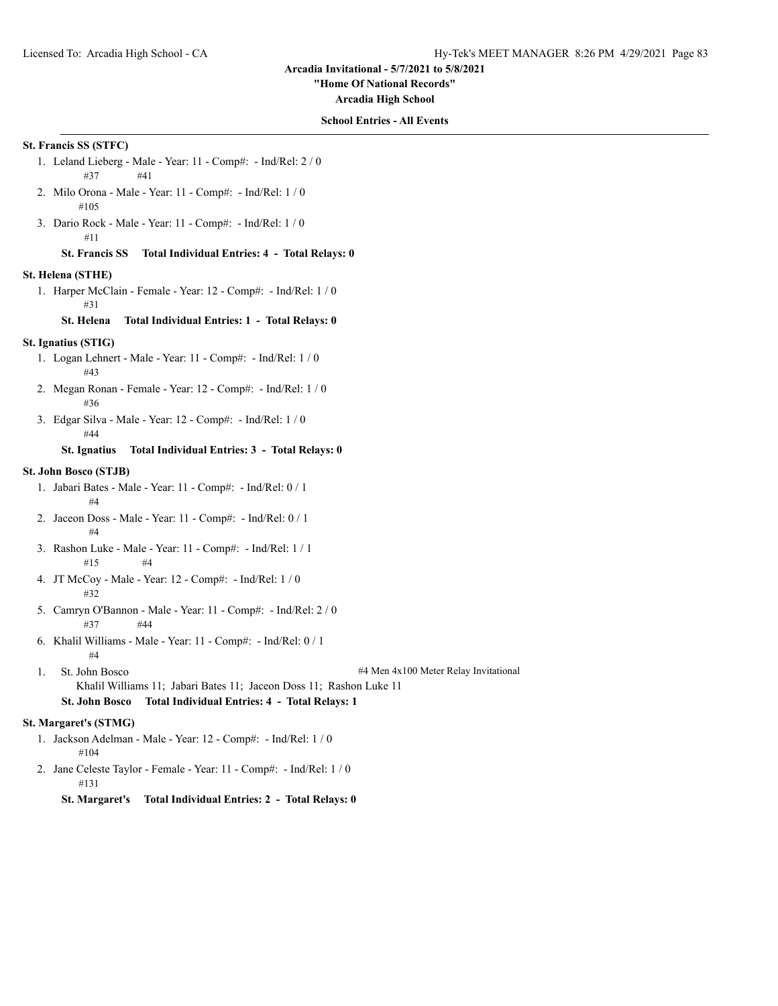**"Home Of National Records"**

**Arcadia High School**

### **School Entries - All Events**

# **St. Francis SS (STFC)**

- 1. Leland Lieberg Male Year: 11 Comp#: Ind/Rel: 2 / 0 #37 #41
- 2. Milo Orona Male Year: 11 Comp#: Ind/Rel: 1 / 0 #105
- 3. Dario Rock Male Year: 11 Comp#: Ind/Rel: 1 / 0 #11

# **St. Francis SS Total Individual Entries: 4 - Total Relays: 0**

#### **St. Helena (STHE)**

1. Harper McClain - Female - Year: 12 - Comp#: - Ind/Rel: 1 / 0 #31

# **St. Helena Total Individual Entries: 1 - Total Relays: 0**

# **St. Ignatius (STIG)**

- 1. Logan Lehnert Male Year: 11 Comp#: Ind/Rel: 1 / 0 #43
- 2. Megan Ronan Female Year: 12 Comp#: Ind/Rel: 1 / 0 #36
- 3. Edgar Silva Male Year: 12 Comp#: Ind/Rel: 1 / 0 #44

# **St. Ignatius Total Individual Entries: 3 - Total Relays: 0**

#### **St. John Bosco (STJB)**

- 1. Jabari Bates Male Year: 11 Comp#: Ind/Rel: 0 / 1  $\pm 4$
- 2. Jaceon Doss Male Year: 11 Comp#: Ind/Rel: 0 / 1 #4
- 3. Rashon Luke Male Year: 11 Comp#: Ind/Rel: 1 / 1 #15 #4
- 4. JT McCoy Male Year: 12 Comp#: Ind/Rel: 1 / 0 #32
- 5. Camryn O'Bannon Male Year: 11 Comp#: Ind/Rel: 2 / 0 #37 #44
- 6. Khalil Williams Male Year: 11 Comp#: Ind/Rel: 0 / 1 #4
- 

1. St. John Bosco #4 Men 4x100 Meter Relay Invitational

Khalil Williams 11; Jabari Bates 11; Jaceon Doss 11; Rashon Luke 11 **St. John Bosco Total Individual Entries: 4 - Total Relays: 1**

#### **St. Margaret's (STMG)**

- 1. Jackson Adelman Male Year: 12 Comp#: Ind/Rel: 1 / 0 #104
- 2. Jane Celeste Taylor Female Year: 11 Comp#: Ind/Rel: 1 / 0 #131

**St. Margaret's Total Individual Entries: 2 - Total Relays: 0**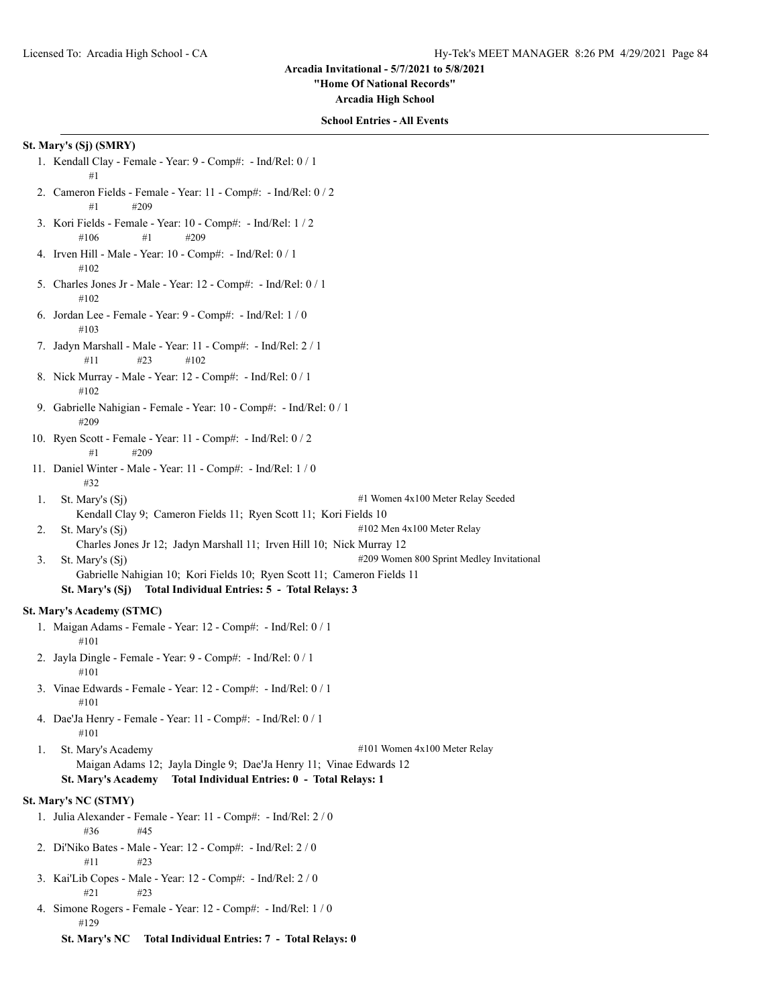**"Home Of National Records"**

**Arcadia High School**

#### **School Entries - All Events**

### **St. Mary's (Sj) (SMRY)**

- 1. Kendall Clay Female Year: 9 Comp#: Ind/Rel: 0 / 1 #1
- 2. Cameron Fields Female Year: 11 Comp#: Ind/Rel: 0 / 2 #1 #209
- 3. Kori Fields Female Year: 10 Comp#: Ind/Rel: 1 / 2 #106 #1 #209
- 4. Irven Hill Male Year: 10 Comp#: Ind/Rel: 0 / 1 #102
- 5. Charles Jones Jr Male Year: 12 Comp#: Ind/Rel: 0 / 1 #102
- 6. Jordan Lee Female Year: 9 Comp#: Ind/Rel: 1 / 0 #103
- 7. Jadyn Marshall Male Year: 11 Comp#: Ind/Rel: 2 / 1 #11 #23 #102
- 8. Nick Murray Male Year: 12 Comp#: Ind/Rel: 0 / 1 #102
- 9. Gabrielle Nahigian Female Year: 10 Comp#: Ind/Rel: 0 / 1 #209
- 10. Ryen Scott Female Year: 11 Comp#: Ind/Rel: 0 / 2 #1 #209
- 11. Daniel Winter Male Year: 11 Comp#: Ind/Rel: 1 / 0 #32
- 1. St. Mary's (Sj)  $\#1$  Women 4x100 Meter Relay Seeded
- Kendall Clay 9; Cameron Fields 11; Ryen Scott 11; Kori Fields 10
- 2. St. Mary's  $(S_i)$  #102 Men 4x100 Meter Relay
	- Charles Jones Jr 12; Jadyn Marshall 11; Irven Hill 10; Nick Murray 12
- 3. St. Mary's (Sj)  $\qquad$  #209 Women 800 Sprint Medley Invitational
	- Gabrielle Nahigian 10; Kori Fields 10; Ryen Scott 11; Cameron Fields 11 **St. Mary's (Sj) Total Individual Entries: 5 - Total Relays: 3**

### **St. Mary's Academy (STMC)**

- 1. Maigan Adams Female Year: 12 Comp#: Ind/Rel: 0 / 1 #101
- 2. Jayla Dingle Female Year: 9 Comp#: Ind/Rel: 0 / 1 #101
- 3. Vinae Edwards Female Year: 12 Comp#: Ind/Rel: 0 / 1 #101
- 4. Dae'Ja Henry Female Year: 11 Comp#: Ind/Rel: 0 / 1 #101

1. St. Mary's Academy  $\#101$  Women  $4x100$  Meter Relay Maigan Adams 12; Jayla Dingle 9; Dae'Ja Henry 11; Vinae Edwards 12

# **St. Mary's Academy Total Individual Entries: 0 - Total Relays: 1**

# **St. Mary's NC (STMY)**

- 1. Julia Alexander Female Year: 11 Comp#: Ind/Rel: 2 / 0 #36 #45
- 2. Di'Niko Bates Male Year: 12 Comp#: Ind/Rel: 2 / 0 #11 #23
- 3. Kai'Lib Copes Male Year: 12 Comp#: Ind/Rel: 2 / 0 #21 #23
- 4. Simone Rogers Female Year: 12 Comp#: Ind/Rel: 1 / 0 #129
	- **St. Mary's NC Total Individual Entries: 7 Total Relays: 0**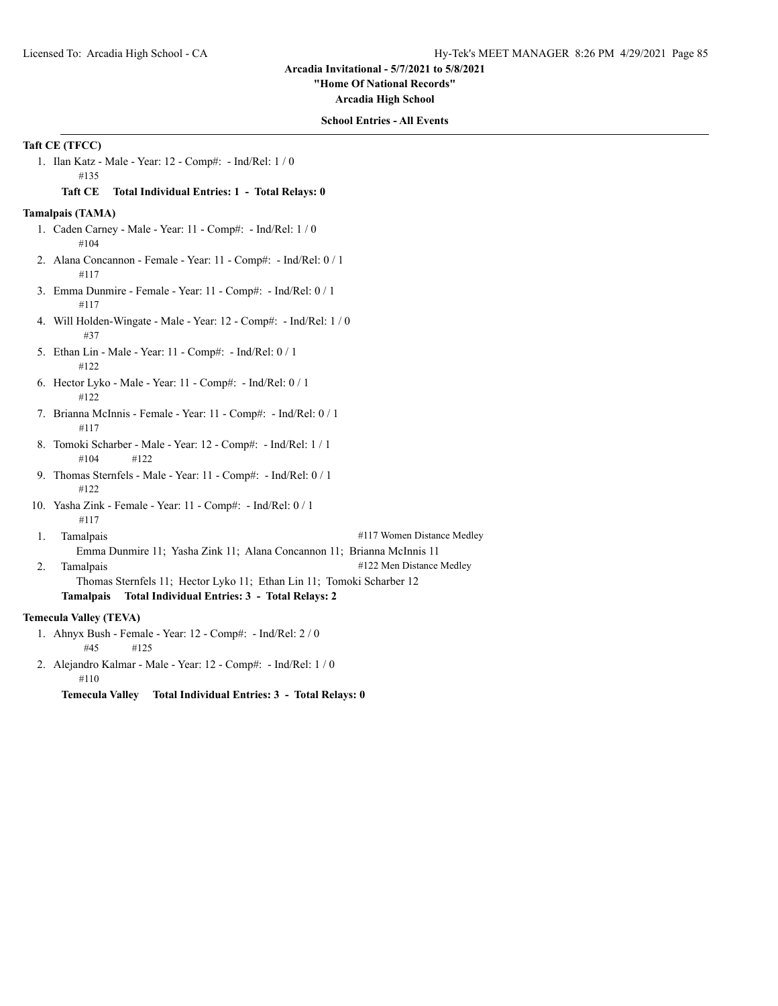**"Home Of National Records"**

**Arcadia High School**

### **School Entries - All Events**

# **Taft CE (TFCC)**

1. Ilan Katz - Male - Year: 12 - Comp#: - Ind/Rel: 1 / 0 #135

#### **Taft CE Total Individual Entries: 1 - Total Relays: 0**

### **Tamalpais (TAMA)**

- 1. Caden Carney Male Year: 11 Comp#: Ind/Rel: 1 / 0 #104
- 2. Alana Concannon Female Year: 11 Comp#: Ind/Rel: 0 / 1 #117
- 3. Emma Dunmire Female Year: 11 Comp#: Ind/Rel: 0 / 1 #117
- 4. Will Holden-Wingate Male Year: 12 Comp#: Ind/Rel: 1 / 0 #37
- 5. Ethan Lin Male Year: 11 Comp#: Ind/Rel: 0 / 1 #122
- 6. Hector Lyko Male Year: 11 Comp#: Ind/Rel: 0 / 1 #122
- 7. Brianna McInnis Female Year: 11 Comp#: Ind/Rel: 0 / 1 #117
- 8. Tomoki Scharber Male Year: 12 Comp#: Ind/Rel: 1 / 1 #104 #122
- 9. Thomas Sternfels Male Year: 11 Comp#: Ind/Rel: 0 / 1 #122
- 10. Yasha Zink Female Year: 11 Comp#: Ind/Rel: 0 / 1 #117
- 1. Tamalpais **1. Tamalpais**  $#117$  Women Distance Medley Emma Dunmire 11; Yasha Zink 11; Alana Concannon 11; Brianna McInnis 11
- 2. Tamalpais  $#122$  Men Distance Medley Thomas Sternfels 11; Hector Lyko 11; Ethan Lin 11; Tomoki Scharber 12 **Tamalpais Total Individual Entries: 3 - Total Relays: 2**

# **Temecula Valley (TEVA)**

- 1. Ahnyx Bush Female Year: 12 Comp#: Ind/Rel: 2 / 0 #45 #125
- 2. Alejandro Kalmar Male Year: 12 Comp#: Ind/Rel: 1 / 0 #110

**Temecula Valley Total Individual Entries: 3 - Total Relays: 0**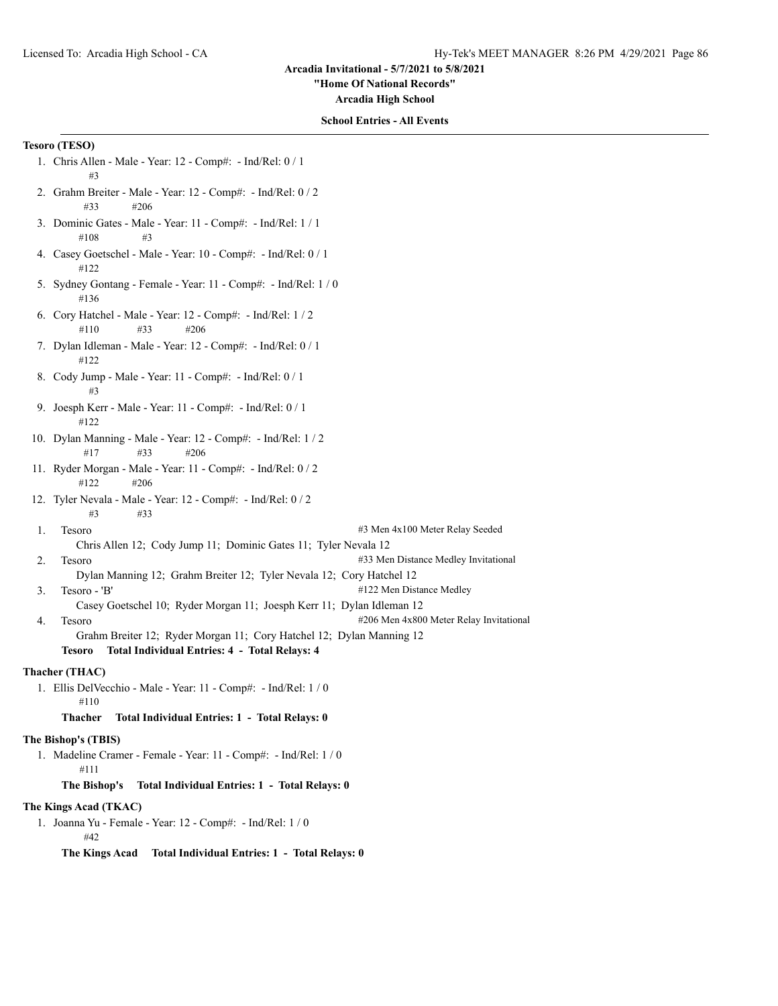**"Home Of National Records"**

**Arcadia High School**

### **School Entries - All Events**

# **Tesoro (TESO)**

- 1. Chris Allen Male Year: 12 Comp#: Ind/Rel: 0 / 1 #3
- 2. Grahm Breiter Male Year: 12 Comp#: Ind/Rel: 0 / 2 #33 #206
- 3. Dominic Gates Male Year: 11 Comp#: Ind/Rel: 1 / 1 #108 #3
- 4. Casey Goetschel Male Year: 10 Comp#: Ind/Rel: 0 / 1 #122
- 5. Sydney Gontang Female Year: 11 Comp#: Ind/Rel: 1 / 0 #136
- 6. Cory Hatchel Male Year: 12 Comp#: Ind/Rel: 1 / 2 #110 #33 #206
- 7. Dylan Idleman Male Year: 12 Comp#: Ind/Rel: 0 / 1 #122
- 8. Cody Jump Male Year: 11 Comp#: Ind/Rel: 0 / 1 #3
- 9. Joesph Kerr Male Year: 11 Comp#: Ind/Rel: 0 / 1 #122
- 10. Dylan Manning Male Year: 12 Comp#: Ind/Rel: 1 / 2 #17 #33 #206
- 11. Ryder Morgan Male Year: 11 Comp#: Ind/Rel: 0 / 2 #122 #206
- 12. Tyler Nevala Male Year: 12 Comp#: Ind/Rel: 0 / 2 #3 #33
- 

1. Tesoro #3 Men 4x100 Meter Relay Seeded

- Chris Allen 12; Cody Jump 11; Dominic Gates 11; Tyler Nevala 12
- 2. Tesoro #33 Men Distance Medley Invitational
	- Dylan Manning 12; Grahm Breiter 12; Tyler Nevala 12; Cory Hatchel 12
- 3. Tesoro 'B'  $\#122$  Men Distance Medley
- Casey Goetschel 10; Ryder Morgan 11; Joesph Kerr 11; Dylan Idleman 12 4. Tesoro **1206 Men 4x800 Meter Relay Invitational**
- 

Grahm Breiter 12; Ryder Morgan 11; Cory Hatchel 12; Dylan Manning 12 **Tesoro Total Individual Entries: 4 - Total Relays: 4**

# **Thacher (THAC)**

1. Ellis DelVecchio - Male - Year: 11 - Comp#: - Ind/Rel: 1 / 0 #110

## **Thacher Total Individual Entries: 1 - Total Relays: 0**

# **The Bishop's (TBIS)**

1. Madeline Cramer - Female - Year: 11 - Comp#: - Ind/Rel: 1 / 0 #111

**The Bishop's Total Individual Entries: 1 - Total Relays: 0**

#### **The Kings Acad (TKAC)**

1. Joanna Yu - Female - Year: 12 - Comp#: - Ind/Rel: 1 / 0  $#42$ 

**The Kings Acad Total Individual Entries: 1 - Total Relays: 0**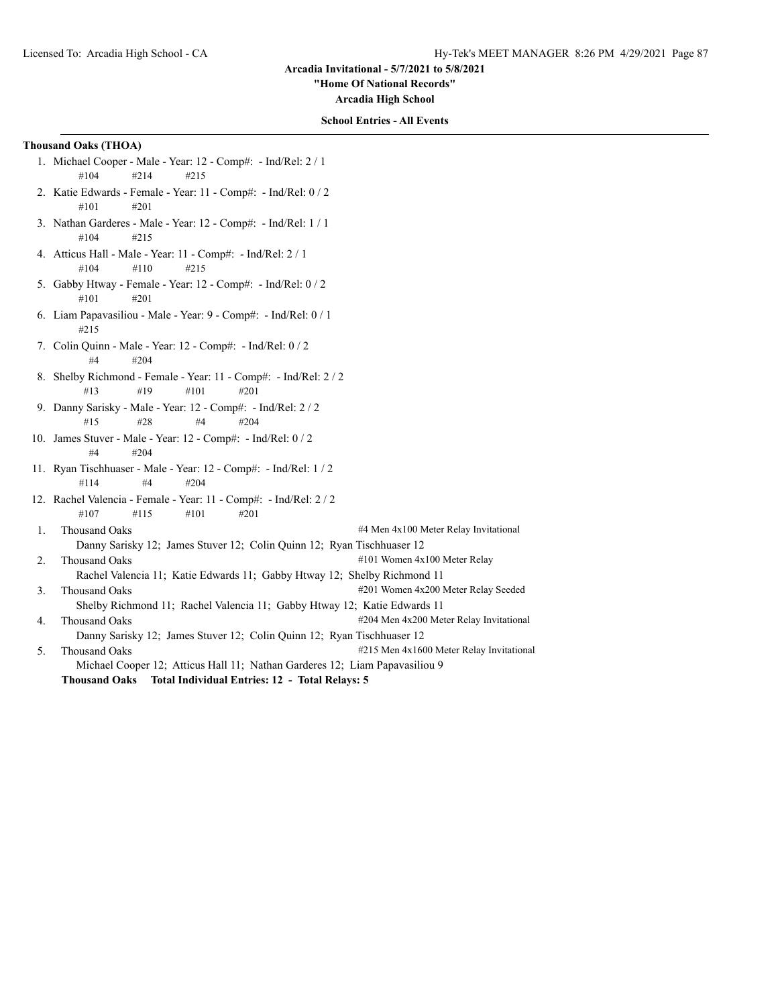**"Home Of National Records"**

**Arcadia High School**

# **School Entries - All Events**

# **Thousand Oaks (THOA)**

- 1. Michael Cooper Male Year: 12 Comp#: Ind/Rel: 2 / 1 #104 #214 #215
- 2. Katie Edwards Female Year: 11 Comp#: Ind/Rel: 0 / 2 #101 #201
- 3. Nathan Garderes Male Year: 12 Comp#: Ind/Rel: 1 / 1 #104 #215
- 4. Atticus Hall Male Year: 11 Comp#: Ind/Rel: 2 / 1 #104 #110 #215
- 5. Gabby Htway Female Year: 12 Comp#: Ind/Rel: 0 / 2 #101 #201
- 6. Liam Papavasiliou Male Year: 9 Comp#: Ind/Rel: 0 / 1 #215
- 7. Colin Quinn Male Year: 12 Comp#: Ind/Rel: 0 / 2 #4 #204
- 8. Shelby Richmond Female Year: 11 Comp#: Ind/Rel: 2 / 2 #13 #19 #101 #201
- 9. Danny Sarisky Male Year: 12 Comp#: Ind/Rel: 2 / 2 #15 #28 #4 #204
- 10. James Stuver Male Year: 12 Comp#: Ind/Rel: 0 / 2 #4 #204
- 11. Ryan Tischhuaser Male Year: 12 Comp#: Ind/Rel: 1 / 2 #114 #4 #204
- 12. Rachel Valencia Female Year: 11 Comp#: Ind/Rel: 2 / 2 #107 #115 #101 #201
- 1. Thousand Oaks #4 Men 4x100 Meter Relay Invitational Danny Sarisky 12; James Stuver 12; Colin Quinn 12; Ryan Tischhuaser 12 2. Thousand Oaks #101 Women 4x100 Meter Relay Rachel Valencia 11; Katie Edwards 11; Gabby Htway 12; Shelby Richmond 11 3. Thousand Oaks #201 Women 4x200 Meter Relay Seeded Shelby Richmond 11; Rachel Valencia 11; Gabby Htway 12; Katie Edwards 11
- 4. Thousand Oaks  $\#204$  Men 4x200 Meter Relay Invitational Danny Sarisky 12; James Stuver 12; Colin Quinn 12; Ryan Tischhuaser 12
- 5. Thousand Oaks #215 Men 4x1600 Meter Relay Invitational Michael Cooper 12; Atticus Hall 11; Nathan Garderes 12; Liam Papavasiliou 9 **Thousand Oaks Total Individual Entries: 12 - Total Relays: 5**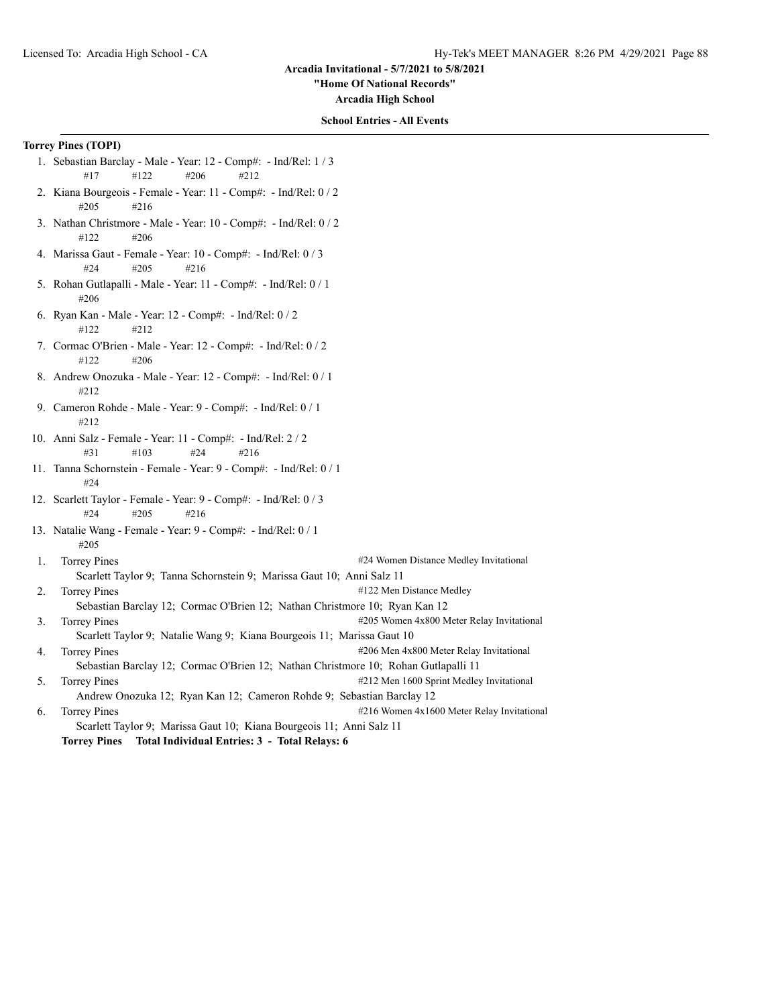**"Home Of National Records"**

**Arcadia High School**

### **School Entries - All Events**

# **Torrey Pines (TOPI)**

- 1. Sebastian Barclay Male Year: 12 Comp#: Ind/Rel: 1 / 3 #17 #122 #206 #212
- 2. Kiana Bourgeois Female Year: 11 Comp#: Ind/Rel: 0 / 2 #205 #216
- 3. Nathan Christmore Male Year: 10 Comp#: Ind/Rel: 0 / 2 #122 #206
- 4. Marissa Gaut Female Year: 10 Comp#: Ind/Rel: 0 / 3 #24 #205 #216
- 5. Rohan Gutlapalli Male Year: 11 Comp#: Ind/Rel: 0 / 1 #206
- 6. Ryan Kan Male Year: 12 Comp#: Ind/Rel: 0 / 2 #122 #212
- 7. Cormac O'Brien Male Year: 12 Comp#: Ind/Rel: 0 / 2 #122 #206
- 8. Andrew Onozuka Male Year: 12 Comp#: Ind/Rel: 0 / 1 #212
- 9. Cameron Rohde Male Year: 9 Comp#: Ind/Rel: 0 / 1 #212
- 10. Anni Salz Female Year: 11 Comp#: Ind/Rel: 2 / 2 #31 #103 #24 #216
- 11. Tanna Schornstein Female Year: 9 Comp#: Ind/Rel: 0 / 1 #24
- 12. Scarlett Taylor Female Year: 9 Comp#: Ind/Rel: 0 / 3 #24 #205 #216
- 13. Natalie Wang Female Year: 9 Comp#: Ind/Rel: 0 / 1 #205

1. Torrey Pines **Accord 2012** 21 and 24 Women Distance Medley Invitational Scarlett Taylor 9; Tanna Schornstein 9; Marissa Gaut 10; Anni Salz 11 2. Torrey Pines #122 Men Distance Medley

- Sebastian Barclay 12; Cormac O'Brien 12; Nathan Christmore 10; Ryan Kan 12 3. Torrey Pines **1205** Women 4x800 Meter Relay Invitational
- Scarlett Taylor 9; Natalie Wang 9; Kiana Bourgeois 11; Marissa Gaut 10
- 4. Torrey Pines **ACCO** CONSECTED 206 Men 4x800 Meter Relay Invitational
- Sebastian Barclay 12; Cormac O'Brien 12; Nathan Christmore 10; Rohan Gutlapalli 11 5. Torrey Pines **1998** Torrey Pines **1998** Torrey Pines **1998** Torres **#212** Men 1600 Sprint Medley Invitational Andrew Onozuka 12; Ryan Kan 12; Cameron Rohde 9; Sebastian Barclay 12
- 6. Torrey Pines **1988** Torres #216 Women 4x1600 Meter Relay Invitational Scarlett Taylor 9; Marissa Gaut 10; Kiana Bourgeois 11; Anni Salz 11 **Torrey Pines Total Individual Entries: 3 - Total Relays: 6**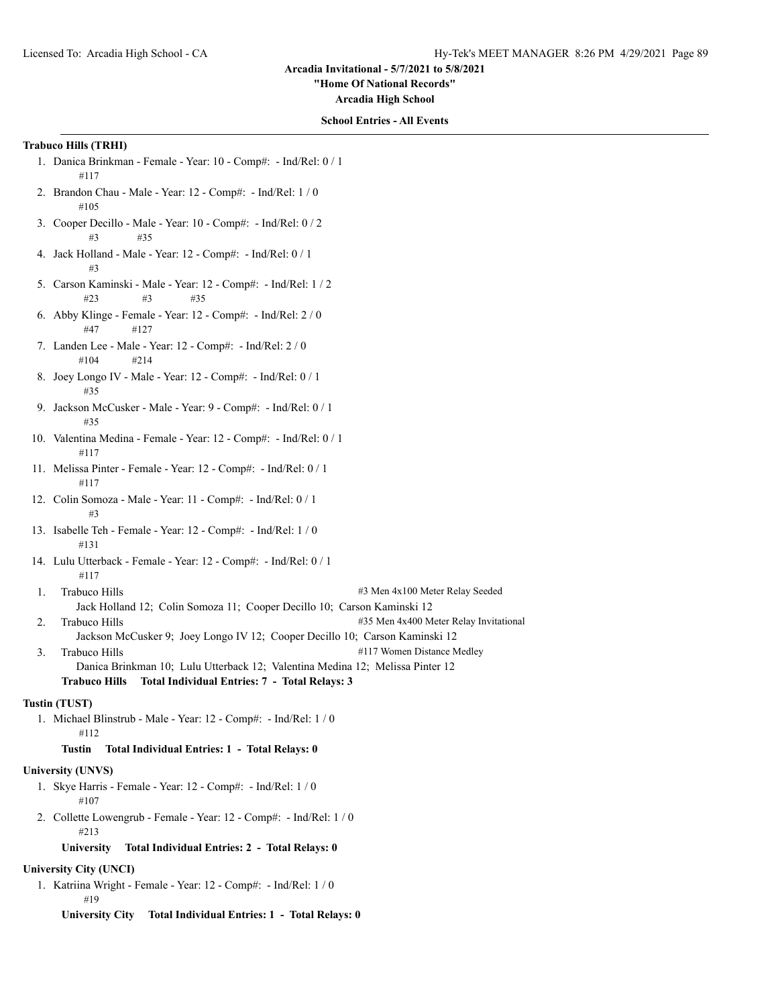**"Home Of National Records"**

**Arcadia High School**

### **School Entries - All Events**

# **Trabuco Hills (TRHI)**

- 1. Danica Brinkman Female Year: 10 Comp#: Ind/Rel: 0 / 1 #117
- 2. Brandon Chau Male Year: 12 Comp#: Ind/Rel: 1 / 0 #105
- 3. Cooper Decillo Male Year: 10 Comp#: Ind/Rel: 0 / 2 #3 #35
- 4. Jack Holland Male Year: 12 Comp#: Ind/Rel: 0 / 1 #3
- 5. Carson Kaminski Male Year: 12 Comp#: Ind/Rel: 1 / 2 #23 #3 #35
- 6. Abby Klinge Female Year: 12 Comp#: Ind/Rel: 2 / 0 #47 #127
- 7. Landen Lee Male Year: 12 Comp#: Ind/Rel: 2 / 0 #104 #214
- 8. Joey Longo IV Male Year: 12 Comp#: Ind/Rel: 0 / 1 #35
- 9. Jackson McCusker Male Year: 9 Comp#: Ind/Rel: 0 / 1 #35
- 10. Valentina Medina Female Year: 12 Comp#: Ind/Rel: 0 / 1 #117
- 11. Melissa Pinter Female Year: 12 Comp#: Ind/Rel: 0 / 1 #117
- 12. Colin Somoza Male Year: 11 Comp#: Ind/Rel: 0 / 1 #3
- 13. Isabelle Teh Female Year: 12 Comp#: Ind/Rel: 1 / 0 #131
- 14. Lulu Utterback Female Year: 12 Comp#: Ind/Rel: 0 / 1 #117
- 1. Trabuco Hills #3 Men 4x100 Meter Relay Seeded Jack Holland 12; Colin Somoza 11; Cooper Decillo 10; Carson Kaminski 12
- 2. Trabuco Hills **2. Trabuco Hills**  $\#35$  Men 4x400 Meter Relay Invitational
- Jackson McCusker 9; Joey Longo IV 12; Cooper Decillo 10; Carson Kaminski 12 3. Trabuco Hills **1986** 2012 12:30 12:30 12:30 12:30 12:30 12:30 12:30 12:30 12:30 12:30 12:30 12:30 12:30 12:30 12:30 12:30 12:30 12:30 12:30 12:30 12:30 12:30 12:30 12:30 12:30 12:30 12:30 12:30 12:30 12:30 12:30 12:30 1
	- Danica Brinkman 10; Lulu Utterback 12; Valentina Medina 12; Melissa Pinter 12 **Trabuco Hills Total Individual Entries: 7 - Total Relays: 3**

#### **Tustin (TUST)**

- 1. Michael Blinstrub Male Year: 12 Comp#: Ind/Rel: 1 / 0 #112
	- **Tustin Total Individual Entries: 1 Total Relays: 0**

#### **University (UNVS)**

- 1. Skye Harris Female Year: 12 Comp#: Ind/Rel: 1 / 0 #107
- 2. Collette Lowengrub Female Year: 12 Comp#: Ind/Rel: 1 / 0 #213

**University Total Individual Entries: 2 - Total Relays: 0**

# **University City (UNCI)**

1. Katriina Wright - Female - Year: 12 - Comp#: - Ind/Rel: 1 / 0 #19

**University City Total Individual Entries: 1 - Total Relays: 0**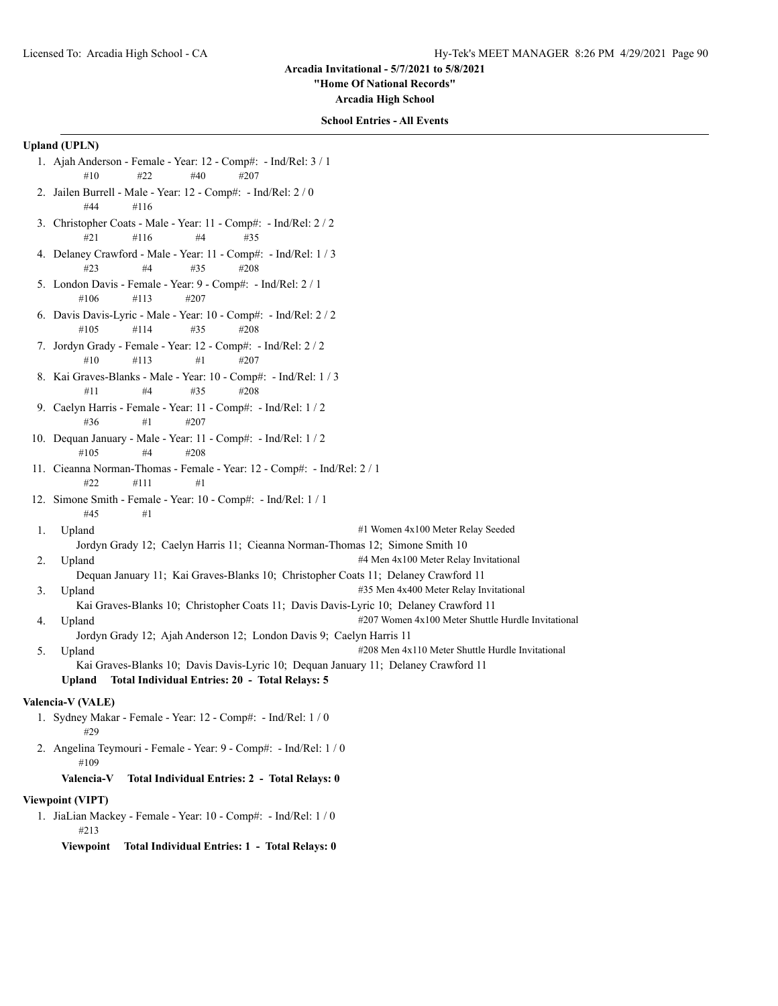**"Home Of National Records"**

**Arcadia High School**

#### **School Entries - All Events**

# **Upland (UPLN)**

- 1. Ajah Anderson Female Year: 12 Comp#: Ind/Rel: 3 / 1 #10 #22 #40 #207
- 2. Jailen Burrell Male Year: 12 Comp#: Ind/Rel: 2 / 0 #44 #116
- 3. Christopher Coats Male Year: 11 Comp#: Ind/Rel: 2 / 2 #21 #116 #4 #35
- 4. Delaney Crawford Male Year: 11 Comp#: Ind/Rel: 1 / 3 #23 #4 #35 #208
- 5. London Davis Female Year: 9 Comp#: Ind/Rel: 2 / 1 #106 #113 #207
- 6. Davis Davis-Lyric Male Year: 10 Comp#: Ind/Rel: 2 / 2 #105 #114 #35 #208
- 7. Jordyn Grady Female Year: 12 Comp#: Ind/Rel: 2 / 2 #10 #113 #1 #207
- 8. Kai Graves-Blanks Male Year: 10 Comp#: Ind/Rel: 1 / 3 #11 #4 #35 #208
- 9. Caelyn Harris Female Year: 11 Comp#: Ind/Rel: 1 / 2 #36 #1 #207
- 10. Dequan January Male Year: 11 Comp#: Ind/Rel: 1 / 2 #105 #4 #208
- 11. Cieanna Norman-Thomas Female Year: 12 Comp#: Ind/Rel: 2 / 1 #22 #111 #1
- 12. Simone Smith Female Year: 10 Comp#: Ind/Rel: 1 / 1 #45 #1
- 1. Upland  $\#1$  Women 4x100 Meter Relay Seeded Jordyn Grady 12; Caelyn Harris 11; Cieanna Norman-Thomas 12; Simone Smith 10
- 2. Upland  $\#4$  Men 4x100 Meter Relay Invitational
	- Dequan January 11; Kai Graves-Blanks 10; Christopher Coats 11; Delaney Crawford 11
- 3. Upland #35 Men 4x400 Meter Relay Invitational Kai Graves-Blanks 10; Christopher Coats 11; Davis Davis-Lyric 10; Delaney Crawford 11
- 4. Upland #207 Women 4x100 Meter Shuttle Hurdle Invitational
	- Jordyn Grady 12; Ajah Anderson 12; London Davis 9; Caelyn Harris 11
- 5. Upland  $\text{4208}$  Men 4x110 Meter Shuttle Hurdle Invitational Kai Graves-Blanks 10; Davis Davis-Lyric 10; Dequan January 11; Delaney Crawford 11 **Upland Total Individual Entries: 20 - Total Relays: 5**

#### **Valencia-V (VALE)**

- 1. Sydney Makar Female Year: 12 Comp#: Ind/Rel: 1 / 0 #29
- 2. Angelina Teymouri Female Year: 9 Comp#: Ind/Rel: 1 / 0 #109
	- **Valencia-V Total Individual Entries: 2 Total Relays: 0**

### **Viewpoint (VIPT)**

1. JiaLian Mackey - Female - Year: 10 - Comp#: - Ind/Rel: 1 / 0 #213

**Viewpoint Total Individual Entries: 1 - Total Relays: 0**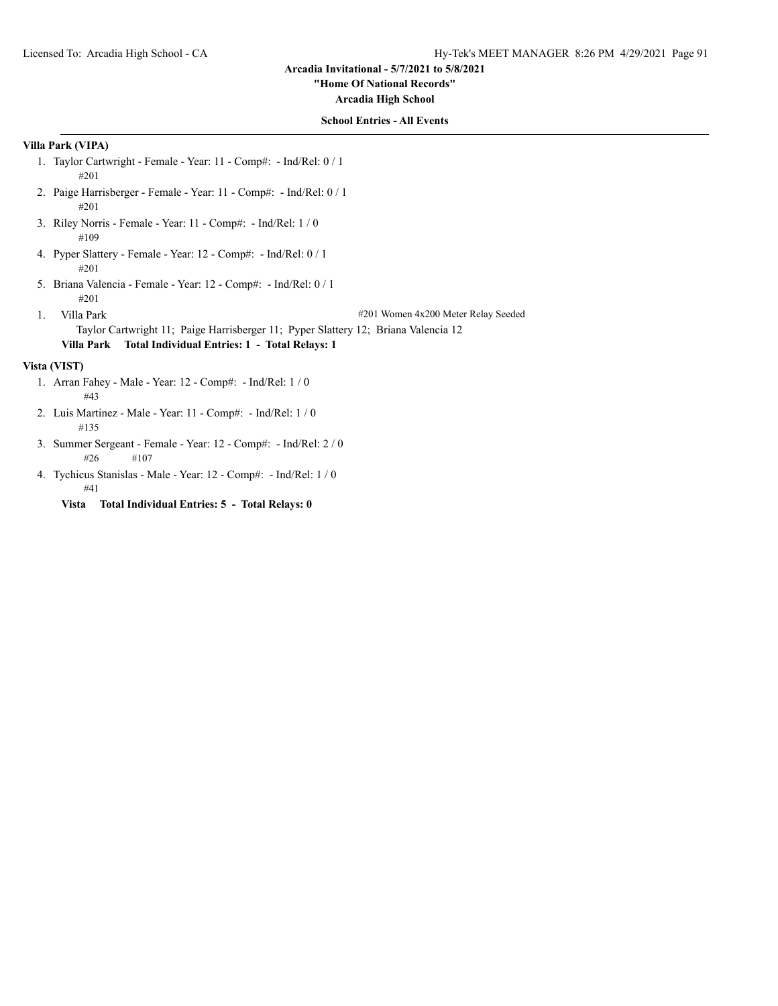# **"Home Of National Records"**

**Arcadia High School**

## **School Entries - All Events**

# **Villa Park (VIPA)**

- 1. Taylor Cartwright Female Year: 11 Comp#: Ind/Rel: 0 / 1 #201
- 2. Paige Harrisberger Female Year: 11 Comp#: Ind/Rel: 0 / 1 #201
- 3. Riley Norris Female Year: 11 Comp#: Ind/Rel: 1 / 0 #109
- 4. Pyper Slattery Female Year: 12 Comp#: Ind/Rel: 0 / 1 #201
- 5. Briana Valencia Female Year: 12 Comp#: Ind/Rel: 0 / 1 #201
- 

1. Villa Park #201 Women 4x200 Meter Relay Seeded

Taylor Cartwright 11; Paige Harrisberger 11; Pyper Slattery 12; Briana Valencia 12 **Villa Park Total Individual Entries: 1 - Total Relays: 1**

### **Vista (VIST)**

- 1. Arran Fahey Male Year: 12 Comp#: Ind/Rel: 1 / 0 #43
- 2. Luis Martinez Male Year: 11 Comp#: Ind/Rel: 1 / 0 #135
- 3. Summer Sergeant Female Year: 12 Comp#: Ind/Rel: 2 / 0 #26 #107
- 4. Tychicus Stanislas Male Year: 12 Comp#: Ind/Rel: 1 / 0 #41
	- **Vista Total Individual Entries: 5 Total Relays: 0**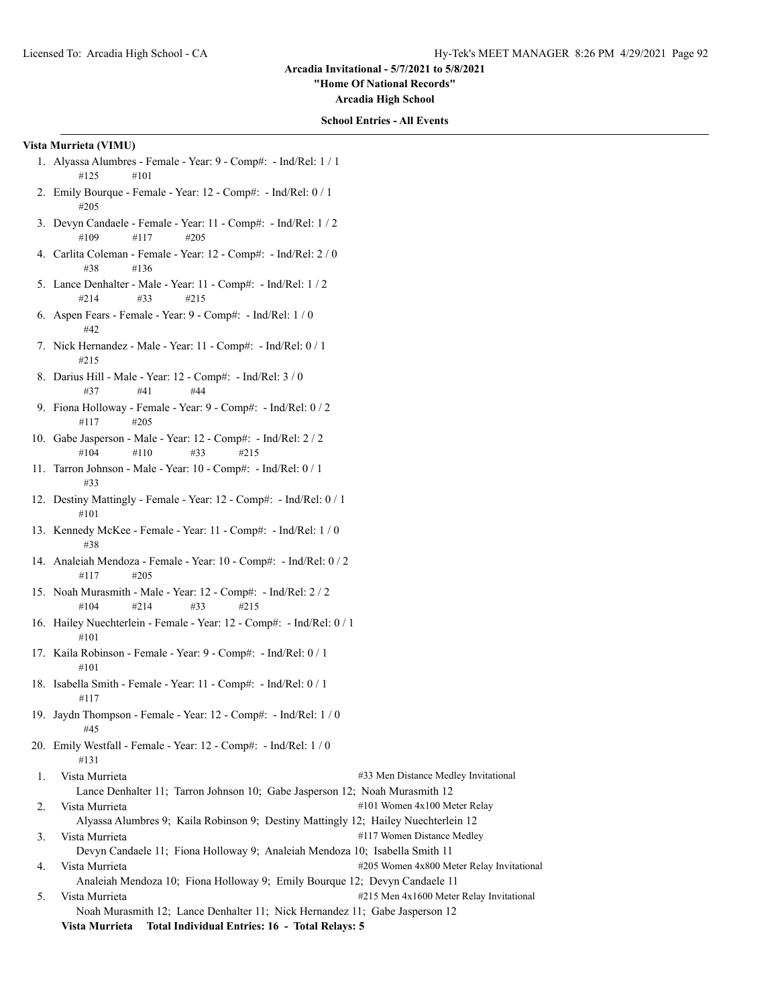**"Home Of National Records"**

**Arcadia High School**

#### **School Entries - All Events**

### **Vista Murrieta (VIMU)**

- 1. Alyassa Alumbres Female Year: 9 Comp#: Ind/Rel: 1 / 1 #125 #101
- 2. Emily Bourque Female Year: 12 Comp#: Ind/Rel: 0 / 1 #205
- 3. Devyn Candaele Female Year: 11 Comp#: Ind/Rel: 1 / 2 #109 #117 #205
- 4. Carlita Coleman Female Year: 12 Comp#: Ind/Rel: 2 / 0 #38 #136
- 5. Lance Denhalter Male Year: 11 Comp#: Ind/Rel: 1 / 2 #214 #33 #215
- 6. Aspen Fears Female Year: 9 Comp#: Ind/Rel: 1 / 0 #42
- 7. Nick Hernandez Male Year: 11 Comp#: Ind/Rel: 0 / 1 #215
- 8. Darius Hill Male Year: 12 Comp#: Ind/Rel: 3 / 0 #37 #41 #44
- 9. Fiona Holloway Female Year: 9 Comp#: Ind/Rel: 0 / 2 #117 #205
- 10. Gabe Jasperson Male Year: 12 Comp#: Ind/Rel: 2 / 2 #104 #110 #33 #215
- 11. Tarron Johnson Male Year: 10 Comp#: Ind/Rel: 0 / 1 #33
- 12. Destiny Mattingly Female Year: 12 Comp#: Ind/Rel: 0 / 1 #101
- 13. Kennedy McKee Female Year: 11 Comp#: Ind/Rel: 1 / 0 #38
- 14. Analeiah Mendoza Female Year: 10 Comp#: Ind/Rel: 0 / 2 #117 #205
- 15. Noah Murasmith Male Year: 12 Comp#: Ind/Rel: 2 / 2 #104 #214 #33 #215
- 16. Hailey Nuechterlein Female Year: 12 Comp#: Ind/Rel: 0 / 1 #101
- 17. Kaila Robinson Female Year: 9 Comp#: Ind/Rel: 0 / 1 #101
- 18. Isabella Smith Female Year: 11 Comp#: Ind/Rel: 0 / 1 #117
- 19. Jaydn Thompson Female Year: 12 Comp#: Ind/Rel: 1 / 0 #45
- 20. Emily Westfall Female Year: 12 Comp#: Ind/Rel: 1 / 0 #131
- 1. Vista Murrieta #33 Men Distance Medley Invitational Lance Denhalter 11; Tarron Johnson 10; Gabe Jasperson 12; Noah Murasmith 12 2. Vista Murrieta **101 Women 4x100 Meter Relay** Alyassa Alumbres 9; Kaila Robinson 9; Destiny Mattingly 12; Hailey Nuechterlein 12 3. Vista Murrieta #117 Women Distance Medley Devyn Candaele 11; Fiona Holloway 9; Analeiah Mendoza 10; Isabella Smith 11 4. Vista Murrieta **Alta Australia et alta anticipale anticipal** #205 Women 4x800 Meter Relay Invitational Analeiah Mendoza 10; Fiona Holloway 9; Emily Bourque 12; Devyn Candaele 11 5. Vista Murrieta #215 Men 4x1600 Meter Relay Invitational Noah Murasmith 12; Lance Denhalter 11; Nick Hernandez 11; Gabe Jasperson 12
	- **Vista Murrieta Total Individual Entries: 16 Total Relays: 5**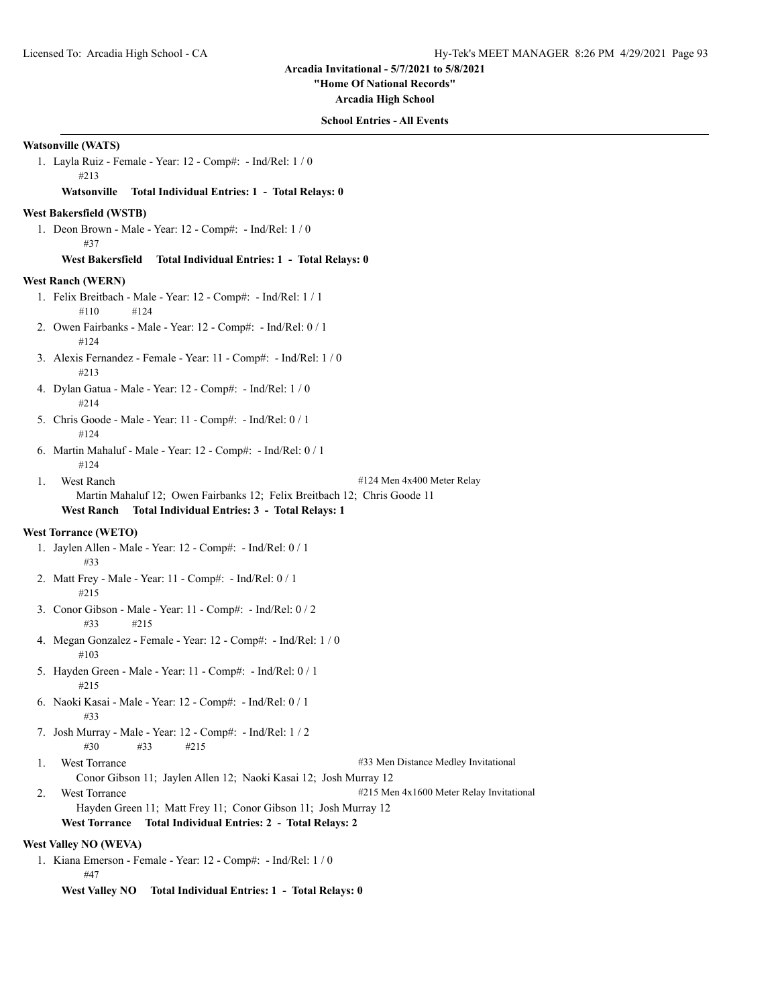**"Home Of National Records"**

**Arcadia High School**

### **School Entries - All Events**

## **Watsonville (WATS)**

1. Layla Ruiz - Female - Year: 12 - Comp#: - Ind/Rel: 1 / 0 #213

## **Watsonville Total Individual Entries: 1 - Total Relays: 0**

#### **West Bakersfield (WSTB)**

1. Deon Brown - Male - Year: 12 - Comp#: - Ind/Rel: 1 / 0 #37

#### **West Bakersfield Total Individual Entries: 1 - Total Relays: 0**

### **West Ranch (WERN)**

- 1. Felix Breitbach Male Year: 12 Comp#: Ind/Rel: 1 / 1 #110 #124
- 2. Owen Fairbanks Male Year: 12 Comp#: Ind/Rel: 0 / 1 #124
- 3. Alexis Fernandez Female Year: 11 Comp#: Ind/Rel: 1 / 0 #213
- 4. Dylan Gatua Male Year: 12 Comp#: Ind/Rel: 1 / 0 #214
- 5. Chris Goode Male Year: 11 Comp#: Ind/Rel: 0 / 1 #124
- 6. Martin Mahaluf Male Year: 12 Comp#: Ind/Rel: 0 / 1 #124
- 1. West Ranch #124 Men 4x400 Meter Relay
	- Martin Mahaluf 12; Owen Fairbanks 12; Felix Breitbach 12; Chris Goode 11

# **West Ranch Total Individual Entries: 3 - Total Relays: 1**

#### **West Torrance (WETO)**

- 1. Jaylen Allen Male Year: 12 Comp#: Ind/Rel: 0 / 1 #33
- 2. Matt Frey Male Year: 11 Comp#: Ind/Rel: 0 / 1 #215
- 3. Conor Gibson Male Year: 11 Comp#: Ind/Rel: 0 / 2 #33 #215
- 4. Megan Gonzalez Female Year: 12 Comp#: Ind/Rel: 1 / 0 #103
- 5. Hayden Green Male Year: 11 Comp#: Ind/Rel: 0 / 1 #215
- 6. Naoki Kasai Male Year: 12 Comp#: Ind/Rel: 0 / 1 #33
- 7. Josh Murray Male Year: 12 Comp#: Ind/Rel: 1 / 2 #30 #33 #215
- 

1. West Torrance #33 Men Distance Medley Invitational

- Conor Gibson 11; Jaylen Allen 12; Naoki Kasai 12; Josh Murray 12
- 2. West Torrance  $\#215$  Men  $4x1600$  Meter Relay Invitational

Hayden Green 11; Matt Frey 11; Conor Gibson 11; Josh Murray 12

#### **West Torrance Total Individual Entries: 2 - Total Relays: 2**

# **West Valley NO (WEVA)**

1. Kiana Emerson - Female - Year: 12 - Comp#: - Ind/Rel: 1 / 0 #47

**West Valley NO Total Individual Entries: 1 - Total Relays: 0**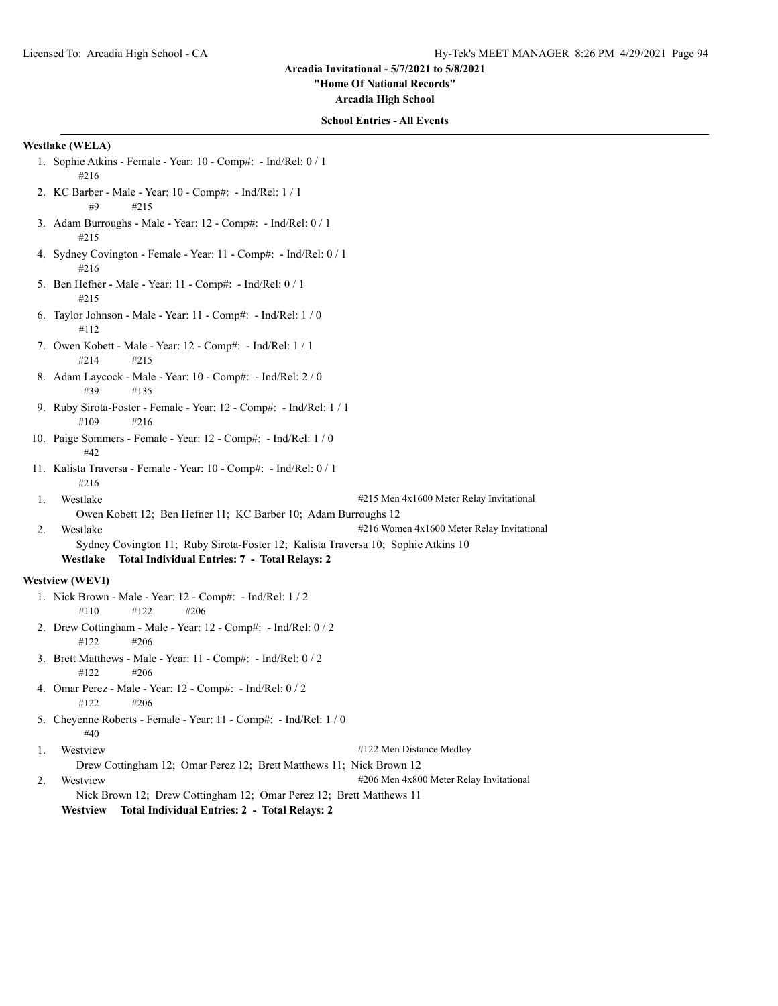**"Home Of National Records"**

**Arcadia High School**

### **School Entries - All Events**

# **Westlake (WELA)**

- 1. Sophie Atkins Female Year: 10 Comp#: Ind/Rel: 0 / 1 #216
- 2. KC Barber Male Year: 10 Comp#: Ind/Rel: 1 / 1 #9 #215
- 3. Adam Burroughs Male Year: 12 Comp#: Ind/Rel: 0 / 1 #215
- 4. Sydney Covington Female Year: 11 Comp#: Ind/Rel: 0 / 1 #216
- 5. Ben Hefner Male Year: 11 Comp#: Ind/Rel: 0 / 1 #215
- 6. Taylor Johnson Male Year: 11 Comp#: Ind/Rel: 1 / 0 #112
- 7. Owen Kobett Male Year: 12 Comp#: Ind/Rel: 1 / 1 #214 #215
- 8. Adam Laycock Male Year: 10 Comp#: Ind/Rel: 2 / 0 #39 #135
- 9. Ruby Sirota-Foster Female Year: 12 Comp#: Ind/Rel: 1 / 1 #109 #216
- 10. Paige Sommers Female Year: 12 Comp#: Ind/Rel: 1 / 0 #42
- 11. Kalista Traversa Female Year: 10 Comp#: Ind/Rel: 0 / 1 #216
- 1. Westlake #215 Men 4x1600 Meter Relay Invitational
	- Owen Kobett 12; Ben Hefner 11; KC Barber 10; Adam Burroughs 12
- 2. Westlake #216 Women 4x1600 Meter Relay Invitational Sydney Covington 11; Ruby Sirota-Foster 12; Kalista Traversa 10; Sophie Atkins 10
	- **Westlake Total Individual Entries: 7 Total Relays: 2**

# **Westview (WEVI)**

- 1. Nick Brown Male Year: 12 Comp#: Ind/Rel: 1 / 2 #110 #122 #206
- 2. Drew Cottingham Male Year: 12 Comp#: Ind/Rel: 0 / 2 #122 #206
- 3. Brett Matthews Male Year: 11 Comp#: Ind/Rel: 0 / 2 #122 #206
- 4. Omar Perez Male Year: 12 Comp#: Ind/Rel: 0 / 2  $\#122$   $\#206$
- 5. Cheyenne Roberts Female Year: 11 Comp#: Ind/Rel: 1 / 0 #40

1. Westview #122 Men Distance Medley Drew Cottingham 12; Omar Perez 12; Brett Matthews 11; Nick Brown 12 2. Westview  $\#206$  Men 4x800 Meter Relay Invitational Nick Brown 12; Drew Cottingham 12; Omar Perez 12; Brett Matthews 11

**Westview Total Individual Entries: 2 - Total Relays: 2**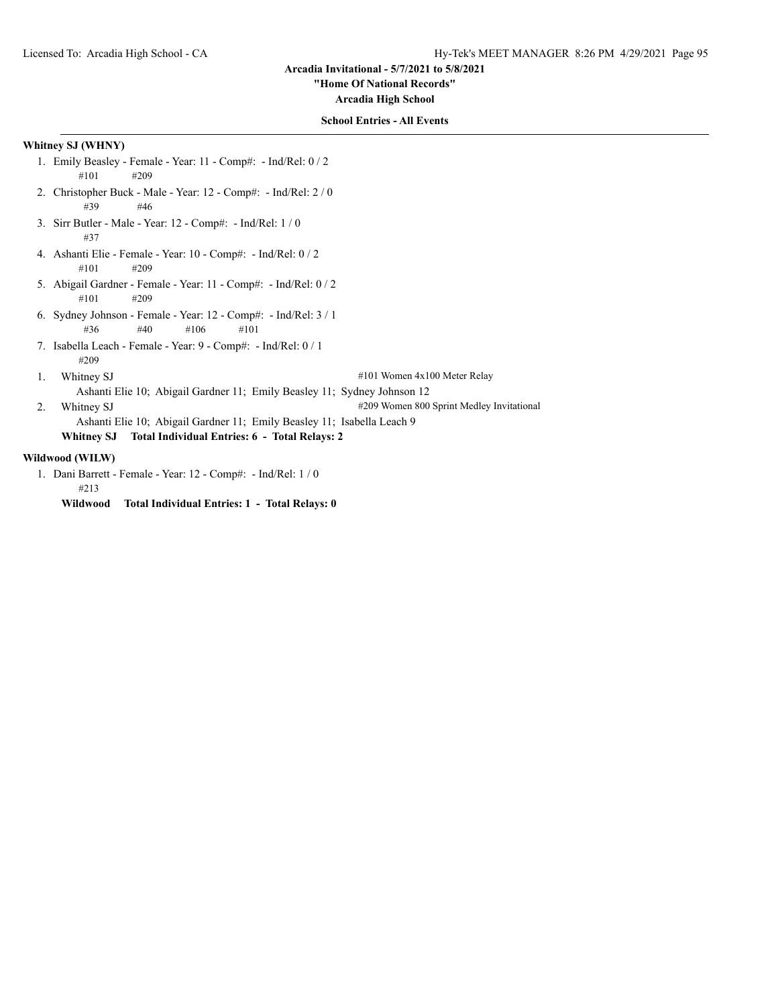**"Home Of National Records"**

**Arcadia High School**

# **School Entries - All Events**

# **Whitney SJ (WHNY)**

- 1. Emily Beasley Female Year: 11 Comp#: Ind/Rel: 0 / 2 #101 #209
- 2. Christopher Buck Male Year: 12 Comp#: Ind/Rel: 2 / 0 #39 #46
- 3. Sirr Butler Male Year: 12 Comp#: Ind/Rel: 1 / 0 #37
- 4. Ashanti Elie Female Year: 10 Comp#: Ind/Rel: 0 / 2 #101 #209
- 5. Abigail Gardner Female Year: 11 Comp#: Ind/Rel: 0 / 2 #101 #209
- 6. Sydney Johnson Female Year: 12 Comp#: Ind/Rel: 3 / 1 #36 #40 #106 #101
- 7. Isabella Leach Female Year: 9 Comp#: Ind/Rel: 0 / 1 #209
- 1. Whitney SJ #101 Women 4x100 Meter Relay

Ashanti Elie 10; Abigail Gardner 11; Emily Beasley 11; Sydney Johnson 12

2. Whitney SJ #209 Women 800 Sprint Medley Invitational

Ashanti Elie 10; Abigail Gardner 11; Emily Beasley 11; Isabella Leach 9

**Whitney SJ Total Individual Entries: 6 - Total Relays: 2**

# **Wildwood (WILW)**

- 1. Dani Barrett Female Year: 12 Comp#: Ind/Rel: 1 / 0 #213
	- **Wildwood Total Individual Entries: 1 Total Relays: 0**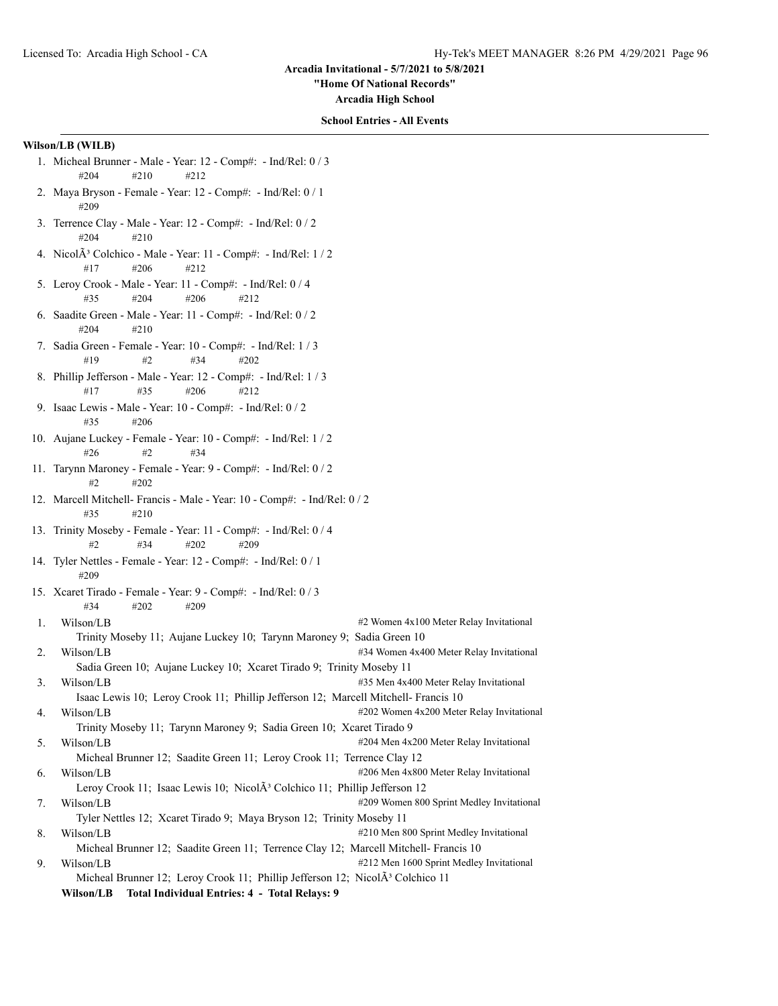**"Home Of National Records"**

**Arcadia High School**

### **School Entries - All Events**

# **Wilson/LB (WILB)**

- 1. Micheal Brunner Male Year: 12 Comp#: Ind/Rel: 0 / 3 #204 #210 #212
- 2. Maya Bryson Female Year: 12 Comp#: Ind/Rel: 0 / 1 #209
- 3. Terrence Clay Male Year: 12 Comp#: Ind/Rel: 0 / 2 #204 #210
- 4. Nicol $\tilde{A}^3$  Colchico Male Year: 11 Comp#: Ind/Rel: 1/2 #17 #206 #212
- 5. Leroy Crook Male Year: 11 Comp#: Ind/Rel: 0 / 4 #35 #204 #206 #212
- 6. Saadite Green Male Year: 11 Comp#: Ind/Rel: 0 / 2 #204 #210
- 7. Sadia Green Female Year: 10 Comp#: Ind/Rel: 1 / 3 #19 #2 #34 #202
- 8. Phillip Jefferson Male Year: 12 Comp#: Ind/Rel: 1 / 3 #17 #35 #206 #212
- 9. Isaac Lewis Male Year: 10 Comp#: Ind/Rel: 0 / 2 #35 #206
- 10. Aujane Luckey Female Year: 10 Comp#: Ind/Rel: 1 / 2 #26 #2 #34
- 11. Tarynn Maroney Female Year: 9 Comp#: Ind/Rel: 0 / 2 #2 #202
- 12. Marcell Mitchell- Francis Male Year: 10 Comp#: Ind/Rel: 0 / 2 #35 #210
- 13. Trinity Moseby Female Year: 11 Comp#: Ind/Rel: 0 / 4 #2 #34 #202 #209
- 14. Tyler Nettles Female Year: 12 Comp#: Ind/Rel: 0 / 1 #209
- 15. Xcaret Tirado Female Year: 9 Comp#: Ind/Rel: 0 / 3 #34 #202 #209

1. Wilson/LB #2 Women 4x100 Meter Relay Invitational Trinity Moseby 11; Aujane Luckey 10; Tarynn Maroney 9; Sadia Green 10 2. Wilson/LB #34 Women 4x400 Meter Relay Invitational Sadia Green 10; Aujane Luckey 10; Xcaret Tirado 9; Trinity Moseby 11 3. Wilson/LB #35 Men 4x400 Meter Relay Invitational Isaac Lewis 10; Leroy Crook 11; Phillip Jefferson 12; Marcell Mitchell- Francis 10 4. Wilson/LB #202 Women 4x200 Meter Relay Invitational

Trinity Moseby 11; Tarynn Maroney 9; Sadia Green 10; Xcaret Tirado 9

5. Wilson/LB #204 Men 4x200 Meter Relay Invitational Micheal Brunner 12; Saadite Green 11; Leroy Crook 11; Terrence Clay 12

- 6. Wilson/LB #206 Men 4x800 Meter Relay Invitational
- Leroy Crook 11; Isaac Lewis 10; Nicol $\tilde{A}^3$  Colchico 11; Phillip Jefferson 12 7. Wilson/LB #209 Women 800 Sprint Medley Invitational
- Tyler Nettles 12; Xcaret Tirado 9; Maya Bryson 12; Trinity Moseby 11 8. Wilson/LB #210 Men 800 Sprint Medley Invitational
- Micheal Brunner 12; Saadite Green 11; Terrence Clay 12; Marcell Mitchell- Francis 10 9. Wilson/LB  $\#212$  Men 1600 Sprint Medley Invitational Micheal Brunner 12; Leroy Crook 11; Phillip Jefferson 12; Nicol $\tilde{A}^3$  Colchico 11

```
Wilson/LB Total Individual Entries: 4 - Total Relays: 9
```